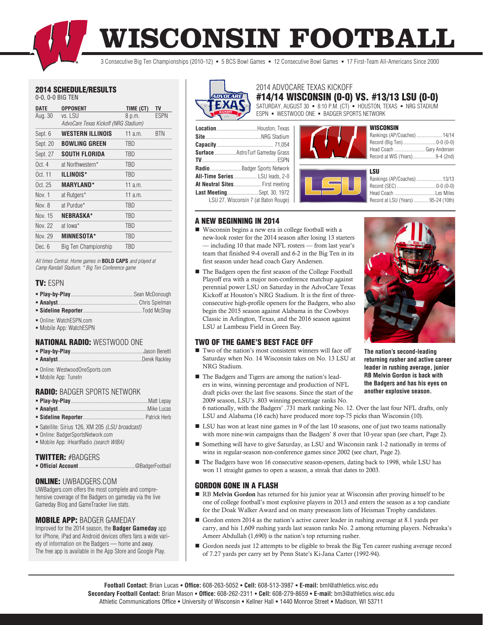**WISCONSIN FOOTBALL**

3 Consecutive Big Ten Championships (2010-12) 5 BCS Bowl Games 12 Consecutive Bowl Games 17 First-Team All-Americans Since 2000

# 2014 SCHEDULE/RESULTS

0-0, 0-0 BIG TEN

| DATE             | <b>OPPONENT</b>                      | TIME (CT)  | <b>TV</b>   |
|------------------|--------------------------------------|------------|-------------|
| Aug. 30          | vs. LSU                              | 8 p.m.     | <b>ESPN</b> |
|                  | AdvoCare Texas Kickoff (NRG Stadium) |            |             |
| Sept. 6          | <b>WESTERN ILLINOIS</b>              | 11 $a.m.$  | BTN         |
| Sept. 20         | <b>BOWLING GREEN</b>                 | TBD        |             |
| Sept. 27         | SOUTH FLORIDA                        | TBD        |             |
| 0ct <sub>4</sub> | at Northwestern*                     | <b>TBD</b> |             |
| Oct. 11          | ILLINOIS*                            | TBD        |             |
| Oct. 25          | <b>MARYLAND*</b>                     | $11$ a.m.  |             |
| Nov. 1           | at Rutgers*                          | 11 a m     |             |
| Nov. 8           | at Purdue*                           | <b>TBD</b> |             |
| Nov 15           | <b>NEBRASKA*</b>                     | TBD        |             |
| Nov 22           | at lowa*                             | TBD        |             |
| Nov. 29          | <b>MINNESOTA*</b>                    | <b>TBD</b> |             |
| Dec. 6           | Big Ten Championship                 | TBD        |             |
|                  |                                      |            |             |

*All times Central. Home games in* **BOLD CAPS** *and played at Camp Randall Stadium. \* Big Ten Conference game*

# TV: ESPN

- Online: WatchESPN.com
- Mobile App: WatchESPN

# NATIONAL RADIO: WESTWOOD ONE

- Online: WestwoodOneSports.com
- Mobile App: TuneIn

# RADIO: BADGER SPORTS NETWORK

| <b>Sideline Renorter Sideline Renorter</b> |  |
|--------------------------------------------|--|

- Satellite: Sirius 126, XM 205 *(LSU broadcast)*
- Online: BadgerSportsNetwork.com
- Mobile App: iHeartRadio *(search WIBA)*

# TWITTER: #BADGERS

**Official Account**...........................................@BadgerFootball

# ONLINE: UWBADGERS.COM

UWBadgers.com offers the most complete and comprehensive coverage of the Badgers on gameday via the live Gameday Blog and GameTracker live stats.

#### MOBILE APP: BADGER GAMEDAY

Improved for the 2014 season, the **Badger Gameday** app for iPhone, iPad and Android devices offers fans a wide variety of information on the Badgers — home and away. The free app is available in the App Store and Google Play.



# #14/14 WISCONSIN (0-0) VS. #13/13 LSU (0-0) 2014 ADVOCARE TEXAS KICKOFF

SATURDAY, AUGUST 30 · 8:10 P.M. (CT) · HOUSTON, TEXAS · NRG STADIUM ESPN - WESTWOOD ONE - BADGER SPORTS NETWORK

| Surface AstroTurf Gameday Grass       |
|---------------------------------------|
|                                       |
| RadioBadger Sports Network            |
| <b>All-Time Series LSU leads. 2-0</b> |
| At Neutral Sites First meeting        |
| <b>Last MeetingSept. 30, 1972</b>     |
| LSU 27, Wisconsin 7 (at Baton Rouge)  |





# Rankings (AP/Coaches)..................... 13/13

| Record at LSU (Years)  95-24 (10th) |  |
|-------------------------------------|--|
|                                     |  |

# A NEW BEGINNING IN 2014

- Wisconsin begins a new era in college football with a new-look roster for the 2014 season after losing 13 starters — including 10 that made NFL rosters — from last year's team that finished 9-4 overall and 6-2 in the Big Ten in its first season under head coach Gary Andersen.
- The Badgers open the first season of the College Football Playoff era with a major non-conference matchup against perennial power LSU on Saturday in the AdvoCare Texas Kickoff at Houston's NRG Stadium. It is the first of threeconsecutive high-profile openers for the Badgers, who also begin the 2015 season against Alabama in the Cowboys Classic in Arlington, Texas, and the 2016 season against LSU at Lambeau Field in Green Bay.

# TWO OF THE GAME'S BEST FACE OFF

- $\blacksquare$  Two of the nation's most consistent winners will face off Saturday when No. 14 Wisconsin takes on No. 13 LSU at NRG Stadium.
- The Badgers and Tigers are among the nation's leaders in wins, winning percentage and production of NFL draft picks over the last five seasons. Since the start of the 2009 season, LSU's .803 winning percentage ranks No.

**the Badgers and has his eyes on another explosive season.**

6 nationally, with the Badgers' .731 mark ranking No. 12. Over the last four NFL drafts, only LSU and Alabama (16 each) have produced more top-75 picks than Wisconsin (10).

- LSU has won at least nine games in 9 of the last 10 seasons, one of just two teams nationally with more nine-win campaigns than the Badgers' 8 over that 10-year span (see chart, Page 2).
- Something will have to give Saturday, as LSU and Wisconsin rank 1-2 nationally in terms of wins in regular-season non-conference games since 2002 (see chart, Page 2).
- The Badgers have won 16 consecutive season-openers, dating back to 1998, while LSU has won 11 straight games to open a season, a streak that dates to 2003.

# GORDON GONE IN A FLASH

- RB Melvin Gordon has returned for his junior year at Wisconsin after proving himself to be one of college football's most explosive players in 2013 and enters the season as a top candiate for the Doak Walker Award and on many preseason lists of Heisman Trophy candidates.
- Gordon enters 2014 as the nation's active career leader in rushing average at 8.1 yards per carry, and his 1,609 rushing yards last season ranks No. 2 among returning players. Nebraska's Ameer Abdullah (1,690) is the nation's top returning rusher.
- Gordon needs just 12 attempts to be eligible to break the Big Ten career rushing average record of 7.27 yards per carry set by Penn State's Ki-Jana Carter (1992-94).

**returning rusher and active career leader in rushing average, junior** 

**The nation's second-leading RB Melvin Gordon is back with**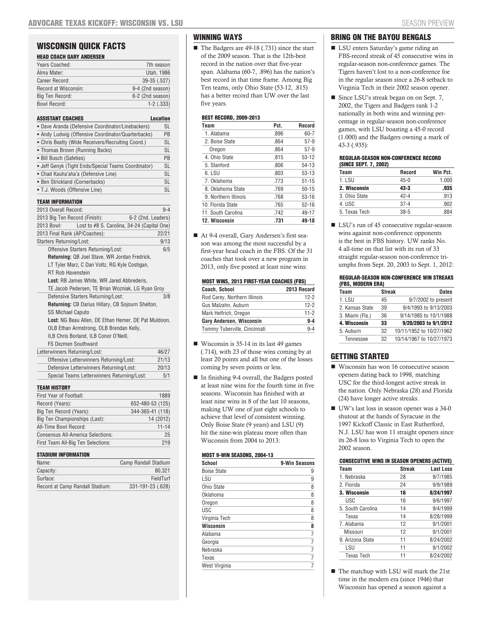# WISCONSIN QUICK FACTS

| <b>HEAD COACH GARY ANDERSEN</b> |                  |
|---------------------------------|------------------|
| Years Coached:                  | 7th season       |
| Alma Mater:                     | Utah, 1986       |
| Career Record:                  | 39-35 (.527)     |
| Record at Wisconsin:            | 9-4 (2nd season) |
| Big Ten Record:                 | 6-2 (2nd season) |
| <b>Bowl Record:</b>             | $1 - 2$ $(.333)$ |
|                                 |                  |

| · Dave Aranda (Defensive Coordinator/Linebackers)<br>• Andy Ludwig (Offensive Coordinator/Quarterbacks)<br>• Chris Beatty (Wide Receivers/Recruiting Coord.)<br>• Thomas Brown (Running Backs)<br>• Bill Busch (Safeties)<br>• Jeff Genyk (Tight Ends/Special Teams Coordinator)<br>- Chad Kauha'aha'a (Defensive Line)<br>• Ben Strickland (Cornerbacks)<br>- T.J. Woods (Offensive Line)<br><b>TEAM INFORMATION</b><br>2013 Overall Record:<br>2013 Big Ten Record (Finish):<br>6-2 (2nd, Leaders)<br>Lost to #8 S. Carolina, 34-24 (Capital One)<br>2013 Bowl:<br>2013 Final Rank (AP/Coaches):<br><b>Starters Returning/Lost:</b><br>Offensive Starters Returning/Lost:<br>Returning: QB Joel Stave, WR Jordan Fredrick,<br>LT Tyler Marz, C Dan Voltz, RG Kyle Costigan,<br><b>RT Rob Havenstein</b><br><b>Lost:</b> RB James White, WR Jared Abbrederis.<br>TE Jacob Pedersen, TE Brian Wozniak, LG Ryan Groy<br>Defensive Starters Returning/Lost:<br>Returning: CB Darius Hillary, CB Sojourn Shelton,<br><b>SS Michael Caputo</b><br>Lost: NG Beau Allen, DE Ethan Hemer, DE Pat Muldoon,<br>OLB Ethan Armstrong, OLB Brendan Kelly,<br>ILB Chris Borland, ILB Conor O'Neill, | ASSISTANT COACHES | <b>Location</b> |
|----------------------------------------------------------------------------------------------------------------------------------------------------------------------------------------------------------------------------------------------------------------------------------------------------------------------------------------------------------------------------------------------------------------------------------------------------------------------------------------------------------------------------------------------------------------------------------------------------------------------------------------------------------------------------------------------------------------------------------------------------------------------------------------------------------------------------------------------------------------------------------------------------------------------------------------------------------------------------------------------------------------------------------------------------------------------------------------------------------------------------------------------------------------------------------------|-------------------|-----------------|
|                                                                                                                                                                                                                                                                                                                                                                                                                                                                                                                                                                                                                                                                                                                                                                                                                                                                                                                                                                                                                                                                                                                                                                                        |                   | <b>SL</b>       |
|                                                                                                                                                                                                                                                                                                                                                                                                                                                                                                                                                                                                                                                                                                                                                                                                                                                                                                                                                                                                                                                                                                                                                                                        |                   | PB              |
|                                                                                                                                                                                                                                                                                                                                                                                                                                                                                                                                                                                                                                                                                                                                                                                                                                                                                                                                                                                                                                                                                                                                                                                        |                   | SL              |
|                                                                                                                                                                                                                                                                                                                                                                                                                                                                                                                                                                                                                                                                                                                                                                                                                                                                                                                                                                                                                                                                                                                                                                                        |                   | <b>SL</b>       |
|                                                                                                                                                                                                                                                                                                                                                                                                                                                                                                                                                                                                                                                                                                                                                                                                                                                                                                                                                                                                                                                                                                                                                                                        |                   | PB              |
|                                                                                                                                                                                                                                                                                                                                                                                                                                                                                                                                                                                                                                                                                                                                                                                                                                                                                                                                                                                                                                                                                                                                                                                        |                   | <b>SL</b>       |
|                                                                                                                                                                                                                                                                                                                                                                                                                                                                                                                                                                                                                                                                                                                                                                                                                                                                                                                                                                                                                                                                                                                                                                                        |                   | <b>SL</b>       |
|                                                                                                                                                                                                                                                                                                                                                                                                                                                                                                                                                                                                                                                                                                                                                                                                                                                                                                                                                                                                                                                                                                                                                                                        |                   | <b>SL</b>       |
|                                                                                                                                                                                                                                                                                                                                                                                                                                                                                                                                                                                                                                                                                                                                                                                                                                                                                                                                                                                                                                                                                                                                                                                        |                   | <b>SL</b>       |
|                                                                                                                                                                                                                                                                                                                                                                                                                                                                                                                                                                                                                                                                                                                                                                                                                                                                                                                                                                                                                                                                                                                                                                                        |                   |                 |
|                                                                                                                                                                                                                                                                                                                                                                                                                                                                                                                                                                                                                                                                                                                                                                                                                                                                                                                                                                                                                                                                                                                                                                                        |                   | $9 - 4$         |
|                                                                                                                                                                                                                                                                                                                                                                                                                                                                                                                                                                                                                                                                                                                                                                                                                                                                                                                                                                                                                                                                                                                                                                                        |                   |                 |
|                                                                                                                                                                                                                                                                                                                                                                                                                                                                                                                                                                                                                                                                                                                                                                                                                                                                                                                                                                                                                                                                                                                                                                                        |                   |                 |
|                                                                                                                                                                                                                                                                                                                                                                                                                                                                                                                                                                                                                                                                                                                                                                                                                                                                                                                                                                                                                                                                                                                                                                                        |                   | 22/21           |
|                                                                                                                                                                                                                                                                                                                                                                                                                                                                                                                                                                                                                                                                                                                                                                                                                                                                                                                                                                                                                                                                                                                                                                                        |                   | 9/13            |
|                                                                                                                                                                                                                                                                                                                                                                                                                                                                                                                                                                                                                                                                                                                                                                                                                                                                                                                                                                                                                                                                                                                                                                                        |                   | 6/5             |
|                                                                                                                                                                                                                                                                                                                                                                                                                                                                                                                                                                                                                                                                                                                                                                                                                                                                                                                                                                                                                                                                                                                                                                                        |                   |                 |
|                                                                                                                                                                                                                                                                                                                                                                                                                                                                                                                                                                                                                                                                                                                                                                                                                                                                                                                                                                                                                                                                                                                                                                                        |                   |                 |
|                                                                                                                                                                                                                                                                                                                                                                                                                                                                                                                                                                                                                                                                                                                                                                                                                                                                                                                                                                                                                                                                                                                                                                                        |                   |                 |
|                                                                                                                                                                                                                                                                                                                                                                                                                                                                                                                                                                                                                                                                                                                                                                                                                                                                                                                                                                                                                                                                                                                                                                                        |                   |                 |
|                                                                                                                                                                                                                                                                                                                                                                                                                                                                                                                                                                                                                                                                                                                                                                                                                                                                                                                                                                                                                                                                                                                                                                                        |                   |                 |
|                                                                                                                                                                                                                                                                                                                                                                                                                                                                                                                                                                                                                                                                                                                                                                                                                                                                                                                                                                                                                                                                                                                                                                                        |                   | 3/8             |
|                                                                                                                                                                                                                                                                                                                                                                                                                                                                                                                                                                                                                                                                                                                                                                                                                                                                                                                                                                                                                                                                                                                                                                                        |                   |                 |
|                                                                                                                                                                                                                                                                                                                                                                                                                                                                                                                                                                                                                                                                                                                                                                                                                                                                                                                                                                                                                                                                                                                                                                                        |                   |                 |
|                                                                                                                                                                                                                                                                                                                                                                                                                                                                                                                                                                                                                                                                                                                                                                                                                                                                                                                                                                                                                                                                                                                                                                                        |                   |                 |
|                                                                                                                                                                                                                                                                                                                                                                                                                                                                                                                                                                                                                                                                                                                                                                                                                                                                                                                                                                                                                                                                                                                                                                                        |                   |                 |
|                                                                                                                                                                                                                                                                                                                                                                                                                                                                                                                                                                                                                                                                                                                                                                                                                                                                                                                                                                                                                                                                                                                                                                                        |                   |                 |
| <b>FS Dezmen Southward</b>                                                                                                                                                                                                                                                                                                                                                                                                                                                                                                                                                                                                                                                                                                                                                                                                                                                                                                                                                                                                                                                                                                                                                             |                   |                 |
| Letterwinners Returning/Lost:                                                                                                                                                                                                                                                                                                                                                                                                                                                                                                                                                                                                                                                                                                                                                                                                                                                                                                                                                                                                                                                                                                                                                          |                   | 46/27           |
| Offensive Letterwinners Returning/Lost:                                                                                                                                                                                                                                                                                                                                                                                                                                                                                                                                                                                                                                                                                                                                                                                                                                                                                                                                                                                                                                                                                                                                                |                   | 21/13           |
| Defensive Letterwinners Returning/Lost:                                                                                                                                                                                                                                                                                                                                                                                                                                                                                                                                                                                                                                                                                                                                                                                                                                                                                                                                                                                                                                                                                                                                                |                   | 20/13           |
| Special Teams Letterwinners Returning/Lost:                                                                                                                                                                                                                                                                                                                                                                                                                                                                                                                                                                                                                                                                                                                                                                                                                                                                                                                                                                                                                                                                                                                                            |                   | 5/1             |
| TEAM HISTORY                                                                                                                                                                                                                                                                                                                                                                                                                                                                                                                                                                                                                                                                                                                                                                                                                                                                                                                                                                                                                                                                                                                                                                           |                   |                 |

| I EAM NIJI UNI                     |                  |
|------------------------------------|------------------|
| First Year of Football:            | 1889             |
| Record (Years):                    | 652-480-53 (125) |
| Big Ten Record (Years):            | 344-365-41 (118) |
| Big Ten Championships (Last):      | 14 (2012)        |
| All-Time Bowl Record:              | $11 - 14$        |
| Consensus All-America Selections:  | 25               |
| First Team All-Big Ten Selections: | 219              |
|                                    |                  |

#### STADIUM INFORMATION

| Name:                           | Camp Randall Stadium |
|---------------------------------|----------------------|
| Capacity:                       | 80.321               |
| Surface:                        | FieldTurf            |
| Record at Camp Randall Stadium: | 331-191-23 (.628)    |

# WINNING WAYS

■ The Badgers are 49-18 (.731) since the start of the 2009 season. That is the 12th-best record in the nation over that five-year span. Alabama (60-7, .896) has the nation's best record in that time frame. Among Big Ten teams, only Ohio State (53-12, .815) has a better record than UW over the last five years.

# BEST RECORD, 2009-2013

| Team                 | Pct. | Record    |
|----------------------|------|-----------|
| 1. Alabama           | .896 | 60-7      |
| 2. Boise State       | .864 | $57-9$    |
| Oregon               | .864 | $57-9$    |
| 4. Ohio State        | .815 | $53 - 12$ |
| 5. Stanford          | .806 | 54-13     |
| 6. LSU               | .803 | $53 - 13$ |
| 7. Oklahoma          | .773 | $51 - 15$ |
| 8. Oklahoma State    | .769 | $50 - 15$ |
| 9. Northern Illinois | .768 | $53 - 16$ |
| 10. Florida State    | .765 | $52 - 16$ |
| 11. South Carolina   | .742 | 49-17     |
| 12. Wisconsin        | .731 | 49-18     |

At 9-4 overall, Gary Andersen's first season was among the most successful by a first-year head coach in the FBS. Of the 31 coaches that took over a new program in 2013, only five posted at least nine wins:

| <b>MOST WINS, 2013 FIRST-YEAR COACHES (FBS)</b> |            |  |
|-------------------------------------------------|------------|--|
| <b>Coach, School</b><br>2013 Record             |            |  |
| Rod Carey, Northern Illinois                    | $12-2$     |  |
| Gus Malzahn, Auburn                             | $12-2$     |  |
| Mark Helfrich, Oregon                           | $11-2$     |  |
| Comi Andovoca, Wicconsin                        | <b>0</b> A |  |

| ualy Milutistii, Wisconsin   | 974     |
|------------------------------|---------|
| Tommy Tuberville, Cincinnati | $9 - 4$ |
|                              |         |

- Wisconsin is 35-14 in its last 49 games (.714), with 23 of those wins coming by at least 20 points and all but one of the losses coming by seven points or less.
- In finishing 9-4 overall, the Badgers posted at least nine wins for the fourth time in five seasons. Wisconsin has finished with at least nine wins in 8 of the last 10 seasons, making UW one of just eight schools to achieve that level of consistent winning. Only Boise State (9 years) and LSU (9) hit the nine-win plateau more often than Wisconsin from 2004 to 2013:

#### MOST A WIN SEASONS, 2004-12

| MUƏI Y'NIN ƏEAƏUNƏ, ZUU4'IƏ |
|-----------------------------|
| 9-Win Seasons               |
| 9                           |
| 9                           |
| 8                           |
| 8                           |
| 8                           |
| 8                           |
| 8                           |
| 8                           |
| 7                           |
| 7                           |
| $\overline{7}$              |
| 7                           |
|                             |
|                             |

# BRING ON THE BAYOU BENGALS

- LSU enters Saturday's game riding an FBS-record streak of 45 consecutive wins in regular-season non-conference games. The Tigers haven't lost to a non-conference foe in the regular season since a 26-8 setback to Virginia Tech in their 2002 season opener.
- Since LSU's streak began on on Sept. 7, 2002, the Tigers and Badgers rank 1-2 nationally in both wins and winning percentage in regular-season non-conference games, with LSU boasting a 45-0 record (1.000) and the Badgers owning a mark of 43-3 (.935):

#### REGULAR-SEASON NON-CONFERENCE RECORD (SINCE SEPT. 7, 2002)

| Team          | Record   | Win Pct. |  |  |
|---------------|----------|----------|--|--|
| 1. LSU        | $45-0$   | 1.000    |  |  |
| 2. Wisconsin  | 43-3     | .935     |  |  |
| 3. Ohio State | $42 - 4$ | .913     |  |  |
| 4. USC        | $37-4$   | .902     |  |  |
| 5. Texas Tech | $38 - 5$ | 884      |  |  |

■ LSU's run of 45 consecutive regular-season wins against non-conference opponents is the best in FBS history. UW ranks No. 4 all-time on that list with its run of 33 straight regular-season non-conference triumphs from Sept. 20, 2003 to Sept. 1, 2012:

#### REGULAR-SEASON NON-CONFERENCE WIN STREAKS (FBS, MODERN ERA)

| Team                | <b>Streak</b> | Dates                    |
|---------------------|---------------|--------------------------|
| 1. LSU              | 45            | 9/7/2002 to present      |
| 2. Kansas State     | 39            | 9/4/1993 to 9/13/2003    |
| 3. Miami (Fla.)     | 36            | 9/14/1985 to 10/1/1988   |
| <b>4. Wisconsin</b> | 33            | 9/20/2003 to 9/1/2012    |
| 5. Auburn           | 32            | 10/11/1952 to 10/27/1962 |
| Tennessee           | 32            | 10/14/1967 to 10/27/1973 |

# GETTING STARTED

- Wisconsin has won 16 consecutive season openers dating back to 1998, matching USC for the third-longest active streak in the nation. Only Nebraska (28) and Florida (24) have longer active streaks.
- UW's last loss in season opener was a 34-0 shutout at the hands of Syracuse in the 1997 Kickoff Classic in East Rutherford, N.J. LSU has won 11 straight openers since its 26-8 loss to Virginia Tech to open the 2002 season.

#### CONSECUTIVE WINS IN SEASON OPENERS (ACTIVE)

| Team                | <b>Streak</b> | <b>Last Loss</b> |
|---------------------|---------------|------------------|
| 1. Nebraska         | 28            | 9/7/1985         |
| 2. Florida          | 24            | 9/9/1989         |
| <b>3. Wisconsin</b> | 16            | 8/24/1997        |
| USC                 | 16            | 9/6/1997         |
| 5. South Carolina   | 14            | 9/4/1999         |
| Texas               | 14            | 8/28/1999        |
| 7. Alabama          | 12            | 9/1/2001         |
| Missouri            | 12            | 9/1/2001         |
| 9. Arizona State    | 11            | 8/24/2002        |
| LSU                 | 11            | 9/1/2002         |
| <b>Texas Tech</b>   | 11            | 8/24/2002        |

■ The matchup with LSU will mark the 21st time in the modern era (since 1946) that Wisconsin has opened a season against a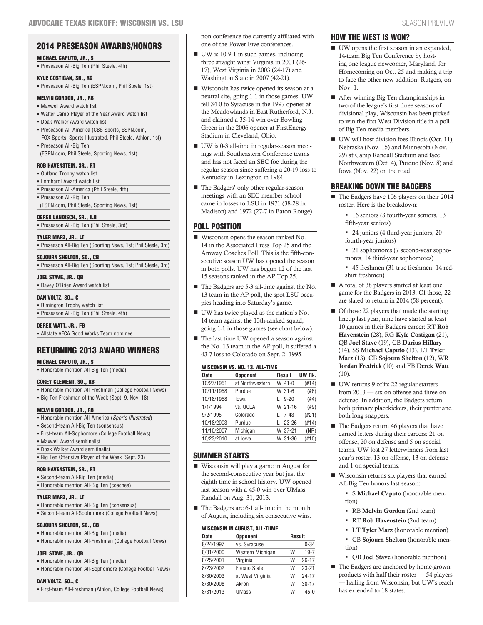# 2014 PRESEASON AWARDS/HONORS

#### MICHAEL CAPUTO, JR., S

Preseason All-Big Ten (Phil Steele, 4th)

# KYLE COSTIGAN, SR., RG

Preseason All-Big Ten (ESPN.com, Phil Steele, 1st)

# MELVIN GORDON, JR., RB

- **Maxwell Award watch list**
- Walter Camp Player of the Year Award watch list
- Doak Walker Award watch list
- **Preseason All-America (CBS Sports, ESPN.com,** FOX Sports, Sports Illustrated, Phil Steele, Athlon, 1st)
- Preseason All-Big Ten (ESPN.com, Phil Steele, Sporting News, 1st)

# ROB HAVENSTEIN, SR., RT

- **Outland Trophy watch list**
- Lombardi Award watch list
- Preseason All-America (Phil Steele, 4th) Preseason All-Big Ten
- (ESPN.com, Phil Steele, Sporting News, 1st)

# DEREK LANDISCH, SR., ILB

Preseason All-Big Ten (Phil Steele, 3rd)

# TYLER MARZ, JR., LT

Preseason All-Big Ten (Sporting News, 1st; Phil Steele, 3rd)

# SOJOURN SHELTON, SO., CB

|  |  | Preseason All-Big Ten (Sporting News, 1st; Phil Steele, 3rd) |  |  |  |  |  |  |  |  |
|--|--|--------------------------------------------------------------|--|--|--|--|--|--|--|--|
|--|--|--------------------------------------------------------------|--|--|--|--|--|--|--|--|

# JOEL STAVE, JR., QB

Davey O'Brien Award watch list

# DAN VOLTZ, SO., C

 Rimington Trophy watch list Preseason All-Big Ten (Phil Steele, 4th)

# DEREK WATT, JR., FB

Allstate AFCA Good Works Team nominee

# RETURNING 2013 AWARD WINNERS

# MICHAEL CAPUTO, JR., S

|  | - Honorable mention All-Big Ten (media) |  |  |  |  |
|--|-----------------------------------------|--|--|--|--|
|--|-----------------------------------------|--|--|--|--|

#### COREY CLEMENT, SO., RB

| • Honorable mention All-Freshman (College Football News) |
|----------------------------------------------------------|
| • Big Ten Freshman of the Week (Sept. 9, Nov. 18)        |

# MELVIN GORDON, JR., RB

| • Honorable mention All-America (Sports Illustrated) |
|------------------------------------------------------|
| • Second-team All-Big Ten (consensus)                |
| . First-team All-Sophomore (College Football News)   |
| • Maxwell Award semifinalist                         |
| • Doak Walker Award semifinalist                     |

Big Ten Offensive Player of the Week (Sept. 23)

# ROB HAVENSTEIN, SR., RT

- Second-team All-Big Ten (media)
- Honorable mention All-Big Ten (coaches)

# TYLER MARZ, JR., LT

 Honorable mention All-Big Ten (consensus) Second-team All-Sophomore (College Football News)

# SOJOURN SHELTON, SO., CB

- Honorable mention All-Big Ten (media)
- Honorable mention All-Freshman (College Football News)

# JOEL STAVE, JR., QB

- Honorable mention All-Big Ten (media)
- Honorable mention All-Sophomore (College Football News)

# DAN VOLTZ, SO., C

First-team All-Freshman (Athlon, College Football News)

non-conference foe currently affiliated with one of the Power Five conferences.

- UW is 10-9-1 in such games, including three straight wins: Virginia in 2001 (26- 17), West Virginia in 2003 (24-17) and Washington State in 2007 (42-21).
- Wisconsin has twice opened its season at a neutral site, going 1-1 in those games. UW fell 34-0 to Syracuse in the 1997 opener at the Meadowlands in East Rutherford, N.J., and claimed a 35-14 win over Bowling Green in the 2006 opener at FirstEnergy Stadium in Cleveland, Ohio.
- UW is 0-3 all-time in regular-season meetings with Southeastern Conference teams and has not faced an SEC foe during the regular season since suffering a 20-19 loss to Kentucky in Lexington in 1984.
- The Badgers' only other regular-season meetings with an SEC member school came in losses to LSU in 1971 (38-28 in Madison) and 1972 (27-7 in Baton Rouge).

# POLL POSITION

- Wisconsin opens the season ranked No. 14 in the Associated Press Top 25 and the Amway Coaches Poll. This is the fifth-consecutive season UW has opened the season in both polls. UW has begun 12 of the last 15 seasons ranked in the AP Top 25.
- The Badgers are 5-3 all-time against the No. 13 team in the AP poll, the spot LSU occupies heading into Saturday's game.
- UW has twice played as the nation's No. 14 team against the 13th-ranked squad, going 1-1 in those games (see chart below).
- The last time UW opened a season against the No. 13 team in the AP poll, it suffered a 43-7 loss to Colorado on Sept. 2, 1995.

#### WISCONSIN VS. NO. 13, ALL-TIME

| <b>Date</b> | <b>Opponent</b> | Result        | UW Rk.   |
|-------------|-----------------|---------------|----------|
| 10/27/1951  | at Northwestern | W 41-0        | (#14)    |
| 10/11/1958  | Purdue          | W 31-6        | (#6)     |
| 10/18/1958  | lowa            | $9 - 20$<br>L | (#4)     |
| 1/1/1994    | vs. UCLA        | W 21-16       | (#9)     |
| 9/2/1995    | Colorado        | 7-43<br>L     | $(\#21)$ |
| 10/18/2003  | Purdue          | 23-26         | (#14)    |
| 11/10/2007  | Michigan        | W 37-21       | (NR)     |
| 10/23/2010  | at Iowa         | W 31-30       | #10)     |

# SUMMER STARTS

- Wisconsin will play a game in August for the second-consecutive year but just the eighth time in school history. UW opened last season with a 45-0 win over UMass Randall on Aug. 31, 2013.
- The Badgers are 6-1 all-time in the month of August, including six consecutive wins.

#### WISCONSIN IN AUGUST, ALL-TUME

|             | HIUUUINUIN IN AUUUUI, ALL TIINIL |   |               |  |  |
|-------------|----------------------------------|---|---------------|--|--|
| <b>Date</b> | <b>Opponent</b>                  |   | <b>Result</b> |  |  |
| 8/24/1997   | vs. Syracuse                     | L | $0 - 34$      |  |  |
| 8/31/2000   | Western Michigan                 | W | $19 - 7$      |  |  |
| 8/25/2001   | Virginia                         | W | $26 - 17$     |  |  |
| 8/23/2002   | Fresno State                     | W | $23 - 21$     |  |  |
| 8/30/2003   | at West Virginia                 | W | $24 - 17$     |  |  |
| 8/30/2008   | Akron                            | W | $38 - 17$     |  |  |
| 8/31/2013   | <b>UMass</b>                     | W | $45 - 0$      |  |  |
|             |                                  |   |               |  |  |

#### HOW THE WEST IS WON?

- UW opens the first season in an expanded, 14-team Big Ten Conference by hosting one league newcomer, Maryland, for Homecoming on Oct. 25 and making a trip to face the other new addition, Rutgers, on Nov. 1.
- After winning Big Ten championships in two of the league's first three seasons of divisional play, Wisconsin has been picked to win the first West Division title in a poll of Big Ten media members.
- UW will host division foes Illinois (Oct. 11), Nebraska (Nov. 15) and Minnesota (Nov. 29) at Camp Randall Stadium and face Northwestern (Oct. 4), Purdue (Nov. 8) and Iowa (Nov. 22) on the road.

# BREAKING DOWN THE BADGERS

- The Badgers have 106 players on their 2014 roster. Here is the breakdown:
	- 16 seniors (3 fourth-year seniors, 13 fifth-year seniors)
	- 24 juniors (4 third-year juniors, 20 fourth-year juniors)
	- 21 sophomores (7 second-year sophomores, 14 third-year sophomores)
	- 45 freshmen (31 true freshmen, 14 redshirt freshmen)
- A total of 38 players started at least one game for the Badgers in 2013. Of those, 22 are slated to return in 2014 (58 percent).
- Of those 22 players that made the starting lineup last year, nine have started at least 10 games in their Badgers career: RT Rob Havenstein (28), RG Kyle Costigan (21), QB Joel Stave (19), CB Darius Hillary (14), SS Michael Caputo (13), LT Tyler Marz (13), CB Sojourn Shelton (12), WR Jordan Fredrick (10) and FB Derek Watt (10).
- UW returns 9 of its 22 regular starters from 2013 — six on offense and three on defense. In addition, the Badgers return both primary placekickers, their punter and both long snappers.
- $\blacksquare$  <br> The Badgers return 46 players that have earned letters during their careers: 21 on offense, 20 on defense and 5 on special teams. UW lost 27 letterwinners from last year's roster, 13 on offense, 13 on defense and 1 on special teams.
- Wisconsin returns six players that earned All-Big Ten honors last season:
	- S Michael Caputo (honorable mention)
	- RB Melvin Gordon (2nd team)
	- RT Rob Havenstein (2nd team)
	- LT Tyler Marz (honorable mention) CB Sojourn Shelton (honorable mention)
	- QB Joel Stave (honorable mention)
- The Badgers are anchored by home-grown products with half their roster — 54 players — hailing from Wisconsin, but UW's reach has extended to 18 states.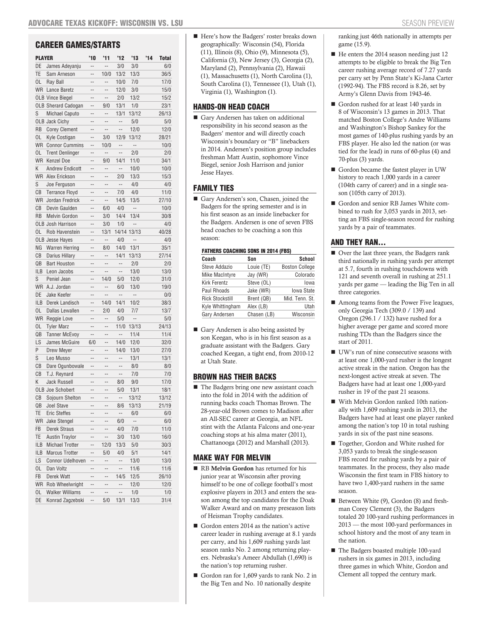# CAREER GAMES/STARTS

| PLAYER     |                            | $^{\prime}10$            | '11                      | 12                       | $^{\prime}13$            | 14 | <b>Total</b> |
|------------|----------------------------|--------------------------|--------------------------|--------------------------|--------------------------|----|--------------|
| DE         | James Adeyanju             | --                       | $\overline{a}$           | 3/0                      | 3/0                      |    | 6/0          |
| TE         | Sam Arneson                | $\overline{a}$           | 10/0                     | 13/2                     | 13/3                     |    | 36/5         |
| 0L         | Ray Ball                   | --                       | $\overline{\phantom{a}}$ | 10/0                     | 7/0                      |    | 17/0         |
|            | <b>WR</b> Lance Baretz     | $\overline{a}$           | $\overline{a}$           | 12/0                     | 3/0                      |    | 15/0         |
|            | <b>OLB Vince Biegel</b>    | $\overline{\phantom{a}}$ | $\overline{a}$           | 2/0                      | 13/2                     |    | 15/2         |
|            | <b>OLB Sherard Cadogan</b> | --                       | 9/0                      | 13/1                     | 1/0                      |    | 23/1         |
| S          | <b>Michael Caputo</b>      | $\overline{a}$           | $\overline{a}$           | 13/1                     | 13/12                    |    | 26/13        |
|            | <b>OLB Jack Cichy</b>      | $\overline{a}$           | $\overline{a}$           |                          | 5/0                      |    | 5/0          |
| <b>RB</b>  | <b>Corey Clement</b>       | --                       | --                       | --                       | 12/0                     |    | 12/0         |
| 0L         | Kyle Costigan              | $\overline{a}$           | 3/0                      | 12/9                     | 13/12                    |    | 28/21        |
| <b>WR</b>  | <b>Connor Cummins</b>      | $\overline{a}$           | 10/0                     | $\overline{\phantom{a}}$ |                          |    | 10/0         |
| 0L         | <b>Trent Denlinger</b>     | --                       |                          | --                       | 2/0                      |    | 2/0          |
| <b>WR</b>  | Kenzel Doe                 | $\overline{a}$           | 9/0                      | 14/1                     | 11/0                     |    | 34/1         |
| K          | <b>Andrew Endicott</b>     | --                       | $\overline{a}$           |                          | 10/0                     |    | 10/0         |
| <b>WR</b>  | Alex Erickson              | --                       | $\overline{a}$           | 2/0                      | 13/3                     |    | 15/3         |
| S          | Joe Ferguson               | $\overline{a}$           | $\overline{a}$           | $\overline{a}$           | 4/0                      |    | 4/0          |
| CВ         | <b>Terrance Floyd</b>      | $\overline{\phantom{a}}$ | $\overline{\phantom{a}}$ | 7/0                      | 4/0                      |    | 11/0         |
| <b>WR</b>  | Jordan Fredrick            | --                       | --                       | 14/5                     | 13/5                     |    | 27/10        |
| СB         | Devin Gaulden              | $\overline{a}$           | 6/0                      | 4/0                      | $\overline{\phantom{a}}$ |    | 10/0         |
| <b>RB</b>  | <b>Melvin Gordon</b>       | --                       | 3/0                      | 14/4                     | 13/4                     |    | 30/8         |
|            | <b>OLB Josh Harrison</b>   | --                       | 3/0                      | 1/0                      | --                       |    | 4/0          |
| OL         | Rob Havenstein             | $\overline{a}$           | 13/1                     |                          | 14/14 13/13              |    | 40/28        |
|            | <b>OLB</b> Jesse Hayes     | $\overline{a}$           | $\overline{a}$           | 4/0                      | $\overline{a}$           |    | 4/0          |
| NG         | <b>Warren Herring</b>      | --                       | 8/0                      | 14/0                     | 13/1                     |    | 35/1         |
| СB         | Darius Hillary             | $\overline{a}$           | $\overline{a}$           | 14/1                     | 13/13                    |    | 27/14        |
| QB         | <b>Bart Houston</b>        | --                       | $\overline{a}$           | $\overline{a}$           | 2/0                      |    | 2/0          |
| <b>ILB</b> | Leon Jacobs                | --                       | $\overline{a}$           | --                       | 13/0                     |    | 13/0         |
| S          | Peniel Jean                | $\overline{a}$           | 14/0                     | 5/0                      | 12/0                     |    | 31/0         |
| <b>WR</b>  | A.J. Jordan                | $\overline{a}$           | $\overline{a}$           | 6/0                      | 13/0                     |    | 19/0         |
| DE         | Jake Keefer                | --                       | --                       | $\overline{\phantom{a}}$ | --                       |    | 0/0          |
| <b>ILB</b> | Derek Landisch             | $\overline{a}$           | 14/0                     | 14/1                     | 10/2                     |    | 38/3         |
| OL         | Dallas Lewallen            | --                       | 2/0                      | 4/0                      | 7/7                      |    | 13/7         |
| <b>WR</b>  | Reggie Love                | --                       | $\overline{\phantom{a}}$ | 5/0                      | --                       |    | 5/0          |
| OL         | <b>Tyler Marz</b>          | $\overline{a}$           | $\overline{a}$           | 11/0                     | 13/13                    |    | 24/13        |
| QB         | <b>Tanner McEvoy</b>       | $\overline{\phantom{a}}$ | $\overline{\phantom{a}}$ | $\overline{a}$           | 11/4                     |    | 11/4         |
| LS         | James McGuire              | 6/0                      | --                       | 14/0                     | 12/0                     |    | 32/0         |
| P          | Drew Meyer                 | $\overline{a}$           | $\overline{a}$           | 14/0                     | 13/0                     |    | 27/0         |
| S          | Leo Musso                  | $\overline{a}$           | $\overline{\phantom{a}}$ |                          | 13/1                     |    | 13/1         |
| СB         | Dare Ogunbowale            | --                       | --                       | --                       | 8/0                      |    | 8/0          |
| CВ         | T.J. Reynard               | $\overline{a}$           | $\overline{a}$           | $\overline{\phantom{a}}$ | 7/0                      |    | 7/0          |
| Κ          | <b>Jack Russell</b>        | $\overline{a}$           | $\overline{\phantom{a}}$ | 8/0                      | 9/0                      |    | 17/0         |
|            | <b>OLB Joe Schobert</b>    | --                       | --                       | 5/0                      | 13/1                     |    | 18/1         |
| CВ         | Sojourn Shelton            | $\overline{a}$           | $\overline{a}$           | $\overline{\phantom{a}}$ | 13/12                    |    | 13/12        |
| QB         | Joel Stave                 |                          |                          | 8/6                      | 13/13                    |    | 21/19        |
| TE         | <b>Eric Steffes</b>        | --                       | --                       | $\overline{\phantom{a}}$ | 6/0                      |    | 6/0          |
| <b>WR</b>  | Jake Stengel               | --                       | --                       | 6/0                      | $\cdots$                 |    | 6/0          |
| FB         | Derek Straus               | --                       | --                       | 4/0                      | 7/0                      |    | 11/0         |
| TE         | <b>Austin Traylor</b>      | --                       | --                       | 3/0                      | 13/0                     |    | 16/0         |
| <b>ILB</b> | <b>Michael Trotter</b>     | --                       | 12/0                     | 13/3                     | 5/0                      |    | 30/3         |
| <b>ILB</b> | <b>Marcus Trotter</b>      | --                       | 5/0                      | 4/0                      | 5/1                      |    | 14/1         |
| LS         | Connor Udelhoven           | --                       | --                       | --                       | 13/0                     |    | 13/0         |
| OL.        | Dan Voltz                  | --                       | --                       | --                       | 11/6                     |    | 11/6         |
| FB         | Derek Watt                 | $\overline{a}$           | --                       | 14/5                     | 12/5                     |    | 26/10        |
| <b>WR</b>  | Rob Wheelwright            | --                       | ÷-                       | --                       | 12/0                     |    | 12/0         |
| OL.        | <b>Walker Williams</b>     | --                       | --                       | --                       | 1/0                      |    | 1/0          |
| DE         | Konrad Zagzebski           | $\overline{\phantom{a}}$ | 5/0                      | 13/1                     | 13/3                     |    | 31/4         |

■ Here's how the Badgers' roster breaks down geographically: Wisconsin (54), Florida (11), Illinois (8), Ohio (9), Minnesota (5), California (3), New Jersey (3), Georgia (2), Maryland (2), Pennsylvania (2), Hawaii (1), Massachusetts (1), North Carolina (1), South Carolina (1), Tennessee (1), Utah (1), Virginia (1), Washington (1).

#### HANDS-ON HEAD COACH

Gary Andersen has taken on additional responsibility in his second season as the Badgers' mentor and will directly coach Wisconsin's boundary or "B" linebackers in 2014. Andersen's position group includes freshman Matt Austin, sophomore Vince Biegel, senior Josh Harrison and junior Jesse Hayes.

#### FAMILY TIES

Gary Andersen's son, Chasen, joined the Badgers for the spring semester and is in his first season as an inside linebacker for the Badgers. Andersen is one of seven FBS head coaches to be coaching a son this season:

#### FATHERS COACHING SONS IN 2014 (FBS)

| Coach                  | Son         | School                |
|------------------------|-------------|-----------------------|
| Steve Addazio          | Louie (TE)  | <b>Boston College</b> |
| <b>Mike MacIntyre</b>  | Jay (WR)    | Colorado              |
| Kirk Ferentz           | Steve (OL)  | lowa                  |
| Paul Rhoads            | Jake (WR)   | Iowa State            |
| <b>Rick Stockstill</b> | Brent (QB)  | Mid. Tenn. St.        |
| Kyle Whittingham       | Alex (LB)   | Utah                  |
| Gary Andersen          | Chasen (LB) | Wisconsin             |

Gary Andersen is also being assisted by son Keegan, who is in his first season as a graduate assistant with the Badgers. Gary coached Keegan, a tight end, from 2010-12 at Utah State.

#### BROWN HAS THEIR BACKS

■ The Badgers bring one new assistant coach into the fold in 2014 with the addition of running backs coach Thomas Brown. The 28-year-old Brown comes to Madison after an All-SEC career at Georgia, an NFL stint with the Atlanta Falcons and one-year coaching stops at his alma mater (2011), Chattanooga (2012) and Marshall (2013).

### MAKE WAY FOR MELVIN

- RB Melvin Gordon has returned for his junior year at Wisconsin after proving himself to be one of college football's most explosive players in 2013 and enters the season among the top candidates for the Doak Walker Award and on many preseason lists of Heisman Trophy candidates.
- Gordon enters 2014 as the nation's active career leader in rushing average at 8.1 yards per carry, and his 1,609 rushing yards last season ranks No. 2 among returning players. Nebraska's Ameer Abdullah (1,690) is the nation's top returning rusher.
- Gordon ran for 1,609 yards to rank No. 2 in the Big Ten and No. 10 nationally despite

ranking just 46th nationally in attempts per game (15.9).

- He enters the 2014 season needing just 12 attempts to be eligible to break the Big Ten career rushing average record of 7.27 yards per carry set by Penn State's Ki-Jana Carter (1992-94). The FBS record is 8.26, set by Army's Glenn Davis from 1943-46.
- Gordon rushed for at least 140 yards in 8 of Wisconsin's 13 games in 2013. That matched Boston College's Andre Williams and Washington's Bishop Sankey for the most games of 140-plus rushing yards by an FBS player. He also led the nation (or was tied for the lead) in runs of 60-plus (4) and 70-plus (3) yards.
- Gordon became the fastest player in UW history to reach 1,000 yards in a career (104th carry of career) and in a single season (105th carry of 2013).
- Gordon and senior RB James White combined to rush for 3,053 yards in 2013, setting an FBS single-season record for rushing yards by a pair of teammates.

# AND THEY RAN...

- Over the last three years, the Badgers rank third nationally in rushing yards per attempt at 5.7, fourth in rushing touchdowns with 121 and seventh overall in rushing at 251.1 yards per game — leading the Big Ten in all three categories.
- Among teams from the Power Five leagues, only Georgia Tech (309.0 / 139) and Oregon (296.1 / 132) have rushed for a higher average per game and scored more rushing TDs than the Badgers since the start of 2011.
- UW's run of nine consecutive seasons with at least one 1,000-yard rusher is the longest active streak in the nation. Oregon has the next-longest active streak at seven. The Badgers have had at least one 1,000-yard rusher in 19 of the past 21 seasons.
- With Melvin Gordon ranked 10th nationally with 1,609 rushing yards in 2013, the Badgers have had at least one player ranked among the nation's top 10 in total rushing yards in six of the past nine seasons.
- Together, Gordon and White rushed for 3,053 yards to break the single-season FBS record for rushing yards by a pair of teammates. In the process, they also made Wisconsin the first team in FBS history to have two 1,400-yard rushers in the same season.
- Between White (9), Gordon (8) and freshman Corey Clement (3), the Badgers totaled 20 100-yard rushing performances in 2013 — the most 100-yard performances in school history and the most of any team in the nation.
- The Badgers boasted multiple 100-yard rushers in six games in 2013, including three games in which White, Gordon and Clement all topped the century mark.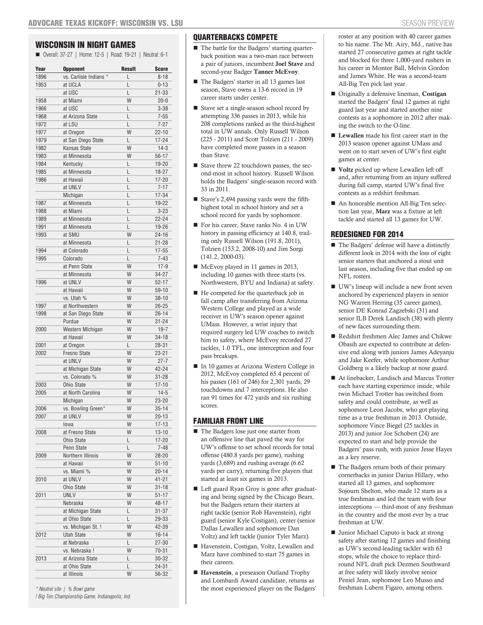# WISCONSIN IN NIGHT GAMES

Overall: 37-27 | Home: 12-5 | Road: 19-21 | Neutral: 6-1

| Year | <b>Opponent</b>        | <b>Result</b> | <b>Score</b> |
|------|------------------------|---------------|--------------|
| 1896 | vs. Carlisle Indians * | L             | $8 - 18$     |
| 1953 | at UCLA                | L             | $0 - 13$     |
|      | at USC                 | L             | $21 - 33$    |
| 1958 | at Miami               | W             | $20 - 0$     |
| 1966 | at USC                 | L             | $3 - 38$     |
| 1968 | at Arizona State       | L             | $7 - 55$     |
| 1972 | at LSU                 | L             | $7 - 27$     |
| 1977 | at Oregon              | W             | $22 - 10$    |
| 1979 | at San Diego State     | L             | $17 - 24$    |
| 1982 | Kansas State           | W             | $14-3$       |
| 1983 | at Minnesota           | W             | $56 - 17$    |
| 1984 | Kentucky               | L             | 19-20        |
| 1985 | at Minnesota           | L             | $18 - 27$    |
| 1986 | at Hawaii              | L             | $17 - 20$    |
|      | at UNLV                | L             | $7 - 17$     |
|      | Michigan               | L             | $17 - 34$    |
| 1987 | at Minnesota           | L             | 19-22        |
| 1988 | at Miami               | L             | $3 - 23$     |
| 1989 | at Minnesota           | L             | $22 - 24$    |
| 1991 | at Minnesota           | L             | 19-26        |
| 1993 | at SMU                 | W             | $24 - 16$    |
|      | at Minnesota           | L             | $21 - 28$    |
| 1994 | at Colorado            | L             | $17 - 55$    |
| 1995 | Colorado               | L             | $7 - 43$     |
|      | at Penn State          | W             | $17-9$       |
|      | at Minnesota           | W             | 34-27        |
| 1996 | at UNLV                | W             | $52 - 17$    |
|      | at Hawaii              | W             | 59-10        |
|      | vs. Utah %             | W             | $38 - 10$    |
| 1997 | at Northwestern        | W             | $26 - 25$    |
| 1998 | at San Diego State     | W             | $26 - 14$    |
|      | Purdue                 | W             | $31 - 24$    |
| 2000 | Western Michigan       | W             | $19 - 7$     |
|      | at Hawaii              | W             | $34 - 18$    |
| 2001 | at Oregon              | L             | $28 - 31$    |
| 2002 | <b>Fresno State</b>    | W             | $23 - 21$    |
|      | at UNLV                | W             | $27 - 7$     |
|      | at Michigan State      | W             | 42-24        |
|      | vs. Colorado %         | W             | $31 - 28$    |
| 2003 | Ohio State             | W             | $17 - 10$    |
| 2005 | at North Carolina      | W             | $14-5$       |
|      | Michigan               | W             | $23 - 20$    |
| 2006 | vs. Bowling Green*     | W             | $35 - 14$    |
| 2007 | at UNLV                | W             | $20 - 13$    |
|      | lowa                   | W             | $17 - 13$    |
| 2008 | at Fresno State        | W             | $13 - 10$    |
|      | Ohio State             | L             | $17 - 20$    |
|      | Penn State             | L             | $7 - 48$     |
| 2009 | Northern Illinois      | W             | $28 - 20$    |
|      | at Hawaii              | W             | $51 - 10$    |
|      | vs. Miami %            | W             | $20 - 14$    |
| 2010 | at UNLV                | W             | 41-21        |
|      | Ohio State             | W             | $31 - 18$    |
| 2011 | UNLV                   | W             | $51 - 17$    |
|      | Nebraska               | W             | 48-17        |
|      | at Michigan State      | L             | $31 - 37$    |
|      | at Ohio State          | L             | 29-33        |
|      | vs. Michigan St.!      | W             | 42-39        |
| 2012 | Utah State             | W             | $16 - 14$    |
|      | at Nebraska            | L             | 27-30        |
|      | vs. Nebraska!          | W             | 70-31        |
| 2013 | at Arizona State       | L             | 30-32        |
|      | at Ohio State          | L             | 24-31        |
|      | at Illinois            | W             | 56-32        |
|      |                        |               |              |

*\* Neutral site | % Bowl game ! Big Ten Championship Game, Indianapolis, Ind.*

# QUARTERBACKS COMPETE

- The battle for the Badgers' starting quarterback position was a two-man race between a pair of juniors, incumbent Joel Stave and second-year Badger Tanner McEvoy.
- The Badgers' starter in all 13 games last season, Stave owns a 13-6 record in 19 career starts under center.
- Stave set a single-season school record by attempting 336 passes in 2013, while his 208 completions ranked as the third-highest total in UW annals. Only Russell Wilson (225 - 2011) and Scott Tolzien (211 - 2009) have completed more passes in a season than Stave.
- Stave threw 22 touchdown passes, the second-most in school history. Russell Wilson holds the Badgers' single-season record with 33 in 2011.
- Stave's 2,494 passing yards were the fifthhighest total in school history and set a school record for yards by sophomore.
- For his career, Stave ranks No. 4 in UW history in passing efficiency at 140.8, trailing only Russell Wilson (191.8, 2011), Tolzien (153.2, 2008-10) and Jim Sorgi (141.2, 2000-03).
- McEvoy played in 11 games in 2013, including 10 games with three starts (vs. Northwestern, BYU and Indiana) at safety.
- He competed for the quarterback job in fall camp after transferring from Arizona Western College and played as a wide receiver in UW's season opener against UMass. However, a wrist injury that required surgery led UW coaches to switch him to safety, where McEvoy recorded 27 tackles, 1.0 TFL, one interception and four pass breakups.
- In 10 games at Arizona Western College in 2012, McEvoy completed 65.4 percent of his passes (161 of 246) for 2,301 yards, 29 touchdowns and 7 interceptions. He also ran 91 times for 472 yards and six rushing scores.

# FAMILIAR FRONT LINE

- The Badgers lose just one starter from an offensive line that paved the way for UW's offense to set school records for total offense (480.8 yards per game), rushing yards (3,689) and rushing average (6.62 yards per carry), returning five players that started at least six games in 2013.
- Left guard Ryan Groy is gone after graduating and being signed by the Chicago Bears, but the Badgers return their starters at right tackle (senior Rob Havenstein), right guard (senior Kyle Costigan), center (senior Dallas Lewallen and sophomore Dan Voltz) and left tackle (junior Tyler Marz).
- Havenstein, Costigan, Voltz, Lewallen and Marz have combined to start 75 games in their careers.
- Havenstein, a preseason Outland Trophy and Lombardi Award candidate, returns as the most experienced player on the Badgers'

roster at any position with 40 career games to his name. The Mt. Airy, Md., native has started 27 consecutive games at right tackle and blocked for three 1,000-yard rushers in his career in Montee Ball, Melvin Gordon and James White. He was a second-team All-Big Ten pick last year.

- Originally a defensive lineman, Costigan started the Badgers' final 12 games at right guard last year and started another nine contests as a sophomore in 2012 after making the switch to the O-line.
- Lewallen made his first career start in the 2013 season opener against UMass and went on to start seven of UW's first eight games at center.
- **Voltz** picked up where Lewallen left off and, after returning from an injury suffered during fall camp, started UW's final five contests as a redshirt freshman.
- An honorable mention All-Big Ten selection last year, Marz was a fixture at left tackle and started all 13 games for UW.

# REDESIGNED FOR 2014

- The Badgers' defense will have a distinctly different look in 2014 with the loss of eight senior starters that anchored a stout unit last season, including five that ended up on NFL rosters.
- UW's lineup will include a new front seven anchored by experienced players in senior NG Warren Herring (35 career games), senior DE Konrad Zagzebski (31) and senior ILB Derek Landisch (38) with plenty of new faces surrounding them.
- Redshirt freshmen Alec James and Chikwe Obasih are expected to contribute at defensive end along with juniors James Adeyanju and Jake Keefer, while sophomore Arthur Goldberg is a likely backup at nose guard.
- At linebacker, Landisch and Marcus Trotter each have starting experience inside, while twin Michael Trotter has switched from safety and could contribute, as well as sophomore Leon Jacobs, who got playing time as a true freshman in 2013. Outside, sophomore Vince Biegel (25 tackles in 2013) and junior Joe Schobert (24) are expected to start and help provide the Badgers' pass rush, with junior Jesse Hayes as a key reserve.
- The Badgers return both of their primary cornerbacks in junior Darius Hillary, who started all 13 games, and sophomore Sojourn Shelton, who made 12 starts as a true freshman and led the team with four interceptions — third-most of any freshman in the country and the most ever by a true freshman at UW.
- Junior Michael Caputo is back at strong safety after starting 12 games and finishing as UW's second-leading tackler with 63 stops, while the choice to replace thirdround NFL draft pick Dezmen Southward at free safety will likely involve senior Peniel Jean, sophomore Leo Musso and freshman Lubern Figaro, among others.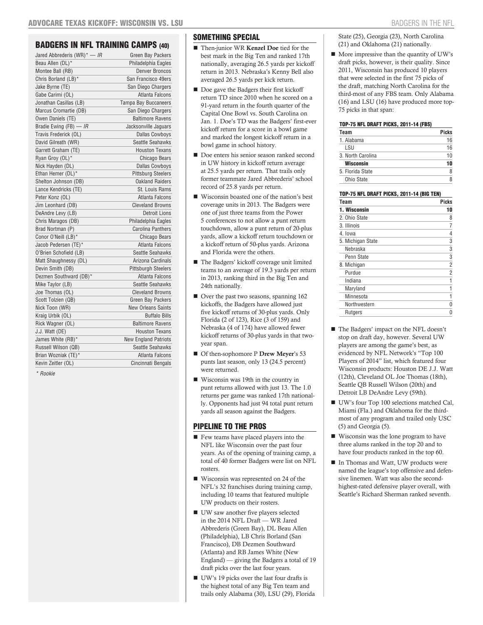# **BADGERS IN NFL TRAINING CAMPS (40)**

| Jared Abbrederis (WR)* — <i>IR</i> | Green Bay Packers           |
|------------------------------------|-----------------------------|
| Beau Allen (DL)*                   | Philadelphia Eagles         |
| Montee Ball (RB)                   | <b>Denver Broncos</b>       |
| Chris Borland (LB)*                | San Francisco 49ers         |
| Jake Byrne (TE)                    | San Diego Chargers          |
| Gabe Carimi (OL)                   | Atlanta Falcons             |
| Jonathan Casillas (LB)             | <b>Tampa Bay Buccaneers</b> |
| Marcus Cromartie (DB)              | San Diego Chargers          |
| Owen Daniels (TE)                  | <b>Baltimore Ravens</b>     |
| Bradie Ewing (FB) $-$ IR           | Jacksonville Jaguars        |
| Travis Frederick (OL)              | <b>Dallas Cowboys</b>       |
| David Gilreath (WR)                | Seattle Seahawks            |
| Garrett Graham (TE)                | <b>Houston Texans</b>       |
| Ryan Groy (OL)*                    | <b>Chicago Bears</b>        |
| Nick Hayden (DL)                   | <b>Dallas Cowboys</b>       |
| Ethan Hemer (DL)*                  | <b>Pittsburg Steelers</b>   |
| Shelton Johnson (DB)               | <b>Oakland Raiders</b>      |
| Lance Kendricks (TE)               | St. Louis Rams              |
| Peter Konz (OL)                    | Atlanta Falcons             |
| Jim Leonhard (DB)                  | <b>Cleveland Browns</b>     |
| DeAndre Levy (LB)                  | <b>Detroit Lions</b>        |
| Chris Maragos (DB)                 | Philadelphia Eagles         |
| Brad Nortman (P)                   | <b>Carolina Panthers</b>    |
| Conor O'Neill (LB)*                | Chicago Bears               |
| Jacob Pedersen (TE)*               | Atlanta Falcons             |
| O'Brien Schofield (LB)             | Seattle Seahawks            |
| Matt Shaughnessy (DL)              | Arizona Cardinals           |
| Devin Smith (DB)                   | Pittsburgh Steelers         |
| Dezmen Southward (DB)*             | Atlanta Falcons             |
| Mike Taylor (LB)                   | Seattle Seahawks            |
| Joe Thomas (OL)                    | <b>Cleveland Browns</b>     |
| Scott Tolzien (QB)                 | Green Bay Packers           |
| Nick Toon (WR)                     | <b>New Orleans Saints</b>   |
| Kraig Urbik (OL)                   | <b>Buffalo Bills</b>        |
| Rick Wagner (OL)                   | <b>Baltimore Ravens</b>     |
| J.J. Watt (DE)                     | <b>Houston Texans</b>       |
| James White (RB)*                  | <b>New England Patriots</b> |
| Russell Wilson (QB)                | Seattle Seahawks            |
| Brian Wozniak (TE)*                | Atlanta Falcons             |
| Kevin Zeitler (OL)                 | Cincinnati Bengals          |

*\* Rookie*

# SOMETHING SPECIAL

- Then-junior WR **Kenzel Doe** tied for the best mark in the Big Ten and ranked 17th nationally, averaging 26.5 yards per kickoff return in 2013. Nebraska's Kenny Bell also averaged 26.5 yards per kick return.
- Doe gave the Badgers their first kickoff return TD since 2010 when he scored on a 91-yard return in the fourth quarter of the Capital One Bowl vs. South Carolina on Jan. 1. Doe's TD was the Badgers' first-ever kickoff return for a score in a bowl game and marked the longest kickoff return in a bowl game in school history.
- Doe enters his senior season ranked second in UW history in kickoff return average at 25.5 yards per return. That trails only former teammate Jared Abbrederis' school record of 25.8 yards per return.
- Wisconsin boasted one of the nation's best coverage units in 2013. The Badgers were one of just three teams from the Power 5 conferences to not allow a punt return touchdown, allow a punt return of 20-plus yards, allow a kickoff return touchdown or a kickoff return of 50-plus yards. Arizona and Florida were the others.
- The Badgers' kickoff coverage unit limited teams to an average of 19.3 yards per return in 2013, ranking third in the Big Ten and 24th nationally.
- Over the past two seasons, spanning 162 kickoffs, the Badgers have allowed just five kickoff returns of 30-plus yards. Only Florida (2 of 123), Rice (3 of 159) and Nebraska (4 of 174) have allowed fewer kickoff returns of 30-plus yards in that twoyear span.
- Of then-sophomore P Drew Meyer's 53 punts last season, only 13 (24.5 percent) were returned.
- Wisconsin was 19th in the country in punt returns allowed with just 13. The 1.0 returns per game was ranked 17th nationally. Opponents had just 94 total punt return yards all season against the Badgers.

#### PIPELINE TO THE PROS

- Few teams have placed players into the NFL like Wisconsin over the past four years. As of the opening of training camp, a total of 40 former Badgers were list on NFL rosters.
- Wisconsin was represented on 24 of the NFL's 32 franchises during training camp, including 10 teams that featured multiple UW products on their rosters.
- UW saw another five players selected in the 2014 NFL Draft — WR Jared Abbrederis (Green Bay), DL Beau Allen (Philadelphia), LB Chris Borland (San Francisco), DB Dezmen Southward (Atlanta) and RB James White (New England) — giving the Badgers a total of 19 draft picks over the last four years.
- UW's 19 picks over the last four drafts is the highest total of any Big Ten team and trails only Alabama (30), LSU (29), Florida

State (25), Georgia (23), North Carolina (21) and Oklahoma (21) nationally.

 $\blacksquare$  More impressive than the quantity of UW's draft picks, however, is their quality. Since 2011, Wisconsin has produced 10 players that were selected in the first 75 picks of the draft, matching North Carolina for the third-most of any FBS team. Only Alabama (16) and LSU (16) have produced more top-75 picks in that span:

#### TOP-75 NFL DRAFT PICKS, 2011-14 (FBS)

| Team              | <b>Picks</b> |
|-------------------|--------------|
| 1. Alabama        | 16           |
| LSU               | 16           |
| 3. North Carolina | 10           |
| <b>Wisconsin</b>  | 10           |
| 5. Florida State  | 8            |
| Ohio State        | 8            |
|                   |              |

#### TOP-75 NFL DRAFT PICKS, 2011-14 (BIG TEN)

| Team              | Picks |
|-------------------|-------|
| 1. Wisconsin      | 10    |
| 2. Ohio State     | 8     |
| 3. Illinois       | 7     |
| 4. Iowa           | 4     |
| 5. Michigan State | 3     |
| Nebraska          | 3     |
| Penn State        | 3     |
| 8. Michigan       | 2     |
| Purdue            | 2     |
| Indiana           | 1     |
| Maryland          | 1     |
| Minnesota         | 1     |
| Northwestern      | N     |
| Rutgers           |       |

- The Badgers' impact on the NFL doesn't stop on draft day, however. Several UW players are among the game's best, as evidenced by NFL Network's "Top 100 Players of 2014" list, which featured four Wisconsin products: Houston DE J.J. Watt (12th), Cleveland OL Joe Thomas (18th), Seattle QB Russell Wilson (20th) and Detroit LB DeAndre Levy (59th).
- UW's four Top 100 selections matched Cal, Miami (Fla.) and Oklahoma for the thirdmost of any program and trailed only USC (5) and Georgia (5).
- Wisconsin was the lone program to have three alums ranked in the top 20 and to have four products ranked in the top 60.
- In Thomas and Watt, UW products were named the league's top offensive and defensive linemen. Watt was also the secondhighest-rated defensive player overall, with Seattle's Richard Sherman ranked seventh.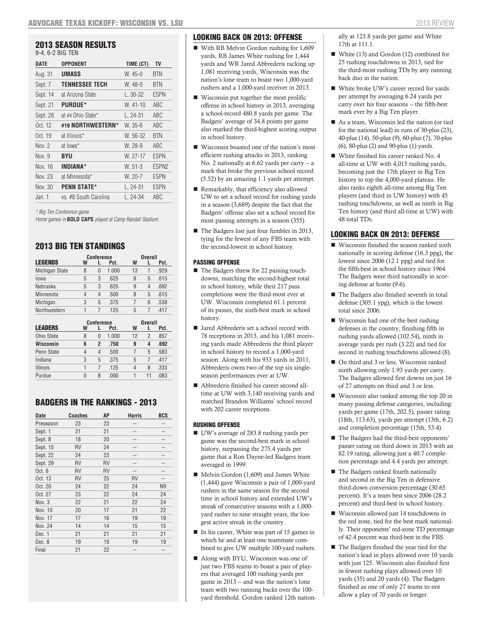# 2013 SEASON RESULTS

9-4, 6-2 BIG TEN

| DATE             | OPPONENT              | TIME (CT)  | TV                |
|------------------|-----------------------|------------|-------------------|
| Aug. 31          | <b>UMASS</b>          | $W, 45-0$  | BTN               |
| Sept. 7          | <b>TENNESSEE TECH</b> | W, 48-0    | BTN               |
| Sept. 14         | at Arizona State      | L, 30-32   | <b>ESPN</b>       |
| Sept. 21         | <b>PURDUE*</b>        | W, 41-10   | ABC               |
| Sept. 28         | at #4 Ohio State*     | $L, 24-31$ | <b>ABC</b>        |
| Oct. 12          | #19 NORTHWESTERN*     | W. 35-6    | <b>ABC</b>        |
| Oct. 19          | at Illinois*          | W, 56-32   | <b>BTN</b>        |
| Nov <sub>2</sub> | at lowa*              | W. 28-9    | ABC               |
| Nov. 9           | BYU                   | W. 27-17   | <b>ESPN</b>       |
| Nov. 16          | INDIANA*              | $W, 51-3$  | ESPN <sub>2</sub> |
| Nov. 23          | at Minnesota*         | W, 20-7    | <b>ESPN</b>       |
| Nov. 30          | <b>PENN STATE*</b>    | L. 24-31   | <b>ESPN</b>       |
| Jan. 1           | vs. #8 South Carolina | L. 24-34   | ABC               |

*\* Big Ten Conference game*

*Home games in* **BOLD CAPS** *played at Camp Randall Stadium.*

# 2013 BIG TEN STANDINGS

|                 |   | <b>Conference</b> |       |    | <b>Overall</b> |      |
|-----------------|---|-------------------|-------|----|----------------|------|
| <b>LEGENDS</b>  | W |                   | Pct.  | W  |                | Pct. |
| Michigan State  | 8 | 0                 | 1.000 | 13 | 1              | .929 |
| lowa            | 5 | 3                 | .625  | 8  | 5              | .615 |
| Nebraska        | 5 | 3                 | .625  | 9  | 4              | .692 |
| Minnesota       | 4 | 4                 | .500  | 8  | 5              | .615 |
| Michigan        | 3 | 5                 | .375  | 7  | 6              | .538 |
| Northwestern    | 1 | 7                 | .125  | 5  | 7              | .417 |
|                 |   | <b>Conference</b> |       |    | <b>Overall</b> |      |
|                 |   |                   |       |    |                |      |
| <b>LEADERS</b>  | W | L                 | Pct.  | W  | L              | Pct. |
| Ohio State      | 8 | 0                 | 1.000 | 12 | $\overline{2}$ | .857 |
| Wisconsin       | 6 | 2                 | .750  | 9  | 4              | .692 |
| Penn State      | 4 | $\overline{4}$    | .500  | 7  | 5              | .583 |
| Indiana         | 3 | 5                 | .375  | 5  | 7              | .417 |
| <b>Illinois</b> | 1 | 7                 | .125  | 4  | 8              | .333 |

# BADGERS IN THE RANKINGS - 2013

| <b>Date</b> | <b>Coaches</b> | AΡ | <b>Harris</b> | BCS       |
|-------------|----------------|----|---------------|-----------|
| Preseason   | 23             | 23 | --            | --        |
| Sept. 1     | 21             | 21 |               |           |
| Sept. 8     | 18             | 20 |               |           |
| Sept. 15    | RV             | 24 |               |           |
| Sept. 22    | 24             | 23 |               |           |
| Sept. 29    | RV             | RV |               |           |
| Oct. $6$    | RV             | RV |               |           |
| Oct. 13     | RV             | 25 | <b>RV</b>     | --        |
| Oct. 20     | 24             | 22 | 24            | <b>NR</b> |
| Oct. 27     | 23             | 22 | 24            | 24        |
| Nov. 3      | 22             | 21 | 22            | 24        |
| Nov. 10     | 20             | 17 | 21            | 22        |
| Nov. 17     | 17             | 16 | 19            | 19        |
| Nov. 24     | 14             | 14 | 15            | 15        |
| Dec. 1      | 21             | 21 | 21            | 21        |
| Dec. 8      | 19             | 19 | 19            | 19        |
| Final       | 21             | 22 | $-1$          |           |

# LOOKING BACK ON 2013: OFFENSE

- With RB Melvin Gordon rushing for 1,609 yards, RB James White rushing for 1,444 yards and WR Jared Abbrederis racking up 1,081 receiving yards, Wisconsin was the nation's lone team to boast two 1,000-yard rushers and a 1,000-yard receiver in 2013.
- Wisconsin put together the most prolific offense in school history in 2013, averaging a school-record 480.8 yards per game. The Badgers' average of 34.8 points per game also marked the third-highest scoring output in school history.
- Wisconsin boasted one of the nation's most efficient rushing attacks in 2013, ranking No. 2 nationally at 6.62 yards per carry -- a mark that broke the previous school record (5.52) by an amazing 1.1 yards per attempt.
- Remarkably, that efficiency also allowed UW to set a school record for rushing yards in a season (3,689) despite the fact that the Badgers' offense also set a school record for most passing attempts in a season (355).
- The Badgers lost just four fumbles in 2013, tying for the fewest of any FBS team with the second-lowest in school history.

#### PASSING OFFENSE

- The Badgers threw for 22 passing touchdowns, matching the second-highest total in school history, while their 217 pass completions were the third-most ever at UW. Wisconsin completed 61.1 percent of its passes, the sixth-best mark in school history.
- Jared Abbrederis set a school record with 78 receptions in 2013, and his 1,081 receiving yards made Abbrederis the third player in school history to record a 1,000-yard season. Along with his 933 yards in 2011, Abbrederis owns two of the top six singleseason performances ever at UW.
- Abbrederis finished his career second alltime at UW with 3,140 receiving yards and matched Brandon Williams' school record with 202 career receptions.

#### RUSHING OFFENSE

- UW's average of 283.8 rushing yards per game was the second-best mark in school history, surpassing the 275.4 yards per game that a Ron Dayne-led Badgers team averaged in 1999.
- $\blacksquare$  Melvin Gordon (1,609) and James White (1,444) gave Wisconsin a pair of 1,000-yard rushers in the same season for the second time in school history and extended UW's streak of consecutive seasons with a 1,000 yard rusher to nine straight years, the longest active streak in the country.
- In his career, White was part of 15 games in which he and at least one teammate combined to give UW multiple 100-yard rushers.
- Along with BYU, Wisconsin was one of just two FBS teams to boast a pair of players that averaged 100 rushing yards per game in 2013 -- and was the nation's lone team with two running backs over the 100 yard threshold. Gordon ranked 12th nation-

ally at 123.8 yards per game and White 17th at 111.1.

- White (13) and Gordon (12) combined for 25 rushing touchdowns in 2013, tied for the third-most rushing TDs by any running back duo in the nation.
- White broke UW's career record for yards per attempt by averaging 6.24 yards per carry over his four seasons -- the fifth-best mark ever by a Big Ten player.
- As a team, Wisconsin led the nation (or tied for the national lead) in runs of 30-plus (23), 40-plus (14), 50-plus (9), 60-plus (7), 70-plus (6), 80-plus (2) and 90-plus (1) yards.
- White finished his career ranked No. 4 all-time at UW with 4,015 rushing yards, becoming just the 17th player in Big Ten history to top the 4,000-yard plateau. He also ranks eighth all-time among Big Ten players (and third in UW history) with 45 rushing touchdowns, as well as ninth in Big Ten history (and third all-time at UW) with 48 total TDs.

# LOOKING BACK ON 2013: DEFENSE

- Wisconsin finished the season ranked sixth nationally in scoring defense (16.3 ppg), the lowest since 2006 (12.1 ppg) and tied for the fifth-best in school history since 1964. The Badgers were third nationally in scoring defense at home (9.6).
- The Badgers also finished seventh in total defense (305.1 ypg), which is the lowest total since 2006.
- Wisconsin had one of the best rushing defenses in the country, finishing fifth in rushing yards allowed (102.54), ninth in average yards per rush (3.22) and tied for second in rushing touchdowns allowed (8).
- On third and 3 or less, Wisconsin ranked ninth allowing only 1.93 yards per carry. The Badgers allowed first downs on just 16 of 27 attempts on third and 3 or less.
- Wisconsin also ranked among the top 20 in many passing defense categories, including: yards per game (17th, 202.5), passer rating (18th, 113.63), yards per attempt (13th, 6.2) and completion percentage (15th, 53.4).
- The Badgers had the third-best opponents' passer rating on third down in 2013 with an 82.19 rating, allowing just a 40.7 completion percentage and 4.4 yards per attempt.
- The Badgers ranked fourth nationally and second in the Big Ten in defensive third-down conversion percentage (30.65 percent). It's a team best since 2006 (28.2 percent) and third-best in school history.
- Wisconsin allowed just 14 touchdowns in the red zone, tied for the best mark nationally. Their opponents' red-zone TD percentage of 42.4 percent was third-best in the FBS.
- The Badgers finished the year tied for the nation's lead in plays allowed over 10 yards with just 125. Wisconsin also finished first in fewest rushing plays allowed over 10 yards (35) and 20 yards (4). The Badgers finished as one of only 27 teams to not allow a play of 70 yards or longer.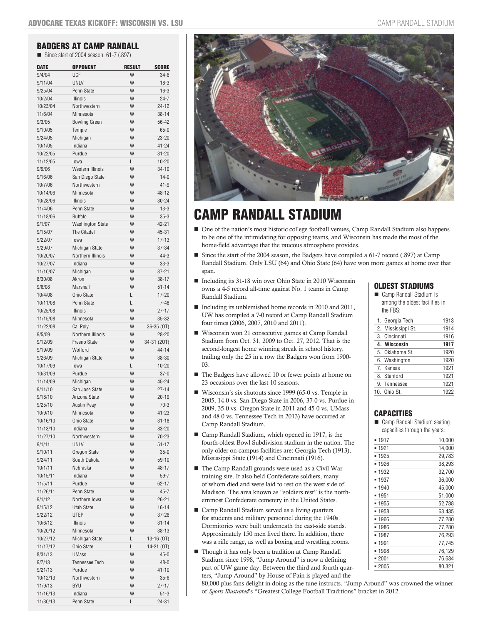# BADGERS AT CAMP RANDALL

Since start of 2004 season: 61-7 (.897)

| <b>DATE</b>          | <b>OPPONENT</b>         | <b>RESULT</b> | <b>SCORE</b>          |
|----------------------|-------------------------|---------------|-----------------------|
| 9/4/04               | UCF                     | W             | $34-6$                |
| 9/11/04              | <b>UNLV</b>             | W             | $18-3$                |
| 9/25/04              | Penn State              | W             | $16-3$                |
| 10/2/04              | <b>Illinois</b>         | W             | $24 - 7$              |
| 10/23/04             | Northwestern            | W             | $24 - 12$             |
| 11/6/04              | Minnesota               | W             | $38 - 14$             |
| 9/3/05               | <b>Bowling Green</b>    | W             | 56-42                 |
| 9/10/05              | Temple                  | W             | $65 - 0$              |
| 9/24/05              | Michigan                | W             | $23 - 20$             |
| 10/1/05              | Indiana                 | W             | $41 - 24$             |
| 10/22/05             | Purdue                  | W             | $31 - 20$             |
| 11/12/05             | lowa                    | L             | $10 - 20$             |
| 9/9/06               | <b>Western Illinois</b> | W             | $34 - 10$             |
| 9/16/06              | San Diego State         | W             | $14 - 0$              |
| 10/7/06              | Northwestern            | W             | $41 - 9$              |
| 10/14/06             | Minnesota               | W             | 48-12                 |
| 10/28/06             | <b>Illinois</b>         | W             | $30 - 24$             |
| 11/4/06              | Penn State              | W             | $13-3$                |
| 11/18/06             | <b>Buffalo</b>          | W             | $35 - 3$              |
| 9/1/07               | <b>Washington State</b> | W             | 42-21                 |
| 9/15/07              | The Citadel             | W             | 45-31                 |
| 9/22/07              | lowa                    | W             | $17 - 13$             |
| 9/29/07              | Michigan State          | W             | 37-34                 |
| 10/20/07             | Northern Illinois       | W             | $44 - 3$              |
| 10/27/07             | Indiana                 | W             | $33 - 3$              |
| 11/10/07             | Michigan                | W             | $37 - 21$             |
| 8/30/08              | Akron                   | W             | $38 - 17$             |
| 9/6/08               | <b>Marshall</b>         | W             | $51 - 14$             |
| 10/4/08              | <b>Ohio State</b>       | L             | $17 - 20$             |
| 10/11/08             | Penn State              | L             | $7 - 48$              |
| 10/25/08             | <b>Illinois</b>         | W             | $27 - 17$             |
| 11/15/08             | Minnesota               | W             | $35 - 32$             |
| 11/22/08             | Cal Poly                | W             | 36-35 (OT)            |
| 9/5/09               | Northern Illinois       | W             | $28 - 20$             |
| 9/12/09              | <b>Fresno State</b>     | W             | 34-31 (20T)           |
| 9/19/09              | Wofford                 | W             | 44-14                 |
| 9/26/09              | Michigan State          | W             | 38-30                 |
| 10/17/09<br>10/31/09 | lowa<br>Purdue          | L<br>W        | $10 - 20$<br>$37 - 0$ |
| 11/14/09             | Michigan                | W             | 45-24                 |
| 9/11/10              | San Jose State          | W             | $27 - 14$             |
| 9/18/10              | Arizona State           | W             | $20 - 19$             |
| 9/25/10              | <b>Austin Peay</b>      | W             | $70-3$                |
| 10/9/10              | Minnesota               | W             | $41 - 23$             |
| 10/16/10             | Ohio State              | W             | $31 - 18$             |
| 11/13/10             | Indiana                 | W             | 83-20                 |
| 11/27/10             | Northwestern            | W             | 70-23                 |
| 9/1/11               | <b>UNLV</b>             | W             | $51 - 17$             |
| 9/10/11              | Oregon State            | W             | $35 - 0$              |
| 9/24/11              | South Dakota            | W             | 59-10                 |
| 10/1/11              | Nebraska                | W             | 48-17                 |
| 10/15/11             | Indiana                 | W             | 59-7                  |
| 11/5/11              | Purdue                  | W             | 62-17                 |
| 11/26/11             | Penn State              | W             | $45 - 7$              |
| 9/1/12               | Northern Iowa           | W             | $26 - 21$             |
| 9/15/12              | <b>Utah State</b>       | W             | $16 - 14$             |
| 9/22/12              | <b>UTEP</b>             | W             | 37-26                 |
| 10/6/12              | Illinois                | W             | $31 - 14$             |
| 10/20/12             | Minnesota               | W             | 38-13                 |
| 10/27/12             | Michigan State          | L             | 13-16 (OT)            |
| 11/17/12             | Ohio State              | L             | $14-21(0T)$           |
| 8/31/13              | <b>UMass</b>            | W             | $45 - 0$              |
| 9/7/13               | Tennessee Tech          | W             | $48 - 0$              |
| 9/21/13              | Purdue                  | W             | 41-10                 |
| 10/12/13             | Northwestern            | W             | $35 - 6$              |
| 11/9/13              | <b>BYU</b>              | W             | 27-17                 |
| 11/16/13             | Indiana                 | W             | $51-3$                |
| 11/30/13             | Penn State              | L             | $24 - 31$             |



# CAMP RANDALL STADIUM

- One of the nation's most historic college football venues, Camp Randall Stadium also happens to be one of the intimidating for opposing teams, and Wisconsin has made the most of the home-field advantage that the raucous atmosphere provides.
- Since the start of the 2004 season, the Badgers have compiled a 61-7 record (.897) at Camp Randall Stadium. Only LSU (64) and Ohio State (64) have won more games at home over that span.
- Including its 31-18 win over Ohio State in 2010 Wisconsin owns a 4-5 record all-time against No. 1 teams in Camp Randall Stadium.
- Including its unblemished home records in 2010 and 2011, UW has compiled a 7-0 record at Camp Randall Stadium four times (2006, 2007, 2010 and 2011).
- Wisconsin won 21 consecutive games at Camp Randall Stadium from Oct. 31, 2009 to Oct. 27, 2012. That is the second-longest home winning streak in school history, trailing only the 25 in a row the Badgers won from 1900- 03.
- The Badgers have allowed 10 or fewer points at home on 23 occasions over the last 10 seasons.
- Wisconsin's six shutouts since 1999 (65-0 vs. Temple in 2005, 14-0 vs. San Diego State in 2006, 37-0 vs. Purdue in 2009, 35-0 vs. Oregon State in 2011 and 45-0 vs. UMass and 48-0 vs. Tennessee Tech in 2013) have occurred at Camp Randall Stadium.
- Camp Randall Stadium, which opened in 1917, is the fourth-oldest Bowl Subdivision stadium in the nation. The only older on-campus facilities are: Georgia Tech (1913), Mississippi State (1914) and Cincinnati (1916).
- The Camp Randall grounds were used as a Civil War training site. It also held Confederate soldiers, many of whom died and were laid to rest on the west side of Madison. The area known as "soldiers rest" is the northernmost Confederate cemetery in the United States.
- Camp Randall Stadium served as a living quarters for students and military personnel during the 1940s. Dormitories were built underneath the east-side stands. Approximately 150 men lived there. In addition, there was a rifle range, as well as boxing and wrestling rooms.
- Though it has only been a tradition at Camp Randall Stadium since 1998, "Jump Around" is now a defining part of UW game day. Between the third and fourth quarters, "Jump Around" by House of Pain is played and the

# OLDEST STADIUMS

Camp Randall Stadium is among the oldest facilities in the FBS:

| 1. Georgia Tech    | 1913 |
|--------------------|------|
| 2. Mississippi St. | 1914 |
| 3. Cincinnati      | 1916 |
| 4. Wisconsin       | 1917 |
| 5. Oklahoma St.    | 1920 |
| 6. Washington      | 1920 |
| 7. Kansas          | 1921 |
| 8. Stanford        | 1921 |
| 9. Tennessee       | 1921 |
| 10. Ohio St.       | 1922 |
|                    |      |

# CAPACITIES

#### ■ Camp Randall Stadium seating capacities through the years:

| 1917    | 10,000 |
|---------|--------|
| ■ 1921  | 14,000 |
| 1925    | 29,783 |
| ■ 1926  | 38.293 |
| ■ 1932  | 32,700 |
| ■ 1937  | 36,000 |
| ▪ 1940  | 45,000 |
| ▪ 1951  | 51,000 |
| ■ 1955  | 52,788 |
| ■ 1958  | 63,435 |
| ■ 1966  | 77,280 |
| ■ 1986  | 77,280 |
| ■ 1987  | 76,293 |
| ▪ 1991  | 77.745 |
| 1998    | 76,129 |
| $-2001$ | 76,634 |
| $-2005$ | 80.321 |

80,000-plus fans delight in doing as the tune instructs. "Jump Around" was crowned the winner of *Sports Illustrated*'s "Greatest College Football Traditions" bracket in 2012.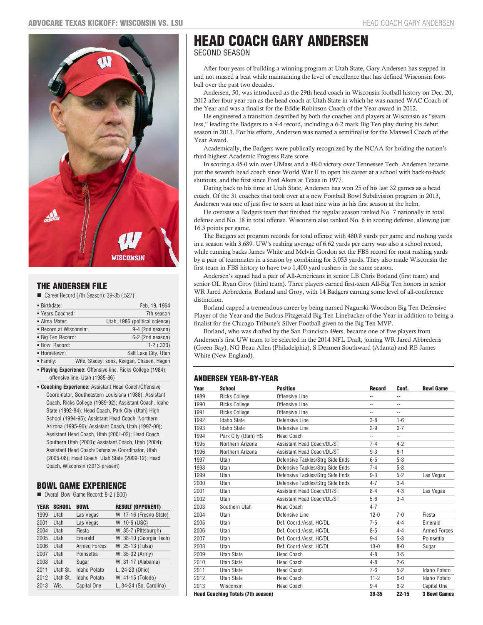

# THE ANDERSEN FILE

Career Record (7th Season): 39-35 (.527)

| ■ Birthdate:           | Feb. 19, 1964                             |
|------------------------|-------------------------------------------|
| " Years Coached:       | 7th season                                |
| • Alma Mater:          | Utah, 1986 (political science)            |
| • Record at Wisconsin: | 9-4 (2nd season)                          |
| ■ Big Ten Record:      | 6-2 (2nd season)                          |
| · Bowl Record:         | $1-2$ $(.333)$                            |
| - Hometown:            | Salt Lake City, Utah                      |
| • Family:              | Wife, Stacey; sons, Keegan, Chasen, Hagen |

 **Playing Experience:** Offensive line, Ricks College (1984); offensive line, Utah (1985-86)

 **Coaching Experience:** Assistant Head Coach/Offensive Coordinator, Southeastern Louisiana (1988); Assistant Coach, Ricks College (1989-92); Assistant Coach, Idaho State (1992-94); Head Coach, Park City (Utah) High School (1994-95); Assistant Head Coach, Northern Arizona (1995-96); Assistant Coach, Utah (1997-00); Assistant Head Coach, Utah (2001-02); Head Coach, Southern Utah (2003); Assistant Coach, Utah (2004); Assistant Head Coach/Defensive Coordinator, Utah (2005-08); Head Coach, Utah State (2009-12); Head Coach, Wisconsin (2013-present)

# BOWL GAME EXPERIENCE

Overall Bowl Game Record: 8-2 (.800)

| <b>YEAR</b> | <b>SCHOOL</b> | <b>BOWL</b>         | <b>RESULT (OPPONENT)</b> |
|-------------|---------------|---------------------|--------------------------|
| 1999        | Utah          | Las Vegas           | W, 17-16 (Fresno State)  |
| 2001        | Utah          | Las Vegas           | W. 10-6 (USC)            |
| 2004        | Utah          | Fiesta              | W, 35-7 (Pittsburgh)     |
| 2005        | Utah          | Emerald             | W, 38-10 (Georgia Tech)  |
| 2006        | <b>Utah</b>   | <b>Armed Forces</b> | W. 25-13 (Tulsa)         |
| 2007        | Utah          | Poinsettia          | W. 35-32 (Army)          |
| 2008        | Utah          | Sugar               | W, 31-17 (Alabama)       |
| 2011        | Utah St.      | Idaho Potato        | L, 24-23 (Ohio)          |
| 2012        | Utah St.      | Idaho Potato        | W, 41-15 (Toledo)        |
| 2013        | Wis.          | Capital One         | L. 34-24 (So. Carolina)  |

# HEAD COACH GARY ANDERSEN SECOND SEASON

After four years of building a winning program at Utah State, Gary Andersen has stepped in and not missed a beat while maintaining the level of excellence that has defined Wisconsin football over the past two decades.

Andersen, 50, was introduced as the 29th head coach in Wisconsin football history on Dec. 20, 2012 after four-year run as the head coach at Utah State in which he was named WAC Coach of the Year and was a finalist for the Eddie Robinson Coach of the Year award in 2012.

He engineered a transition described by both the coaches and players at Wisconsin as "seamless," leading the Badgers to a 9-4 record, including a 6-2 mark Big Ten play during his debut season in 2013. For his efforts, Andersen was named a semifinalist for the Maxwell Coach of the Year Award.

Academically, the Badgers were publically recognized by the NCAA for holding the nation's third-highest Academic Progress Rate score.

In scoring a 45-0 win over UMass and a 48-0 victory over Tennessee Tech, Andersen became just the seventh head coach since World War II to open his career at a school with back-to-back shutouts, and the first since Fred Akers at Texas in 1977.

Dating back to his time at Utah State, Andersen has won 25 of his last 32 games as a head coach. Of the 31 coaches that took over at a new Football Bowl Subdivision program in 2013, Andersen was one of just five to score at least nine wins in his first season at the helm.

He oversaw a Badgers team that finished the regular season ranked No. 7 nationally in total defense and No. 18 in total offense. Wisconsin also ranked No. 6 in scoring defense, allowing just 16.3 points per game.

The Badgers set program records for total offense with 480.8 yards per game and rushing yards in a season with 3,689. UW's rushing average of 6.62 yards per carry was also a school record, while running backs James White and Melvin Gordon set the FBS record for most rushing yards by a pair of teammates in a season by combining for 3,053 yards. They also made Wisconsin the first team in FBS history to have two 1,400-yard rushers in the same season.

Andersen's squad had a pair of All-Americans in senior LB Chris Borland (first team) and senior OL Ryan Groy (third team). Three players earned first-team All-Big Ten honors in senior WR Jared Abbrederis, Borland and Groy, with 14 Badgers earning some level of all-conference distinction.

Borland capped a tremendous career by being named Nagurski-Woodson Big Ten Defensive Player of the Year and the Butkus-Fitzgerald Big Ten Linebacker of the Year in addition to being a finalist for the Chicago Tribune's Silver Football given to the Big Ten MVP.

Borland, who was drafted by the San Francisco 49ers, became one of five players from Andersen's first UW team to be selected in the 2014 NFL Draft, joining WR Jared Abbrederis (Green Bay), NG Beau Allen (Philadelphia), S Dezmen Southward (Atlanta) and RB James White (New England).

# ANDERSEN YEAR-BY-YEAR

| Year | <b>School</b>                            | <b>Position</b>                  | <b>Record</b>  | Conf.          | <b>Bowl Game</b>    |
|------|------------------------------------------|----------------------------------|----------------|----------------|---------------------|
| 1989 | <b>Ricks College</b>                     | Offensive Line                   | --             | $\overline{a}$ |                     |
| 1990 | <b>Ricks College</b>                     | Offensive Line                   | $\overline{a}$ | $\overline{a}$ |                     |
| 1991 | <b>Ricks College</b>                     | Offensive Line                   | --             | --             |                     |
| 1992 | <b>Idaho State</b>                       | Defensive Line                   | $3 - 8$        | $1 - 6$        |                     |
| 1993 | <b>Idaho State</b>                       | Defensive Line                   | $2 - 9$        | $0 - 7$        |                     |
| 1994 | Park City (Utah) HS                      | <b>Head Coach</b>                | --             | --             |                     |
| 1995 | Northern Arizona                         | Assistant Head Coach/DL/ST       | $7 - 4$        | $4 - 2$        |                     |
| 1996 | Northern Arizona                         | Assistant Head Coach/DL/ST       | $9 - 3$        | $6 - 1$        |                     |
| 1997 | Utah                                     | Defensive Tackles/Strg Side Ends | $6-5$          | $5 - 3$        |                     |
| 1998 | Utah                                     | Defensive Tackles/Strg Side Ends | $7 - 4$        | $5 - 3$        |                     |
| 1999 | Utah                                     | Defensive Tackles/Strg Side Ends | $9 - 3$        | $5 - 2$        | Las Vegas           |
| 2000 | Utah                                     | Defensive Tackles/Strg Side Ends | $4 - 7$        | $3 - 4$        |                     |
| 2001 | Utah                                     | Assistant Head Coach/DT/ST       | $8 - 4$        | $4 - 3$        | Las Vegas           |
| 2002 | Utah                                     | Assistant Head Coach/DL/ST       | $5-6$          | $3 - 4$        |                     |
| 2003 | Southern Utah                            | <b>Head Coach</b>                | $4 - 7$        |                |                     |
| 2004 | Utah                                     | Defensive Line                   | $12 - 0$       | $7 - 0$        | Fiesta              |
| 2005 | Utah                                     | Def. Coord./Asst. HC/DL          | $7 - 5$        | $4 - 4$        | Emerald             |
| 2006 | Utah                                     | Def. Coord./Asst. HC/DL          | $8 - 5$        | $4 - 4$        | <b>Armed Forces</b> |
| 2007 | Utah                                     | Def. Coord./Asst. HC/DL          | $9 - 4$        | $5 - 3$        | Poinsettia          |
| 2008 | Utah                                     | Def. Coord./Asst. HC/DL          | $13 - 0$       | $8 - 0$        | Sugar               |
| 2009 | <b>Utah State</b>                        | <b>Head Coach</b>                | $4 - 8$        | $3-5$          |                     |
| 2010 | <b>Utah State</b>                        | <b>Head Coach</b>                | $4 - 8$        | $2 - 6$        |                     |
| 2011 | <b>Utah State</b>                        | <b>Head Coach</b>                | $7 - 6$        | $5 - 2$        | Idaho Potato        |
| 2012 | <b>Utah State</b>                        | <b>Head Coach</b>                | $11 - 2$       | $6-0$          | Idaho Potato        |
| 2013 | Wisconsin                                | <b>Head Coach</b>                | $9 - 4$        | $6 - 2$        | Capital One         |
|      | <b>Head Coaching Totals (7th season)</b> |                                  | 39-35          | $22 - 15$      | <b>3 Bowl Games</b> |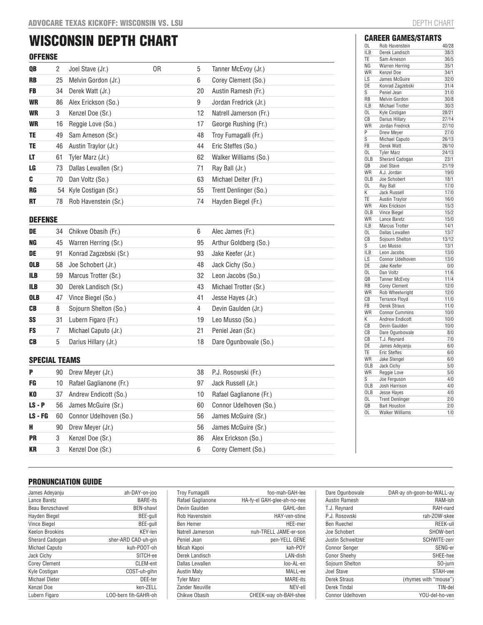# WISCONSIN DEPTH CHART **OFFENSE**

| ULLEMOE   |        |                        |    |    |                        |
|-----------|--------|------------------------|----|----|------------------------|
| QB        | $^{2}$ | Joel Stave (Jr.)       | 0R | 5  | Tanner McEvoy (Jr.)    |
| <b>RB</b> | 25     | Melvin Gordon (Jr.)    |    | 6  | Corey Clement (So.)    |
| <b>FB</b> | 34     | Derek Watt (Jr.)       |    | 20 | Austin Ramesh (Fr.)    |
| <b>WR</b> | 86     | Alex Erickson (So.)    |    | 9  | Jordan Fredrick (Jr.)  |
| <b>WR</b> | 3      | Kenzel Doe (Sr.)       |    | 12 | Natrell Jamerson (Fr.) |
| <b>WR</b> | 16     | Reggie Love (So.)      |    | 17 | George Rushing (Fr.)   |
| TE.       | 49     | Sam Arneson (Sr.)      |    | 48 | Troy Fumagalli (Fr.)   |
| TE        | 46     | Austin Traylor (Jr.)   |    | 44 | Eric Steffes (So.)     |
| LT        | 61     | Tyler Marz (Jr.)       |    | 62 | Walker Williams (So.)  |
| LG        | 73.    | Dallas Lewallen (Sr.)  |    | 71 | Ray Ball (Jr.)         |
| C         | 70     | Dan Voltz (So.)        |    | 63 | Michael Deiter (Fr.)   |
| <b>RG</b> |        | 54 Kyle Costigan (Sr.) |    | 55 | Trent Denlinger (So.)  |
| <b>RT</b> | 78     | Rob Havenstein (Sr.)   |    | 74 | Hayden Biegel (Fr.)    |

# DEFENSE

| DE         |    | 34 Chikwe Obasih (Fr.)  | 6  | Alec James (Fr.)      |
|------------|----|-------------------------|----|-----------------------|
| <b>NG</b>  |    | 45 Warren Herring (Sr.) | 95 | Arthur Goldberg (So.) |
| DE         | 91 | Konrad Zagzebski (Sr.)  | 93 | Jake Keefer (Jr.)     |
| <b>OLB</b> |    | 58 Joe Schobert (Jr.)   | 48 | Jack Cichy (So.)      |
| ILB        | 59 | Marcus Trotter (Sr.)    | 32 | Leon Jacobs (So.)     |
| ILB        | 30 | Derek Landisch (Sr.)    | 43 | Michael Trotter (Sr.) |
| <b>OLB</b> | 47 | Vince Biegel (So.)      | 41 | Jesse Hayes (Jr.)     |
| <b>CB</b>  | 8  | Sojourn Shelton (So.)   | 4  | Devin Gaulden (Jr.)   |
| SS         | 31 | Lubern Figaro (Fr.)     | 19 | Leo Musso (So.)       |
| <b>FS</b>  |    | Michael Caputo (Jr.)    | 21 | Peniel Jean (Sr.)     |
| <b>CB</b>  | 5  | Darius Hillary (Jr.)    | 18 | Dare Ogunbowale (So.) |

# SPECIAL TEAMS

| P         |    | 90 Drew Meyer (Jr.)        | 38 | P.J. Rosowski (Fr.)     |
|-----------|----|----------------------------|----|-------------------------|
| FG        |    | 10 Rafael Gaglianone (Fr.) | 97 | Jack Russell (Jr.)      |
| KO        |    | 37 Andrew Endicott (So.)   | 10 | Rafael Gaglianone (Fr.) |
| $LS - P$  |    | 56 James McGuire (Sr.)     | 60 | Connor Udelhoven (So.)  |
| $LS - FG$ |    | 60 Connor Udelhoven (So.)  | 56 | James McGuire (Sr.)     |
| н         | 90 | Drew Meyer (Jr.)           | 56 | James McGuire (Sr.)     |
| <b>PR</b> | 3  | Kenzel Doe (Sr.)           | 86 | Alex Erickson (So.)     |
| <b>KR</b> | 3  | Kenzel Doe (Sr.)           | 6  | Corey Clement (So.)     |

|            | <b>CAREER GAMES/STARTS</b> |       |
|------------|----------------------------|-------|
| OL         | Rob Havenstein             | 40/28 |
| <b>ILB</b> | Derek Landisch             | 38/3  |
| TE         | Sam Arneson                | 36/5  |
| NG         | <b>Warren Herring</b>      | 35/1  |
| WR         | <b>Kenzel Doe</b>          | 34/1  |
| LS         | James McGuire              | 32/0  |
| DE         | Konrad Zagzebski           | 31/4  |
| S          | Peniel Jean                | 31/0  |
| <b>RB</b>  | <b>Melvin Gordon</b>       | 30/8  |
| <b>ILB</b> | <b>Michael Trotter</b>     | 30/3  |
| 0L         | Kyle Costigan              | 28/21 |
| СB         | Darius Hillary             | 27/14 |
| WR         | Jordan Fredrick            | 27/10 |
| P          | <b>Drew Mever</b>          | 27/0  |
| S          | <b>Michael Caputo</b>      | 26/13 |
| FB         | Derek Watt                 | 26/10 |
| 0L         | <b>Tyler Marz</b>          | 24/13 |
| OLB        | Sherard Cadogan            | 23/1  |
| QB         | Joel Stave                 | 21/19 |
| WR         | A.J. Jordan                | 19/0  |
| <b>OLB</b> | Joe Schobert               | 18/1  |
| 0L         | Ray Ball                   | 17/0  |
| K          | <b>Jack Russell</b>        | 17/0  |
| TE         | <b>Austin Travlor</b>      | 16/0  |
| WR         | Alex Erickson              | 15/3  |
| OLB        | <b>Vince Biegel</b>        | 15/2  |
| WR         | Lance Baretz               | 15/0  |
| <b>ILB</b> | <b>Marcus Trotter</b>      | 14/1  |
| 0L         | Dallas Lewallen            | 13/7  |
| СB         | Sojourn Shelton            | 13/12 |
| Ś          | Leo Musso                  | 13/1  |
| <b>ILB</b> | Leon Jacobs                | 13/0  |
| LS         | Connor Udelhoven           | 13/0  |
| DE         | Jake Keefer                | 0/0   |
| 0L         | Dan Voltz                  | 11/6  |
| QB         | <b>Tanner McEvoy</b>       | 11/4  |
| RB         | <b>Corey Clement</b>       | 12/0  |
| WR         | Rob Wheelwright            | 12/0  |
| СB         | <b>Terrance Floyd</b>      | 11/0  |
| FB         | <b>Derek Straus</b>        | 11/0  |
| WR         | <b>Connor Cummins</b>      | 10/0  |
| K          | <b>Andrew Endicott</b>     | 10/0  |
| СB         | Devin Gaulden              | 10/0  |
| СB         | Dare Ogunbowale            | 8/0   |
| CВ         | T.J. Reynard               | 7/0   |
| DE         | James Adeyanju             | 6/0   |
| TE         | <b>Eric Steffes</b>        | 6/0   |
| WR         | Jake Stengel               | 6/0   |
| <b>OLB</b> | Jack Cichy                 | 5/0   |
| WR         | Reggie Love                | 5/0   |
| S          | Joe Ferguson               | 4/0   |
| <b>OLB</b> | Josh Harrison              | 4/0   |
| <b>OLB</b> | <b>Jesse Hayes</b>         | 4/0   |
| 0L         | <b>Trent Denlinger</b>     | 2/0   |
| QB         | <b>Bart Houston</b>        | 2/0   |
| 0L         | <b>Walker Williams</b>     | 1/0   |

# PRONUNCIATION GUIDE

| James Adevanju         | ah-DAY-on-joo        |
|------------------------|----------------------|
| Lance Baretz           | <b>BARE-its</b>      |
| Beau Benzschawel       | <b>BFN-shawl</b>     |
| Hayden Biegel          | BEE-gull             |
| <b>Vince Biegel</b>    | BEE-gull             |
| Keelon Brookins        | KEY-len              |
| <b>Sherard Cadogan</b> | sher-ARD CAD-uh-gin  |
| <b>Michael Caputo</b>  | kuh-POOT-oh          |
| Jack Cichy             | SITCH-ee             |
| <b>Corey Clement</b>   | CLEM-ent             |
| Kyle Costigan          | COST-uh-gihn         |
| <b>Michael Dieter</b>  | DEE-ter              |
| Kenzel Doe             | ken-ZELL             |
| Lubern Figaro          | LOO-bern fih-GAHR-oh |

| Troy Fumagalli     | foo-mah-GAH-lee             |
|--------------------|-----------------------------|
| Rafael Gaglianone  | HA-fy-el GAH-glee-ah-no-nee |
| Devin Gaulden      | GAHL-den                    |
| Rob Havenstein     | HAY-ven-stine               |
| <b>Ben Hemer</b>   | HEE-mer                     |
| Natrell Jamerson   | nuh-TRELL JAME-er-son       |
| Peniel Jean        | pen-YELL GENE               |
| Micah Kapoi        | kah-POY                     |
| Derek Landisch     | LAN-dish                    |
| Dallas Lewallen    | loo-AL-en                   |
| <b>Austin Maly</b> | MALL-ee                     |
| <b>Tyler Marz</b>  | <b>MARE-its</b>             |
| Zander Neuville    | NEV-ell                     |
| Chikwe Obasih      | CHEEK-way oh-BAH-shee       |

| Dare Ogunbowale         | DAR-ay oh-goon-bo-WALL-ay |
|-------------------------|---------------------------|
| Austin Ramesh           | RAM-ish                   |
| T.J. Reynard            | RAH-nard                  |
| P.J. Rosowski           | rah-ZOW-skee              |
| Ben Ruechel             | REEK-ull                  |
| Joe Schobert            | SHOW-bert                 |
| Justin Schweitzer       | SCHWITE-zerr              |
| <b>Connor Senger</b>    | SENG-er                   |
| <b>Conor Sheehy</b>     | SHEE-hee                  |
| Sojourn Shelton         | SO-jurn                   |
| Joel Stave              | STAH-vee                  |
| Derek Straus            | (rhymes with "mouse")     |
| Derek Tindal            | TIN-del                   |
| <b>Connor Udelhoven</b> | YOU-del-ho-ven            |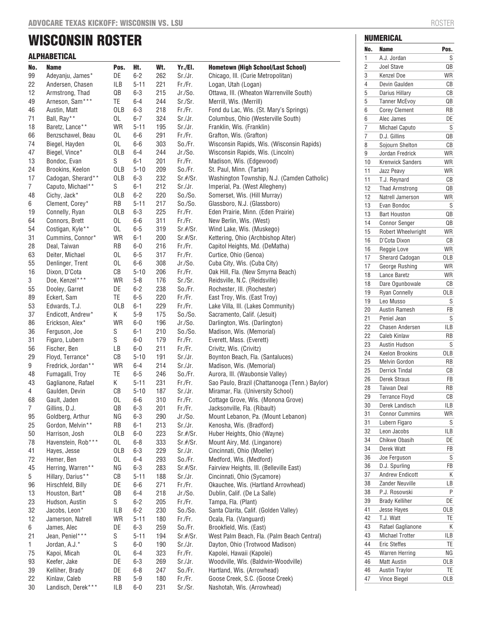# WISCONSIN ROSTER

|                | <b>ALPHABETICAL</b>                  |                        |                      |            |                    |                                                                                     |  |  |  |
|----------------|--------------------------------------|------------------------|----------------------|------------|--------------------|-------------------------------------------------------------------------------------|--|--|--|
| No.            | <b>Name</b>                          | Pos.                   | Ht.                  | Wt.        | Yr./El.            | <b>Hometown (High School/Last School)</b>                                           |  |  |  |
| 99             | Adeyanju, James*                     | DE                     | $6 - 2$              | 262        | Sr./Jr.            | Chicago, III. (Curie Metropolitan)                                                  |  |  |  |
| 22             | Andersen, Chasen                     | ILB                    | $5 - 11$             | 221        | Fr./Fr.            | Logan, Utah (Logan)                                                                 |  |  |  |
| 12             | Armstrong, Thad                      | $\mathsf{Q}\mathsf{B}$ | $6 - 3$              | 215        | Jr./So.            | Ottawa, III. (Wheaton Warrenville South)                                            |  |  |  |
| 49             | Arneson, Sam***                      | TE                     | $6 - 4$              | 244        | Sr./Sr.            | Merrill, Wis. (Merrill)                                                             |  |  |  |
| 46             | Austin, Matt                         | <b>OLB</b>             | $6-3$                | 218        | Fr./Fr.            | Fond du Lac, Wis. (St. Mary's Springs)                                              |  |  |  |
| 71             | Ball, Ray**                          | 0L                     | $6 - 7$              | 324        | Sr./Jr.            | Columbus, Ohio (Westerville South)                                                  |  |  |  |
| 18             | Baretz, Lance**                      | <b>WR</b>              | $5 - 11$             | 195        | Sr./Jr.            | Franklin, Wis. (Franklin)                                                           |  |  |  |
| 66             | Benzschawel, Beau                    | 0L                     | $6-6$                | 291        | Fr./Fr.            | Grafton, Wis. (Grafton)                                                             |  |  |  |
| 74             | Biegel, Hayden                       | 0L<br><b>OLB</b>       | $6-6$<br>$6 - 4$     | 303<br>244 | So./Fr.<br>Jr./So. | Wisconsin Rapids, Wis. (Wisconsin Rapids)                                           |  |  |  |
| 47<br>13       | Biegel, Vince*<br>Bondoc, Evan       | S                      | $6 - 1$              | 201        | Fr./Fr.            | Wisconsin Rapids, Wis. (Lincoln)<br>Madison, Wis. (Edgewood)                        |  |  |  |
| 24             | Brookins, Keelon                     | OLB                    | $5 - 10$             | 209        | So./Fr.            | St. Paul, Minn. (Tartan)                                                            |  |  |  |
| 17             | Cadogan, Sherard**                   | <b>OLB</b>             | $6 - 3$              | 232        | $Sr.$ #/ $Sr.$     | Washington Township, N.J. (Camden Catholic)                                         |  |  |  |
| 7              | Caputo, Michael**                    | S                      | $6 - 1$              | 212        | Sr./Jr.            | Imperial, Pa. (West Allegheny)                                                      |  |  |  |
| 48             | Cichy, Jack*                         | OLB                    | $6-2$                | 220        | So./So.            | Somerset, Wis. (Hill Murray)                                                        |  |  |  |
| 6              | Clement, Corey*                      | RB                     | $5 - 11$             | 217        | So./So.            | Glassboro, N.J. (Glassboro)                                                         |  |  |  |
| 19             | Connelly, Ryan                       | OLB                    | $6 - 3$              | 225        | Fr./Fr.            | Eden Prairie, Minn. (Eden Prairie)                                                  |  |  |  |
| 64             | Connors, Brett                       | 0L                     | $6-6$                | 311        | Fr./Fr.            | New Berlin, Wis. (West)                                                             |  |  |  |
| 54             | Costigan, Kyle**                     | 0L                     | $6 - 5$              | 319        | $Sr.$ #/ $Sr.$     | Wind Lake, Wis. (Muskego)                                                           |  |  |  |
| 31             | Cummins, Connor*                     | <b>WR</b>              | $6 - 1$              | 200        | $Sr.$ #/ $Sr.$     | Kettering, Ohio (Archbishop Alter)                                                  |  |  |  |
| 28             | Deal, Taiwan                         | RB                     | $6 - 0$              | 216        | Fr./Fr.            | Capitol Heights, Md. (DeMatha)                                                      |  |  |  |
| 63             | Deiter, Michael                      | 0L                     | $6 - 5$              | 317        | Fr./Fr.            | Curtice, Ohio (Genoa)                                                               |  |  |  |
| 55<br>16       | Denlinger, Trent                     | 0L<br>CB               | $6-6$                | 308        | Jr./So.            | Cuba City, Wis. (Cuba City)<br>Oak Hill, Fla. (New Smyrna Beach)                    |  |  |  |
| 3              | Dixon, D'Cota<br>Doe, Kenzel***      | WR                     | $5 - 10$<br>$5 - 8$  | 206<br>176 | Fr./Fr.<br>Sr./Sr. | Reidsville, N.C. (Reidsville)                                                       |  |  |  |
| 55             | Dooley, Garret                       | DE                     | $6 - 2$              | 238        | So./Fr.            | Rochester, III. (Rochester)                                                         |  |  |  |
| 89             | Eckert, Sam                          | TE                     | $6 - 5$              | 220        | Fr./Fr.            | East Troy, Wis. (East Troy)                                                         |  |  |  |
| 53             | Edwards, T.J.                        | <b>OLB</b>             | $6 - 1$              | 229        | Fr./Fr.            | Lake Villa, III. (Lakes Community)                                                  |  |  |  |
| 37             | Endicott, Andrew*                    | Κ                      | $5 - 9$              | 175        | So./So.            | Sacramento, Calif. (Jesuit)                                                         |  |  |  |
| 86             | Erickson, Alex*                      | WR                     | $6-0$                | 196        | Jr./So.            | Darlington, Wis. (Darlington)                                                       |  |  |  |
| 36             | Ferguson, Joe                        | S                      | $6 - 1$              | 210        | So./So.            | Madison, Wis. (Memorial)                                                            |  |  |  |
| 31             | Figaro, Lubern                       | S                      | $6-0$                | 179        | Fr./Fr.            | Everett, Mass. (Everett)                                                            |  |  |  |
| 56             | Fischer, Ben                         | LВ                     | $6-0$                | 211        | Fr./Fr.            | Crivitz, Wis. (Crivitz)                                                             |  |  |  |
| 29             | Floyd, Terrance*                     | СB                     | $5 - 10$             | 191        | Sr./Jr.            | Boynton Beach, Fla. (Santaluces)                                                    |  |  |  |
| 9              | Fredrick, Jordan**                   | WR                     | $6 - 4$              | 214        | Sr./Jr.            | Madison, Wis. (Memorial)                                                            |  |  |  |
| 48             | Fumagalli, Troy                      | TE                     | $6-5$                | 246        | So./Fr.            | Aurora, III. (Waubonsie Valley)                                                     |  |  |  |
| 43<br>4        | Gaglianone, Rafael<br>Gaulden, Devin | Κ<br>СB                | $5 - 11$<br>$5 - 10$ | 231<br>187 | Fr./Fr.<br>Sr./Jr. | Sao Paulo, Brazil (Chattanooga (Tenn.) Baylor)<br>Miramar, Fla. (University School) |  |  |  |
| 68             | Gault, Jaden                         | 0L                     | $6-6$                | 310        | Fr./Fr.            | Cottage Grove, Wis. (Monona Grove)                                                  |  |  |  |
| $\overline{7}$ | Gillins, D.J.                        | QB                     | $6 - 3$              | 201        | Fr./Fr.            | Jacksonville, Fla. (Ribault)                                                        |  |  |  |
| 95             | Goldberg, Arthur                     | ΝG                     | $6 - 3$              | 290        | $Jr./S0$ .         | Mount Lebanon, Pa. (Mount Lebanon)                                                  |  |  |  |
| 25             | Gordon, Melvin**                     | RB                     | $6 - 1$              | 213        | Sr./Jr.            | Kenosha, Wis. (Bradford)                                                            |  |  |  |
| 50             | Harrison, Josh                       | OLB                    | $6-0$                | 223        | $Sr.$ #/ $Sr.$     | Huber Heights, Ohio (Wayne)                                                         |  |  |  |
| 78             | Havenstein, Rob***                   | 0L                     | $6 - 8$              | 333        | $Sr.$ #/ $Sr.$     | Mount Airy, Md. (Linganore)                                                         |  |  |  |
| 41             | Hayes, Jesse                         | <b>OLB</b>             | $6-3$                | 229        | Sr./Jr.            | Cincinnati, Ohio (Moeller)                                                          |  |  |  |
| 72             | Hemer, Ben                           | 0L                     | $6 - 4$              | 293        | So./Fr.            | Medford, Wis. (Medford)                                                             |  |  |  |
| 45             | Herring, Warren**                    | NG                     | $6 - 3$              | 283        | $Sr.$ #/ $Sr.$     | Fairview Heights, III. (Belleville East)                                            |  |  |  |
| 5              | Hillary, Darius**                    | CB                     | $5 - 11$             | 188        | Sr./Jr.            | Cincinnati, Ohio (Sycamore)                                                         |  |  |  |
| 96             | Hirschfeld, Billy                    | DE                     | $6-6$                | 271        | Fr./Fr.            | Okauchee, Wis. (Hartland Arrowhead)                                                 |  |  |  |
| 13             | Houston, Bart*                       | QB                     | $6 - 4$              | 218        | Jr./So.            | Dublin, Calif. (De La Salle)                                                        |  |  |  |
| 23<br>32       | Hudson, Austin                       | S<br>ILB               | $6 - 2$<br>$6 - 2$   | 205<br>230 | Fr./Fr.            | Tampa, Fla. (Plant)                                                                 |  |  |  |
| 12             | Jacobs, Leon*<br>Jamerson, Natrell   | WR                     | $5 - 11$             | 180        | So./So.<br>Fr./Fr. | Santa Clarita, Calif. (Golden Valley)<br>Ocala, Fla. (Vanguard)                     |  |  |  |
| 6              | James, Alec                          | DE                     | $6 - 3$              | 259        | So./Fr.            | Brookfield, Wis. (East)                                                             |  |  |  |
| 21             | Jean, Peniel***                      | S                      | $5 - 11$             | 194        | $Sr.$ #/ $Sr.$     | West Palm Beach, Fla. (Palm Beach Central)                                          |  |  |  |
| 1              | Jordan, A.J.*                        | S                      | $6-0$                | 190        | Sr./Jr.            | Dayton, Ohio (Trotwood Madison)                                                     |  |  |  |
| 75             | Kapoi, Micah                         | 0L                     | $6 - 4$              | 323        | Fr./Fr.            | Kapolei, Hawaii (Kapolei)                                                           |  |  |  |
| 93             | Keefer, Jake                         | DE                     | $6 - 3$              | 269        | Sr./Jr.            | Woodville, Wis. (Baldwin-Woodville)                                                 |  |  |  |
| 39             | Kelliher, Brady                      | DE                     | $6 - 8$              | 247        | So./Fr.            | Hartland, Wis. (Arrowhead)                                                          |  |  |  |
| 22             | Kinlaw, Caleb                        | RB                     | $5 - 9$              | 180        | Fr./Fr.            | Goose Creek, S.C. (Goose Creek)                                                     |  |  |  |
| 30             | Landisch, Derek***                   | ILB                    | $6 - 0$              | 231        | Sr./Sr.            | Nashotah, Wis. (Arrowhead)                                                          |  |  |  |

NUMERICAL

| No.            | Name                    | Pos. |
|----------------|-------------------------|------|
| 1              | A.J. Jordan             | S    |
| 2              | <b>Joel Stave</b>       | QB   |
| 3              | <b>Kenzel Doe</b>       | WR   |
| $\overline{4}$ | Devin Gaulden           | CB   |
| 5              | Darius Hillary          | СB   |
| 5              | <b>Tanner McEvoy</b>    | QB   |
| 6              | <b>Corey Clement</b>    | RB   |
| 6              | Alec James              | DE   |
| 7              | Michael Caputo          | S    |
| 7              | D.J. Gillins            | QB   |
| 8              | Sojourn Shelton         | СB   |
| 9              | Jordan Fredrick         | WR   |
| 10             | <b>Krenwick Sanders</b> | WR   |
| 11             | Jazz Peavy              | WR   |
| 11             | T.J. Reynard            | СB   |
| 12             | <b>Thad Armstrong</b>   | QB   |
| 12             | Natrell Jamerson        | WR   |
| 13             | Evan Bondoc             | S    |
| 13             | <b>Bart Houston</b>     | QB   |
| 14             | <b>Connor Senger</b>    | QB   |
|                | Robert Wheelwright      | WR   |
| 15             |                         |      |
| 16             | D'Cota Dixon            | СB   |
| 16             | Reggie Love             | WR   |
| 17             | <b>Sherard Cadogan</b>  | 0LB  |
| 17             | George Rushing          | WR   |
| 18             | Lance Baretz            | WR   |
| 18             | Dare Ogunbowale         | СB   |
| 19             | <b>Ryan Connelly</b>    | OLB  |
| 19             | Leo Musso               | S    |
| 20             | Austin Ramesh           | FB   |
| 21             | Peniel Jean             | S    |
| 22             | <b>Chasen Andersen</b>  | ILB  |
| 22             | <b>Caleb Kinlaw</b>     | RB   |
| 23             | Austin Hudson           | S    |
| 24             | <b>Keelon Brookins</b>  | 0LB  |
| 25             | Melvin Gordon           | RB   |
| 25             | <b>Derrick Tindal</b>   | CB   |
| 26             | <b>Derek Straus</b>     | FB   |
| 28             | <b>Taiwan Deal</b>      | RB   |
| 29             | <b>Terrance Floyd</b>   | CB   |
| 30             | Derek Landisch          | ILB  |
| 31             | <b>Connor Cummins</b>   | WR   |
| 31             | Lubern Figaro           | S    |
| 32             | Leon Jacobs             | ILB  |
| 34             | <b>Chikwe Obasih</b>    | DE   |
| 34             | Derek Watt              | FB   |
| 36             | Joe Ferguson            | S    |
| 36             | D.J. Spurling           | FB   |
|                | <b>Andrew Endicott</b>  | Κ    |
| 37             |                         | LВ   |
| 38             | Zander Neuville         |      |
| 38             | P.J. Rosowski           | Ρ    |
| 39             | <b>Brady Kelliher</b>   | DE   |
| 41             | <b>Jesse Hayes</b>      | OLB  |
| 42             | T.J. Watt               | TE   |
| 43             | Rafael Gaglianone       | Κ    |
| 43             | <b>Michael Trotter</b>  | ILB  |
| 44             | <b>Eric Steffes</b>     | TE   |
| 45             | <b>Warren Herring</b>   | ΝG   |
| 46             | <b>Matt Austin</b>      | OLB  |
| 46             | <b>Austin Traylor</b>   | TE   |
| 47             | <b>Vince Biegel</b>     | 0LB  |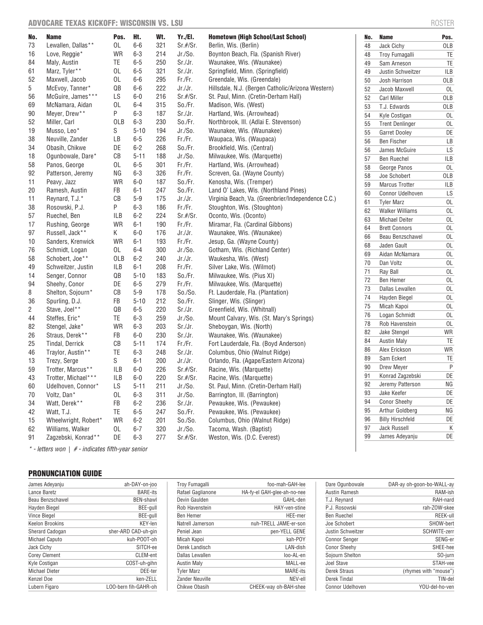# ADVOCARE TEXAS KICKOFF: WISCONSIN VS. LSU ROSTER ROSTER ROSTER

| No. | Name                                                  | Pos.       | Ht.      | Wt. | Yr./El.        | <b>Hometown (High School/Last School)</b>          | No. | <b>Name</b>                                 | Pos.      |
|-----|-------------------------------------------------------|------------|----------|-----|----------------|----------------------------------------------------|-----|---------------------------------------------|-----------|
| 73  | Lewallen, Dallas**                                    | 0L         | $6-6$    | 321 | $Sr.$ #/ $Sr.$ | Berlin, Wis. (Berlin)                              | 48  | Jack Cichy                                  | OLB       |
| 16  | Love, Reggie*                                         | <b>WR</b>  | $6 - 3$  | 214 | Jr./S0.        | Boynton Beach, Fla. (Spanish River)                | 48  | Troy Fumagalli                              | TE        |
| 84  | Maly, Austin                                          | TE         | $6-5$    | 250 | Sr./Jr.        | Waunakee, Wis. (Waunakee)                          | 49  | Sam Arneson                                 | TE        |
| 61  | Marz, Tyler**                                         | 0L         | $6 - 5$  | 321 | Sr./Jr.        | Springfield, Minn. (Springfield)                   | 49  | Justin Schweitzer                           | ILB       |
| 52  | Maxwell, Jacob                                        | 0L         | $6-6$    | 295 | Fr./Fr.        | Greendale, Wis. (Greendale)                        | 50  | Josh Harrison                               | OLB       |
| 5   | McEvoy, Tanner*                                       | QB         | $6-6$    | 222 | Jr./Jr.        | Hillsdale, N.J. (Bergen Catholic/Arizona Western)  | 52  | Jacob Maxwell                               | 0L        |
| 56  | McGuire, James***                                     | LS         | $6-0$    | 216 | $Sr.$ #/ $Sr.$ | St. Paul, Minn. (Cretin-Derham Hall)               | 52  | <b>Carl Miller</b>                          | OLB       |
| 69  | McNamara, Aidan                                       | 0L         | $6 - 4$  | 315 | So./Fr.        | Madison, Wis. (West)                               | 53  | T.J. Edwards                                | OLB       |
| 90  | Meyer, Drew**                                         | Ρ          | $6 - 3$  | 187 | Sr./Jr.        | Hartland, Wis. (Arrowhead)                         | 54  | Kyle Costigan                               | 0L        |
| 52  | Miller, Carl                                          | <b>OLB</b> | $6 - 3$  | 230 | So./Fr.        | Northbrook, III. (Adlai E. Stevenson)              | 55  | <b>Trent Denlinger</b>                      | OL        |
| 19  | Musso, Leo*                                           | S          | $5 - 10$ | 194 | Jr./So.        | Waunakee, Wis. (Waunakee)                          | 55  | Garret Dooley                               | DE        |
| 38  | Neuville, Zander                                      | LB         | $6-5$    | 226 | Fr./Fr.        | Waupaca, Wis. (Waupaca)                            | 56  | <b>Ben Fischer</b>                          | LB        |
| 34  | Obasih, Chikwe                                        | DE         | $6 - 2$  | 268 | So./Fr.        | Brookfield, Wis. (Central)                         | 56  | James McGuire                               | LS        |
| 18  | Ogunbowale, Dare*                                     | CB         | $5 - 11$ | 188 | Jr./So.        | Milwaukee, Wis. (Marquette)                        | 57  | <b>Ben Ruechel</b>                          | ILB       |
| 58  | Panos, George                                         | 0L         | $6 - 5$  | 301 | Fr./Fr.        | Hartland, Wis. (Arrowhead)                         | 58  | George Panos                                | 0L        |
| 92  | Patterson, Jeremy                                     | ΝG         | $6 - 3$  | 326 | Fr./Fr.        | Screven, Ga. (Wayne County)                        | 58  | Joe Schobert                                | OLB       |
| 11  | Peavy, Jazz                                           | <b>WR</b>  | $6-0$    | 187 | So./Fr.        | Kenosha, Wis. (Tremper)                            | 59  | <b>Marcus Trotter</b>                       | ILB       |
| 20  | Ramesh, Austin                                        | FB         | $6 - 1$  | 247 | So./Fr.        | Land O' Lakes, Wis. (Northland Pines)              | 60  | Connor Udelhoven                            | LS        |
| 11  | Reynard, T.J.*                                        | CB         | $5-9$    | 175 | Jr./Jr.        | Virginia Beach, Va. (Greenbrier/Independence C.C.) | 61  |                                             | 0L        |
| 38  | Rosowski, P.J.                                        | P          | $6 - 3$  | 186 | Fr./Fr.        | Stoughton, Wis. (Stoughton)                        |     | <b>Tyler Marz</b><br><b>Walker Williams</b> |           |
| 57  | Ruechel, Ben                                          | <b>ILB</b> | $6 - 2$  | 224 | $Sr.$ #/ $Sr.$ | Oconto, Wis. (Oconto)                              | 62  |                                             | 0L        |
| 17  | Rushing, George                                       | <b>WR</b>  | $6 - 1$  | 190 | Fr./Fr.        | Miramar, Fla. (Cardinal Gibbons)                   | 63  | <b>Michael Deiter</b>                       | 0L        |
| 97  | Russell, Jack**                                       | K          | $6-0$    | 176 | Jr./Jr.        | Waunakee, Wis. (Waunakee)                          | 64  | <b>Brett Connors</b>                        | 0L        |
| 10  | Sanders, Krenwick                                     | <b>WR</b>  | $6 - 1$  | 193 | Fr./Fr.        | Jesup, Ga. (Wayne County)                          | 66  | Beau Benzschawel                            | 0L        |
| 76  | Schmidt, Logan                                        | 0L         | $6 - 4$  | 300 | Jr./So.        | Gotham, Wis. (Richland Center)                     | 68  | Jaden Gault                                 | 0L        |
| 58  | Schobert, Joe**                                       | <b>OLB</b> | $6 - 2$  | 240 | Jr./Jr.        | Waukesha, Wis. (West)                              | 69  | Aidan McNamara                              | 0L        |
| 49  | Schweitzer, Justin                                    | <b>ILB</b> | $6 - 1$  | 208 | Fr./Fr.        | Silver Lake, Wis. (Wilmot)                         | 70  | Dan Voltz                                   | 0L        |
| 14  | Senger, Connor                                        | QB         | $5 - 10$ | 183 | So./Fr.        | Milwaukee, Wis. (Pius XI)                          | 71  | Ray Ball                                    | 0L        |
| 94  | Sheehy, Conor                                         | DE         | $6-5$    | 279 | Fr./Fr.        | Milwaukee, Wis. (Marquette)                        | 72  | Ben Hemer                                   | 0L        |
| 8   | Shelton, Sojourn*                                     | CB         | $5-9$    | 178 | So./So.        | Ft. Lauderdale, Fla. (Plantation)                  | 73  | Dallas Lewallen                             | 0L        |
| 36  | Spurling, D.J.                                        | FB         | $5 - 10$ | 212 | So./Fr.        | Slinger, Wis. (Slinger)                            | 74  | Hayden Biegel                               | 0L        |
| 2   | Stave, Joel**                                         | QB         | $6-5$    | 220 | Sr./Jr.        | Greenfield, Wis. (Whitnall)                        | 75  | Micah Kapoi                                 | 0L        |
| 44  | Steffes, Eric*                                        | TE         | $6 - 3$  | 259 | Jr./So.        | Mount Calvary, Wis. (St. Mary's Springs)           | 76  | Logan Schmidt                               | 0L        |
| 82  | Stengel, Jake*                                        | <b>WR</b>  | $6 - 3$  | 203 | Sr./Jr.        | Sheboygan, Wis. (North)                            | 78  | Rob Havenstein                              | 0L        |
| 26  | Straus, Derek**                                       | FB         | $6-0$    | 230 | Sr./Jr.        | Waunakee, Wis. (Waunakee)                          | 82  | Jake Stengel                                | WR        |
| 25  | Tindal, Derrick                                       | CB         | $5 - 11$ | 174 | Fr./Fr.        | Fort Lauderdale, Fla. (Boyd Anderson)              | 84  | <b>Austin Maly</b>                          | TE        |
| 46  | Traylor, Austin**                                     | TE         | $6 - 3$  | 248 | Sr./Jr.        | Columbus, Ohio (Walnut Ridge)                      | 86  | Alex Erickson                               | WR        |
| 13  | Trezy, Serge                                          | S          | $6 - 1$  | 200 | Jr./Jr.        | Orlando, Fla. (Agape/Eastern Arizona)              | 89  | Sam Eckert                                  | TE        |
| 59  | Trotter, Marcus**                                     | <b>ILB</b> | $6-0$    | 226 | $Sr.$ #/ $Sr.$ | Racine, Wis. (Marquette)                           | 90  | Drew Meyer                                  | P         |
| 43  | Trotter, Michael***                                   | <b>ILB</b> | $6-0$    | 220 | Sr.#/Sr.       | Racine, Wis. (Marquette)                           | 91  | Konrad Zagzebski                            | DE        |
| 60  | Udelhoven, Connor*                                    | LS         | $5 - 11$ | 211 | Jr./S0.        | St. Paul, Minn. (Cretin-Derham Hall)               | 92  | Jeremy Patterson                            | <b>NG</b> |
| 70  | Voltz, Dan*                                           | 0L         | $6 - 3$  | 311 | Jr./S0.        | Barrington, Ill. (Barrington)                      | 93  | Jake Keefer                                 | DE        |
| 34  | Watt. Derek**                                         | FB         | $6 - 2$  | 236 | Sr./Jr.        | Pewaukee, Wis. (Pewaukee)                          | 94  | <b>Conor Sheehy</b>                         | DE        |
| 42  | Watt, T.J.                                            | TE         | $6 - 5$  | 247 | So./Fr.        | Pewaukee, Wis. (Pewaukee)                          | 95  | Arthur Goldberg                             | <b>NG</b> |
| 15  | Wheelwright, Robert*                                  | <b>WR</b>  | $6 - 2$  | 201 | So./So.        | Columbus, Ohio (Walnut Ridge)                      | 96  | <b>Billy Hirschfeld</b>                     | DE        |
| 62  | Williams, Walker                                      | 0L         | $6 - 7$  | 320 | Jr./So.        | Tacoma, Wash. (Baptist)                            | 97  | Jack Russell                                | K         |
| 91  | Zagzebski, Konrad**                                   | DE         | $6 - 3$  | 277 | $Sr.$ #/ $Sr.$ | Weston, Wis. (D.C. Everest)                        | 99  | James Adeyanju                              | DE        |
|     | $*$ - letters won $ $ # - indicates fifth-year senior |            |          |     |                |                                                    |     |                                             |           |

# PRONUNCIATION GUIDE

| James Adevanju         | ah-DAY-on-joo        |
|------------------------|----------------------|
| Lance Baretz           | <b>BARE-its</b>      |
| Beau Benzschawel       | <b>BEN-shawl</b>     |
| Hayden Biegel          | BEE-gull             |
| <b>Vince Biegel</b>    | BEE-gull             |
| Keelon Brookins        | KEY-len              |
| <b>Sherard Cadogan</b> | sher-ARD CAD-uh-gin  |
| <b>Michael Caputo</b>  | kuh-POOT-oh          |
| Jack Cichy             | SITCH-ee             |
| <b>Corey Clement</b>   | CLEM-ent             |
| Kyle Costigan          | COST-uh-gihn         |
| <b>Michael Dieter</b>  | DEE-ter              |
| Kenzel Doe             | ken-ZELL             |
| Lubern Figaro          | LOO-bern fih-GAHR-oh |

| <b>Troy Fumagalli</b> | foo-mah-GAH-lee             |
|-----------------------|-----------------------------|
| Rafael Gaglianone     | HA-fy-el GAH-glee-ah-no-nee |
| Devin Gaulden         | GAHL-den                    |
| Rob Havenstein        | HAY-ven-stine               |
| <b>Ben Hemer</b>      | HFF-mer                     |
| Natrell Jamerson      | nuh-TRELL JAME-er-son       |
| Peniel Jean           | pen-YELL GENE               |
| Micah Kapoi           | kah-POY                     |
| Derek Landisch        | LAN-dish                    |
| Dallas Lewallen       | loo-AL-en                   |
| <b>Austin Maly</b>    | MALL-ee                     |
| <b>Tyler Marz</b>     | <b>MARE-its</b>             |
| Zander Neuville       | NEV-ell                     |
| Chikwe Obasih         | CHEEK-way oh-BAH-shee       |

| Dare Ogunbowale         | DAR-ay oh-goon-bo-WALL-ay |
|-------------------------|---------------------------|
| Austin Ramesh           | RAM-ish                   |
| T.J. Reynard            | RAH-nard                  |
| P.J. Rosowski           | rah-ZOW-skee              |
| <b>Ben Ruechel</b>      | REEK-ull                  |
| Joe Schobert            | SHOW-bert                 |
| Justin Schweitzer       | SCHWITE-zerr              |
| <b>Connor Senger</b>    | SENG-er                   |
| <b>Conor Sheehy</b>     | SHEE-hee                  |
| Sojourn Shelton         | SO-jurn                   |
| Joel Stave              | STAH-vee                  |
| Derek Straus            | (rhymes with "mouse")     |
| Derek Tindal            | TIN-del                   |
| <b>Connor Udelhoven</b> | YOU-del-ho-ven            |
|                         |                           |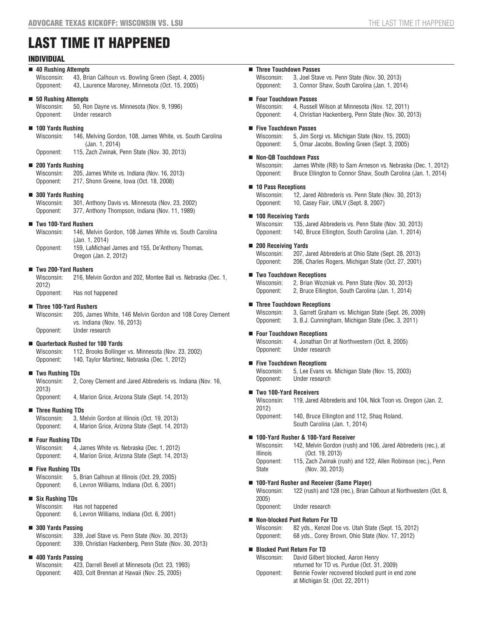# LAST TIME IT HAPPENED

# INDIVIDUAL

#### **40 Rushing Attempts**

Wisconsin: 43, Brian Calhoun vs. Bowling Green (Sept. 4, 2005) Opponent: 43, Laurence Maroney, Minnesota (Oct. 15, 2005)

#### **50 Rushing Attempts**

Wisconsin: 50, Ron Dayne vs. Minnesota (Nov. 9, 1996) Opponent: Under research

#### **100 Yards Rushing**

Wisconsin: 146, Melving Gordon, 108, James White, vs. South Carolina (Jan. 1, 2014)

Opponent: 115, Zach Zwinak, Penn State (Nov. 30, 2013)

#### **200 Yards Rushing**

Wisconsin: 205, James White vs. Indiana (Nov. 16, 2013)<br>Opponent: 217, Shonn Greene, Iowa (Oct. 18, 2008) 217, Shonn Greene, Iowa (Oct. 18, 2008)

#### **300 Yards Rushing**

Wisconsin: 301, Anthony Davis vs. Minnesota (Nov. 23, 2002) Opponent: 377, Anthony Thompson, Indiana (Nov. 11, 1989)

#### **Two 100-Yard Rushers**

Wisconsin: 146, Melvin Gordon, 108 James White vs. South Carolina (Jan. 1, 2014) Opponent: 159, LaMichael James and 155, De'Anthony Thomas,

Oregon (Jan. 2, 2012)

# **Two 200-Yard Rushers**

Wisconsin: 216, Melvin Gordon and 202, Montee Ball vs. Nebraska (Dec. 1, 2012) Opponent: Has not happened

# **Three 100-Yard Rushers**

Wisconsin: 205, James White, 146 Melvin Gordon and 108 Corey Clement vs. Indiana (Nov. 16, 2013) Opponent: Under research

#### **Quarterback Rushed for 100 Yards**

Wisconsin: 112, Brooks Bollinger vs. Minnesota (Nov. 23, 2002) Opponent: 140, Taylor Martinez, Nebraska (Dec. 1, 2012)

#### **Two Rushing TDs**

Wisconsin: 2, Corey Clement and Jared Abbrederis vs. Indiana (Nov. 16, 2013)

Opponent: 4, Marion Grice, Arizona State (Sept. 14, 2013)

#### **Three Rushing TDs**

Wisconsin: 3, Melvin Gordon at Illinois (Oct. 19, 2013) Opponent: 4, Marion Grice, Arizona State (Sept. 14, 2013)

#### **Four Rushing TDs**

Wisconsin: 4, James White vs. Nebraska (Dec. 1, 2012) Opponent: 4, Marion Grice, Arizona State (Sept. 14, 2013)

#### **Five Rushing TDs**

Wisconsin: 5, Brian Calhoun at Illinois (Oct. 29, 2005) Opponent: 6, Levron Williams, Indiana (Oct. 6, 2001)

### **Six Rushing TDs**

Wisconsin: Has not happened Opponent: 6, Levron Williams, Indiana (Oct. 6, 2001)

#### **300 Yards Passing**

| Wisconsin: | 339, Joel Stave vs. Penn State (Nov. 30, 2013)        |
|------------|-------------------------------------------------------|
| Opponent:  | 339, Christian Hackenberg, Penn State (Nov. 30, 2013) |

#### **400 Yards Passing**

| Wisconsin: | 423, Darrell Bevell at Minnesota (Oct. 23, 1993) |  |
|------------|--------------------------------------------------|--|
| Opponent:  | 403, Colt Brennan at Hawaii (Nov. 25, 2005)      |  |

# **Three Touchdown Passes**

Wisconsin: 3, Joel Stave vs. Penn State (Nov. 30, 2013) Opponent: 3, Connor Shaw, South Carolina (Jan. 1, 2014)

#### **Four Touchdown Passes**

Wisconsin: 4, Russell Wilson at Minnesota (Nov. 12, 2011) Opponent: 4, Christian Hackenberg, Penn State (Nov. 30, 2013)

#### **Five Touchdown Passes**

Wisconsin: 5, Jim Sorgi vs. Michigan State (Nov. 15, 2003) Opponent: 5, Omar Jacobs, Bowling Green (Sept. 3, 2005)

#### **Non-QB Touchdown Pass**

Wisconsin: James White (RB) to Sam Arneson vs. Nebraska (Dec. 1, 2012) Opponent: Bruce Ellington to Connor Shaw, South Carolina (Jan. 1, 2014)

#### **10 Pass Receptions**

Wisconsin: 12, Jared Abbrederis vs. Penn State (Nov. 30, 2013) Opponent: 10, Casey Flair, UNLV (Sept. 8, 2007)

#### **100 Receiving Yards**

Wisconsin: 135, Jared Abbrederis vs. Penn State (Nov. 30, 2013) Opponent: 140, Bruce Ellington, South Carolina (Jan. 1, 2014)

#### **200 Receiving Yards**

Wisconsin: 207, Jared Abbrederis at Ohio State (Sept. 28, 2013) Opponent: 206, Charles Rogers, Michigan State (Oct. 27, 2001)

#### **Two Touchdown Receptions**

Wisconsin: 2, Brian Wozniak vs. Penn State (Nov. 30, 2013) Opponent: 2, Bruce Ellington, South Carolina (Jan. 1, 2014)

#### **Three Touchdown Receptions**

Wisconsin: 3, Garrett Graham vs. Michigan State (Sept. 26, 2009) Opponent: 3, B.J. Cunningham, Michigan State (Dec. 3, 2011)

#### **Four Touchdown Receptions**

Wisconsin: 4, Jonathan Orr at Northwestern (Oct. 8, 2005) Opponent: Under research

#### **Five Touchdown Receptions**

Wisconsin: 5, Lee Evans vs. Michigan State (Nov. 15, 2003) Opponent: Under research

#### **Two 100-Yard Receivers**

Wisconsin: 119, Jared Abbrederis and 104, Nick Toon vs. Oregon (Jan. 2, 2012)

Opponent: 140, Bruce Ellington and 112, Shaq Roland, South Carolina (Jan. 1, 2014)

### **100-Yard Rusher & 100-Yard Receiver**

Wisconsin: 142, Melvin Gordon (rush) and 106, Jared Abbrederis (rec.), at Illinois (Oct. 19, 2013)

Opponent: 115, Zach Zwinak (rush) and 122, Allen Robinson (rec.), Penn State (Nov. 30, 2013)

#### **100-Yard Rusher and Receiver (Same Player)**

Wisconsin: 122 (rush) and 128 (rec.), Brian Calhoun at Northwestern (Oct. 8, 2005)

Opponent: Under research

#### **Non-blocked Punt Return For TD**

Wisconsin: 82 yds., Kenzel Doe vs. Utah State (Sept. 15, 2012) Opponent: 68 yds., Corey Brown, Ohio State (Nov. 17, 2012)

#### ■ Blocked Punt Return For TD

Wisconsin: David Gilbert blocked, Aaron Henry returned for TD vs. Purdue (Oct. 31, 2009) Opponent: Bennie Fowler recovered blocked punt in end zone at Michigan St. (Oct. 22, 2011)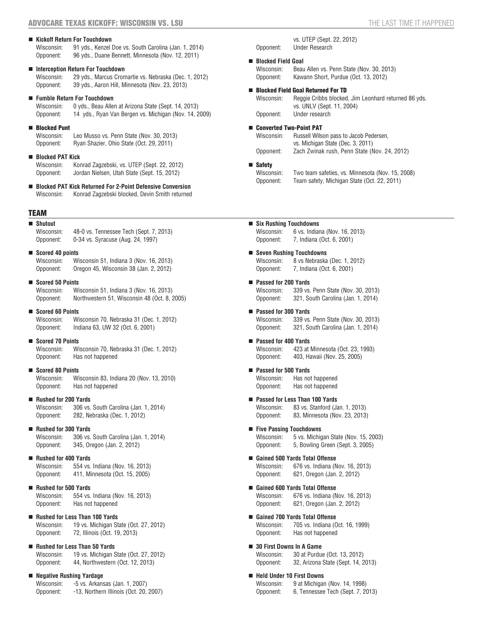#### **Kickoff Return For Touchdown**

Wisconsin: 91 yds., Kenzel Doe vs. South Carolina (Jan. 1, 2014) Opponent: 96 yds., Duane Bennett, Minnesota (Nov. 12, 2011)

#### **Interception Return For Touchdown**

Wisconsin: 29 yds., Marcus Cromartie vs. Nebraska (Dec. 1, 2012) Opponent: 39 yds., Aaron Hill, Minnesota (Nov. 23, 2013)

#### **Fumble Return For Touchdown**

Wisconsin: 0 yds., Beau Allen at Arizona State (Sept. 14, 2013) Opponent: 14 yds., Ryan Van Bergen vs. Michigan (Nov. 14, 2009)

#### **Blocked Punt**

Wisconsin: Leo Musso vs. Penn State (Nov. 30, 2013) Opponent: Ryan Shazier, Ohio State (Oct. 29, 2011)

#### **Blocked PAT Kick**

Wisconsin: Konrad Zagzebski, vs. UTEP (Sept. 22, 2012) Opponent: Jordan Nielsen, Utah State (Sept. 15, 2012)

 **Blocked PAT Kick Returned For 2-Point Defensive Conversion** Konrad Zagzebski blocked, Devin Smith returned

#### TEAM

| ■ Shutout  |                                         |
|------------|-----------------------------------------|
| Wisconsin: | 48-0 vs. Tennessee Tech (Sept. 7, 2013) |
| Opponent:  | 0-34 vs. Syracuse (Aug. 24, 1997)       |

#### **Scored 40 points**

Wisconsin: Wisconsin 51, Indiana 3 (Nov. 16, 2013) Opponent: Oregon 45, Wisconsin 38 (Jan. 2, 2012)

**Scored 50 Points**<br>Wisconsin: W

Wisconsin 51, Indiana 3 (Nov. 16, 2013) Opponent: Northwestern 51, Wisconsin 48 (Oct. 8, 2005)

**Scored 60 Points**

Wisconsin: Wisconsin 70, Nebraska 31 (Dec. 1, 2012) Opponent: Indiana 63, UW 32 (Oct. 6, 2001)

**Scored 70 Points**

Wisconsin: Wisconsin 70, Nebraska 31 (Dec. 1, 2012)<br>Opponent: Has not happened Has not happened

#### **Scored 80 Points**

Wisconsin: Wisconsin 83, Indiana 20 (Nov. 13, 2010)<br>Opponent: Has not happened Has not happened

#### **Rushed for 200 Yards**

Wisconsin: 306 vs. South Carolina (Jan. 1, 2014) Opponent: 282, Nebraska (Dec. 1, 2012)

#### **Rushed for 300 Yards**

Wisconsin: 306 vs. South Carolina (Jan. 1, 2014) Opponent: 345, Oregon (Jan. 2, 2012)

#### ■ Rushed for 400 Yards

Wisconsin: 554 vs. Indiana (Nov. 16, 2013) Opponent: 411, Minnesota (Oct. 15, 2005)

#### **Rushed for 500 Yards**

Wisconsin: 554 vs. Indiana (Nov. 16, 2013) Opponent: Has not happened

#### **Rushed for Less Than 100 Yards**

Wisconsin: 19 vs. Michigan State (Oct. 27, 2012) Opponent: 72, Illinois (Oct. 19, 2013)

# ■ Rushed for Less Than 50 Yards

Wisconsin: 19 vs. Michigan State (Oct. 27, 2012) Opponent: 44, Northwestern (Oct. 12, 2013)

#### **Negative Rushing Yardage**

| Wisconsin: | -5 vs. Arkansas (Jan. 1, 2007)         |
|------------|----------------------------------------|
| Opponent:  | -13, Northern Illinois (Oct. 20, 2007) |

vs. UTEP (Sept. 22, 2012) Opponent: Under Research

#### **Blocked Field Goal**

Wisconsin: Beau Allen vs. Penn State (Nov. 30, 2013) Opponent: Kawann Short, Purdue (Oct. 13, 2012)

#### Blocked Field Goal Returned For TD

Wisconsin: Reggie Cribbs blocked, Jim Leonhard returned 86 yds. vs. UNLV (Sept. 11, 2004) Opponent: Under research

#### ■ Converted Two-Point PAT

Wisconsin: Russell Wilson pass to Jacob Pedersen, vs. Michigan State (Dec. 3, 2011) Opponent: Zach Zwinak rush, Penn State (Nov. 24, 2012)

# ■ Safety

Wisconsin: Two team safeties, vs. Minnesota (Nov. 15, 2008) Opponent: Team safety, Michigan State (Oct. 22, 2011)

#### **Six Rushing Touchdowns**

Wisconsin: 6 vs. Indiana (Nov. 16, 2013) Opponent: 7, Indiana (Oct. 6, 2001)

#### **Seven Rushing Touchdowns** Wisconsin: 8 vs Nebraska (Dec. 1, 2012)

Opponent: 7, Indiana (Oct. 6, 2001)

- **Passed for 200 Yards**<br>Wisconsin: 339 vs. 339 vs. Penn State (Nov. 30, 2013) Opponent: 321, South Carolina (Jan. 1, 2014)
- **Passed for 300 Yards** Wisconsin: 339 vs. Penn State (Nov. 30, 2013) Opponent: 321, South Carolina (Jan. 1, 2014)
- **Passed for 400 Yards** Wisconsin: 423 at Minnesota (Oct. 23, 1993)<br>Opponent: 403, Hawaii (Nov. 25, 2005) 403, Hawaii (Nov. 25, 2005)
- **Passed for 500 Yards** Wisconsin: Has not happened<br>Opponent: Has not happened Has not happened
- **Passed for Less Than 100 Yards** Wisconsin: 83 vs. Stanford (Jan. 1, 2013) Opponent: 83, Minnesota (Nov. 23, 2013)
- **Five Passing Touchdowns** Wisconsin: 5 vs. Michigan State (Nov. 15, 2003) Opponent: 5, Bowling Green (Sept. 3, 2005)
- **Gained 500 Yards Total Offense** Wisconsin: 676 vs. Indiana (Nov. 16, 2013) Opponent: 621, Oregon (Jan. 2, 2012)
- **Gained 600 Yards Total Offense** Wisconsin: 676 vs. Indiana (Nov. 16, 2013) Opponent: 621, Oregon (Jan. 2, 2012)
- **Gained 700 Yards Total Offense** Wisconsin: 705 vs. Indiana (Oct. 16, 1999) Opponent: Has not happened
- **30 First Downs In A Game** Wisconsin: 30 at Purdue (Oct. 13, 2012) Opponent: 32, Arizona State (Sept. 14, 2013)
- **Held Under 10 First Downs** Wisconsin: 9 at Michigan (Nov. 14, 1998) Opponent: 6, Tennessee Tech (Sept. 7, 2013)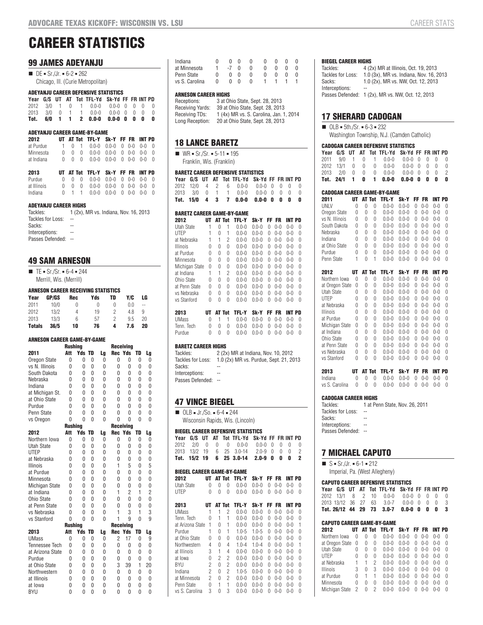# **CAREER STATISTICS**

### **99 JAMES ADEYANJU**

| $\blacksquare$ DE = Sr./Jr. = 6-2 = 262 |
|-----------------------------------------|
| Chicago, III. (Curie Metropolitan)      |

#### **ADEYANJU CAREER DEFENSIVE STATISTICS**

|  |  | Year G/S UT AT Tot TFL-Yd Sk-Yd FF FR INT PD |  |  |  |
|--|--|----------------------------------------------|--|--|--|
|  |  | 2012 3/0 1 0 1 0.0-0 0.0-0 0 0 0 0           |  |  |  |
|  |  | 2013 3/0 0 1 1 0.0-0 0.0-0 0 0 0 0           |  |  |  |
|  |  | Tot. 6/0 1 1 2 0.0-0 0.0-0 0 0 0             |  |  |  |

#### **ADEYANJU CAREER GAME-BY-GAME**

| 2012       |  | UT AT Tot TFL-Y Sk-Y FF FR INT PD                                                       |  |  |  |
|------------|--|-----------------------------------------------------------------------------------------|--|--|--|
| at Purdue  |  | $1 \t 0 \t 1 \t 0.0-0 \t 0.0-0 \t 0 \t 0-0 \t 0-0 \t 0$                                 |  |  |  |
| Minnesota  |  | $0 \quad 0 \quad 0 \quad 0.0 - 0 \quad 0.0 - 0 \quad 0 \quad 0 - 0 \quad 0 - 0 \quad 0$ |  |  |  |
| at Indiana |  | $0 \quad 0 \quad 0 \quad 0.0 - 0 \quad 0.0 - 0 \quad 0 \quad 0 - 0 \quad 0 - 0 \quad 0$ |  |  |  |

| 2013        |  | UT AT Tot TFL-Y Sk-Y FF FR INT PD                                                       |  |  |  |
|-------------|--|-----------------------------------------------------------------------------------------|--|--|--|
| Purdue      |  | $0 \quad 0 \quad 0 \quad 0.0 - 0 \quad 0.0 - 0 \quad 0 \quad 0 - 0 \quad 0 - 0 \quad 0$ |  |  |  |
| at Illinois |  | $0 \t 0 \t 0 \t 0.0 - 0 \t 0.0 - 0 \t 0 \t 0 - 0 \t 0$                                  |  |  |  |
| Indiana     |  | $0 \quad 1 \quad 1 \quad 0.0 - 0 \quad 0.0 - 0 \quad 0 \quad 0 - 0 \quad 0 - 0 \quad 0$ |  |  |  |

#### **ADEYANJU CAREER HIGHS**

| Tackles:            | 1 (2x), MR vs. Indiana, Nov. 16, 2013 |
|---------------------|---------------------------------------|
| Tackles for Loss:   | $\sim$                                |
| Sacks:              |                                       |
| Interceptions:      | --                                    |
| Passes Defended: -- |                                       |

# **49 SAM ARNESON**

 $\blacksquare$  TE = Sr./Sr. = 6-4 = 244 Merrill, Wis. (Merrill)

#### **ARNESON CAREER RECEIVING STATISTICS**

| Year          | GP/GS | Rec | Yds | TD | Y/C | LG |  |
|---------------|-------|-----|-----|----|-----|----|--|
| 2011          | 10/0  | 0   | 0   |    | 0.0 | -- |  |
| 2012          | 13/2  | 4   | 19  | 2  | 4.8 | 9  |  |
| 2013          | 13/3  | 6   | 57  | 2  | 9.5 | 20 |  |
| <b>Totals</b> | 36/5  | 10  | 76  | 4  | 7.6 | 20 |  |

#### **ARNESON CAREER GAME-BY-GAME**

|                       | <b>Rushing</b> |                |              |          |                | <b>Receiving</b> |          |                |
|-----------------------|----------------|----------------|--------------|----------|----------------|------------------|----------|----------------|
| 2011                  | Att            | Yds            | TD           | Lg       | <b>Rec Yds</b> |                  | TD       | Lg             |
| Oregon State          | 0              | $\theta$       | 0            | 0        | 0              | 0                | 0        | 0              |
| vs N. Illinois        | 0              | 0              | 0            | 0        | $\mathbf{0}$   | 0                | 0        | $\theta$       |
| South Dakota          | $\Omega$       | $\Omega$       | 0            | $\Omega$ | $\Omega$       | 0                | 0        | 0              |
| Nebraska              | $\Omega$       | $\Omega$       | $\mathbf{0}$ | $\Omega$ | $\Omega$       | $\Omega$         | $\Omega$ | 0              |
| Indiana               | $\Omega$       | $\Omega$       | $\mathbf{0}$ | $\Omega$ | U              | $\Omega$         | $\Omega$ | $\Omega$       |
| at Michigan St.       | 0              | $\Omega$       | 0            | 0        | $\Omega$       | 0                | 0        | 0              |
| at Ohio State         | 0              | $\Omega$       | $\mathbf{0}$ | 0        | U              | $\Omega$         | 0        | 0              |
| Purdue                | $\Omega$       | $\Omega$       | $\mathbf{0}$ | $\Omega$ | $\Omega$       | $\Omega$         | $\Omega$ | 0              |
| Penn State            | 0              | $\Omega$       | 0            | $\Omega$ | $\Omega$       | $\Omega$         | $\Omega$ | 0              |
| vs Oregon             | $\Omega$       | $\Omega$       | $\Omega$     | $\Omega$ | $\Omega$       | $\Omega$         | $\Omega$ | $\Omega$       |
|                       | <b>Rushing</b> |                |              |          |                | <b>Receiving</b> |          |                |
| 2012                  | Att            | <b>Yds</b>     | TD           | Lg       | <b>Rec Yds</b> |                  | TD       | Lg             |
| Northern Iowa         | 0              | $\theta$       | 0            | $\Omega$ | $\mathbf{0}$   | 0                | 0        | 0              |
| <b>Utah State</b>     | 0              | $\Omega$       | 0            | $\Omega$ | $\Omega$       | 0                | 0        | 0              |
| <b>UTEP</b>           | 0              | 0              | 0            | 0        | $\mathbf{0}$   | 0                | 0        | 0              |
| at Nebraska           | 0              | $\Omega$       | 0            | 0        | $\mathbf{0}$   | 0                | 0        | 0              |
| <b>Illinois</b>       | 0              | 0              | 0            | 0        | 1              | 5                | 0        | 5              |
| at Purdue             | $\Omega$       | $\Omega$       | 0            | $\Omega$ | $\Omega$       | $\Omega$         | $\Omega$ | 0              |
| Minnesota             | $\Omega$       | $\Omega$       | 0            | 0        | $\mathbf{0}$   | 0                | 0        | 0              |
| <b>Michigan State</b> | 0              | 0              | 0            | 0        | $\mathbf{0}$   | 0                | 0        | 0              |
| at Indiana            | $\Omega$       | $\Omega$       | 0            | 0        | 1              | $\overline{2}$   | 1        | $\overline{2}$ |
| Ohio State            | 0              | $\Omega$       | 0            | 0        | $\mathbf{0}$   | 0                | 0        | $\overline{0}$ |
| at Penn State         | $\Omega$       | $\Omega$       | 0            | $\Omega$ | $\mathbf{0}$   | 0                | 0        | 0              |
| vs Nebraska           | 0              | $\Omega$       | 0            | 0        | 1              | 3                | 1        | 3              |
| vs Stanford           | 0              | 0              | 0            | 0        | 1              | 9                | 0        | 9              |
|                       | <b>Rushing</b> |                |              |          |                | <b>Receiving</b> |          |                |
| 2013                  | Att            | Yds            | TD           | Lg       | Rec            | Yds              | TD       | Lg             |
| <b>UMass</b>          | 0              | 0              | 0            | 0        | $\overline{2}$ | 17               | 0        | 9              |
| <b>Tennessee Tech</b> | 0              | $\Omega$       | 0            | 0        | $\mathbf{0}$   | 0                | 0        | 0              |
| at Arizona State      | 0              | 0              | 0            | 0        | $\mathbf{0}$   | 0                | 0        | 0              |
| Purdue                | 0              | $\overline{0}$ | $\mathbf{0}$ | 0        | $\mathbf{0}$   | 0                | 0        | 0              |
| at Ohio State         | 0              | 0              | 0            | 0        | 3              | 39               | 1        | 20             |
| Northwestern          | 0              | $\Omega$       | 0            | 0        | $\mathbf{0}$   | 0                | 0        | 0              |
| at Illinois           | 0              | $\Omega$       | 0            | $\Omega$ | $\Omega$       | $\Omega$         | $\Omega$ | 0              |
| at Iowa               | 0              | 0              | 0            | 0        | $\mathbf{0}$   | 0                | 0        | 0              |

BYU 0 0 0 0 0 0 0 0

#### **ARNESON CAREER HIGHS**

| Receptions:      | 3 at Ohio State, Sept. 28, 2013         |
|------------------|-----------------------------------------|
| Receiving Yards: | 39 at Ohio State, Sept. 28, 2013        |
| Receiving TDs:   | 1 (4x) MR vs. S. Carolina, Jan. 1, 2014 |
| Long Reception:  | 20 at Ohio State, Sept. 28, 2013        |
|                  |                                         |

# **18 LANCE BARETZ**

 $W = \text{Cr/Sr.} = 5-11 = 195$ Franklin, Wis. (Franklin)

#### **BARETZ CAREER DEFENSIVE STATISTICS**

|  |  | Year G/S UT AT Tot TFL-Yd Sk-Yd FF FR INT PD |  |  |  |
|--|--|----------------------------------------------|--|--|--|
|  |  | 2012 12/0 4 2 6 0.0-0 0.0-0 0 0 0 0          |  |  |  |
|  |  | 2013 3/0 0 1 1 0.0-0 0.0-0 0 0 0 0           |  |  |  |
|  |  | Tot. 15/0 4 3 7 0.0-0 0.0-0 0 0 0 0          |  |  |  |

#### **BARETZ CAREER GAME-BY-GAME**

| 2012            | UT |   | AT Tot | TFL-Y     | Sk-Y      | FF | FR      | INT PD  |   |
|-----------------|----|---|--------|-----------|-----------|----|---------|---------|---|
| Utah State      | 1  | 0 | 1      | $0.0 - 0$ | $0.0 - 0$ | 0  | $0 - 0$ | 0-0     | 0 |
| <b>UTEP</b>     | 1  | 0 | 1      | $0.0 - 0$ | $0.0 - 0$ | 0  | $0 - 0$ | $0 - 0$ | 0 |
| at Nebraska     | 1  | 1 | 2      | $0.0 - 0$ | $0.0 - 0$ | 0  | $0 - 0$ | $0 - 0$ | 0 |
| <b>Illinois</b> | 0  | 0 | 0      | $0.0 - 0$ | $0.0 - 0$ | 0  | $0 - 0$ | $0 - 0$ | 0 |
| at Purdue       | 0  | 0 | 0      | $0.0 - 0$ | $0.0 - 0$ | 0  | $0 - 0$ | 0-0     | 0 |
| Minnesota       | 0  | 0 | 0      | $0.0 - 0$ | $0.0 - 0$ | 0  | $0 - 0$ | 0-0     | 0 |
| Michigan State  | 0  | 0 | 0      | $0.0 - 0$ | $0.0 - 0$ | 0  | $0 - 0$ | $0 - 0$ | 0 |
| at Indiana      | 1  | 1 | 2      | $0.0 - 0$ | $0.0 - 0$ | 0  | $0 - 0$ | 0-0     | 0 |
| Ohio State      | 0  | 0 | 0      | $0.0 - 0$ | $0.0 - 0$ | 0  | $0 - 0$ | 0-0     | 0 |
| at Penn State   | 0  | 0 | 0      | $0.0 - 0$ | $0.0 - 0$ | 0  | $0 - 0$ | $0 - 0$ | 0 |
| vs Nebraska     | 0  | 0 | 0      | $0.0 - 0$ | $0.0 - 0$ | 0  | 0-0     | 0-0     | 0 |
| vs Stanford     | 0  | U | 0      | $0.0 - 0$ | $0.0 - 0$ | U  | $0 - 0$ | 0-0     | 0 |
| 2013            | UТ |   | AT Tot | TFL-Y     | Sk-Y      | FF | FR      | INT PD  |   |
| <b>UMass</b>    | 0  | 1 | 1      | $0.0 - 0$ | $0.0 - 0$ | 0  | $0 - 0$ | 0-0     | 0 |
| Tenn. Tech      | 0  | 0 | 0      | $0.0 - 0$ | $0.0 - 0$ | 0  | $0 - 0$ | 0-0     | 0 |
| Purdue          | 0  | 0 | 0      | $0.0 - 0$ | $0.0 - 0$ | 0  | 0-0     | 0-0     | 0 |

#### **BARETZ CAREER HIGHS**

Tackles: 2 (2x) MR at Indiana, Nov. 10, 2012 Tackles for Loss: 1.0 (2x) MR vs. Purdue, Sept. 21, 2013 Sacks: Interceptions: Passes Defended: --

# **47 VINCE BIEGEL**

 $\blacksquare$  OLB = Jr./So. = 6-4 = 244 Wisconsin Rapids, Wis. (Lincoln)

#### **BIEGEL CAREER DEFENSIVE STATISTICS**

|  |  | Year G/S UT AT Tot TFL-Yd Sk-Yd FF FR INT PD |  |  |  |
|--|--|----------------------------------------------|--|--|--|
|  |  | 2012 2/0 0 0 0 0.0-0 0.0-0 0 0 0 0           |  |  |  |
|  |  | 2013 13/2 19 6 25 3.0-14 2.0-9 0 0 0 2       |  |  |  |
|  |  | Tot. $15/2$ 19 6 25 3.0-14 2.0-9 0 0 0 2     |  |  |  |

| BIEGEL CAREER GAME-BY-GAME |                |   |        |              |           |    |         |         |   |  |
|----------------------------|----------------|---|--------|--------------|-----------|----|---------|---------|---|--|
| 2012                       | UТ             |   | AT Tot | TFL-Y        | Sk-Y      | FF | FR      | INT PD  |   |  |
| Utah State                 | U              | 0 | O      | $0.0 - 0$    | 0.0-0     | U  | $0 - 0$ | $0 - 0$ | U |  |
| <b>UTEP</b>                | O              | O | 0      | $0.0 - 0$    | $0.0 - 0$ | U  | $0 - 0$ | $0 - 0$ | 0 |  |
| 2013                       | UТ             |   | AT Tot | <b>TFL-Y</b> | Sk-Y      | FF | FR      | INT PD  |   |  |
| <b>UMass</b>               | 1              | 1 | 2      | $0.0 - 0$    | $0.0 - 0$ | U  | $0 - 0$ | $0 - 0$ | O |  |
|                            | O              | 1 | 1      |              | $0.0 - 0$ | O  | $0 - 0$ | $0 - 0$ | O |  |
| Tenn. Tech                 |                |   |        | $0.0 - 0$    |           |    |         |         |   |  |
| at Arizona State           | 1              | 0 | 1      | $0.0 - 0$    | $0.0 - 0$ | U  | $0 - 0$ | 0-0     | 1 |  |
| Purdue                     | 1              | 0 | 1      | $1.0 - 5$    | $1.0 - 5$ | O  | $0 - 0$ | $0 - 0$ | O |  |
| at Ohio State              | O              | 0 | 0      | $0.0 - 0$    | $0.0 - 0$ | O  | $0 - 0$ | $0 - 0$ | O |  |
| Northwestern               | 4              | 0 | 4      | $1.0 - 4$    | $1.0 - 4$ | O  | $0 - 0$ | $0 - 0$ | 1 |  |
| at Illinois                | 3              | 1 | 4      | $0.0 - 0$    | 0.0-0     | U  | $0 - 0$ | 0-0     | O |  |
| at Iowa                    | O              | 2 | 2      | $0.0 - 0$    | $0.0 - 0$ | U  | $0 - 0$ | $0 - 0$ | O |  |
| BYU                        | 2              | 0 | 2      | $0.0 - 0$    | $0.0 - 0$ | U  | $0 - 0$ | $0 - 0$ | O |  |
| Indiana                    | $\overline{c}$ | 0 | 2      | $1.0 - 5$    | $0.0 - 0$ | U  | $0 - 0$ | $0 - 0$ | O |  |
| at Minnesota               | 2              | 0 | 2      | $0.0 - 0$    | 0.0-0     | U  | 0-0     | 0-0     | U |  |
| Penn State                 | U              | 1 | 1      | $0.0 - 0$    | 0.0-0     | U  | 0-0     | 0-0     | O |  |
| vs S. Carolina             | 3              | 0 | 3      | $0.0 - 0$    | $0.0 - 0$ | Λ  | $0 - 0$ | $0 - 0$ | 0 |  |

#### **BIEGEL CAREER HIGHS**

| Tackles:          | 4 (2x) MR at Illinois, Oct. 19, 2013              |
|-------------------|---------------------------------------------------|
| Tackles for Loss: | 1.0 (3x), MR vs. Indiana, Nov. 16, 2013           |
| Sacks:            | 1.0 (2x), MR vs. NW. Oct. 12, 2013                |
| Interceptions:    | --                                                |
|                   | Passes Defended: 1 (2x), MR vs. NW, Oct. 12, 2013 |

#### **17 SHERARD CADOGAN**

 $\Box$  OLB = 5th./Sr. = 6-3 = 232

Washington Township, N.J. (Camden Catholic)

#### **CADOGAN CAREER DEFENSIVE STATISTICS**

|  |  | Year G/S UT AT Tot TFL-Yd Sk-Yd FF FR INT PD |  |  |  |
|--|--|----------------------------------------------|--|--|--|
|  |  | 2011 9/0 1 0 1 0.0-0 0.0-0 0 0 0 0           |  |  |  |
|  |  | 2012 13/1 0 0 0 0.0-0 0.0-0 0 0 0            |  |  |  |
|  |  | 2013 2/0 0 0 0 0.0-0 0.0-0 0 0 0             |  |  |  |
|  |  | Tot. 24/1 1 0 1 0.0-0 0.0-0 0 0 0            |  |  |  |

#### **CADOGAN CAREER GAME-BY-GAME**

| 2011              | UT |          | AT Tot   | TFL-Y       | Sk-Y      | FF  | FR      | <b>INT PD</b> |   |
|-------------------|----|----------|----------|-------------|-----------|-----|---------|---------------|---|
| UNLV              | 0  | O        | $\Omega$ | $0.0 - 0$   | $0.0 - 0$ | 0   | $0 - 0$ | $0 - 0$       | 0 |
| Oregon State      | 0  | 0        | 0        | $0.0 - 0$   | $0.0 - 0$ | 0   | $0 - 0$ | $0 - 0$       | 0 |
| vs N. Illinois    | 0  | 0        | $\theta$ | $0.0 - 0$   | $0.0 - 0$ | 0   | $0 - 0$ | $0 - 0$       | 0 |
| South Dakota      | 0  | 0        | 0        | $0.0 - 0$   | $0.0 - 0$ | 0   | $0 - 0$ | $0 - 0$       | 0 |
| Nebraska          | 0  | 0        | 0        | $0.0 - 0$   | $0.0 - 0$ | 0   | $0 - 0$ | $0 - 0$       | 0 |
| Indiana           | 0  | 0        | 0        | $0.0 - 0$   | $0.0 - 0$ | 0   | $0 - 0$ | $0 - 0$       | 0 |
| at Ohio State     | O  | $\Omega$ | $\theta$ | $0.0 - 0$   | $0.0 - 0$ | U   | $0 - 0$ | $0 - 0$       | 0 |
| Purdue            | 0  | 0        | 0        | $0.0 - 0$   | $0.0 - 0$ | 0   | $0 - 0$ | $0 - 0$       | 0 |
| Penn State        | 1  | 0        | 1        | $0.0 - 0$   | $0.0 - 0$ | 0   | $0 - 0$ | $0 - 0$       | 0 |
| 2012              | UT |          | AT Tot   | TFL-Y       | Sk-Y      | FF. | FR      | INT PD        |   |
| Northern Iowa     | 0  | 0        | 0        | $0.0 - 0.0$ | $0.0 - 0$ | 0   | $0 - 0$ | $0 - 0$       | 0 |
| at Oregon State   | 0  | 0        | 0        | $0.0 - 0$   | $0.0 - 0$ | 0   | $0 - 0$ | $0 - 0$       | 0 |
| <b>Utah State</b> | 0  | 0        | 0        | $0.0 - 0$   | $0.0 - 0$ | 0   | $0 - 0$ | $0 - 0$       | 0 |
| UTEP              | 0  | 0        | 0        | $0.0 - 0$   | $0.0 - 0$ | 0   | $0 - 0$ | $0 - 0$       | 0 |
| at Nebraska       | 0  | 0        | 0        | $0.0 - 0$   | $0.0 - 0$ | 0   | $0 - 0$ | $0 - 0$       | 0 |
| Illinois          | 0  | 0        | 0        | $0.0 - 0.0$ | $0.0 - 0$ | 0   | $0 - 0$ | $0 - 0$       | 0 |
| at Purdue         | 0  | 0        | 0        | $0.0 - 0$   | $0.0 - 0$ | 0   | $0 - 0$ | $0 - 0$       | 0 |
| Michigan State    | 0  | 0        | 0        | $0.0 - 0$   | $0.0 - 0$ | 0   | $0 - 0$ | $0 - 0$       | 0 |
| at Indiana        | 0  | 0        | 0        | $0.0 - 0$   | $0.0 - 0$ | 0   | $0 - 0$ | $0 - 0$       | 0 |
| Ohio State        | 0  | 0        | 0        | $0.0 - 0$   | $0.0 - 0$ | 0   | $0 - 0$ | $0 - 0$       | 0 |
| at Penn State     | 0  | 0        | 0        | $0.0 - 0$   | $0.0 - 0$ | 0   | $0 - 0$ | $0 - 0$       | 0 |
| vs Nebraska       | 0  | 0        | 0        | $0.0 - 0$   | $0.0 - 0$ | 0   | $0 - 0$ | $0 - 0$       | 0 |
| vs Stanford       | 0  | 0        | 0        | $0.0 - 0$   | $0.0 - 0$ | 0   | $0 - 0$ | $0 - 0$       | 0 |

#### Indiana 0 0 0 0.0-0 0.0-0 0 0-0 0-0 0 vs S. Carolina 0 0 0 0.0-0 0.0-0 0 0-0 0-0 0

**2013 UT AT Tot TFL-Y Sk-Y FF FR INT PD**

# **CADOGAN CAREER HIGHS**<br>Tackles: 1 at Per

1 at Penn State, Nov. 26, 2011 Tackles for Loss: --Sacks: --<br>Intercentions: --Interceptions: Passes Defended: --

#### **7 MICHAEL CAPUTO**

|  | $\blacksquare$ S = Sr./Jr. = 6-1 = 212 |  |  |
|--|----------------------------------------|--|--|
|  |                                        |  |  |

Imperial, Pa. (West Allegheny)

#### **CAPUTO CAREER DEFENSIVE STATISTICS**

|  |  | Year G/S UT AT Tot TFL-Yd Sk-Yd FF FR INT PD |  |  |  |
|--|--|----------------------------------------------|--|--|--|
|  |  | 2012 13/1 8 2 10 0.0-0 0.0-0 0 0 0 0         |  |  |  |
|  |  | 2013 13/12 36 27 63 3.0-7 0.0-0 0 0 0 3      |  |  |  |
|  |  | Tot, 26/12 44 29 73 3.0-7 0.0-0 0 0 0 3      |  |  |  |

#### **CAPUTO CAREER GAME-BY-GAME**

| 2012            | UТ |   | AT Tot | TFL-Y     | Sk-Y      | FF.          | FR      | INT PD  |   |
|-----------------|----|---|--------|-----------|-----------|--------------|---------|---------|---|
| Northern Iowa   | 0  | 0 | 0      | $0.0 - 0$ | $0.0 - 0$ | U            | $0 - 0$ | $0 - 0$ | O |
| at Oregon State | 0  | 0 | 0      | $0.0 - 0$ | $0.0 - 0$ | O            | $0 - 0$ | $0 - 0$ | O |
| Utah State      | 0  | 0 | 0      | $0.0 - 0$ | $0.0 - 0$ | U            | $0 - 0$ | $0 - 0$ | O |
| UTEP            | 0  | U | O      | $0.0 - 0$ | $0.0 - 0$ | U            | $0 - 0$ | $0 - 0$ | O |
| at Nebraska     | 1  |   | 2      | $0.0 - 0$ | $0.0 - 0$ | U            | $0 - 0$ | $0 - 0$ | O |
| Illinois        | 3  | U | 3      | $0.0 - 0$ | $0.0 - 0$ | O            | $0 - 0$ | $0 - 0$ | 0 |
| at Purdue       | 0  |   |        | $0.0 - 0$ | $0.0 - 0$ | O            | $0 - 0$ | $0 - 0$ | O |
| Minnesota       | 0  | U | O      | $0.0 - 0$ | $0.0 - 0$ | <sup>0</sup> | $0 - 0$ | $0 - 0$ | 0 |
| Michigan State  | 2  | Λ | 2      | $0.0 - 0$ | $0.0 - 0$ | O            | $0 - 0$ | $0 - 0$ | U |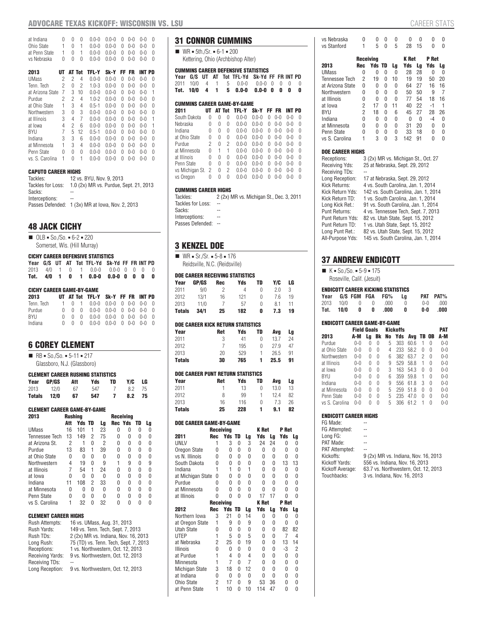### **ADVOCARE TEXAS KICKOFF: WISCONSIN VS. LSU** CAREER STATS

| at Indiana       | U  | U | O        | $0.0 - 0$ | $0.0 - 0$ | U  | 0-0     | 0-0     | O |
|------------------|----|---|----------|-----------|-----------|----|---------|---------|---|
| Ohio State       | 1  | U | 1        | $0.0 - 0$ | $0.0 - 0$ | U  | 0-0     | 0-0     | O |
| at Penn State    | 1  | U | 1        | $0.0 - 0$ | $0.0 - 0$ | U  | $0 - 0$ | 0-0     | O |
| vs Nebraska      | U  | U | $\Omega$ | $0.0 - 0$ | $0.0 - 0$ | U  | $0 - 0$ | 0-0     | U |
|                  |    |   |          |           |           |    |         |         |   |
| 2013             | UТ |   | AT Tot   | TFL-Y     | Sk-Y      | FF | FR      | INT PD  |   |
| UMass            | 2  | 2 | 4        | $0.0 - 0$ | $0.0 - 0$ | U  | 0-0     | 0-0     | 0 |
| Tenn. Tech       | 2  | 0 | 2        | $1.0 - 3$ | $0.0 - 0$ | U  | $0 - 0$ | 0-0     | O |
| at Arizona State | 7  | 3 | 10       | $0.0 - 0$ | $0.0 - 0$ | U  | $0 - 0$ | 0-0     | 1 |
| Purdue           | 2  | 2 | 4        | $1.0 - 2$ | $0.0 - 0$ | U  | በ-በ     | 0-0     | O |
| at Ohio State    | 1  | 3 | 4        | $0.5 - 1$ | $0 - 0$   | U  | $0 - 0$ | $0 - 0$ | Ŋ |
| Northwestern     | 3  | 0 | 3        | $0.0 - 0$ | $0.0 - 0$ | 0  | $0 - 0$ | 0-0     | O |
| at Illinois      | 3  | 4 | 7        | $0.0 - 0$ | $0.0 - 0$ | U  | $0 - 0$ | 0-0     | 1 |
| at lowa          | 4  | 2 | 6        | $0.0 - 0$ | $0.0 - 0$ | U  | $0 - 0$ | 0-0     | 1 |
| BYU              | 7  | 5 | 12       | $0.5 - 1$ | $0.0 - 0$ | 0  | $0 - 0$ | 0-0     | O |
| Indiana          | 3  | 3 | 6        | $0.0 - 0$ | $0.0 - 0$ | U  | $0 - 0$ | 0-0     | O |
| at Minnesota     | 1  | 3 | 4        | $0.0 - 0$ | $0.0 - 0$ | U  | $0 - 0$ | 0-0     | O |
| Penn State       | U  | U | $\Omega$ | $0.0 - 0$ | $0 - 0$   | U  | $0 - 0$ | በ-በ     | O |
| vs. S. Carolina  | 1  | U | 1        | $0.0 - 0$ | $0.0 - 0$ | U  | በ-በ     | 0-0     | Ŋ |

#### **CAPUTO CAREER HIGHS**

| Tackles:          | 12 vs. BYU, Nov. 9, 2013                         |
|-------------------|--------------------------------------------------|
| Tackles for Loss: | 1.0 (2x) MR vs. Purdue, Sept. 21, 2013           |
| Sacks:            |                                                  |
| Interceptions:    | --                                               |
|                   | Passes Defended: 1 (3x) MR at Iowa, Nov. 2, 2013 |

# **48 JACK CICHY**

| п | $OLEB = SO./So. = 6-2 = 220$ |
|---|------------------------------|
|   | Somerset, Wis. (Hill Murray) |

# **CICHY CAREER DEFENSIVE STATISTICS**

|  |  | Year G/S UT AT Tot TFL-Yd Sk-Yd FF FR INT PD |  |  |  |
|--|--|----------------------------------------------|--|--|--|
|  |  | 2013 4/0 1 0 1 0.0-0 0.0-0 0 0 0 0           |  |  |  |
|  |  | Tot. 4/0 1 0 1 0.0-0 0.0-0 0 0 0 0           |  |  |  |

#### **CICHY CAREER GAME-BY-GAME**

|  |  |  |  | UT AT Tot TFL-Y Sk-Y FF FR INT PD<br>1 0 1 0.0-0 0.0-0 0 0-0 0-0 0<br>$0 \t 0 \t 0 \t 0.0 - 0 \t 0.0 - 0 \t 0 \t 0 - 0 \t 0 - 0 \t 0$<br>$0 \t 0 \t 0 \t 0.0 - 0 \t 0.0 - 0 \t 0 \t 0 - 0 \t 0$<br>$0 \t 0 \t 0 \t 0.0 - 0 \t 0.0 - 0 \t 0 \t 0 - 0 \t 0$ |
|--|--|--|--|-----------------------------------------------------------------------------------------------------------------------------------------------------------------------------------------------------------------------------------------------------------|

#### **6 COREY CLEMENT**

|  | ■ RB = So./So. = 5-11 = 217 |  |  |  |
|--|-----------------------------|--|--|--|
|  |                             |  |  |  |

| Glassboro, N.J. (Glassboro) |  |  |
|-----------------------------|--|--|
|-----------------------------|--|--|

#### **CLEMENT CAREER RUSHING STATISTICS**

| Year   | GP/GS | Att | Yds | TD | Y/C LG |      |
|--------|-------|-----|-----|----|--------|------|
| 2013   | 12/0  | 67  | 547 |    | 8.2 75 |      |
| Totals | 12/0  | 67  | 547 |    | 8.2    | - 75 |

#### **CLEMENT CAREER GAME-BY-GAME**

| 2013                  | <b>Rushing</b> |        |   |    |         | <b>Receiving</b> |    |    |  |  |  |  |
|-----------------------|----------------|--------|---|----|---------|------------------|----|----|--|--|--|--|
|                       | Att            | Yds TD |   | Lg | Rec Yds |                  | TD | Lg |  |  |  |  |
| <b>UMass</b>          | 16             | 101    | 1 | 23 | N       | O                | N  | N  |  |  |  |  |
| <b>Tennessee Tech</b> | 13             | 149    | 2 | 75 | N       | O                | N  | n  |  |  |  |  |
| at Arizona St.        | 2              |        | N | 2  | 0       | 0                | 0  | Ω  |  |  |  |  |
| Purdue                | 13             | 83     | 1 | 39 | N       | O                | U  | N  |  |  |  |  |
| at Ohio State         | N              | N      | N | N  | N       | O                | N  | N  |  |  |  |  |
| Northwestern          | 4              | 19     | 0 | 9  |         | 9                | 0  | 9  |  |  |  |  |
| at Illinois           | 7              | 54     | 1 | 24 | N       | O                | U  | N  |  |  |  |  |
| at lowa               | N              | N      | N | N  | N       | O                | N  | N  |  |  |  |  |
| Indiana               | 11             | 108    | 2 | 33 | N       | O                | N  | N  |  |  |  |  |
| at Minnesota          | N              | 0      | N | N  | N       | O                | U  |    |  |  |  |  |
| Penn State            | N              | N      | N | N  | N       | O                | N  | N  |  |  |  |  |
| vs S. Carolina        |                | 32     | N | 32 |         | N                | N  |    |  |  |  |  |

#### **CLEMENT CAREER HIGHS**

| Rush Attempts:   | 16 vs. UMass, Aug. 31, 2013           |
|------------------|---------------------------------------|
| Rush Yards:      | 149 vs. Tenn. Tech, Sept. 7, 2013     |
| Rush TDs:        | 2 (2x) MR vs. Indiana, Nov. 16, 2013  |
| Long Rush:       | 75 (TD) vs. Tenn. Tech, Sept. 7, 2013 |
| Receptions:      | 1 vs. Northwestern, Oct. 12, 2013     |
| Receiving Yards: | 9 vs. Northwestern, Oct. 12, 2013     |
| Receiving TDs:   |                                       |
| Long Reception:  | 9 vs. Northwestern, Oct. 12, 2013     |
|                  |                                       |

# **31 CONNOR CUMMINS**

 $W = 5th./Sr. = 6-1 = 200$ Kettering, Ohio (Archbishop Alter)

#### **CUMMINS CAREER DEFENSIVE STATISTICS**

| Year            | G/S  | UT | AT |        | <b>Tot TFL-Yd</b>           | Sk-Yd FF FR INT PD |     |         |         |   |
|-----------------|------|----|----|--------|-----------------------------|--------------------|-----|---------|---------|---|
| 2011            | 10/0 | 4  | 1  | 5      | $0.0 - 0$                   | $0.0 - 0$          | 0   | U       | O       | 0 |
| Tot.            | 10/0 | 4  | 1  | 5      | $0.0 - 0$                   | $0.0 - 0$          | 0   | Ω       | 0       | 0 |
|                 |      |    |    |        | CUMMINS CAREER GAME-BY-GAME |                    |     |         |         |   |
| 2011            |      | UT |    | AT Tot | TFL-Y                       | Sk-Y               | FF. | FR      | INT PD  |   |
| South Dakota    |      | 0  | 0  | 0      | $0.0 - 0$                   | $0.0 - 0$          | U   | $0 - 0$ | $0 - 0$ | U |
| Nebraska        |      | 0  | 0  | 0      | $0.0 - 0$                   | $0.0 - 0$          | U   | $0 - 0$ | $0 - 0$ | 0 |
| Indiana         |      | O  | O  | 0      | $0.0 - 0$                   | $0.0 - 0$          | U   | $0 - 0$ | $0 - 0$ | 0 |
| at Ohio State   |      | 0  | 0  | O      | $0.0 - 0$                   | $0.0 - 0$          | U   | $0 - 0$ | $0 - 0$ | O |
| Purdue          |      | 2  | 0  | 2      | $0.0 - 0$                   | $0.0 - 0$          | U   | $0 - 0$ | $0 - 0$ | 0 |
| at Minnesota    |      | 0  | 1  | 1      | $0.0 - 0$                   | $0.0 - 0$          | U   | $0 - 0$ | $0 - 0$ | 0 |
| at Illinois     |      | O  | 0  | O      | $0.0 - 0$                   | $0.0 - 0$          | U   | $0 - 0$ | $0 - 0$ | 0 |
| Penn State      |      | U  | O  | 0      | $0.0 - 0$                   | $0.0 - 0$          | U   | 0-0     | $0 - 0$ | 0 |
| vs Michigan St. |      | 2  | 0  | 2      | $0.0 - 0$                   | $0.0 - 0$          | U   | $0 - 0$ | $0 - 0$ | 0 |
| vs Oregon       |      | 0  | U  | 0      | $0.0 - 0$                   | $0.0 - 0$          | O   | $0 - 0$ | 0-0     | 0 |

#### **CUMMINS CAREER HIGHS**

| GUMIVIINƏ GANEEN NIUNƏ |                                          |
|------------------------|------------------------------------------|
| Tackles:               | 2 (2x) MR vs. Michigan St., Dec. 3, 2011 |
| Tackles for Loss:      |                                          |
| Sacks:                 |                                          |
| Interceptions:         |                                          |
| Passes Defended: --    |                                          |

# **3 KENZEL DOE**

| $\blacksquare$ WR = Sr./Sr. = 5-8 = 176 |  |
|-----------------------------------------|--|
| Reidsville, N.C. (Reidsville)           |  |

|                | Doe Career receiving statistics   |                  |                |              |                |              |      |          |    |
|----------------|-----------------------------------|------------------|----------------|--------------|----------------|--------------|------|----------|----|
| Year           | GP/GS                             | Rec              |                | Yds          |                | TD           | Y/C  |          | LG |
| 2011           | 9/0                               |                  | $\overline{2}$ |              | 4              | 0            |      | 3<br>2.0 |    |
| 2012           | 13/1                              |                  | 16             | 121          |                | $\theta$     |      | 7.6      | 19 |
| 2013           | 11/0                              |                  | $\overline{7}$ |              | 57             | $\theta$     | 8.1  |          | 11 |
| <b>Totals</b>  | 34/1                              |                  | 25             | 182          |                | 0            | 7.3  |          | 19 |
|                | DOE CAREER KICK RETURN STATISTICS |                  |                |              |                |              |      |          |    |
| Year           |                                   | Ret              |                | Yds          |                | TD           | Avg  |          | Lg |
| 2011           |                                   |                  | 3              |              | 41             | $\Omega$     | 13.7 |          | 24 |
| 2012           |                                   |                  | $\overline{7}$ | 195          |                | $\theta$     | 27.9 |          | 47 |
| 2013           |                                   |                  | 20             | 529          |                | 1            | 26.5 |          | 91 |
| <b>Totals</b>  |                                   |                  | 30             | 765          |                | 1            | 25.5 |          | 91 |
|                | DOE CAREER PUNT RETURN STATISTICS |                  |                |              |                |              |      |          |    |
| Year           |                                   | <b>Ret</b>       |                | Yds          |                | TD           | Avg  |          | Lg |
| 2011           |                                   |                  | 1              | 13           |                | 0            | 13.0 |          | 13 |
| 2012           |                                   |                  | 8              | 99           |                | 1            | 12.4 |          | 82 |
| 2013           |                                   |                  | 16             | 116          |                | $\theta$     |      | 7.3      | 26 |
| <b>Totals</b>  |                                   |                  | 25<br>228      |              |                | 1            | 9.1  |          | 82 |
|                | DOE CAREER GAME-BY-GAME           |                  |                |              |                |              |      |          |    |
|                |                                   | <b>Receiving</b> |                |              |                | <b>K</b> Ret |      | P Ret    |    |
| 2011           |                                   | <b>Rec</b>       | Yds TD         |              | Lg             | Yds          | Lg   | Yds      | Lg |
| UNLV           |                                   | 1                | 3              | $\mathbf{0}$ | 3              | 24           | 24   | 0        | 0  |
| Oregon State   |                                   | 0                | $\overline{0}$ | 0            | 0              | 0            | 0    | 0        | 0  |
| vs N. Illinois |                                   | 0                | 0              | 0            | 0              | 0            | 0    | 0        | 0  |
| South Dakota   |                                   | 0                | 0              | 0            | 0              | 0            | 0    | 13       | 13 |
| Indiana        |                                   | 1                | 1              | $\mathbf{0}$ | 1              | 0            | 0    | 0        | 0  |
|                | at Michigan State                 | 0                | $\overline{0}$ | $\mathbf{0}$ | 0              | 0            | 0    | 0        | 0  |
| Purdue         |                                   | 0                | 0              | $\mathbf{0}$ | 0              | 0            | 0    | 0        | 0  |
| at Minnesota   |                                   | 0                | 0              | 0            | 0              | 0            | 0    | 0        | 0  |
| at Illinois    |                                   | 0                | $\Omega$       | 0            | $\overline{0}$ | 17           | 17   | 0        | 0  |
|                |                                   | <b>Receiving</b> |                |              |                | <b>K</b> Ret |      | P Ret    |    |
| 2012           |                                   | <b>Rec</b>       | Yds            | TD           | Lg             | <b>Yds</b>   | Lg   | Yds      | Lg |
| Northern Iowa  |                                   | 3                | 21             | 0            | 14             | 0            | 0    | 0        | 0  |

# Northern Iowa 3 21 0 14 0 0 0 0 at Oregon State 1 9 0 9 0 0 0 0<br>Utah State 0 0 0 0 0 0 82 82 Utah State 0 0 0 0 0 0 82 82<br>UTEP 1 5 0 5 0 0 7 4  $1 5 0 5 0 0$ <br>  $2 25 0 19 0 0$ at Nebraska 2 25 0 19 0 0 13 14  $\begin{array}{cccccccc} 0 & 0 & 0 & 0 & 0 & 0 & -3 & 2 \\ 1 & 4 & 0 & 4 & 0 & 0 & 0 & 0 \end{array}$ at Purdue  $\begin{array}{cccccc} 1 & 4 & 0 & 4 & 0 & 0 & 0 & 0 \\ \text{Minnesota} & 1 & 7 & 0 & 7 & 0 & 0 & 0 & 0 \end{array}$ Minnesota 1 7 0 7 0 0 0 0<br>Michigan State 3 18 0 12 0 0 0 0 Michigan State 3 18 0 12 0 0 0 0<br>at Indiana 0 0 0 0 0 0 0 0

 $\begin{array}{ccccccc}\n0 & 0 & 0 & 0 & 0 & 0 \\
17 & 0 & 9 & 53 & 36 & 0\n\end{array}$ 

0hio State 2 17 0 9 53 36 0 0<br>at Penn State 1 10 0 10 114 47 0 0 1 10 0 10 114 47

| vs Stanford      | 1         | 5      | 0 | 5  | 28           | 15 | 0     | 0  |
|------------------|-----------|--------|---|----|--------------|----|-------|----|
|                  | Receiving |        |   |    | <b>K</b> Ret |    | P Ret |    |
| 2013             | Rec       | Yds TD |   | Lg | Yds          | Lg | Yds   | Lg |
| <b>UMass</b>     | 0         | 0      | 0 | 0  | 28           | 28 | 0     | 0  |
| Tennessee Tech   | 2         | 19     | 0 | 10 | 19           | 19 | 50    | 20 |
| at Arizona State | 0         | 0      | 0 | 0  | 64           | 27 | 16    | 16 |
| Northwestern     | 0         | 0      | 0 | 0  | 50           | 50 | 9     | 7  |
| at Illinois      | O         | N      | 0 | 0  | 77           | 54 | 18    | 16 |
| at Iowa          | 2         | 17     | 0 | 11 | 40           | 22 | -1    | 1  |
| BYU              | 2         | 18     | 0 | 6  | 45           | 27 | 28    | 26 |
| Indiana          | O         | 0      | 0 | 0  | N            | O  | -4    | O  |
| at Minnesota     | 0         | 0      | 0 | 0  | 31           | 20 | 0     | 0  |
| Penn State       | 0         | 0      | 0 | 0  | 33           | 18 | 0     | 0  |
| vs S. Carolina   | 1         | 3      | 0 | 3  | 142          | 91 | 0     | O  |
|                  |           |        |   |    |              |    |       |    |

vs Nebraska 0 0 0 0 0 0 0 0

#### **DOE CAREER HIGHS**

| Receptions:          | 3 (2x) MR vs. Michigan St., Oct. 27  |
|----------------------|--------------------------------------|
| Receiving Yds:       | 25 at Nebraska, Sept. 29, 2012       |
| Receiving TDs:       |                                      |
| Long Reception:      | 17 at Nebraska, Sept. 29, 2012       |
| Kick Returns:        | 4 vs. South Carolina, Jan. 1, 2014   |
| Kick Return Yds:     | 142 vs. South Carolina, Jan. 1, 2014 |
| Kick Return TD:      | 1 vs. South Carolina, Jan. 1, 2014   |
| Long Kick Ret.:      | 91 vs. South Carolina, Jan. 1, 2014  |
| <b>Punt Returns:</b> | 4 vs. Tennessee Tech, Sept. 7, 2013  |
| Punt Return Yds:     | 82 vs. Utah State, Sept. 15, 2012    |
| Punt Return TD:      | 1 vs. Utah State, Sept. 15, 2012     |
| Long Punt Ret.:      | 82 vs. Utah State, Sept. 15, 2012    |
| All-Purpose Yds:     | 145 vs. South Carolina, Jan. 1, 2014 |
|                      |                                      |

#### **37 ANDREW ENDICOTT**

| $\blacksquare$ K = So./So. = 5-9 = 175 |
|----------------------------------------|
| Roseville, Calif. (Jesuit)             |

#### **ENDICOTT CAREER KICKING STATISTICS**

|           |              |              | Year G/S FGM FGA FG% La |                | PAT PAT%   |
|-----------|--------------|--------------|-------------------------|----------------|------------|
|           |              |              | 2013 10/0 0 0 .000      | $\overline{0}$ | 0-0.000    |
| Tot. 10/0 | $\mathbf{0}$ | $\mathbf{0}$ | .000.                   | - 0            | $0-0$ .000 |

# **ENDICOTT CAREER GAME-BY-GAME**

|                | <b>Field Goals</b> |    |    | <b>Kickoffs</b> |     |        |   |          | PAT     |  |
|----------------|--------------------|----|----|-----------------|-----|--------|---|----------|---------|--|
| 2013           | A-M                | La | Bk | No              | Yds | Avg TB |   | 0B       | A-M     |  |
| Purdue         | $0 - 0$            | N  | O  | 5               | 303 | 60.6   |   | U        | 0-0     |  |
| at Ohio State  | $0 - 0$            | 0  | 0  | 4               | 233 | 58.2   | U | 0        | 0-0     |  |
| Northwestern   | $0 - 0$            | 0  | 0  | 6               | 382 | 63.7   | 2 | $\Omega$ | 0-0     |  |
| at Illinois    | $0 - 0$            | 0  | O  | 9               | 529 | 58.8   | 1 | U        | 0-0     |  |
| at Iowa        | $0 - 0$            | N  | O  | 3               | 163 | 54.3   | O | 0        | 0-0     |  |
| BYU            | $0 - 0$            | N  | O  | 6               | 359 | 59.8   | 1 | U        | $0 - 0$ |  |
| Indiana        | $0 - 0$            | N  | O  | 9               | 556 | 61.8   | 3 | $\Omega$ | 0-0     |  |
| at Minnesota   | $0 - 0$            | 0  | O  | 5               | 259 | 51.8   | U | $\Omega$ | 0-0     |  |
| Penn State     | $0 - 0$            | N  | O  | 5               | 235 | 47.0   | U | $\Omega$ | 0-0     |  |
| vs S. Carolina | $0 - 0$            | O  | U  | 5               | 306 | 61.2   |   | U        | በ-በ     |  |

#### **ENDICOTT CAREER HIGHS**

| FG Made:              |                                      |
|-----------------------|--------------------------------------|
| FG Attempted:         |                                      |
| Long FG:              |                                      |
| PAT Made:             |                                      |
| <b>PAT Attempted:</b> |                                      |
| Kickoffs:             | 9 (2x) MR vs. Indiana, Nov. 16, 2013 |
| Kickoff Yards:        | 556 vs. Indiana, Nov. 16, 2013       |
| Kickoff Average:      | 63.7 vs. Northwestern, Oct. 12, 2013 |
| Touchbacks:           | 3 vs. Indiana, Nov. 16, 2013         |
|                       |                                      |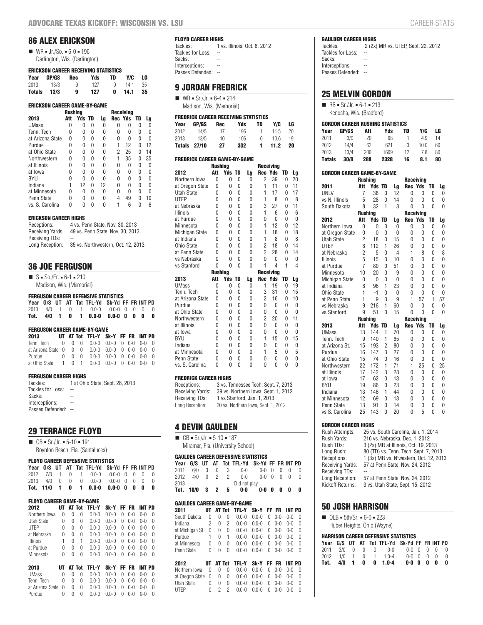# **86 ALEX ERICKSON**

| $\blacksquare$ | $WR = Jr./So. = 6-0 = 196$    |  |
|----------------|-------------------------------|--|
|                | Darlington, Wis. (Darlington) |  |

#### **ERICKSON CAREER RECEIVING STATISTICS**

| Year | GP/GS       | Rec |               | Yds TD Y/C LG |      |
|------|-------------|-----|---------------|---------------|------|
|      | 2013 13/3   | 9   | 127 0 14.1 35 |               |      |
|      | Totals 13/3 | - 9 | 127           | $0$ 14.1      | - 35 |

| <b>ERICKSON CAREER GAME-BY-GAME</b> |         |               |   |    |           |            |   |    |  |
|-------------------------------------|---------|---------------|---|----|-----------|------------|---|----|--|
|                                     | Rushina |               |   |    | Receivina |            |   |    |  |
| 2013                                | Att     | <b>Yds TD</b> |   | Lg |           | Rec Yds TD |   | Lg |  |
| <b>UMass</b>                        | 0       | 0             | 0 | 0  | N         | N          | 0 | 0  |  |
| Tenn. Tech                          | 0       | 0             | 0 | 0  | 0         | 0          | 0 | 0  |  |
| at Arizona State                    | N       | <sup>0</sup>  | 0 | N  | N         | O          | N | O  |  |
| Purdue                              | N       | 0             | 0 | 0  | 1         | 12         | 0 | 12 |  |
| at Ohio State                       | 0       | 0             | 0 | 0  | 2         | 25         | 0 | 14 |  |
| Northwestern                        | O       | O             | U | U  | 1         | 35         | N | 35 |  |
| at Illinois                         | N       | 0             | 0 | 0  | N         | O          | N | 0  |  |
| at Iowa                             | N       | 0             | 0 | U  | N         | O          | U | 0  |  |
| BYU                                 | N       | O             | N | N  | N         | O          | N | N  |  |
| Indiana                             |         | 12            | 0 | 12 | N         | O          | N | N  |  |
| at Minnesota                        | O       | 0             | 0 | 0  | N         | O          | 0 | 0  |  |
| Penn State                          | N       | N             | N | N  | 4         | 49         | N | 19 |  |
| vs. S. Carolina                     | N       | N             | N | N  |           | 6          | N | 6  |  |

#### **ERICKSON CAREER HIGHS**

| Receptions:      | 4 vs. Penn State, Nov. 30, 2013    |
|------------------|------------------------------------|
| Receiving Yards: | 49 vs. Penn State, Nov. 30, 2013   |
| Receiving TDs:   | $-$                                |
| Long Reception:  | 35 vs. Northwestern, Oct. 12, 2013 |

# **36 JOE FERGUSON**

| $\blacksquare$ S = So./Fr. = 6-1 = 210 |
|----------------------------------------|
| Madison, Wis. (Memorial)               |

#### **FERGUSON CAREER DEFENSIVE STATISTICS**

|  |  | Year G/S UT AT Tot TFL-Yd Sk-Yd FF FR INT PD |  |  |  |
|--|--|----------------------------------------------|--|--|--|
|  |  | 2013 4/0 1 0 1 0.0-0 0.0-0 0 0 0 0           |  |  |  |
|  |  | Tot. 4/0 1 0 1 0.0-0 0.0-0 0 0 0 0           |  |  |  |

#### **FERGUSON CAREER GAME-BY-GAME**

| 2013                                           |  | UT AT Tot TFL-Y Sk-Y FF FR INT PD |  |  |  |
|------------------------------------------------|--|-----------------------------------|--|--|--|
| Tenn. Tech 0 0 0 0.0-0 0.0-0 0 0-0 0-0 0       |  |                                   |  |  |  |
| at Arizona State 0 0 0 0.0-0 0.0-0 0 0-0 0-0 0 |  |                                   |  |  |  |
| Purdue 0 0 0 0.0-0 0.0-0 0 0-0 0-0 0           |  |                                   |  |  |  |
| at Ohio State 1 0 1 0.0-0 0.0-0 0 0-0 0-0 0    |  |                                   |  |  |  |

#### **FERGUSON CAREER HIGHS**

| Tackles:          | 1 at Ohio State, Sept. 28, 2013 |
|-------------------|---------------------------------|
| Tackles for Loss: | $-$                             |
| Sacks:            |                                 |
| Interceptions:    | --                              |
| Passes Defended:  |                                 |

#### **29 TERRANCE FLOYD**

 $\blacksquare$  CB = Sr./Jr. = 5-10 = 191 Boynton Beach, Fla. (Santaluces)

#### **FLOYD CAREER DEFENSIVE STATISTICS**

|  |  | Year G/S UT AT Tot TFL-Yd Sk-Yd FF FR INT PD |  |  |  |
|--|--|----------------------------------------------|--|--|--|
|  |  | 2012 7/0 1 0 1 0.0-0 0.0-0 0 0 0 0           |  |  |  |
|  |  | 2013 4/0 0 0 0 0.0-0 0.0-0 0 0 0 0           |  |  |  |
|  |  | Tot. 11/0 1 0 1 0.0-0 0.0-0 0 0 0 0          |  |  |  |

#### **FLOYD CAREER GAME-BY-GAME**

| 2012            |   |   | AT Tot | <b>TFL-Y</b> | Sk-Y      |   | FF FR   | INT PD  |          |
|-----------------|---|---|--------|--------------|-----------|---|---------|---------|----------|
| Northern Iowa   | 0 | O | 0      | $0.0 - 0$    | 0 0-0     |   | $0 - 0$ | $0 - 0$ | Λ        |
| Utah State      | 0 | 0 | 0      | $0.0 - 0$    | $0.0 - 0$ | 0 | $0 - 0$ | $0 - 0$ | $\Omega$ |
| <b>UTEP</b>     | 0 | 0 | 0      | $0.0 - 0$    | $0.0 - 0$ | 0 | $0 - 0$ | $0 - 0$ | $\cup$   |
| at Nebraska     | U | 0 | 0      | $0.0 - 0$    | $0.0 - 0$ | 0 | $0 - 0$ | $0 - 0$ | $\cup$   |
| <b>Illinois</b> | 1 | 0 |        | $0.0 - 0$    | $0.0 - 0$ | 0 | $0 - 0$ | $0 - 0$ | $\cup$   |
| at Purdue       | U | 0 | 0      | $0.0 - 0$    | $0 - 0$   | 0 | $0 - 0$ | $0 - 0$ | O        |
| Minnesota       | 0 | 0 | 0      | $0.0 - 0$    | $0 - 0$   | U | $0 - 0$ | $0 - 0$ | $\cup$   |
|                 |   |   |        |              |           |   |         |         |          |

| 2013                                           |  | UT AT Tot TFL-Y Sk-Y FF FR INT PD                       |  |  |  |
|------------------------------------------------|--|---------------------------------------------------------|--|--|--|
| UMass                                          |  | $0 \t 0 \t 0 \t 0.0-0 \t 0.0-0 \t 0 \t 0-0 \t 0-0 \t 0$ |  |  |  |
| Tenn. Tech 0 0 0 0.0-0 0.0-0 0 0-0 0-0 0       |  |                                                         |  |  |  |
| at Arizona State 0 0 0 0.0-0 0.0-0 0 0-0 0-0 0 |  |                                                         |  |  |  |
| Purdue                                         |  | $0 \t 0 \t 0 \t 0.0 - 0 \t 0.0 - 0 \t 0 \t 0 - 0 \t 0$  |  |  |  |

# **FLOYD CAREER HIGHS**<br>Tackles: 1 vs

1 vs. Illinois, Oct. 6, 2012 Tackles for Loss: --<br>Sacks: --Sacks:

- Interceptions: --
- Passes Defended: --

# **9 JORDAN FREDRICK**

 $W = \text{Sr./Jr.} = 6-4 = 214$ Madison, Wis. (Memorial)

#### **FREDRICK CAREER RECEIVING STATISTICS**

| Year  | GP/GS        | Rec | Yds | TD           | Y/C  | LG |
|-------|--------------|-----|-----|--------------|------|----|
| 2012  | 14/5         | 17  | 196 | $\mathbf{1}$ | 11.5 | 20 |
| 2013. | 13/5         | 10  | 106 | n            | 106  | 19 |
|       | Totals 27/10 | 27  | 302 | 1.           | 11.2 | 20 |

| <b>FREDRICK CAREER GAME-BY-GAME</b> |                |               |        |          |                  |                     |    |    |  |  |
|-------------------------------------|----------------|---------------|--------|----------|------------------|---------------------|----|----|--|--|
|                                     | <b>Rushing</b> |               |        |          | <b>Receiving</b> |                     |    |    |  |  |
| 2012                                | Att            | <b>Yds TD</b> |        | Lg       | <b>Rec Yds</b>   |                     | TD | Lg |  |  |
| Northern Iowa                       | U              | 0             | 0      | 0        | 2                | 39                  | 0  | 20 |  |  |
| at Oregon State                     | 0              | 0             | 0      | 0        | 1                | 11                  | 0  | 11 |  |  |
| <b>Utah State</b>                   | 0              | 0             | 0      | 0        | 1                | 17                  | 0  | 17 |  |  |
| <b>UTEP</b>                         | O              | 0             | 0      | 0        | 1                | 8                   | 0  | 8  |  |  |
| at Nebraska                         | $\Omega$       | 0             | 0      | 0        | 3                | 27                  | 0  | 11 |  |  |
| <b>Illinois</b>                     | $\Omega$       | 0             | 0      | 0        | 1                | 6                   | 0  | 6  |  |  |
| at Purdue                           | $\Omega$       | 0             | 0      | 0        | 0                | 0                   | 0  | 0  |  |  |
| Minnesota                           | O              | 0             | 0      | 0        | 1                | 12                  | 0  | 12 |  |  |
| <b>Michigan State</b>               | 0              | 0             | 0      | 0        | 1                | 18                  | 0  | 18 |  |  |
| at Indiana                          | O              | 0             | 0      | 0        | 1                | 8                   | 0  | 8  |  |  |
| Ohio State                          | O              | 0             | 0      | 0        | $\overline{2}$   | 18                  | 0  | 14 |  |  |
| at Penn State                       | $\Omega$       | 0             | 0      | 0        | $\overline{2}$   | 28                  | 0  | 14 |  |  |
| vs Nebraska                         | O              | 0             | 0      | 0        | 0                | 0                   | 0  | 0  |  |  |
| vs Stanford                         | 0              | 0             | 0      | 0        | 1                | $\overline{4}$      | 1  | 4  |  |  |
|                                     | <b>Rushing</b> |               |        |          |                  | <b>Receiving</b>    |    |    |  |  |
| 2013                                | Att            | Yds           | TD     | Lg       | <b>Rec Yds</b>   |                     | TD | Lg |  |  |
| <b>UMass</b>                        | 0              | 0             | 0      | 0        | 1                | 19                  | 0  | 19 |  |  |
| Tenn. Tech                          | U              | 0             | 0      | 0        | 3                | 31                  | 0  | 15 |  |  |
| at Arizona State                    | U              | 0             | 0      | 0        | $\overline{2}$   | 16                  | 0  | 10 |  |  |
| Purdue                              | O              | 0             | 0      | 0        | 0                | 0                   | 0  | 0  |  |  |
| at Ohio State                       | O              | 0             | 0      | $\Omega$ | 0                | 0                   | 0  | 0  |  |  |
| Northwestern                        | O              | 0             | 0      | 0        | $\overline{2}$   | 20                  | 0  | 11 |  |  |
| at Illinois                         | O              | 0             | 0      | 0        | 0                | 0                   | 0  | 0  |  |  |
| at Iowa                             | O              | 0             | 0      | 0        | 0                | 0                   | 0  | 0  |  |  |
| <b>BYU</b>                          | O              | 0             | 0      | 0        | 1                | 15                  | 0  | 15 |  |  |
| Indiana                             | O              | 0             | 0      | 0        | 0                | 0                   | 0  | 0  |  |  |
| at Minnesota                        | O              | 0             | 0      | 0        | 1                | 5                   | 0  | 5  |  |  |
| Penn State                          |                |               |        |          | 0                |                     |    |    |  |  |
|                                     | 0              | 0             | 0<br>0 | 0        |                  | 0<br>$\overline{0}$ | 0  | 0  |  |  |

#### **FREDRICK CAREER HIGHS**

| Receptions:      | 3 vs. Tennessee Tech, Sept. 7, 2013 |
|------------------|-------------------------------------|
| Receiving Yards: | 39 vs. Northern Iowa, Sept. 1, 2012 |
| Receiving TDs:   | 1 vs Stanford, Jan. 1, 2013         |
| Long Reception:  | 20 vs. Northern Iowa, Sept. 1, 2012 |

# **4 DEVIN GAULDEN**

 $\blacksquare$  CB = Sr./Jr. = 5-10 = 187 Miramar, Fla. (University School)

#### **GAULDEN CAREER DEFENSIVE STATISTICS**

|      |               |  |  |   | Year G/S UT AT Tot TFL-Yd Sk-Yd FF FR INT PD |             |  |  |    |  |
|------|---------------|--|--|---|----------------------------------------------|-------------|--|--|----|--|
|      |               |  |  |   | 2011 6/0 3 0 3 0-0                           | $0-0$ 0 0 0 |  |  |    |  |
| 2012 |               |  |  |   | 4/0 0 2 2 0-0                                | 0-0000      |  |  |    |  |
| 2013 | Did not play  |  |  |   |                                              |             |  |  |    |  |
|      | Tot. 10/0 3 2 |  |  | 5 | 0-0                                          | $0-0$ $0$   |  |  | 00 |  |

#### **GAULDEN CAREER GAME-BY-GAME**

| 2011            | UТ |          |        | AT Tot TFL-Y | Sk-Y      |        | FF FR   | INT PD  |          |
|-----------------|----|----------|--------|--------------|-----------|--------|---------|---------|----------|
| South Dakota    | 0  | U        | 0      | $0.0 - 0$    | $0.0 - 0$ | 0      | $0 - 0$ | $0 - 0$ | $\cup$   |
| Indiana         | 2  | $\Omega$ | 2      | $0.0 - 0$    | $0.0 - 0$ | 0      | $0 - 0$ | $0 - 0$ | $\Omega$ |
| at Michigan St. | 0  | $\Omega$ | 0      | $0.0 - 0$    | $0.0 - 0$ | 0      | $0 - 0$ | $0 - 0$ | $\Omega$ |
| Purdue          |    | 0        | 1      | $0.0 - 0$    | $0.0 - 0$ | 0      | $0 - 0$ | 0-0     | $\cup$   |
| at Minnesota    | 0  | 0        | 0      | $0.0 - 0$    | $0.0 - 0$ | U      | $0 - 0$ | $0 - 0$ | $\Omega$ |
| Penn State      | 0  | U        | O      | $0.0 - 0$    | $0.0 - 0$ | 0      | $0 - 0$ | 0-0     | $\Omega$ |
| 2012            | UТ |          | AT Tot | <b>TFL-Y</b> | Sk-Y      |        | FF FR   | INT PD  |          |
| Northern Jowa   | Λ  | U        | U      | በ በ-በ        | በ በ-በ     | $\cap$ | $0 - 0$ | በ-በ     | $\cap$   |

| ZUIZ |  | UI ALIUL IFL'I JA'I FF FR INIFU                                                         |  |  |  |
|------|--|-----------------------------------------------------------------------------------------|--|--|--|
|      |  |                                                                                         |  |  |  |
|      |  |                                                                                         |  |  |  |
|      |  |                                                                                         |  |  |  |
| UTEP |  | $0 \quad 2 \quad 2 \quad 0.0 - 0 \quad 0.0 - 0 \quad 0 \quad 0 - 0 \quad 0 - 0 \quad 0$ |  |  |  |

# **GAULDEN CAREER HIGHS**<br>Tackles: 2 (2x)

2 (2x) MR vs. UTEP, Sept. 22, 2012 Tackles for Loss: --<br>Sacks: --

- Sacks:
- Interceptions: --
- Passes Defended: --

# **25 MELVIN GORDON**

 $\blacksquare$  RB = Sr./Jr. = 6-1 = 213

# Kenosha, Wis. (Bradford)

| <b>GORDON CAREER RUSHING STATISTICS</b> |              |     |      |    |      |    |  |  |  |  |  |  |
|-----------------------------------------|--------------|-----|------|----|------|----|--|--|--|--|--|--|
| Year                                    | <b>GP/GS</b> | Att | Yds  | TD | Y/C  | LG |  |  |  |  |  |  |
| 2011                                    | 3/0          | 20  | 98   |    | 49   | 14 |  |  |  |  |  |  |
| 2012                                    | 14/4         | 62  | 621  | 3  | 10.0 | 60 |  |  |  |  |  |  |
| 2013                                    | 13/4         | 206 | 1609 | 12 | 78   | 80 |  |  |  |  |  |  |
| <b>Totals</b>                           | 30/8         | 288 | 2328 | 16 | 8.1  | 80 |  |  |  |  |  |  |

| <b>GORDON CAREER GAME-BY-GAME</b> |                            |                |                |                |                |                |                  |                              |                |  |  |
|-----------------------------------|----------------------------|----------------|----------------|----------------|----------------|----------------|------------------|------------------------------|----------------|--|--|
|                                   |                            | <b>Rushing</b> |                |                |                |                | <b>Receiving</b> |                              |                |  |  |
|                                   | 2011                       | Att            | Yds            | TD             | Lg             | <b>Rec Yds</b> |                  | TD                           | Lg             |  |  |
|                                   | <b>UNLV</b>                | 7              | 38             | $\mathbf{0}$   | 12             | 0              | 0                | 0                            | 0              |  |  |
|                                   | vs N. Illinois             | 5              | 28             | $\Omega$       | 14             | $\Omega$       | $\Omega$         | $\Omega$                     | $\overline{0}$ |  |  |
|                                   | South Dakota               | 8              | 32             | 1              | 8              | 0              | $\Omega$         | $\Omega$                     | O              |  |  |
|                                   |                            | <b>Rushing</b> |                |                |                |                | <b>Receiving</b> |                              |                |  |  |
|                                   | 2012                       | Att            | <b>Yds</b>     | TD             | Lg             | <b>Rec Yds</b> |                  | TD                           | Lg             |  |  |
|                                   | Northern Iowa              | 0              | 0              | $\Omega$       | 0              | 0              | $\Omega$         | 0                            | 0              |  |  |
|                                   | at Oregon State            | 0              | $\overline{0}$ | 0              | 0              | 0              | 0                | 0                            | 0              |  |  |
|                                   | <b>Utah State</b>          | $\overline{2}$ | 18             | 0              | 15             | 0              | 0                | 0                            | 0              |  |  |
|                                   | <b>UTEP</b>                | 8              | 112            | 1              | 26             | 0              | 0                | 0                            | $\overline{0}$ |  |  |
|                                   | at Nebraska                | $\overline{2}$ | 5              | $\Omega$       | $\overline{4}$ | 1              | 8                | $\Omega$                     | 8              |  |  |
|                                   | <b>Illinois</b>            | 5              | 15             | $\mathbf{0}$   | 10             | $\Omega$       | 0                | 0                            | 0              |  |  |
|                                   | at Purdue                  | $\overline{7}$ | 80             | $\Omega$       | 51             | $\Omega$       | $\Omega$         | $\Omega$                     | 0              |  |  |
|                                   | Minnesota                  | 10             | 20             | $\Omega$       | 9              | 0              | $\Omega$         | $\Omega$                     | 0              |  |  |
|                                   | Michigan State             | 0              | 0              | $\mathbf{0}$   | 0              | 0              | $\Omega$         | $\Omega$                     | $\theta$       |  |  |
|                                   | at Indiana                 | 8              | 96             | 1              | 23             | 0              | 0                | 0                            | 0              |  |  |
|                                   | Ohio State                 | $\mathbf{1}$   | $-1$           | $\Omega$       | $\mathbf{0}$   | $\Omega$       | $\mathbf{0}$     | $\theta$                     | 0              |  |  |
|                                   | at Penn State              | 1              | 9              | $\mathbf{0}$   | 9              | 1              | 57               | 1                            | 57             |  |  |
|                                   | vs Nebraska                | 9              | 216            | 1              | 60             | 0              | 0                | 0                            | 0              |  |  |
|                                   | vs Stanford                | 9              | 51             | $\mathbf{0}$   | 15             | 0              | 0                | 0                            | 0              |  |  |
|                                   |                            | <b>Rushing</b> |                |                |                |                | <b>Receiving</b> |                              |                |  |  |
|                                   | 2013                       | Att            | Yds TD         |                | Lg             | <b>Rec Yds</b> |                  | TD                           | Lg             |  |  |
|                                   | <b>UMass</b>               | 13             | 144            | 1              | 70             | 0              | 0                | 0                            | 0              |  |  |
|                                   | Tenn. Tech                 | 9              | 140            | 1              | 65             | $\Omega$       | $\Omega$         | 0                            | 0              |  |  |
|                                   | at Arizona St.             | 15             | 193            | $\overline{2}$ | 80             | $\Omega$       | $\Omega$         | 0                            | 0              |  |  |
|                                   | Purdue                     | 16             | 147            | 3              | 27             | 0              | 0                | 0                            | 0              |  |  |
|                                   | at Ohio State              | 15             | 74             | $\mathbf{0}$   | 16             | 0              | 0                | 0                            | 0              |  |  |
|                                   | Northwestern               | 22<br>17       | 172<br>142     | 1<br>3         | 71<br>28       | 1              | 25               | 0                            | 25             |  |  |
|                                   | at Illinois                |                |                |                |                | 0              | 0                | 0                            | 0              |  |  |
|                                   | at Iowa                    | 17             | 62             | $\mathbf{0}$   | 13             | 0              | 0                | 0                            | 0              |  |  |
|                                   | <b>BYU</b>                 | 19             | 86             | $\mathbf{0}$   | 23             | 0              | 0                | 0                            | 0              |  |  |
|                                   | Indiana                    | 13             | 146            | 1              | 44             | 0<br>0         | 0                | $\mathbf{0}$<br>$\mathbf{0}$ | 0              |  |  |
|                                   | at Minnesota<br>Penn State | 12<br>13       | 69<br>91       | 0<br>0         | 13<br>14       | 0              | 0<br>0           | 0                            | 0<br>0         |  |  |
|                                   |                            |                |                | 0              |                | 0              | 5                | 0                            | 0              |  |  |
|                                   | vs S. Carolina             | 25             | 143            |                | 20             |                |                  |                              |                |  |  |

#### **GORDON CAREER HIGHS**

| Rush Attempts:   | 25 vs. South Carolina, Jan. 1, 2014    |
|------------------|----------------------------------------|
| Rush Yards:      | 216 vs. Nebraska, Dec. 1, 2012         |
| Rush TDs:        | 3 (2x) MR at Illinois, Oct. 19, 2013   |
| Long Rush:       | 80 (TD) vs. Tenn. Tech, Sept. 7, 2013  |
| Receptions:      | 1 (3x) MR vs. N'western, Oct. 12, 2013 |
| Receiving Yards: | 57 at Penn State, Nov. 24, 2012        |
| Receiving TDs:   |                                        |
| Long Reception:  | 57 at Penn State, Nov. 24, 2012        |
| Kickoff Returns: | 3 vs. Utah State, Sept. 15, 2012       |
|                  |                                        |

#### **50 JOSH HARRISON**

 $\Box$  OLB = 5th/Sr. = 6-0 = 223

Huber Heights, Ohio (Wayne)

#### **HARRISON CAREER DEFENSIVE STATISTICS**

|  |  | Year G/S UT AT Tot TFL-Yd Sk-Yd FF FR INT PD |                       |  |  |
|--|--|----------------------------------------------|-----------------------|--|--|
|  |  | 2011 3/0 0 0 0 0-0 0-0 0 0 0 0               |                       |  |  |
|  |  | 2012 1/0 1 0 1 1.0-4                         | $0-0$ $0$ $0$ $0$ $0$ |  |  |
|  |  | Tot. 4/0 1 0 0 1.0-4                         | $0 - 0$ 0 0 0 0       |  |  |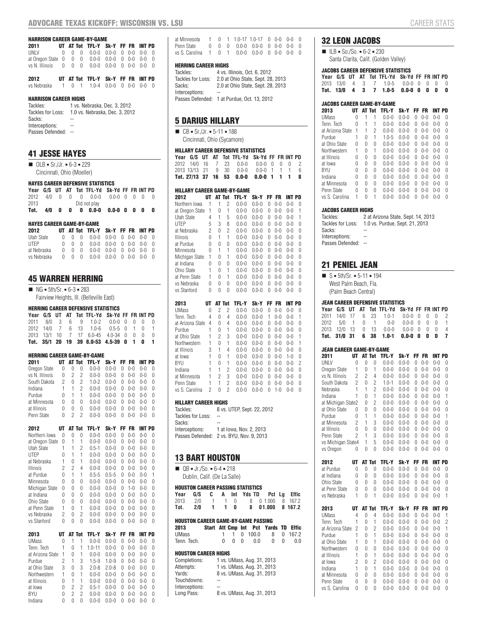#### **HARRISON CAREER GAME-BY-GAME**

| 2011                                          |  | UT AT Tot TFL-Y Sk-Y FF FR INT PD |  |  |  |
|-----------------------------------------------|--|-----------------------------------|--|--|--|
| UNLV 0 0 0 0.0-0 0.0-0 0 0-0 0-0 0            |  |                                   |  |  |  |
| at Oregon State 0 0 0 0.0-0 0.0-0 0 0-0 0-0 0 |  |                                   |  |  |  |
| vs N. Illinois 0 0 0 0.0-0 0.0-0 0 0-0 0-0 0  |  |                                   |  |  |  |
|                                               |  |                                   |  |  |  |
| 2012                                          |  | UT AT Tot TFL-Y Sk-Y FF FR INT PD |  |  |  |

| vs Nebraska 1 0 1 1.0-4 0.0-0 0 0-0 0-0 0 |  |  |  |  |  |  |  |  |  |
|-------------------------------------------|--|--|--|--|--|--|--|--|--|
|-------------------------------------------|--|--|--|--|--|--|--|--|--|

#### **HARRISON CAREER HIGHS**

| Tackles:          | 1 vs. Nebraska, Dec. 3, 2012   |
|-------------------|--------------------------------|
| Tackles for Loss: | 1.0 vs. Nebraska, Dec. 3, 2012 |
| Sacks:            |                                |
| Interceptions:    | --                             |
| Passes Defended:  |                                |

# **41 JESSE HAYES**

 $\Box$  OLB = Sr./Jr. = 6-3 = 229 Cincinnati, Ohio (Moeller)

#### **HAYES CAREER DEFENSIVE STATISTICS**

|            |   |              | Year G/S UT AT Tot TFL-Yd Sk-Yd FF FR INT PD |                 |  |  |
|------------|---|--------------|----------------------------------------------|-----------------|--|--|
|            |   |              | 2012 4/0 0 0 0 0.0-0 0.0-0 0 0 0             |                 |  |  |
| 2013       |   |              | Did not play                                 |                 |  |  |
| Tot. $4/0$ | 0 | $\mathbf{0}$ | $0\quad 0.0-0$                               | $0.0 - 0$ 0 0 0 |  |  |

#### **HAYES CAREER GAME-BY-GAME**

| 2012        |  | UT AT Tot TFL-Y Sk-Y FF FR INT PD                       |  |  |  |
|-------------|--|---------------------------------------------------------|--|--|--|
| Utah State  |  | $0 \t 0 \t 0 \t 0.0 - 0 \t 0.0 - 0 \t 0 \t 0 - 0 \t 0$  |  |  |  |
| IIFP        |  | $0 \t 0 \t 0 \t 0.0 - 0 \t 0.0 - 0 \t 0 \t 0 - 0 \t 0$  |  |  |  |
| at Nebraska |  | $0 \t 0 \t 0 \t 0.0-0 \t 0.0-0 \t 0 \t 0-0 \t 0-0 \t 0$ |  |  |  |
| vs Nebraska |  | $0 \t 0 \t 0 \t 0.0-0 \t 0.0-0 \t 0 \t 0-0 \t 0-0 \t 0$ |  |  |  |

### **45 WARREN HERRING**

 $\blacksquare$  NG = 5th/Sr. = 6-3 = 283 Fairview Heights, Ill. (Belleville East)

#### **HERRING CAREER DEFENSIVE STATISTICS**

|  |  | Year G/S UT AT Tot TFL-Yd Sk-Yd FF FR INT PD |  |  |  |
|--|--|----------------------------------------------|--|--|--|
|  |  | 2011 8/0 3 6 9 1.0-2 0.0-0 0 0 0 0           |  |  |  |
|  |  | 2012 14/0 7 6 13 1.0-6 0.5-5 0 1 0 1         |  |  |  |
|  |  | 2013 13/1 10 7 17 6.0-45 4.0-34 0 0 0 0      |  |  |  |
|  |  | Tot. 35/1 20 19 39 8.0-53 4.5-39 0 1 0       |  |  |  |

#### **HERRING CAREER GAME-BY-GAME**

| 2011            | UТ |   | AT Tot | TFL-Y     | Sk-Y      |        | FF FR         | INT PD        |          |
|-----------------|----|---|--------|-----------|-----------|--------|---------------|---------------|----------|
| Oregon State    | 0  | 0 | 0      | $0.0 - 0$ | $0.0 - 0$ | 0      | $0 - 0$       | $0 - 0$       | 0        |
| vs N. Illinois  | 0  | 2 | 2      | $0.0 - 0$ | $0.0 - 0$ | U      | $0 - 0$       | $0 - 0$       | $\theta$ |
| South Dakota    | 2  | 0 | 2      | $1.0 - 2$ | $0.0 - 0$ | Λ      | $0 - 0$       | $0 - 0$       | 0        |
| Indiana         | 1  | 1 | 2      | $0.0 - 0$ | $0.0 - 0$ | U      | $0 - 0$       | $0 - 0$       | 0        |
| Purdue          | 0  | 1 |        | $0.0 - 0$ | $0.0 - 0$ | 0      | $0 - 0$       | $0 - 0$       | $\theta$ |
| at Minnesota    | 0  | 0 | 0      | $0.0 - 0$ | $0.0 - 0$ | U      | $0 - 0$       | $0 - 0$       | 0        |
| at Illinois     | O  | 0 | 0      | $0.0 - 0$ | $0.0 - 0$ | Λ      | $0 - 0$       | $0 - 0$       | $\theta$ |
| Penn State      | 0  | 2 | 2      | $0.0 - 0$ | $0.0 - 0$ | Λ      | $0 - 0$       | $0 - 0$       | U        |
| 2012            | UТ |   | AT Tot | TFL-Y     | Sk-Y      | FF.    | FR            | INT PD        |          |
| Northern Iowa   | U  | U | 0      | $0.0 - 0$ | $0.0 - 0$ | U      | $0 - 0$       | $0 - 0$       | O        |
| at Oregon State | 0  | 1 |        | $0.0 - 0$ | $0.0 - 0$ | Λ      | $0 - 0$       | $0 - 0$       | U        |
| $Hch$ $Ch + ah$ | 4  | и | ∩      | 0 E 1     | 000       | $\cap$ | $\cap$ $\cap$ | $\cap$ $\cap$ | $\cap$   |

| Utah State       | 1              | 1              | 2            | $0.5 - 1$  | $0.0 - 0$ | U  | $0 - 0$   | $0 - 0$ | 0 |
|------------------|----------------|----------------|--------------|------------|-----------|----|-----------|---------|---|
| <b>UTEP</b>      | 0              | 1              | $\mathbf{1}$ | $0.0 - 0$  | $0.0 - 0$ | U  | $0 - 0$   | $0 - 0$ | 0 |
| at Nebraska      | 1              | 0              | 1            | $0.0 - 0$  | $0.0 - 0$ | 0  | $0 - 0$   | $0 - 0$ | 0 |
| <b>Illinois</b>  | $\overline{c}$ | $\overline{c}$ | 4            | $0.0 - 0$  | $0.0 - 0$ | 0  | $0 - 0$   | $0 - 0$ | 0 |
| at Purdue        | 0              | 1              | 1            | $0.5 - 5$  | $0.5 - 5$ | U  | $0 - 0$   | $0 - 0$ | 1 |
| Minnesota        | 0              | 0              | 0            | $0.0 - 0$  | $0.0 - 0$ | 0  | $0 - 0$   | $0 - 0$ | 0 |
| Michigan State   | 0              | 0              | 0            | $0.0 - 0$  | $0.0 - 0$ | U  | $1 - 0$   | $0 - 0$ | 0 |
| at Indiana       | 0              | 0              | 0            | $0.0 - 0$  | $0.0 - 0$ | 0  | $0 - 0$   | $0 - 0$ | 0 |
| Ohio State       | 0              | 0              | 0            | $0.0 - 0$  | $0.0 - 0$ | 0  | $0 - 0$   | $0 - 0$ | 0 |
| at Penn State    | 1              | 0              | 1            | $0.0 - 0$  | $0.0 - 0$ | U  | $0 - 0$   | $0 - 0$ | 0 |
| vs Nebraska      | 2              | 0              | 2            | $0.0 - 0$  | $0.0 - 0$ | 0  | $0 - 0$   | $0 - 0$ | 0 |
| vs Stanford      | 0              | 0              | 0            | $0.0 - 0$  | $0.0 - 0$ | 0  | $0 - 0$   | $0 - 0$ | 0 |
| 2013             | UT             | AT Tot         |              | TFL-Y      | Sk-Y      | FF | <b>FR</b> | INT PD  |   |
|                  |                |                |              |            |           |    |           |         |   |
| <b>UMass</b>     | 0              | 1              | 1            | $0.0 - 0$  | $0.0 - 0$ | 0  | $0 - 0$   | $0 - 0$ | O |
| Tenn. Tech       | 1              | 0              | 1            | $1.0 - 11$ | $0.0 - 0$ | 0  | $0 - 0$   | $0 - 0$ | 0 |
| at Arizona State | 1              | 0              | 1            | $0.0 - 0$  | $0.0 - 0$ | 0  | $0 - 0$   | $0 - 0$ | 0 |
| Purdue           | 2              | 1              | 3            | $1.5 - 9$  | $1.0 - 9$ | O  | $0 - 0$   | $0 - 0$ | 0 |
| at Ohio State    | 3              | 0              | 3            | $2.0 - 8$  | $2.0 - 8$ | 0  | $0 - 0$   | $0 - 0$ | 0 |
| Northwestern     | 1              | 0              | 1            | $0.0 - 0$  | $0.0 - 0$ | O  | $0 - 0$   | $0 - 0$ | 0 |
| at Illinois      | 0              | 1              | 1            | $0.0 - 0$  | $0.0 - 0$ | O  | $0 - 0$   | $0 - 0$ | 0 |
| at Iowa          | 0              | $\overline{c}$ | 2            | $0.5 - 1$  | $0.0 - 0$ | 0  | $0 - 0$   | $0 - 0$ | 0 |
| <b>BYU</b>       | 0              | $\overline{c}$ | 2            | $0.0 - 0$  | $0.0 - 0$ | O  | $0 - 0$   | $0 - 0$ | 0 |

| at Minnesota                                 |  | $1 \t 0 \t 1 \t 1.0 - 17 \t 1.0 - 17 \t 0 \t 0 - 0 \t 0 - 0$                            |  |  |  |
|----------------------------------------------|--|-----------------------------------------------------------------------------------------|--|--|--|
| Penn State                                   |  | $0 \quad 0 \quad 0 \quad 0.0 - 0 \quad 0.0 - 0 \quad 0 \quad 0 - 0 \quad 0 - 0 \quad 0$ |  |  |  |
| vs S. Carolina 1 0 1 0.0-0 0.0-0 0 0-0 0-0 0 |  |                                                                                         |  |  |  |

#### **HERRING CAREER HIGHS**

| Tackles:          | 4 vs. Illinois, Oct. 6, 2012                |
|-------------------|---------------------------------------------|
| Tackles for Loss: | 2.0 at Ohio State, Sept. 28, 2013           |
| Sacks:            | 2.0 at Ohio State, Sept. 28, 2013           |
| Interceptions:    |                                             |
|                   | Passes Defended: 1 at Purdue, Oct. 13, 2012 |

# **5 DARIUS HILLARY**

 $\blacksquare$  CB = Sr./Jr. = 5-11 = 188 Cincinnati, Ohio (Sycamore)

#### **HILLARY CAREER DEFENSIVE STATISTICS**

|  |  | Year G/S UT AT Tot TFL-Yd Sk-Yd FF FR INT PD |  |  |  |
|--|--|----------------------------------------------|--|--|--|
|  |  | 2012 14/0 16 7 23 0.0-0 0.0-0 0 0 0 2        |  |  |  |
|  |  | 2013 13/13 21 9 30 0.0-0 0.0-0 1 1 1 6       |  |  |  |
|  |  | Tot. 27/13 37 16 53 0.0-0 0.0-0 1 1 1 8      |  |  |  |

#### **HILLARY CAREER GAME-BY-GAME**

| 2012              | UT             | <b>AT Tot</b>  |                | TFL-Y     | Sk-Y      | FF       | FR      | <b>INT PD</b> |                |
|-------------------|----------------|----------------|----------------|-----------|-----------|----------|---------|---------------|----------------|
| Northern Iowa     | 1              | 1              | 2              | $0.0 - 0$ | $0.0 - 0$ | 0        | $0 - 0$ | $0 - 0$       | 0              |
| at Oregon State   | 1              | 0              | 1              | $0.0 - 0$ | $0.0 - 0$ | 0        | $0 - 0$ | $0 - 0$       | 1              |
| <b>Utah State</b> | 4              | 1              | 5              | $0.0 - 0$ | $0.0 - 0$ | 0        | $0 - 0$ | $0 - 0$       | 1              |
| <b>UTEP</b>       | 5              | 3              | 8              | $0.0 - 0$ | $0.0 - 0$ | 0        | $0 - 0$ | $0 - 0$       | 0              |
| at Nebraska       | $\overline{2}$ | 0              | $\overline{c}$ | $0.0 - 0$ | $0.0 - 0$ | 0        | $0 - 0$ | $0 - 0$       | 0              |
| <b>Illinois</b>   | 0              | 1              | $\mathbf{1}$   | $0.0 - 0$ | $0.0 - 0$ | 0        | $0 - 0$ | $0 - 0$       | 0              |
| at Purdue         | 0              | 0              | $\theta$       | $0.0 - 0$ | $0.0 - 0$ | 0        | $0 - 0$ | $0 - 0$       | 0              |
| Minnesota         | 0              | 1              | 1              | $0.0 - 0$ | $0.0 - 0$ | 0        | $0 - 0$ | $0 - 0$       | 0              |
| Michigan State    | 1              | 0              | 1              | $0.0 - 0$ | $0.0 - 0$ | 0        | $0 - 0$ | $0 - 0$       | 0              |
| at Indiana        | $\overline{0}$ | 0              | 0              | $0.0 - 0$ | $0.0 - 0$ | 0        | $0 - 0$ | $0 - 0$       | 0              |
| Ohio State        | 1              | 0              | 1              | $0.0 - 0$ | $0.0 - 0$ | 0        | $0 - 0$ | $0 - 0$       | 0              |
| at Penn State     | 1              | 0              | 1              | $0.0 - 0$ | $0.0 - 0$ | 0        | $0 - 0$ | $0 - 0$       | 0              |
| vs Nebraska       | 0              | 0              | 0              | $0.0 - 0$ | $0.0 - 0$ | 0        | $0 - 0$ | $0 - 0$       | 0              |
| vs Stanford       | 0              | 0              | $\theta$       | $0.0 - 0$ | $0.0 - 0$ | 0        | $0 - 0$ | $0 - 0$       | 0              |
|                   |                |                |                |           |           |          |         |               |                |
| 2013              | UT             | <b>AT Tot</b>  |                | TFL-Y     | Sk-Y      | FF       | FR      | <b>INT PD</b> |                |
| <b>UMass</b>      | 0              | $\overline{c}$ | 2              | $0.0 - 0$ | $0.0 - 0$ | $\Omega$ | $0 - 0$ | $0 - 0$       | 0              |
| Tenn. Tech        | 4              | 0              | 4              | $0.0 - 0$ | $0.0 - 0$ | 1        | $0 - 0$ | $0 - 0$       | 1              |
| at Arizona State  | 4              | 0              | 4              | $0.0 - 0$ | $0.0 - 0$ | 0        | $0 - 0$ | $0 - 0$       | 0              |
| Purdue            | 1              | 0              | 1              | $0.0 - 0$ | $0.0 - 0$ | 0        | $0 - 0$ | $0 - 0$       | 0              |
| at Ohio State     | 1              | $\overline{c}$ | 3              | $0.0 - 0$ | $0.0 - 0$ | 0        | $0 - 0$ | $0 - 0$       | 1              |
| Northwestern      | 1              | 0              | $\overline{1}$ | $0.0 - 0$ | $0.0 - 0$ | 0        | $0 - 0$ | $0 - 0$       | 1              |
| at Illinois       | 3              | 1              | 4              | $0.0 - 0$ | $0.0 - 0$ | 0        | $0 - 0$ | $0 - 0$       | 0              |
| at Iowa           | 1              | 0              | 1              | $0.0 - 0$ | $0.0 - 0$ | 0        | $0 - 0$ | $1 - 0$       | 0              |
| BYU               | 1              | 0              | 1              | $0.0 - 0$ | $0.0 - 0$ | 0        | $0 - 0$ | $0 - 0$       | $\overline{c}$ |
| Indiana           | 1              | 1              | $\overline{c}$ | $0.0 - 0$ | $0.0 - 0$ | 0        | $0 - 0$ | $0 - 0$       | 0              |
| at Minnesota      | 1              | $\overline{c}$ | 3              | $0.0 - 0$ | $0.0 - 0$ | 0        | $0 - 0$ | $0 - 0$       | 0              |
| Penn State        | 1              | 1              | $\overline{c}$ | $0.0 - 0$ | $0.0 - 0$ | 0        | $0 - 0$ | $0 - 0$       | 0              |
| vs S. Carolina    | $\overline{c}$ | 0              | $\overline{c}$ | $0.0 - 0$ | $0.0 - 0$ | 0        | $1 - 0$ | $0 - 0$       | 0              |

| Tackles:          | 8 vs. UTEP, Sept. 22, 2012               |
|-------------------|------------------------------------------|
| Tackles for Loss: | --                                       |
| Sacks:            |                                          |
| Interceptions:    | 1 at lowa. Nov. 2, 2013                  |
|                   | Passes Defended: 2 vs. BYU, Nov. 9, 2013 |

# **13 BART HOUSTON**

| $\blacksquare$ QB = Jr./So. = 6-4 = 218 |  |
|-----------------------------------------|--|
| Dublin, Calif. (De La Salle)            |  |

Interceptions: --

#### **HOUSTON CAREER PASSING STATISTICS**

|  |  |  | Year G/S C A Int YdsTD Pct La Effic       |  |
|--|--|--|-------------------------------------------|--|
|  |  |  | 2013  2/0  1  1  0  8  0  1.000  8  167.2 |  |
|  |  |  |                                           |  |
|  |  |  |                                           |  |

| HOUSTON CAREER GAME-BY-GAME PASSING |   |          |              |                                      |   |              |       |
|-------------------------------------|---|----------|--------------|--------------------------------------|---|--------------|-------|
| 2013                                |   |          |              | Start Att Cmp Int Pct Yards TD Effic |   |              |       |
| UMass                               |   |          |              | 1 0 100.0                            | 8 | 0            | 167.2 |
| Tenn. Tech.                         | 0 | $\Omega$ | <sup>0</sup> | 0.0                                  | 0 | <sup>0</sup> | 0.0   |
| HOUSTON CAREER HIGHS                |   |          |              |                                      |   |              |       |
| Completions:                        |   |          |              | 1 vs. UMass, Aug. 31, 2013           |   |              |       |
| Attempts:                           |   |          |              | 1 vs. UMass, Aug. 31, 2013           |   |              |       |
| Yards:                              |   |          |              | 8 vs. UMass, Aug. 31, 2013           |   |              |       |
| Touchdowns:                         |   |          |              |                                      |   |              |       |

Long Pass: 8 vs. UMass, Aug. 31, 2013

# **32 LEON JACOBS**

 $\blacksquare$  ILB = So./So. = 6-2 = 230 Santa Clarita, Calif. (Golden Valley)

#### **JACOBS CAREER DEFENSIVE STATISTICS**

|  |  | Year G/S UT AT Tot TFL-Yd Sk-Yd FF FR INT PD                   |  |  |  |
|--|--|----------------------------------------------------------------|--|--|--|
|  |  | 2013 13/0 4 3 7 1.0-5 0.0-0 0 0 0 0                            |  |  |  |
|  |  | Tot. 13/0    4    3    7    1.0-5    0.0-0    0    0    0    0 |  |  |  |
|  |  |                                                                |  |  |  |

|                  | <b>JACOBS CAREER GAME-BY-GAME</b> |   |        |           |           |    |         |         |   |  |  |  |  |  |
|------------------|-----------------------------------|---|--------|-----------|-----------|----|---------|---------|---|--|--|--|--|--|
| 2013             | UТ                                |   | AT Tot | TFL-Y     | Sk-Y      | FF | FR      | INT PD  |   |  |  |  |  |  |
| <b>UMass</b>     | O                                 | 1 |        | $0.0 - 0$ | $0.0 - 0$ | 0  | $0 - 0$ | $0 - 0$ | 0 |  |  |  |  |  |
| Tenn. Tech       | Ŋ                                 | 1 | 1      | $0.0 - 0$ | $0.0 - 0$ | U  | $0 - 0$ | $0 - 0$ | O |  |  |  |  |  |
| at Arizona State | 1                                 | 1 | 2      | $0.0 - 0$ | $0.0 - 0$ | U  | $0 - 0$ | $0 - 0$ | 0 |  |  |  |  |  |
| Purdue           |                                   | 0 | 1      | $1.0 - 5$ | $0.0 - 0$ | U  | $0 - 0$ | $0 - 0$ | O |  |  |  |  |  |
| at Ohio State    | 0                                 | 0 | O      | $0.0 - 0$ | $0.0 - 0$ | U  | $0 - 0$ | $0 - 0$ | O |  |  |  |  |  |
| Northwestern     | 1                                 | O | 1      | $0.0 - 0$ | $0.0 - 0$ | U  | $0 - 0$ | $0 - 0$ | O |  |  |  |  |  |
| at Illinois      | 0                                 | 0 | O      | $0.0 - 0$ | $0.0 - 0$ | Λ  | $0 - 0$ | $0 - 0$ | O |  |  |  |  |  |
| at Iowa          | U                                 | U | O      | $0.0 - 0$ | $0.0 - 0$ | 0  | $0 - 0$ | $0 - 0$ | O |  |  |  |  |  |
| BYU              | 0                                 | U | O      | $0.0 - 0$ | $0.0 - 0$ | 0  | $0 - 0$ | $0 - 0$ | O |  |  |  |  |  |
| Indiana          | O                                 | U | O      | $0.0 - 0$ | $0.0 - 0$ | 0  | $0 - 0$ | $0 - 0$ | O |  |  |  |  |  |
| at Minnesota     | 0                                 | 0 | O      | $0.0 - 0$ | $0.0 - 0$ | 0  | $0 - 0$ | $0 - 0$ | O |  |  |  |  |  |
| Penn State       | O                                 | O | O      | $0.0 - 0$ | $0.0 - 0$ | U  | $0 - 0$ | $0 - 0$ | O |  |  |  |  |  |
| vs S. Carolina   |                                   | 0 | 1      | $0.0 - 0$ | $0.0 - 0$ | N  | $0 - 0$ | $0 - 0$ | 0 |  |  |  |  |  |

#### **JACOBS CAREER HIGHS**

| Tackles:          | 2 at Arizona State, Sept. 14, 2013 |
|-------------------|------------------------------------|
| Tackles for Loss: | 1.0 vs. Purdue, Sept. 21, 2013     |
| Sacks:            |                                    |
| Interceptions:    | --                                 |
| Passes Defended:  | $\overline{\phantom{a}}$           |

# **21 PENIEL JEAN**

 $S = 5th/Sr. = 5-11 = 194$ West Palm Beach, Fla. (Palm Beach Central)

#### **JEAN CAREER DEFENSIVE STATISTICS**

|  |  |  |  | Year G/S UT AT Tot TFL-Yd Sk-Yd FF FR INT PD |  |  |  |  |  |  |  |  |  |
|--|--|--|--|----------------------------------------------|--|--|--|--|--|--|--|--|--|
|  |  |  |  | 2011 14/0 17 6 23 1.0-1 0.0-0 0 0 0 2        |  |  |  |  |  |  |  |  |  |
|  |  |  |  | 2012 5/0 1 0 1 0-0 0.0-0 0 0 0 1             |  |  |  |  |  |  |  |  |  |
|  |  |  |  | 2013 12/0 13 0 13 0.0-0 0.0-0 0 0 0 4        |  |  |  |  |  |  |  |  |  |
|  |  |  |  | Tot. 31/0 31 6 38 1.0-1 0.0-0 0 0 0          |  |  |  |  |  |  |  |  |  |

#### **JEAN CAREER GAME-BY-GAME**

| 2011               |   |   | AT Tot   | TFL-Y     | Sk-Y      | FF | FR      | INT PD  |   |
|--------------------|---|---|----------|-----------|-----------|----|---------|---------|---|
| UNLV               | O | 0 | O        | $0.0 - 0$ | $0.0 - 0$ | U  | $0 - 0$ | $0 - 0$ | O |
| Oregon State       |   | 0 | 1        | $0.0 - 0$ | $0.0 - 0$ | 0  | $0 - 0$ | $0 - 0$ | Ŋ |
| vs N. Illinois     | 2 | 2 | 4        | $0.0 - 0$ | $0.0 - 0$ | 0  | $0 - 0$ | $0 - 0$ | 0 |
| South Dakota       | 2 | 0 | 2        | $1.0 - 1$ | $0.0 - 0$ | U  | $0 - 0$ | $0 - 0$ | 0 |
| Nebraska           |   | 1 | 2        | $0.0 - 0$ | $0.0 - 0$ | U  | $0 - 0$ | $0 - 0$ | 0 |
| Indiana            |   | 0 | 1        | $0.0 - 0$ | $0.0 - 0$ | 0  | $0 - 0$ | $0 - 0$ | 1 |
| at Michigan State2 |   | 0 | 2        | $0.0 - 0$ | $0.0 - 0$ | U  | $0 - 0$ | $0 - 0$ | O |
| at Ohio State      | U | 0 | O        | $0.0 - 0$ | $0.0 - 0$ | U  | $0 - 0$ | $0 - 0$ | Ŋ |
| Purdue             | 0 | 1 |          | $0.0 - 0$ | $0.0 - 0$ | U  | $0 - 0$ | $0 - 0$ | 1 |
| at Minnesota       | 2 | 1 | 3        | $0.0 - 0$ | $0.0 - 0$ | U  | $0 - 0$ | $0 - 0$ | Ŋ |
| at Illinois        | U | 0 | O        | $0.0 - 0$ | $0.0 - 0$ | U  | $0 - 0$ | $0 - 0$ | O |
| Penn State         | 2 | 1 | 3        | $0.0 - 0$ | $0.0 - 0$ | U  | $0 - 0$ | $0 - 0$ | Ŋ |
| vs Michigan State4 |   | 1 | 5        | $0.0 - 0$ | $0.0 - 0$ | U  | $0 - 0$ | $0 - 0$ | Ŋ |
| vs Oregon          | 0 | O | $\Omega$ | $0.0 - 0$ | $0.0 - 0$ | Λ  | $0 - 0$ | $0 - 0$ | Ŋ |

| 2012                                                                              |  | UT AT Tot TFL-Y Sk-Y FF FR INT PD                       |  |  |  |
|-----------------------------------------------------------------------------------|--|---------------------------------------------------------|--|--|--|
| at Purdue                                                                         |  | $0 \t 0 \t 0 \t 0.0-0 \t 0.0-0 \t 0 \t 0-0 \t 0-0 \t 0$ |  |  |  |
| at Indiana                                                                        |  | $0 \t 0 \t 0 \t 0.0 - 0 \t 0.0 - 0 \t 0 \t 0 - 0 \t 0$  |  |  |  |
| Ohio State                                                                        |  | $0 \t 0 \t 0 \t 0.0-0 \t 0.0-0 \t 0 \t 0-0 \t 0-0 \t 0$ |  |  |  |
| at Penn State                                                                     |  | $0 \t 0 \t 0 \t 0.0-0 \t 0.0-0 \t 0 \t 0-0 \t 0-0 \t 0$ |  |  |  |
| vs Nebraska        1      0     1       0.0-0     0.0-0     0   0-0     0-0     1 |  |                                                         |  |  |  |
|                                                                                   |  |                                                         |  |  |  |

| 2013             |   |   | AT Tot | TFL-Y     | Sk-Y      | FF | FR      | INT PD  |   |
|------------------|---|---|--------|-----------|-----------|----|---------|---------|---|
| <b>UMass</b>     | 4 | U | 4      | $0.0 - 0$ | $0.0 - 0$ | 0  | $0 - 0$ | $0 - 0$ |   |
| Tenn. Tech       | 1 | U | 1      | $0.0 - 0$ | በ በ-በ     | U  | $0 - 0$ | $0 - 0$ | 2 |
| at Arizona State | 2 | U | 2      | $0.0 - 0$ | $0.0 - 0$ | 0  | $0 - 0$ | $0 - 0$ |   |
| Purdue           |   | U | 1      | $0.0 - 0$ | 0 0-0     | O  | $0 - 0$ | $0 - 0$ | O |
| at Ohio State    |   | U |        | $0.0 - 0$ | $0.0 - 0$ | 0  | $0 - 0$ | $0 - 0$ | O |
| Northwestern     | 0 | U | 0      | $0.0 - 0$ | $0.0 - 0$ | 0  | $0 - 0$ | $0 - 0$ | O |
| at Illinois      |   | U |        | $0.0 - 0$ | $0.0 - 0$ | 0  | $0 - 0$ | $(1-0)$ | O |
| at lowa          | 2 | U | 2      | $0.0 - 0$ | $0.0 - 0$ | U  | $0 - 0$ | $0 - 0$ | U |
| Indiana          |   | O | 1      | $0.0 - 0$ | $0 - 0$   | U  | $0 - 0$ | $0 - 0$ | U |
| at Minnesota     | N | U | O      | $0.0 - 0$ | $0.0 - 0$ | U  | $0 - 0$ | $0 - 0$ | U |
| Penn State       | N | O | O      | $0.0 - 0$ | በ በ-በ     | Λ  | $0 - 0$ | $0 - 0$ | U |
| vs S. Carolina   | Λ | Λ | O      | 0 0-0     | በ በ-በ     | O  | $0 - 0$ | $0 - 0$ | U |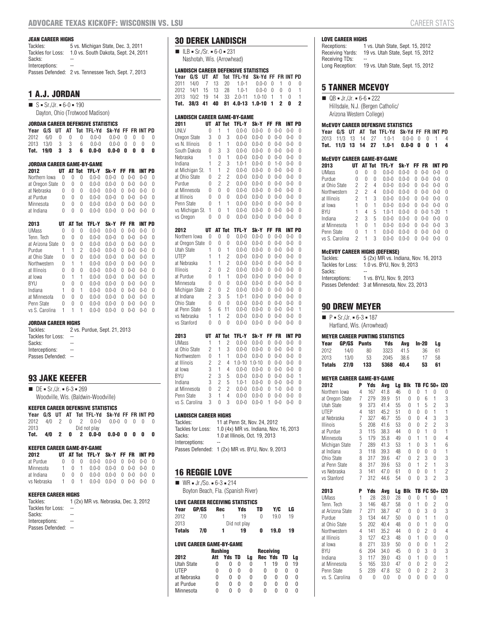#### **JEAN CAREER HIGHS**

| Tackles:          | 5 vs. Michigan State, Dec. 3, 2011                   |
|-------------------|------------------------------------------------------|
| Tackles for Loss: | 1.0 vs. South Dakota, Sept. 24, 2011                 |
| Sacks:            | --                                                   |
| Interceptions:    | --                                                   |
|                   | Passes Defended: 2 vs. Tennessee Tech, Sept. 7, 2013 |

# **1 A.J. JORDAN**

 $S = Sr./Jr. = 6-0 = 190$ Dayton, Ohio (Trotwood Madison)

| JORDAN CAREER DEFENSIVE STATISTICS |                 |    |    |        |                                   |                    |       |         |         |          |  |  |
|------------------------------------|-----------------|----|----|--------|-----------------------------------|--------------------|-------|---------|---------|----------|--|--|
| Year                               | G/S             | UT | AT |        | <b>Tot TFL-Yd</b>                 | Sk-Yd FF FR INT PD |       |         |         |          |  |  |
| 2012                               | 6/0             | 0  | 0  | N      | $0.0 - 0$                         | $0.0 - 0$          | O     | U       | O       | 0        |  |  |
| 2013                               | 13/0            | 3  | 3  | 6      | $0.0 - 0$                         | $0.0 - 0$          | O     | U       | 0       | 0        |  |  |
| Tot.                               | 19/0            | 3  | 3  | 6      | $0.0 - 0$                         | $0.0 - 0$          | 0     | 0       | 0       | 0        |  |  |
|                                    |                 |    |    |        |                                   |                    |       |         |         |          |  |  |
|                                    |                 |    |    |        | <b>JORDAN CAREER GAME-BY-GAME</b> |                    |       |         |         |          |  |  |
| 2012                               |                 | UТ |    | AT Tot | <b>TFL-Y</b>                      | Sk-Y               | FF FR |         | INT PD  |          |  |  |
|                                    | Northern Iowa   | U  | 0  | O      | $0.0 - 0$                         | $0.0 - 0$          | 0     | $0 - 0$ | $0 - 0$ | O        |  |  |
|                                    | at Oregon State | 0  | 0  | 0      | $0.0 - 0$                         | $0.0 - 0$          | U     | $0 - 0$ | $0 - 0$ | O        |  |  |
| at Nebraska                        |                 | O  | 0  | O      | $0.0 - 0$                         | $0.0 - 0$          | U     | $0 - 0$ | $0 - 0$ | $\Omega$ |  |  |
| at Purdue                          |                 | O  | 0  | 0      | $0.0 - 0$                         | $0.0 - 0$          | U     | $0 - 0$ | $0 - 0$ | 0        |  |  |
| Minnesota                          |                 | 0  | 0  | 0      | $0.0 - 0$                         | $0.0 - 0$          | U     | $0 - 0$ | $0 - 0$ | 0        |  |  |
| at Indiana                         |                 | O  | O  | N      | $0.0 - 0$                         | $0 - 0$            | Λ     | $0 - 0$ | $0 - 0$ | Ŋ        |  |  |
|                                    |                 |    |    |        |                                   |                    |       |         |         |          |  |  |

| 2013             | ШΤ |   | AT Tot | TFL-Y     | Sk-Y      | FF. | FR      | INT PD  |   |  |
|------------------|----|---|--------|-----------|-----------|-----|---------|---------|---|--|
| UMass            | 0  | Λ | 0      | $0.0 - 0$ | $0.0 - 0$ | U   | $0 - 0$ | $0 - 0$ | O |  |
| Tenn. Tech       | 0  | U | N      | $0.0 - 0$ | $0.0 - 0$ | 0   | $0 - 0$ | $0 - 0$ | 0 |  |
| at Arizona State | 0  | 0 | 0      | $0.0 - 0$ | $0.0 - 0$ | U   | $0 - 0$ | $0 - 0$ | O |  |
| Purdue           | 1  | 1 | 2      | $0.0 - 0$ | $0.0 - 0$ | U   | $0 - 0$ | $0 - 0$ | O |  |
| at Ohio State    | 0  | U | O      | $0.0 - 0$ | $0.0 - 0$ | 0   | $0 - 0$ | $0 - 0$ | U |  |
| Northwestern     | 0  | 1 | 1      | $0.0 - 0$ | $0.0 - 0$ | 0   | $0 - 0$ | $0 - 0$ | 0 |  |
| at Illinois      | 0  | U | 0      | $0.0 - 0$ | $0.0 - 0$ | U   | $0 - 0$ | $0 - 0$ | O |  |
| at lowa          | O  | 1 | 1      | $0.0 - 0$ | $0.0 - 0$ | U   | $0 - 0$ | $0 - 0$ | O |  |
| BYU              | 0  | U | 0      | $0.0 - 0$ | $0.0 - 0$ | 0   | $0 - 0$ | $0 - 0$ | O |  |
| Indiana          | 1  | O | 1      | $0.0 - 0$ | $0.0 - 0$ | U   | $0 - 0$ | $0 - 0$ | O |  |
| at Minnesota     | Ŋ  | O | O      | $0.0 - 0$ | $0.0 - 0$ | U   | $0 - 0$ | $0 - 0$ | O |  |
| Penn State       | 0  | U | 0      | $0.0 - 0$ | $0.0 - 0$ | U   | $0 - 0$ | $0 - 0$ | O |  |
| vs S. Carolina   | 1  |   |        | $0.0 - 0$ | $0.0 - 0$ | Λ   | $0 - 0$ | $0 - 0$ | O |  |

#### **JORDAN CAREER HIGHS**

| Tackles:          | 2 vs. Purdue, Sept. 21, 2013 |
|-------------------|------------------------------|
| Tackles for Loss: |                              |
| Sacks:            |                              |
| Interceptions:    |                              |
| Passes Defended:  |                              |
|                   |                              |

# **93 JAKE KEEFER**

| $\blacksquare$ DE = Sr./Jr. = 6-3 = 269 |  |
|-----------------------------------------|--|
| Woodville, Wis. (Baldwin-Woodville)     |  |

# **KEEFER CAREER DEFENSIVE STATISTICS**

|          |  |  | Year G/S UT AT Tot TFL-Yd Sk-Yd FF FR INT PD |                 |  |  |  |
|----------|--|--|----------------------------------------------|-----------------|--|--|--|
|          |  |  | 2012 4/0 2 0 2 0.0-0 0.0-0 0 0 0             |                 |  |  |  |
| 2013     |  |  | Did not play                                 |                 |  |  |  |
| Tot. 4/0 |  |  | 2 0 2 0.0-0                                  | $0.0 - 0$ 0 0 0 |  |  |  |

#### **KEEFER CAREER GAME-BY-GAME**

| 2012        |    |       | UT AT Tot TFL-Y Sk-Y FF FR INT PD                       |  |  |  |
|-------------|----|-------|---------------------------------------------------------|--|--|--|
| at Purdue   |    |       | $0 \t 0 \t 0 \t 0.0-0 \t 0.0-0 \t 0 \t 0-0 \t 0-0 \t 0$ |  |  |  |
| Minnesota   |    |       | $1 \t 0 \t 1 \t 0.0 - 0 \t 0.0 - 0 \t 0 \t 0 - 0 \t 0$  |  |  |  |
| at Indiana  |    | 0 0 0 | $0.0 - 0$ $0.0 - 0$ $0$ $0 - 0$ $0 - 0$ $0$             |  |  |  |
| vs Nebraska | 1. |       | $0$ 1 0.0-0 0.0-0 0 0-0 0-0 0                           |  |  |  |

#### **KEEFER CAREER HIGHS**

| Tackles:          | 1 (2x) MR vs. Nebraska, Dec. 3, 2012 |
|-------------------|--------------------------------------|
| Tackles for Loss: |                                      |
| Sacks:            | --                                   |
| Interceptions:    | --                                   |
| Passes Defended:  | $\sim$ $-$                           |
|                   |                                      |

# **30 DEREK LANDISCH**

 $I = ILB = Sr./Sr. = 6-0 = 231$ Nashotah, Wis. (Arrowhead)

# **LANDISCH CAREER DEFENSIVE STATISTICS**

| Year                      | G/S                                          | UT  |        | AT             | Tot            | TFL-Yd                                           | Sk-Yd                  | FF     |                    | FR INT PD      |        |
|---------------------------|----------------------------------------------|-----|--------|----------------|----------------|--------------------------------------------------|------------------------|--------|--------------------|----------------|--------|
| 2011                      | 14/0                                         | 7   |        | 13             | 20             | $1.0 - 1$                                        | $0.0 - 0$              | 0      | 1                  | 0              | 0      |
| 2012                      | 14/1                                         | 15  |        | 13             | 28             | $1.0 - 1$                                        | $0.0 - 0$              | 0      | 0                  | 0              | 1      |
| 2013                      | 10/2                                         | 19  |        | 14             | 33             | $2.0 - 11$                                       | $1.0 - 10$             | 1      | 1                  | 0              | 1      |
| Tot.                      | 38/3                                         | 41  |        | 40             | 81             | 4.0-13                                           | $1.0 - 10$             | 1      | 2                  | 0              | 2      |
|                           |                                              |     |        |                |                | <b>LANDISCH CAREER GAME-BY-GAME</b>              |                        |        |                    |                |        |
| 2011                      |                                              |     | UT     |                | AT Tot         | TFL-Y                                            | Sk-Y                   | FF     | <b>FR</b>          | <b>INT PD</b>  |        |
| UNLV                      |                                              |     | 0      | 1              | 1              | $0.0 - 0$                                        | $0.0 - 0$              | 0      | $0-0$              | $0 - 0$        | 0      |
|                           | Oregon State                                 |     | 3      | 0              | 3              | $0.0 - 0$                                        | $0.0 - 0$              | 0      | $0 - 0$            | $0 - 0$        | 0      |
|                           | vs N. Illinois                               |     | 0      | 1              | 1              | $0.0 - 0$                                        | $0.0 - 0$              | 0      | $0 - 0$            | $0-0$          | 0      |
|                           | South Dakota                                 |     | 0      | 3              | 3              | $0.0 - 0$                                        | $0.0 - 0$              | 0      | $0 - 0$            | $0 - 0$        | 0      |
| Nebraska                  |                                              |     | 1      | 0              | 1              | $0.0 - 0$                                        | $0.0 - 0$              | 0      | $0 - 0$            | $0-0$          | 0      |
| Indiana                   |                                              |     | 1      | 2              | 3              | $1.0 - 1$                                        | $0.0 - 0$              | 0      | $1 - 0$            | 0-0            | 0      |
|                           | at Michigan St.                              |     | 1      | 1              | $\overline{c}$ | $0.0 - 0$                                        | $0.0 - 0$              | 0      | $0 - 0$            | $0-0$          | 0      |
|                           | at Ohio State                                |     | 0      | 2              | 2              | $0.0 - 0$                                        | $0.0 - 0$              | 0      | $0 - 0$            | $0-0$          | 0      |
| Purdue                    | at Minnesota                                 |     | 0<br>0 | 2<br>0         | 2<br>0         | $0.0 - 0$<br>$0.0 - 0$                           | $0.0 - 0$<br>$0.0 - 0$ | 0<br>0 | $0 - 0$<br>$0 - 0$ | $0-0$<br>$0-0$ | 0<br>0 |
| at Illinois               |                                              |     | 0      | 0              | 0              | $0.0 - 0$                                        | $0.0 - 0$              | 0      | $0-0$              | 0-0            | 0      |
| Penn State                |                                              |     | 0      | 1              | 1              | $0.0 - 0$                                        | $0.0 - 0$              | 0      | $0 - 0$            | 0-0            | 0      |
|                           | vs Michigan St.                              |     | 1      | 0              | 1              | $0.0 - 0$                                        | $0.0 - 0$              | 0      | $0-0$              | 0-0            | 0      |
| vs Oregon                 |                                              |     | 0      | 0              | 0              | $0.0 - 0$                                        | $0.0 - 0$              | 0      | $0 - 0$            | $0-0$          | 0      |
|                           |                                              |     |        |                |                |                                                  |                        |        |                    |                |        |
| 2012                      |                                              |     | UT     |                | AT Tot         | TFL-Y                                            | Sk-Y                   | FF     | <b>FR</b>          | <b>INT PD</b>  |        |
|                           | Northern Iowa                                |     | 0      | 0              | 0              | $0.0 - 0$                                        | $0.0 - 0$              | 0      | $0 - 0$            | $0 - 0$        | 0      |
|                           | at Oregon State                              |     | 0      | 0              | 0              | $0.0 - 0$                                        | $0.0 - 0$              | 0      | $0-0$              | $0 - 0$        | 0      |
| Utah State<br><b>UTEP</b> |                                              |     | 1      | 0              | 1              | $0.0 - 0$                                        | $0.0 - 0$              | 0      | $0 - 0$            | $0 - 0$        | 0      |
| at Nebraska               |                                              |     | 1<br>1 | 1<br>1         | 2<br>2         | $0.0 - 0$<br>$0.0 - 0$                           | $0.0 - 0$<br>$0.0 - 0$ | 0<br>0 | $0 - 0$<br>$0-0$   | $0-0$<br>0-0   | 0<br>0 |
| Illinois                  |                                              |     | 2      | 0              | 2              | $0.0 - 0$                                        | $0.0 - 0$              | 0      | $0 - 0$            | $0-0$          | 0      |
| at Purdue                 |                                              |     | 0      | 1              | 1              | $0.0 - 0$                                        | $0.0 - 0$              | 0      | $0 - 0$            | 0-0            | 0      |
| Minnesota                 |                                              |     | 0      | 0              | 0              | $0.0 - 0$                                        | $0.0 - 0$              | 0      | $0 - 0$            | 0-0            | 0      |
|                           | Michigan State                               |     | 2      | 0              | $\overline{c}$ | $0.0 - 0$                                        | $0.0 - 0$              | 0      | $0 - 0$            | $0-0$          | 0      |
| at Indiana                |                                              |     | 2      | 3              | 5              | $1.0 - 1$                                        | $0.0 - 0$              | 0      | $0-0$              | 0-0            | 0      |
| Ohio State                |                                              |     | 0      | 0              | 0              | $0.0 - 0$                                        | $0.0 - 0$              | 0      | $0 - 0$            | 0-0            | 0      |
|                           | at Penn State                                |     | 5      | 6              | 11             | $0.0 - 0$                                        | $0.0 - 0$              | 0      | $0 - 0$            | 0-0            | 1      |
| vs Nebraska               |                                              |     | 1      | 1              | 2              | $0.0 - 0$                                        | $0.0 - 0$              | 0      | $0 - 0$            | $0 - 0$        | 0      |
| vs Stanford               |                                              |     | 0      | 0              | 0              | $0.0 - 0$                                        | $0.0 - 0$              | 0      | $0 - 0$            | $0-0$          | 0      |
| 2013                      |                                              |     | UT     |                | AT Tot         | TFL-Y                                            | Sk-Y                   | FF     | FR                 | INT PD         |        |
| UMass                     |                                              |     | 1      | 1              | 2              | $0.0 - 0$                                        | $0.0 - 0$              | 0      | $0 - 0$            | $0 - 0$        | 0      |
|                           | at Ohio State                                |     | 2      | 1              | 3              | $0.0 - 0$                                        | $0.0 - 0$              | 0      | $0 - 0$            | $0 - 0$        | 0      |
|                           | Northwestern                                 |     | 0      | 1              | 1              | $0.0 - 0$                                        | $0.0 - 0$              | 0      | $0 - 0$            | $0 - 0$        | 0      |
| at Illinois               |                                              |     | 2      | 2              | 4              | $1.0 - 10$                                       | $1.0 - 10$             | 0      | $0-0$              | $0-0$          | 0      |
| at Iowa                   |                                              |     | 3      | 1              | 4              | $0.0 - 0$                                        | $0.0 - 0$              | 0      | $0 - 0$            | 0-0            | 0      |
| BYU                       |                                              |     | 2      | 3              | 5              | $0.0 - 0$                                        | $0.0 - 0$              | 0      | $0 - 0$            | 0-0            | 1      |
| Indiana                   |                                              |     | 3      | 2              | 5              | $1.0 - 1$                                        | $0.0 - 0$              | 0      | $0 - 0$            | 0-0            | 0      |
|                           | at Minnesota                                 |     | 0      | $\overline{c}$ | 2              | $0.0 - 0$                                        | $0.0 - 0$              | 0      | $1 - 0$            | 0-0            | 0      |
| Penn State                |                                              |     | 3      | 1              | 4              | $0.0 - 0$                                        | $0.0 - 0$              | 0      | $0-0$              | 0-0            | 0      |
|                           | vs S. Carolina                               |     | 3      | 0              | 3              | $0.0 - 0$                                        | $0.0 - 0$              | 1      | $0 - 0$            | $0-0$          | 0      |
|                           | <b>LANDISCH CAREER HIGHS</b>                 |     |        |                |                |                                                  |                        |        |                    |                |        |
| Tackles:                  |                                              |     |        |                |                | 11 at Penn St, Nov. 24, 2012                     |                        |        |                    |                |        |
|                           | Tackles for Loss:                            |     |        |                |                | 1.0 (4x) MR vs. Indiana, Nov. 16, 2013           |                        |        |                    |                |        |
| Sacks:                    |                                              |     |        |                |                | 1.0 at Illinois, Oct. 19, 2013                   |                        |        |                    |                |        |
|                           | Interceptions:                               |     |        |                |                |                                                  |                        |        |                    |                |        |
|                           |                                              |     |        |                |                | Passes Defended: 1 (2x) MR vs. BYU, Nov. 9, 2013 |                        |        |                    |                |        |
|                           |                                              |     |        |                |                |                                                  |                        |        |                    |                |        |
|                           |                                              |     |        |                |                |                                                  |                        |        |                    |                |        |
|                           | <b>16 REGGIE LOVE</b>                        |     |        |                |                |                                                  |                        |        |                    |                |        |
|                           | $W = \text{WR} = \text{Jr./So.} = 6-3 = 214$ |     |        |                |                |                                                  |                        |        |                    |                |        |
|                           |                                              |     |        |                |                | Boyton Beach, Fla. (Spanish River)               |                        |        |                    |                |        |
|                           |                                              |     |        |                |                |                                                  |                        |        |                    |                |        |
|                           |                                              |     |        |                |                | <b>LOVE CAREER RECEIVING STATISTICS</b>          |                        |        | Y/C                |                |        |
| Year<br>2012              | GP/GS                                        | 7/0 |        | Rec            | 1              | Yds<br>19                                        | TD<br>0                |        | 19.0               | LG<br>19       |        |
| 2013                      |                                              |     |        |                |                | Did not play                                     |                        |        |                    |                |        |
| Totals                    |                                              | 7/0 |        |                | 1              | 19                                               | 0                      |        | 19.0               | 19             |        |
|                           |                                              |     |        |                |                |                                                  |                        |        |                    |                |        |

#### **LOVE CAREER GAME-BY-GAME**

|                   | <b>Rushing</b> |               |              |    |   |            |   |    |  |
|-------------------|----------------|---------------|--------------|----|---|------------|---|----|--|
| 2012              | Att            | <b>Yds TD</b> |              | La |   | Rec Yds TD |   | La |  |
| <b>Utah State</b> | O              |               | N            | 0  |   | 19         |   | 19 |  |
| <b>IITFP</b>      | O              | n             | n            | N  | 0 | n          | U | O  |  |
| at Nebraska       | 0              | 0             | $\mathbf{I}$ | 0  | 0 | O          | n | O  |  |
| at Purdue         | 0              | n             |              | 0  | 0 | 0          | n | 0  |  |
| Minnesota         | O              |               |              | 0  | O | о          |   |    |  |

**LOVE CAREER HIGHS**<br>Receptions: 1

1 vs. Utah State, Sept. 15, 2012 Receiving Yards: 19 vs. Utah State, Sept. 15, 2012 Receiving TDs: --Long Reception: 19 vs. Utah State, Sept. 15, 2012

# **5 TANNER MCEVOY**

 $\blacksquare$  QB = Jr./Jr. = 6-6 = 222 Hillsdale, N.J. (Bergen Catholic/ Arizona Western College)

#### **McEVOY CAREER DEFENSIVE STATISTICS**

|  |  | Year G/S UT AT Tot TFL-Yd Sk-Yd FF FRINT PD |  |  |  |
|--|--|---------------------------------------------|--|--|--|
|  |  | 2013 11/3 13 14 27 1.0-1 0.0-0 0 0 1 4      |  |  |  |
|  |  |                                             |  |  |  |

#### **McEVOY CAREER GAME-BY-GAME**

| 2013           |   |   | AT Tot | TFL-Y     | Sk-Y      | FF     | FR        | INT.      | PD |
|----------------|---|---|--------|-----------|-----------|--------|-----------|-----------|----|
| <b>UMass</b>   | 0 | 0 | 0      | $0.0 - 0$ | $0.0 - 0$ | $\cup$ | $() - ()$ | $() - ()$ | 0  |
| Purdue         | O | U | 0      | $0.0 - 0$ | $0.0 - 0$ | 0      | $0 - 0$   | $0 - 0$   | O  |
| at Ohio State  | 2 | 2 | 4      | $0.0 - 0$ | $0.0 - 0$ | 0      | $0 - 0$   | $0 - 0$   | O  |
| Northwestern   | 2 | 2 | 4      | $0.0 - 0$ | $0.0 - 0$ | 0      | $0 - 0$   | $() - ()$ | O  |
| at Illinois    | 2 | 1 | 3      | 0 0-0     | $0.0 - 0$ | U      | $0 - 0$   | $() - ()$ | U  |
| at lowa        |   | Ŋ | 1      | $0.0 - 0$ | $0.0 - 0$ | Λ      | $0 - 0$   | $0 - 0$   | U  |
| BYU            |   | 4 | 5      | $10-1$    | $0 - 0$   | Λ      | $0 - 0$   | $1 - 20$  |    |
| Indiana        | 2 | 3 | 5      | $0.0 - 0$ | $0.0 - 0$ | Λ      | $0 - 0$   | $0 - 0$   | O  |
| at Minnesota   |   | 0 | 1      | $0.0 - 0$ | $0.0 - 0$ | 0      | $0 - 0$   | $() - ()$ | 3  |
| Penn State     | O | 1 | 1      | $0.0 - 0$ | በ በ-በ     | O      | $0 - 0$   | $(1 - 0)$ | O  |
| vs S. Carolina | 2 | 1 | 3      | በ በ-በ     | $0.0 - 0$ | O      | $0 - 0$   | $(1 - 0)$ | U  |

#### **McEVOY CAREER HIGHS (DEFENSE)**

| Tackles:          | 5 (2x) MR vs. Indiana, Nov. 16, 2013           |
|-------------------|------------------------------------------------|
| Tackles for Loss: | 1.0 vs. BYU. Nov. 9. 2013                      |
| Sacks:            |                                                |
| Interceptions:    | 1 vs. BYU, Nov. 9, 2013                        |
|                   | Passes Defended: 3 at Minnesota, Nov. 23, 2013 |
|                   |                                                |

#### **90 DREW MEYER**

# $P = Sr./Jr. = 6-3 = 187$

Hartland, Wis. (Arrowhead)

| <b>MEYER CAREER PUNTING STATISTICS</b> |      |                 |      |      |       |    |  |  |  |  |  |
|----------------------------------------|------|-----------------|------|------|-------|----|--|--|--|--|--|
| Year                                   |      | GP/GS Punts Yds |      | Ava  | In-20 | La |  |  |  |  |  |
| 2012                                   | 14/0 | -80             | 3323 | 41.5 | 36.   | 61 |  |  |  |  |  |
| 2013                                   | 13/0 | 53              | 2045 | 38.6 | 17    | 58 |  |  |  |  |  |
| <b>Totals</b>                          | 27/0 | 133             | 5368 | 40.4 | 53    | 61 |  |  |  |  |  |

# **MEYER CAREER GAME-BY-GAME**<br>2012 **P** Yds Ava

| 2012             | P              | Yds | Avg         | Lg | <b>B</b> lk |                |                | TB FC 50+ 120  |                |
|------------------|----------------|-----|-------------|----|-------------|----------------|----------------|----------------|----------------|
| Northern Iowa    | 4              | 167 | 41.8        | 46 | 0           | 0              | 1              | 0              | 0              |
| at Oregon State  | 7              | 279 | 39.9        | 51 | $\theta$    | 0              | 6              | 1              | 3              |
| Utah State       | 9              | 373 | 41.4        | 55 | $\Omega$    | 1              | 5              | $\overline{c}$ | 3              |
| UTEP             | 4              | 181 | 45.2        | 51 | $\Omega$    | 0              | $\Omega$       | 1              | 1              |
| at Nebraska      | $\overline{7}$ | 327 | 46.7        | 55 | $\Omega$    | 0              | 4              | 3              | 3              |
| <b>Illinois</b>  | 5              | 208 | 41.6        | 53 | $\theta$    | 0              | $\overline{2}$ | $\overline{c}$ | 3              |
| at Purdue        | 3              | 115 | 38.3        | 44 | $\Omega$    | 0              | 1              | $\overline{0}$ | 1              |
| Minnesota        | 5              | 179 | 35.8        | 49 | 0           | 1              | 1              | 0              | $\overline{4}$ |
| Michigan State   | $\overline{7}$ | 289 | 41.3        | 53 | 1           | $\overline{0}$ | 3              | 1              | 6              |
| at Indiana       | 3              | 118 | 39.3        | 48 | $\theta$    | 0              | $\theta$       | 0              | 1              |
| Ohio State       | 8              | 317 | 39.6        | 47 | $\theta$    | $\overline{2}$ | 3              | 0              | 3              |
| at Penn State    | 8              | 317 | 39.6        | 53 | $\theta$    | 1              | $\overline{2}$ | 1              | 3              |
| vs Nebraska      | 3              | 141 | 47.0        | 61 | $\theta$    | 0              | $\theta$       | 1              | $\overline{c}$ |
| vs Stanford      | $\overline{7}$ | 312 | 44.6        | 54 | $\theta$    | 0              | 3              | $\overline{2}$ | 3              |
|                  |                |     |             |    | Blk         | TB             |                |                |                |
| 2013             | P              | Yds |             | Lg |             |                |                | FC 50+ I20     |                |
| <b>UMass</b>     | 1              | 28  | Avg<br>28.0 | 28 | $\theta$    | 0              | 1              | 0              | 1              |
| Tenn. Tech       | 3              | 146 | 48.7        | 58 | $\Omega$    | 1              | $\Omega$       | 2              | 0              |
| at Arizona State | 7              | 271 | 38.7        | 47 | $\Omega$    | 0              | 3              | 0              | 3              |
| Purdue           | 3              | 134 | 44.7        | 50 | $\Omega$    | 0              | 1              | 1              | 0              |
| at Ohio State    | 5              | 202 | 40.4        | 48 | $\Omega$    | 0              | 1              | 0              | 0              |
| Northwestern     | 4              | 141 | 35.2        | 44 | $\Omega$    | 0              | $\overline{c}$ | 0              | 4              |
| at Illinois      | 3              | 127 | 42.3        | 48 | $\Omega$    | 1              | $\theta$       | 0              | 0              |
| at Iowa          | 8              | 271 | 33.9        | 50 | $\Omega$    | 0              | $\Omega$       | 1              | 2              |
| BYU              | 6              | 204 | 34.0        | 45 | $\theta$    | 0              | 3              | 0              | 3              |
| Indiana          | 3              | 117 | 39.0        | 43 | $\theta$    | 1              | $\theta$       | 0              | $\overline{1}$ |
| at Minnesota     | 5              | 165 | 33.0        | 47 | $\Omega$    | 0              | $\overline{c}$ | 0              | $\overline{c}$ |
| Penn State       | 5              | 239 | 47.8        | 52 | $\Omega$    | 0              | $\overline{2}$ | $\overline{c}$ | 3              |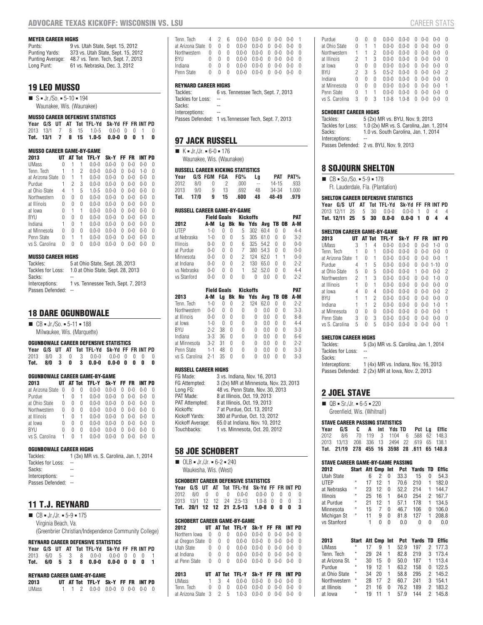#### **MEYER CAREER HIGHS**

| Punts:           | 9 vs. Utah State, Sept. 15, 2012   |
|------------------|------------------------------------|
| Punting Yards:   | 373 vs. Utah State, Sept. 15, 2012 |
| Punting Average: | 48.7 vs. Tenn. Tech, Sept. 7, 2013 |
| Long Punt:       | 61 vs. Nebraska, Dec. 3, 2012      |

# **19 LEO MUSSO**

 $S = Jr./S0. = 5-10 = 194$ Waunakee, Wis. (Waunakee)

# **MUSSO CAREER DEFENSIVE STATISTICS**

|  |  | Year G/S UT AT Tot TFL-Yd Sk-Yd FF FR INT PD |  |  |  |
|--|--|----------------------------------------------|--|--|--|
|  |  | 2013 13/1 7 8 15 1.0-5 0.0-0 0 0 1 0         |  |  |  |
|  |  | Tot. $13/1$ 7 8 15 1.0-5 0.0-0 0 0 1 0       |  |  |  |

#### **MUSSO CAREER GAME-BY-GAME**

| 2013             |   |   | AT Tot | TFL-Y     | Sk-Y      |   | FF FR   | INT PD    |   |
|------------------|---|---|--------|-----------|-----------|---|---------|-----------|---|
| <b>UMass</b>     | 0 |   |        | $0.0 - 0$ | $0.0 - 0$ | 0 | $0 - 0$ | $() - ()$ | 0 |
| Tenn. Tech       | 1 | 1 | 2      | $0.0 - 0$ | $0.0 - 0$ | U | $0 - 0$ | $1 - 0$   | O |
| at Arizona State | U |   | 1      | $0.0 - 0$ | $0.0 - 0$ | 0 | $0 - 0$ | $0 - 0$   | O |
| Purdue           | 1 | 2 | 3      | $0.0 - 0$ | $0.0 - 0$ | U | $0 - 0$ | $0 - 0$   | O |
| at Ohio State    | 4 | 1 | 5      | $1.0 - 5$ | $0.0 - 0$ | 0 | $0 - 0$ | $0 - 0$   | O |
| Northwestern     | 0 | 0 | 0      | $0.0 - 0$ | $0.0 - 0$ | 0 | $0 - 0$ | $0 - 0$   | O |
| at Illinois      | U | U | N      | $0.0 - 0$ | $0.0 - 0$ | 0 | $0 - 0$ | $0 - 0$   | O |
| at Iowa          | 0 | 1 | 1      | $0.0 - 0$ | $0.0 - 0$ | 0 | $0 - 0$ | $0 - 0$   | O |
| BYU              | O | U | N      | $0.0 - 0$ | $0.0 - 0$ | U | $0 - 0$ | $0 - 0$   | O |
| Indiana          | 1 | O | 1      | $0.0 - 0$ | $0.0 - 0$ | U | $0 - 0$ | $0 - 0$   | O |
| at Minnesota     | U | Ŋ | 0      | $0.0 - 0$ | $0.0 - 0$ | U | $0 - 0$ | $0 - 0$   | O |
| Penn State       | U | 1 | 1      | $0.0 - 0$ | $0.0 - 0$ | U | $0 - 0$ | $0 - 0$   | O |
| vs S. Carolina   | U | Λ | N      | $0 - 0$   | $0 - 0$   | O | $0 - 0$ | $(1 - 0)$ | O |
|                  |   |   |        |           |           |   |         |           |   |

#### **MUSSO CAREER HIGHS**

| Tackles:          | 5 at Ohio State, Sept. 28, 2013     |
|-------------------|-------------------------------------|
| Tackles for Loss: | 1.0 at Ohio State, Sept. 28, 2013   |
| Sacks:            |                                     |
| Interceptions:    | 1 vs. Tennessee Tech. Sept. 7, 2013 |
| Passes Defended:  |                                     |

# **18 DARE OGUNBOWALE**

 $\blacksquare$  CB = Jr./So. = 5-11 = 188 Milwaukee, Wis. (Marquette)

| <b>OGUNBOWALE CAREER DEFENSIVE STATISTICS</b> |  |  |
|-----------------------------------------------|--|--|
|                                               |  |  |

|  |  | Year G/S UT AT Tot TFL-Yd Sk-Yd FF FR INT PD |  |  |  |
|--|--|----------------------------------------------|--|--|--|
|  |  | 2013 8/0 3 0 3 0.0-0 0.0-0 0 0 0 0           |  |  |  |
|  |  | Tot. 8/0 3 0 3 0.0-0 0.0-0 0 0 0 0           |  |  |  |

#### **OGUNBOWALE CAREER GAME-BY-GAME**

| 2013             | UТ |   |   | AT Tot TFL-Y | Sk-Y      |   | FF FR     | INT PD  |          |  |
|------------------|----|---|---|--------------|-----------|---|-----------|---------|----------|--|
| at Arizona State | 0  | 0 | O | $0.0 - 0$    | $0.0 - 0$ | U | $() - ()$ | $0 - 0$ | U        |  |
| Purdue           |    | 0 | 1 | $0.0 - 0$    | $0.0 - 0$ | U | $0 - 0$   | $0 - 0$ | $\Omega$ |  |
| at Ohio State    | 0  | U | O | $0.0 - 0$    | $0.0 - 0$ | 0 | $() - ()$ | $0 - 0$ | $\Omega$ |  |
| Northwestern     | 0  | U | O | $0.0 - 0$    | $0.0 - 0$ | U | $0 - 0$   | $0 - 0$ | U        |  |
| at Illinois      |    | U |   | $0.0 - 0$    | $0.0 - 0$ | 0 | $0 - 0$   | $0 - 0$ | $\Omega$ |  |
| at Iowa          | U  | 0 | 0 | $0.0 - 0$    | $0.0 - 0$ | U | $0 - 0$   | $0 - 0$ | U        |  |
| BYU              | 0  | 0 | 0 | $0.0 - 0$    | $0.0 - 0$ | 0 | $0 - 0$   | $0 - 0$ | U        |  |
| vs S. Carolina   | 1  | 0 |   | $0 - 0$      | በ በ-በ     |   | $(1-0)$   | በ-በ     | O        |  |
|                  |    |   |   |              |           |   |           |         |          |  |

#### **OGUNBOWALE CAREER HIGHS**

| Tackles:          | 1 (3x) MR vs. S. Carolina, Jan. 1, 2014 |
|-------------------|-----------------------------------------|
| Tackles for Loss: | ۰.                                      |
| Sacks:            | --                                      |
| Interceptions:    | --                                      |
| Desert Defended.  |                                         |

| Passes Defended: |  |
|------------------|--|
|                  |  |

# **11 T.J. REYNARD**

| $\blacksquare$ CB = Jr./Jr. = 5-9 = 175               |
|-------------------------------------------------------|
| Virginia Beach, Va.                                   |
| (Greenbrier Christian/Independence Community College) |

#### **REYNARD CAREER DEFENSIVE STATISTICS**

|  |  | Year G/S UT AT Tot TFL-Yd Sk-Yd FF FR INT PD |  |  |  |
|--|--|----------------------------------------------|--|--|--|
|  |  | 2013 6/0 5 3 8 0.0-0 0.0-0 0 0 0 1           |  |  |  |
|  |  | Tot. 6/0 5 3 8 0.0-0 0.0-0 0 0 0 1           |  |  |  |

#### **REYNARD CAREER GAME-BY-GAME**

| <b>ILLINAID VAILLIN VAILLE PI VAILLE</b> |  |  |  |                                                                                         |  |  |  |  |  |  |
|------------------------------------------|--|--|--|-----------------------------------------------------------------------------------------|--|--|--|--|--|--|
| 2013                                     |  |  |  | UT AT Tot TFL-Y Sk-Y FF FR INT PD                                                       |  |  |  |  |  |  |
| UMass                                    |  |  |  | $1 \quad 1 \quad 2 \quad 0.0 - 0 \quad 0.0 - 0 \quad 0 \quad 0 - 0 \quad 0 - 0 \quad 0$ |  |  |  |  |  |  |

| Tenn. Tech         |   | 4 2      |          | 6  0.0-0  0.0-0  0  0-0  0-0 |                                     |  |  |
|--------------------|---|----------|----------|------------------------------|-------------------------------------|--|--|
| at Arizona State 0 |   | 0        | $\Omega$ |                              | $0.0-0$ $0.0-0$ $0$ $0-0$ $0-0$     |  |  |
| Northwestern       | 0 | $\Omega$ |          | $0$ 0.0-0 0.0-0 0 0-0 0-0    |                                     |  |  |
| RYII               |   |          | 0        |                              | $0.0 - 0.0 - 0.0 - 0.0 - 0.0 - 0.0$ |  |  |
| Indiana            | 0 |          | 0        |                              | $0.0-0$ $0.0-0$ $0$ $0-0$ $0-0$     |  |  |
| Penn State         |   |          | 0        | 0.0-0                        | $0.0 - 0$ 0.0 $-0$ 0-0              |  |  |

#### **REYNARD CAREER HIGHS**

| Tackles:          | 6 vs. Tennessee Tech, Sept. 7, 2013 |
|-------------------|-------------------------------------|
| Tackles for Loss: | $-1$                                |
| Sacks:            | --                                  |
| Interceptions:    | --                                  |

Passes Defended: 1 vs.Tennessee Tech, Sept. 7, 2013

# **97 JACK RUSSELL**

 $\blacksquare$  K = Jr./Jr. = 6-0 = 176 Waunakee, Wis. (Waunakee)

#### **RUSSELL CAREER KICKING STATISTICS**

|      |           |      | Year G/S FGM FGA FG% La |      |             | PAT PAT%   |
|------|-----------|------|-------------------------|------|-------------|------------|
| 2012 |           |      | 8/0 0 2 000 --          |      |             | 14-15 .933 |
| 2013 | 9/0       | 9 13 | .692                    | - 48 | 34-34 1.000 |            |
|      | Tot. 17/0 |      | 9 15 .600 48            |      | 48-49 .979  |            |

#### **RUSSELL CAREER GAME-BY-GAME**

|                 | <b>Field Goals</b> |    |    |   | <b>Kickoffs</b> |           |   |   | PAT     |
|-----------------|--------------------|----|----|---|-----------------|-----------|---|---|---------|
| 2012            | A-M                | La | Bk |   | No Yds          | Ava TB OB |   |   | A-M     |
| <b>UTEP</b>     | 1-0                |    | O  | 5 | 302             | 60.4      |   | O | $4 - 4$ |
| at Nebraska     | $1 - 0$            | O  | O  | 5 | 305             | 61.0      | O | O | $3-2$   |
| <b>Illinois</b> | $0 - 0$            | O  | O  | 6 | 325             | 54.2      | O | O | $0 - 0$ |
| at Purdue       | $0 - 0$            | O  | O  |   | 380             | 54.3      | O | O | $0 - 0$ |
| Minnesota       | $0 - 0$            | O  | O  |   | 124             | 62.0      |   | 1 | $0 - 0$ |
| at Indiana      | $0 - 0$            | O  | O  |   | 130             | 65.0      | Λ | O | $2 - 2$ |
| vs Nebraska     | $0 - 0$            | O  | O  |   | 52              | 52.0      | Λ | O | $4 - 4$ |
| vs Stanford     | 0-0                | N  | U  | U | O               | 0 O       |   | O | $2-2$   |

|                | <b>Field Goals</b> |    |    |    | <b>Kickoffs</b> |      |     |    | PAT     |  |  |
|----------------|--------------------|----|----|----|-----------------|------|-----|----|---------|--|--|
| 2013           | A-M                | La | Bk | No | Yds             | Avg  | TB. | 0B | A-M     |  |  |
| Tenn. Tech     | $1 - 0$            | O  | U  | 2  | 124             | 62.0 | O   | O  | $2-2$   |  |  |
| Northwestern   | $0 - 0$            | O  | 0  | 0  | 0               | 0.0  | U   | O  | $3-3$   |  |  |
| at Illinois    | $0 - 0$            | O  | U  | 0  | O               | 0.0  | 0   | O  | $8 - 8$ |  |  |
| at Iowa        | $1 - 0$            | O  | U  | O  | O               | 0.0  | 0   | 0  | $4 - 4$ |  |  |
| BYU            | $2-2$              | 38 | O  | 0  | N               | 0.0  | Λ   | N  | $3 - 3$ |  |  |
| Indiana        | $3-3$              | 36 | U  | 0  | O               | 0.0  | 0   | O  | 6-6     |  |  |
| at Minnesota   | $3-2$              | 31 | O  | 0  | O               | 0.0  | Λ   | U  | $2-2$   |  |  |
| Penn State     | 1-1                | 48 | U  | 0  |                 | 0.0  | 0   | U  | $3 - 3$ |  |  |
| vs S. Carolina | $2-1$              | 35 | O  | Λ  | O               | 0 O  | O   | O  | $3 - 3$ |  |  |

#### **RUSSELL CAREER HIGHS**

| FG Made:              | 3 vs. Indiana, Nov. 16, 2013          |
|-----------------------|---------------------------------------|
| FG Attempted:         | 3 (2x) MR at Minnesota, Nov. 23, 2013 |
| Long FG:              | 48 vs. Penn State, Nov. 30, 2013      |
| PAT Made:             | 8 at Illinois, Oct. 19, 2013          |
| <b>PAT Attempted:</b> | 8 at Illinois, Oct. 19, 2013          |
| Kickoffs:             | 7 at Purdue, Oct. 13, 2012            |
| Kickoff Yards:        | 380 at Purdue, Oct. 13, 2012          |
| Kickoff Average:      | 65.0 at Indiana, Nov. 10, 2012        |
| Touchbacks:           | 1 vs. Minnesota, Oct. 20, 2012        |
|                       |                                       |

# **58 JOE SCHOBERT**

 $\blacksquare$  OLB = Jr./Jr. = 6-2 = 240

Waukesha, Wis. (West)

#### **SCHOBERT CAREER DEFENSIVE STATISTICS**

|  |  | Year G/S UT AT Tot TFL-Yd Sk-Yd FF FR INT PD |  |  |  |
|--|--|----------------------------------------------|--|--|--|
|  |  | 2012 8/0 0 0 0 0.0-0 0.0-0 0 0 0 0           |  |  |  |
|  |  | 2013 13/1 12 12 24 2.5-13 1.0-8 0 0 0 3      |  |  |  |
|  |  | Tot. 20/1 12 12 21 2.5-13 1.0-8 0 0 0 3      |  |  |  |

#### **SCHOBERT CAREER GAME-BY-GAME**

| 2012          |  | UT AT Tot TFL-Y Sk-Y FF FR INT PD                               |  |  |  |
|---------------|--|-----------------------------------------------------------------|--|--|--|
|               |  |                                                                 |  |  |  |
|               |  |                                                                 |  |  |  |
|               |  |                                                                 |  |  |  |
| at Indiana    |  | $0 \t 0 \t 0 \t 0.0 - 0 \t 0.0 - 0 \t 0 \t 0 - 0 \t 0 - 0 \t 0$ |  |  |  |
| at Penn State |  | $0$ 0 0 0.0-0 0.0-0 0 0-0 0-0 0                                 |  |  |  |

| 2013                                           |  | UT AT Tot TFL-Y Sk-Y FF FR INT PD                                                       |  |  |  |
|------------------------------------------------|--|-----------------------------------------------------------------------------------------|--|--|--|
| UMass                                          |  | $1 \quad 3 \quad 4 \quad 0.0 - 0 \quad 0.0 - 0 \quad 0 \quad 0 - 0 \quad 0 - 0 \quad 0$ |  |  |  |
| Tenn. Tech 0 0 0 0.0-0 0.0-0 0 0-0 0-0 0       |  |                                                                                         |  |  |  |
| at Arizona State 3 2 5 1.0-3 0.0-0 0 0-0 0-0 0 |  |                                                                                         |  |  |  |

| Purdue         | 0 |   | O | $0.0 - 0$ | $0.0-0$   | U | ()-()   | $() - ()$ | 0 |
|----------------|---|---|---|-----------|-----------|---|---------|-----------|---|
| at Ohio State  | 0 |   |   | $0.0 - 0$ | $0.0 - 0$ |   | $0 - 0$ | $0 - 0$   | O |
| Northwestern   |   |   | 2 | $0.0 - 0$ | $0.0 - 0$ | 0 | $0 - 0$ | $0 - 0$   | O |
| at Illinois    | 2 |   | 3 | $0.0 - 0$ | $0.0 - 0$ | O | $0 - 0$ | $0 - 0$   | O |
| at Iowa        | 0 | 0 | 0 | $0.0 - 0$ | $0.0 - 0$ | O | $0 - 0$ | $0 - 0$   | O |
| BYU            | 2 | 3 | 5 | $0.5 - 2$ | $0.0 - 0$ | 0 | $0 - 0$ | $0 - 0$   | 2 |
| Indiana        | O | U | O | 0 0-0     | $0.0 - 0$ | O | $0 - 0$ | $0 - 0$   | O |
| at Minnesota   | 0 | U | 0 | $0.0 - 0$ | $0.0 - 0$ | O | $0 - 0$ | $0 - 0$   | 1 |
| Penn State     | 0 | 1 | 1 | $0.0 - 0$ | $0.0 - 0$ | 0 | 0-0     | 0-0       | O |
| vs S. Carolina | 3 | U | 3 | $1.0 - 8$ | $1.0 - 8$ | 0 | $0 - 0$ | በ-በ       | U |

#### **SCHOBERT CAREER HIGHS**

| Tackles:          | 5 (2x) MR vs. BYU, Nov. 9, 2013           |
|-------------------|-------------------------------------------|
| Tackles for Loss: | 1.0 (2x) MR vs. S. Carolina, Jan. 1, 2014 |
| Sacks:            | 1.0 vs. South Carolina, Jan. 1, 2014      |
| Interceptions:    |                                           |
|                   | Passes Defended: 2 vs. BYU. Nov. 9. 2013  |
|                   |                                           |

# **8 SOJOURN SHELTON**

- $\blacksquare$  CB = So./So. = 5-9 = 178
	- Ft. Lauderdale, Fla. (Plantation) **SABEER DEFENSIVE**

| SHELIUN GAREER DEFENSIVE STATISTIGS |  |  |  |                                                |  |  |  |  |  |  |  |
|-------------------------------------|--|--|--|------------------------------------------------|--|--|--|--|--|--|--|
|                                     |  |  |  | Year G/S UT AT Tot TFL-Yd Sk-Yd FF FR INT PD   |  |  |  |  |  |  |  |
|                                     |  |  |  | 2013 12/11 25  5  30  0.0-0  0.0-0  1  0  4  4 |  |  |  |  |  |  |  |
|                                     |  |  |  | Tot. 12/11 25 5 30 0.0-0 0.0-0 1 0 4 4         |  |  |  |  |  |  |  |

#### **SHELTON CAREER GAME-BY-GAME**

| 2013             |   |   | AT Tot | TFL-Y     | Sk-Y      | FF | FR      | INT PD   |   |
|------------------|---|---|--------|-----------|-----------|----|---------|----------|---|
| UMass            | 3 |   | 4      | $0.0 - 0$ | $0.0 - 0$ | 0  | $0 - 0$ | $1 - 0$  | 0 |
| Tenn. Tech       |   | 0 |        | $0.0 - 0$ | $0.0 - 0$ | 0  | $0 - 0$ | $0 - 0$  | U |
| at Arizona State | 1 | O | 1      | $0.0 - 0$ | $0.0 - 0$ | 0  | $0 - 0$ | $0 - 0$  | 1 |
| Purdue           | 4 | 1 | 5      | $0.0 - 0$ | $0.0 - 0$ | 0  | $0 - 0$ | $1 - 10$ | 0 |
| at Ohio State    | 5 | 0 | 5      | $0.0 - 0$ | $0.0 - 0$ |    | $0 - 0$ | $0 - 0$  | 2 |
| Northwestern     | 2 | 1 | 3      | $0.0 - 0$ | $0.0 - 0$ | 0  | $0 - 0$ | $1 - 0$  | O |
| at Illinois      | 1 | 0 | 1      | $0.0 - 0$ | $0.0 - 0$ | 0  | $0 - 0$ | $0 - 0$  | 0 |
| at Iowa          | 4 | 0 | 4      | $0.0 - 0$ | $0.0 - 0$ | 0  | $0 - 0$ | $0 - 0$  | 2 |
| BYU              | 1 |   | 2      | $0.0 - 0$ | $0.0 - 0$ | O  | $0 - 0$ | $0 - 0$  | U |
| Indiana          | 1 | 1 | 2      | $0.0 - 0$ | $0.0 - 0$ | Λ  | $0 - 0$ | $1 - 0$  | 1 |
| at Minnesota     | 0 | 0 | 0      | $0.0 - 0$ | $0.0 - 0$ | 0  | $0 - 0$ | $0 - 0$  |   |
| Penn State       | 3 | O | 3      | $0.0 - 0$ | $0.0 - 0$ | O  | $0 - 0$ | $0 - 0$  | Λ |
| vs S. Carolina   | 5 | Λ | 5      | $0.0 - 0$ | $0.0 - 0$ | O  | $0 - 0$ | $0 - 0$  |   |

#### **SHELTON CAREER HIGHS**

| Tackles:<br>Tackles for Loss: | 5 (3x) MR vs. S. Carolina, Jan. 1, 2014<br>--    |
|-------------------------------|--------------------------------------------------|
| Sacks:                        |                                                  |
| Interceptions:                | 1 (4x) MR vs. Indiana, Nov. 16, 2013             |
|                               | Passes Defended: 2 (2x) MR at Iowa, Nov. 2, 2013 |

# **2 JOEL STAVE**

 $\blacksquare$  QB = Sr./Jr. = 6-5 = 220 Greenfield, Wis. (Whitnall)

#### **STAVE CAREER PASSING STATISTICS**

| Year G/S C A Int Yds TD Pct La Effic        |  |  |  |  |
|---------------------------------------------|--|--|--|--|
| 2012 8/6 70 119 3 1104 6 588 62 148.3       |  |  |  |  |
| 2013 13/13 208 336 13 2494 22 .619 65 138.1 |  |  |  |  |
| Tot. 21/19 278 455 16 3598 28 .611 65 140.8 |  |  |  |  |

#### **STAVE CAREER GAME-BY-GAME PASSING**

| 2012                       | Start                      |          | Att Cmp | Int    | Pct          | Yards      | TD     | <b>Effic</b>   |
|----------------------------|----------------------------|----------|---------|--------|--------------|------------|--------|----------------|
| Utah State                 |                            | 6        | 2       | 0      | 33.3         | 15         | 0      | 54.3           |
| UTEP                       | $^{\star}$                 | 17       | 12      | 1      | 70.6         | 210        | 1      | 182.0          |
| at Nebraska                | *                          | 23       | 12      | 0      | 52.2         | 214        | 1      | 144.7          |
| Illinois                   | *                          | 25       | 16      | 1      | 64.0         | 254        | 2      | 167.7          |
| at Purdue                  | $\star$                    | 21       | 12      | 1      | 57.1         | 178        | 1      | 134.5          |
| Minnesota                  | $\star$                    | 15       | 7       | 0      | 46.7         | 106        | 0      | 106.0          |
| Michigan St                | *                          | 11       | 9       | 0      | 81.8         | 127        | 1      | 208.8          |
| vs Stanford                |                            | 1        | 0       | 0      | 0.0          | 0          | 0      | 0.0            |
|                            |                            |          |         |        |              |            |        |                |
|                            |                            |          |         |        |              |            |        |                |
|                            |                            |          |         |        |              |            |        |                |
| 2013                       | <b>Start</b><br>$^{\star}$ |          | Att Cmp | Int    | Pct          | Yards      | TD     | <b>Effic</b>   |
| <b>UMass</b><br>Tenn. Tech | $\star$                    | 17<br>29 | 9<br>24 | 1<br>1 | 52.9<br>82.8 | 197<br>219 | 2<br>3 | 177.3<br>173.4 |
| at Arizona St.             | *                          | 30       | 15      | 0      | 50.0         | 187        | 1      | 113.4          |
| Purdue                     | $\star$                    | 19       | 12      | 1      | 63.2         | 158        | 0      | 122.5          |
| at Ohio State              | *                          | 34       | 20      | 1      | 58.8         | 295        | 2      | 145.2          |
| Northwestern               | *                          | 28       | 17      | 2      | 60.7         | 241        | 3      | 154.1          |
| at Illinois                | *                          | 21       | 16      | 0      | 76.2         | 189        | 2      | 183.2          |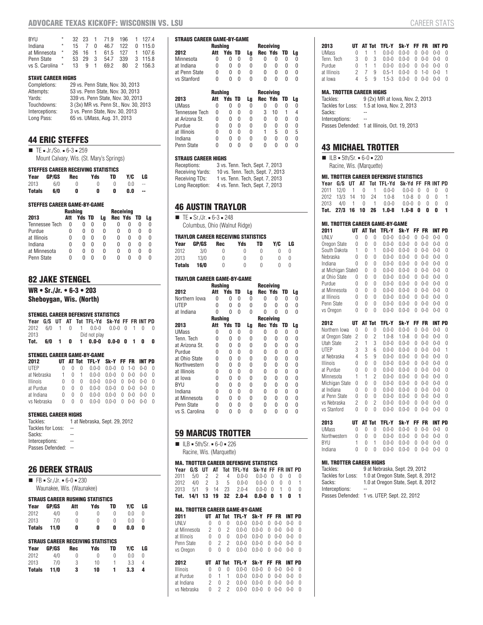| <b>RYII</b><br>Indiana | $^{\star}$<br>$^{\star}$ | 15. |       | U              | 32 23 1 71.9 196<br>46.7 | 122 | 1 1274<br>0, 115.0 |
|------------------------|--------------------------|-----|-------|----------------|--------------------------|-----|--------------------|
| at Minnesota           | $^\star$                 |     | 26 16 | $\overline{1}$ | 61.5                     | 127 | 1 1076             |
| Penn State             | $\star$                  | 53  | 29    | 3              | 54.7                     | 339 | 3 115.8            |
| vs S. Carolina *       |                          | 13  | q     |                | 692                      | 80  | 2 156.3            |

#### **STAVE CAREER HIGHS**

| Completions:   | 29 vs. Penn State, Nov. 30, 2013      |
|----------------|---------------------------------------|
| Attempts:      | 53 vs. Penn State, Nov. 30, 2013      |
| Yards:         | 339 vs. Penn State, Nov. 30, 2013     |
| Touchdowns:    | 3 (3x) MR vs. Penn St., Nov. 30, 2013 |
| Interceptions: | 3 vs. Penn State, Nov. 30, 2013       |
| Long Pass:     | 65 vs. UMass, Aug. 31, 2013           |

# **44 ERIC STEFFES**

 $T = Jr/S0. = 6-3 = 259$ Mount Calvary, Wis. (St. Mary's Springs)

| <b>STEFFES CAREER RECEIVING STATISTICS</b> |       |             |     |    |     |    |  |  |  |  |
|--------------------------------------------|-------|-------------|-----|----|-----|----|--|--|--|--|
| Year                                       | GP/GS | Rec         | Yds | TD | Y/C | LG |  |  |  |  |
| 2013                                       | 6/0   | $^{\prime}$ | n   | n  | n n |    |  |  |  |  |
| <b>Totals</b>                              | 6/0   | 0           | 0   |    | 0.0 | -- |  |  |  |  |

#### **STEFFES CAREER GAME-BY-GAME**

|                       | <b>Rushing</b> |               |              |    |   |            |              |    |  |  |  |
|-----------------------|----------------|---------------|--------------|----|---|------------|--------------|----|--|--|--|
| 2013                  | Att            | <b>Yds TD</b> |              | La |   | Rec Yds TD |              | La |  |  |  |
| <b>Tennessee Tech</b> | 0              | O             | $\cup$       | 0  |   | O          | N            |    |  |  |  |
| Purdue                | O              | 0             | O            | N  | 0 | U          | n            | N  |  |  |  |
| at Illinois           | 0              | 0             | $\mathbf{I}$ | N  | 0 | 0          | <sup>0</sup> | O  |  |  |  |
| Indiana               | 0              | 0             | n            | N  | N | O          | N            | N  |  |  |  |
| at Minnesota          | 0              | 0             | $\mathbf{I}$ | N  | Ω | 0          | N            | O  |  |  |  |
| Penn State            | N              |               |              | N  |   | n          | n            |    |  |  |  |

## **82 JAKE STENGEL**

**WR • Sr./Jr. • 6-3 • 203**

**Sheboygan, Wis. (North)**

#### **STENGEL CAREER DEFENSIVE STATISTICS**

|      |     |      |  | Year G/S UT AT Tot TFL-Yd Sk-Yd FF FR INT PD |                 |  |   |
|------|-----|------|--|----------------------------------------------|-----------------|--|---|
|      |     |      |  | 2012 6/0 1 0 1 0.0-0 0.0-0 0 1 0 0           |                 |  |   |
| 2013 |     |      |  | Did not play                                 |                 |  |   |
| Tot. | 6/0 | $-1$ |  | $0 \quad 1 \quad 0.0 - 0$                    | $0.0 - 0$ 0 1 0 |  | 0 |

#### **STENGEL CAREER GAME-BY-GAME**

| 2012         |   |   |                | UT AT Tot TFL-Y Sk-Y FF FR INT PD |                                     |  |     |  |
|--------------|---|---|----------------|-----------------------------------|-------------------------------------|--|-----|--|
| <b>IITFP</b> | 0 |   |                |                                   | $0.0-0$ $0.0-0$ $0$ $1-0$ $0-0$     |  |     |  |
| at Nebraska  |   | 0 | $\overline{1}$ |                                   | $0.0-0$ $0.0-0$ $0$ $0-0$ $0-0$ $0$ |  |     |  |
| Illinois     | 0 | O | 0              |                                   | $0.0-0$ $0.0-0$ $0$ $0-0$ $0-0$     |  |     |  |
| at Purdue    | 0 |   | <sup>0</sup>   |                                   | $0.0-0$ $0.0-0$ $0$ $0-0$ $0-0$     |  |     |  |
| at Indiana   | 0 | O | $\Omega$       |                                   | $0.0-0$ $0.0-0$ $0.0-0$             |  | ი-ი |  |
| vs Nebraska  | 0 | O | 0              |                                   | $0.0-0$ $0.0-0$ $0$ $0-0$ $0-0$     |  |     |  |

#### **STENGEL CAREER HIGHS**

| Tackles:          | 1 at Nebraska, Sept. 29, 2012 |
|-------------------|-------------------------------|
| Tackles for Loss: | $-$                           |
| Sacks:            |                               |
| Interceptions:    |                               |
| Passes Defended:  |                               |

### **26 DEREK STRAUS**

 $\blacksquare$  FB = Sr./Jr. = 6-0 = 230 Waunakee, Wis. (Waunakee)

# **STRAUS CAREER RUSHING STATISTICS**

| Year          | GP/GS | Att | Yds                                       | TD       | Y/C | LG |
|---------------|-------|-----|-------------------------------------------|----------|-----|----|
| 2012          | 4/0   | 0   | 0                                         | 0        | 0.0 | 0  |
| 2013          | 7/0   | 0   | 0                                         | 0        | 0.0 | 0  |
| <b>Totals</b> | 11/0  | 0   | 0                                         | 0        | 0.0 | 0  |
|               |       |     |                                           |          |     |    |
|               |       |     |                                           |          |     |    |
|               |       |     | <b>STRAUS CAREER RECEIVING STATISTICS</b> |          |     |    |
| Year          | GP/GS | Rec | Yds                                       | TD       | Y/C | LG |
| 2012          | 4/0   | N   | Λ                                         | $\Omega$ | 0.0 | 0  |
| 2013          | 7/0   | 3   | 10                                        | 1        | 3.3 | 4  |

| <b>STRAUS CAREER GAME-BY-GAME</b> |                |               |   |    |   |                  |      |    |
|-----------------------------------|----------------|---------------|---|----|---|------------------|------|----|
|                                   | Rushina        |               |   |    |   | <b>Receiving</b> |      |    |
| 2012                              | Att            | <b>Yds TD</b> |   | Lg |   | Rec Yds          | TD   | Lg |
| Minnesota                         | Ω              | 0             | 0 | 0  | N | 0                | 0    | O  |
| at Indiana                        | N              | 0             | N | 0  | N | O                | N    | Ω  |
| at Penn State                     | O              | 0             | 0 | 0  | N | 0                | 0    | Ω  |
| vs Stanford                       | N              | N             | N | N  | N | O                | N    | N  |
|                                   |                |               |   |    |   |                  |      |    |
|                                   | <b>Rushing</b> |               |   |    |   | <b>Receiving</b> |      |    |
| 2013                              | Att            | <b>Yds TD</b> |   | Lg |   | Rec Yds          | - TD | Lg |
| <b>UMass</b>                      | 0              | 0             | N | 0  | 0 | O                | N    | N  |
| <b>Tennessee Tech</b>             | O              | N             | N | N  | 3 | 10               |      | 4  |
| at Arizona St.                    | N              | 0             | N | 0  | N | O                | N    | N  |
| Purdue                            | 0              | 0             | N | 0  | 0 |                  |      |    |

at Illinois 0 0 0 0 1 5 0 5<br>Indiana 0 0 0 0 0 0 0 0

Penn State 0 0 0 0 0 0 0 0

Indiana 0 0 0 0 0 0 0 0

#### **STRAUS CAREER HIGHS**

| Receptions:      | 3 vs. Tenn. Tech, Sept. 7, 2013  |
|------------------|----------------------------------|
| Receiving Yards: | 10 vs. Tenn. Tech, Sept. 7, 2013 |
| Receiving TDs:   | 1 vs. Tenn. Tech, Sept. 7, 2013  |
| Long Reception:  | 4 vs. Tenn. Tech, Sept. 7, 2013  |

#### **46 AUSTIN TRAYLOR**

 $\blacksquare$  TE = Sr./Jr. = 6-3 = 248

Columbus, Ohio (Walnut Ridge)

#### **TRAYLOR CAREER RECEIVING STATISTICS**

| Year          | GP/GS | Rec      | Yds | TD       | Y/C | LG |
|---------------|-------|----------|-----|----------|-----|----|
| 2012          | 3/0   | $^{(1)}$ | O   | $^{(1)}$ | O   |    |
| 2013          | 13/0  | U        | U   | n        | U   |    |
| <b>Totals</b> | 16/0  | n        | U   | n        | U   |    |

#### **TRAYLOR CAREER GAME-BY-GAME**

|                | <b>Rushing</b> |               |   |    |   | <b>Receiving</b> |    |    |  |
|----------------|----------------|---------------|---|----|---|------------------|----|----|--|
| 2012           | Att            | <b>Yds TD</b> |   | Lg |   | Rec Yds          | TD | Lg |  |
| Northern Iowa  | N              | N             | N | N  | N | O                | N  | 0  |  |
| <b>UTEP</b>    | N              | 0             | 0 | N  | N | 0                | 0  | 0  |  |
| at Indiana     | Λ              | U             | U | N  | N | O                | U  | U  |  |
|                | <b>Rushing</b> |               |   |    |   | <b>Receiving</b> |    |    |  |
| 2013           | Att            | <b>Yds TD</b> |   | Lg |   | Rec Yds          | TD | Lg |  |
| <b>UMass</b>   | n              | 0             | N | 0  | n | O                | 0  | 0  |  |
| Tenn. Tech     | N              | 0             | 0 | N  | N | 0                | 0  | 0  |  |
| at Arizona St. | N              | N             | 0 | N  | N | 0                | U  | U  |  |
| Purdue         | N              | N             | 0 | N  | N | 0                | 0  | 0  |  |
| at Ohio State  | n              | U             | 0 | N  | N | 0                | 0  | U  |  |
| Northwestern   | N              | U             | U | N  | N | 0                | U  | U  |  |
| at Illinois    | N              | 0             | 0 | N  | N | 0                | 0  | 0  |  |
| at Iowa        | N              | 0             | 0 | N  | 0 | 0                | 0  | 0  |  |
| <b>BYU</b>     | N              | 0             | 0 | N  | 0 | 0                | 0  | 0  |  |
| Indiana        | N              | U             | 0 | N  | N | 0                | 0  | U  |  |
| at Minnesota   | N              | 0             | 0 | N  | U | 0                | 0  | 0  |  |
| Penn State     | N              | U             | 0 | N  | N | 0                | O  | n  |  |
| vs S. Carolina | N              | U             | O | N  | Λ | 0                | 0  | 0  |  |

# **59 MARCUS TROTTER**

 $I = ILB = 5th/Sr. = 6-0 = 226$ Racine, Wis. (Marquette)

#### **MA. TROTTER CAREER DEFENSIVE STATISTICS**

|  |  | Year G/S UT AT Tot TFL-Yd Sk-Yd FF FR INT PD |  |  |  |
|--|--|----------------------------------------------|--|--|--|
|  |  | 2011 5/0 2 2 4 0.0-0 0.0-0 0 0 0 0           |  |  |  |
|  |  | 2012 4/0 2 3 5 0.0-0 0.0-0 0 0 0 1           |  |  |  |
|  |  | 2013 5/1 9 14 23 2.0-4 0.0-0 0 1 0 0         |  |  |  |
|  |  | Tot. 14/1 13 19 32 2.0-4 0.0-0 0 1 0 1       |  |  |  |

#### **MA. TROTTER CAREER GAME-BY-GAME**

| 2011            |   |   |   | UT AT Tot TFL-Y Sk-Y FF FR |            |   |         | <b>INT PD</b> |          |
|-----------------|---|---|---|----------------------------|------------|---|---------|---------------|----------|
| UNLV            |   |   |   | $0.0 - 0.$                 | $0.0 - 0.$ | 0 | $0 - 0$ | $0 - 0$       | - 0      |
| at Minnesota    | 2 |   | 2 | $0.0-0$                    | $0.0 - 0$  | 0 | $0 - 0$ | $0 - 0$       | $\Omega$ |
| at Illinois     | U | 0 | O | $0.0 - 0.$                 | $0.0 - 0$  | 0 | $0 - 0$ | $0 - 0$       | $\Omega$ |
| Penn State      | U |   |   | $0.0 - 0.$                 | $0.0 - 0.$ | 0 | $0 - 0$ | $0 - 0$       | $\Omega$ |
| vs Oregon       | 0 |   | O | $0.0 - 0.$                 | $0.0 - 0.$ | U | $0 - 0$ | $0 - 0$       | $\Omega$ |
|                 |   |   |   |                            |            |   |         |               |          |
| 2012            |   |   |   | UT AT Tot TFL-Y            | Sk-Y FF FR |   |         | <b>INT PD</b> |          |
| <b>Illinois</b> |   |   |   |                            |            |   |         | $0 - 0$       | $\cap$   |

| LUIL        |  | VI ALIVA ILLE VATI IL IIA INILIP                                                        |  |  |  |
|-------------|--|-----------------------------------------------------------------------------------------|--|--|--|
| Illinois    |  | $0 \t 0 \t 0 \t 0.0 - 0 \t 0.0 - 0 \t 0 \t 0 - 0 \t 0 - 0 \t 0$                         |  |  |  |
| at Purdue   |  | $0 \quad 1 \quad 1 \quad 0.0 - 0 \quad 0.0 - 0 \quad 0 \quad 0 - 0 \quad 0 - 0 \quad 0$ |  |  |  |
| at Indiana  |  | $2 \t0 \t2 \t0.0-0 \t0.0-0 \t0 \t0-0 \t0-0 \t0$                                         |  |  |  |
| vs Nebraska |  | $0 \quad 2 \quad 2 \quad 0.0 - 0 \quad 0.0 - 0 \quad 0 \quad 0 - 0 \quad 0 - 0 \quad 0$ |  |  |  |

| 2013        |   |     |    | UT AT Tot TFL-Y Sk-Y FF FR INT PD                                                       |  |  |  |
|-------------|---|-----|----|-----------------------------------------------------------------------------------------|--|--|--|
| UMass       |   |     |    | $0 \quad 1 \quad 1 \quad 0.0 - 0 \quad 0.0 - 0 \quad 0 \quad 0 - 0 \quad 0 - 0 \quad 0$ |  |  |  |
| Tenn. Tech  |   |     |    | $3 \t 0 \t 3 \t 0.0-0 \t 0.0-0 \t 0 \t 0-0 \t 0-0 \t 0$                                 |  |  |  |
| Purdue      |   |     |    | $0 \quad 1 \quad 1 \quad 0.0 - 0 \quad 0.0 - 0 \quad 0 \quad 0 - 0 \quad 0 - 0 \quad 0$ |  |  |  |
| at Illinois |   | 2 7 | -9 | $0.5-1$ $0.0-0$ $0.1-0$ $0-0$                                                           |  |  |  |
| at Iowa     | 4 |     |    | 5 9 1.5-3 0.0-0 0 0-0 0-0 0                                                             |  |  |  |

#### **MA. TROTTER CAREER HIGHS**

Tackles: 9 (2x) MR at Iowa, Nov. 2, 2013 Tackles for Loss: 1.5 at Iowa, Nov. 2, 2013 Sacks: Interceptions: Passes Defended: 1 at Illinois, Oct. 19, 2013

#### **43 MICHAEL TROTTER**

 $I = ILB = 5th/Sr. = 6-0 = 220$ Racine, Wis. (Marquette)

#### **MI. TROTTER CAREER DEFENSIVE STATISTICS**

|  |  | Year G/S UT AT Tot TFL-Yd Sk-Yd FF FR INT PD |  |  |    |
|--|--|----------------------------------------------|--|--|----|
|  |  | 2011 12/0 1 0 1 0.0-0 0.0-0 0 0 0 0          |  |  |    |
|  |  | 2012 13/3 14 10 24 1.0-8 1.0-8 0 0 0 1       |  |  |    |
|  |  | 2013 4/0 1 0 1 0.0-0 0.0-0 0 0 0 0           |  |  |    |
|  |  | Tot. 27/3 16 10 26 1.0-8 1.0-8 0 0 0         |  |  | -1 |

| <b>MI. TROTTER CAREER GAME-BY-GAME</b> |    |   |        |           |           |     |         |         |   |  |
|----------------------------------------|----|---|--------|-----------|-----------|-----|---------|---------|---|--|
| 2011                                   | UТ |   | AT Tot | TFL-Y     | Sk-Y      | FF. | FR      | INT PD  |   |  |
| UNLV                                   | 0  | 0 | 0      | $0.0 - 0$ | $0.0 - 0$ | 0   | $0 - 0$ | $0 - 0$ | 0 |  |
| Oregon State                           | 0  | 0 | 0      | $0.0 - 0$ | $0.0 - 0$ | U   | $0 - 0$ | $0 - 0$ | U |  |
| South Dakota                           | 1  | 0 | 1      | $0.0 - 0$ | $0.0 - 0$ | 0   | $0 - 0$ | $0 - 0$ | 0 |  |
| Nebraska                               | 0  | 0 | 0      | $0.0 - 0$ | $0.0 - 0$ | 0   | $0 - 0$ | $0 - 0$ | U |  |
| Indiana                                | Ŋ  | 0 | 0      | $0.0 - 0$ | $0.0 - 0$ | U   | $0 - 0$ | $0 - 0$ | U |  |
| at Michigan State0                     |    | 0 | 0      | $0.0 - 0$ | $0.0 - 0$ | U   | $0 - 0$ | $0 - 0$ | 0 |  |
| at Ohio State                          | 0  | 0 | 0      | $0.0 - 0$ | $0.0 - 0$ | 0   | $0 - 0$ | $0 - 0$ | U |  |
| Purdue                                 | Ŋ  | 0 | 0      | $0.0 - 0$ | $0.0 - 0$ | U   | $0 - 0$ | $0 - 0$ | U |  |
| at Minnesota                           | U  | Ŋ | O      | $0.0 - 0$ | $0.0 - 0$ | U   | $0 - 0$ | $0 - 0$ | U |  |
| at Illinois                            | 0  | 0 | 0      | $0.0 - 0$ | $0.0 - 0$ | 0   | $0 - 0$ | $0 - 0$ | U |  |
| Penn State                             | 0  | 0 | 0      | $0.0 - 0$ | $0.0 - 0$ | U   | $0 - 0$ | $0 - 0$ | U |  |
| vs Oregon                              | Λ  | Ŋ | O      | $0.0 - 0$ | $0.0 - 0$ | U   | $0 - 0$ | $0 - 0$ | Λ |  |

| 2012            |   |   | AT Tot         | TFL-Y     | Sk-Y      | FF | FR      | INT PD  |   |
|-----------------|---|---|----------------|-----------|-----------|----|---------|---------|---|
| Northern Iowa   | O | 0 | O              | $0.0 - 0$ | በ በ-በ     | 0  | $0 - 0$ | $0 - 0$ | 0 |
| at Oregon State | 2 | 0 | 2              | $1.0 - 8$ | $1.0 - 8$ | U  | $0 - 0$ | $0 - 0$ | U |
| Utah State      | 2 | 1 | 3              | $0.0 - 0$ | $0 - 0$   | U  | $0 - 0$ | $0 - 0$ | U |
| <b>UTEP</b>     | 3 | 3 | 6              | $0.0 - 0$ | $0.0 - 0$ | U  | $0 - 0$ | $0 - 0$ | 1 |
| at Nebraska     | 4 | 5 | 9              | $0.0 - 0$ | $0.0 - 0$ | 0  | $0 - 0$ | $0 - 0$ | U |
| <b>Illinois</b> | O | U | O              | $0.0 - 0$ | $0.0 - 0$ | Λ  | $0 - 0$ | $0 - 0$ | U |
| at Purdue       | 0 | U | 0              | $0.0 - 0$ | $0.0 - 0$ | 0  | $0 - 0$ | $0 - 0$ | U |
| Minnesota       | 1 | 1 | $\overline{c}$ | $0.0 - 0$ | $0.0 - 0$ | U  | $0 - 0$ | $0 - 0$ | O |
| Michigan State  | O | U | O              | $0.0 - 0$ | $0 - 0$   | Λ  | $0 - 0$ | $0 - 0$ | O |
| at Indiana      | U | U | O              | $0.0 - 0$ | $0 - 0$   | Λ  | $0 - 0$ | $0 - 0$ | U |
| at Penn State   | Ŋ | O | U              | $0.0 - 0$ | $0.0 - 0$ | U  | $0 - 0$ | $0 - 0$ | O |
| vs Nebraska     | 2 | O | 2              | $0.0 - 0$ | $0.0 - 0$ | U  | $0 - 0$ | $0 - 0$ | U |
| vs Stanford     | Ŋ | Ŋ | Λ              | $0.0 - 0$ | $0 - 0$   | Λ  | በ-በ     | $0 - 0$ | U |

| 2013         |  | UT AT Tot TFL-Y Sk-Y FF FR INT PD                       |  |  |  |
|--------------|--|---------------------------------------------------------|--|--|--|
| UMass        |  | $0 \t 0 \t 0 \t 0.0-0 \t 0.0-0 \t 0 \t 0-0 \t 0-0 \t 0$ |  |  |  |
| Northwestern |  | $0 \t 0 \t 0 \t 0.0 - 0 \t 0.0 - 0 \t 0 \t 0 - 0 \t 0$  |  |  |  |
| BYU          |  | $1 \t 0 \t 1 \t 0.0 - 0 \t 0.0 - 0 \t 0 \t 0 - 0 \t 0$  |  |  |  |
| Indiana      |  | $0 \t 0 \t 0 \t 0.0 - 0 \t 0.0 - 0 \t 0 \t 0 - 0 \t 0$  |  |  |  |

#### **MI. TROTTER CAREER HIGHS**

| Tackles:          | 9 at Nebraska, Sept. 29, 2012               |
|-------------------|---------------------------------------------|
| Tackles for Loss: | 1.0 at Oregon State, Sept. 8, 2012          |
| Sacks:            | 1.0 at Oregon State, Sept. 8, 2012          |
| Interceptions:    |                                             |
|                   | Passes Defended: 1 vs. UTEP, Sept. 22, 2012 |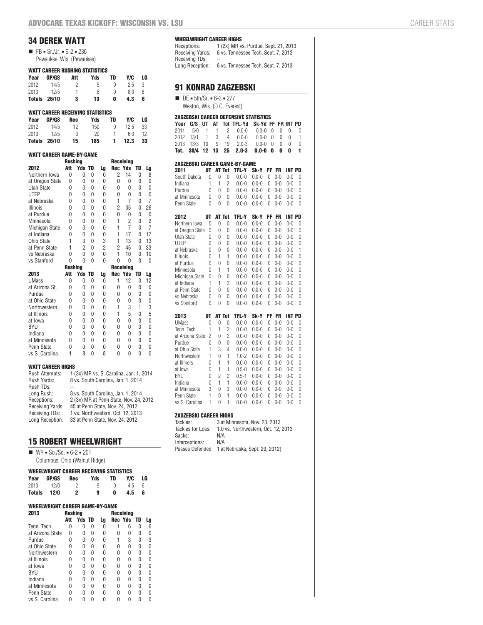# **34 DEREK WATT**

| $\blacksquare$ FB = Sr./Jr. = 6-2 = 236 |
|-----------------------------------------|
| Pewaukee, Wis. (Pewaukee)               |

|               | <b>WATT CAREER RUSHING STATISTICS</b> |     |     |          |     |    |
|---------------|---------------------------------------|-----|-----|----------|-----|----|
| Year          | <b>GP/GS</b>                          | Att | Yds | TD       | Y/C | LG |
| 2012          | 14/5                                  | 2   | 5   | $^{(1)}$ | 25  | 3  |
| 2013          | 12/5                                  |     | 8   | O        | 80  | 8  |
| <b>Totals</b> | 26/10                                 | 3   | 13  | n        | 4.3 | 8  |

#### **WATT CAREER RECEIVING STATISTICS**

| Year          | <b>GP/GS</b> | Rec | Yds | TD | Y/C  | LG |
|---------------|--------------|-----|-----|----|------|----|
| 2012          | 14/5         | 12  | 150 | 0  | 12.5 | 33 |
| 2013          | 12/5         | 3   | 20  |    | 60   | 12 |
| <b>Totals</b> | 26/10        | 15  | 185 | 1. | 12.3 | 33 |

#### **WATT CAREER GAME-BY-GAME**

|                       | <b>Rushing</b> |                |    |                |                | <b>Receiving</b> |          |                |
|-----------------------|----------------|----------------|----|----------------|----------------|------------------|----------|----------------|
| 2012                  | Att            | Yds            | TD | Lg             | <b>Rec Yds</b> |                  | TD       | Lg             |
| Northern Iowa         | 0              | 0              | 0  | 0              | 2              | 14               | 0        | 8              |
| at Oregon State       | 0              | 0              | 0  | 0              | $\Omega$       | 0                | 0        | 0              |
| Utah State            | O              | 0              | 0  | 0              | U              | $\Omega$         | $\Omega$ | 0              |
| <b>UTEP</b>           | 0              | 0              | 0  | 0              | 0              | 0                | 0        | 0              |
| at Nebraska           | 0              | 0              | 0  | 0              | 1              | $\overline{7}$   | 0        | $\overline{7}$ |
| <b>Illinois</b>       | $\Omega$       | 0              | 0  | 0              | $\overline{2}$ | 35               | 0        | 26             |
| at Purdue             | $\Omega$       | 0              | 0  | $\Omega$       | $\Omega$       | 0                | $\Omega$ | 0              |
| Minnesota             | O              | 0              | 0  | 0              | 1              | $\overline{2}$   | 0        | $\overline{2}$ |
| <b>Michigan State</b> | O              | 0              | 0  | 0              | 1              | $\overline{7}$   | 0        | $\overline{7}$ |
| at Indiana            | O              | 0              | 0  | 0              | 1              | 17               | 0        | 17             |
| Ohio State            | 1              | 3              | 0  | 3              | 1              | 13               | $\Omega$ | 13             |
| at Penn State         | 1              | $\overline{2}$ | 0  | $\overline{c}$ | $\overline{2}$ | 45               | U        | 33             |
| vs Nebraska           | $\Omega$       | 0              | 0  | 0              | 1              | 10               | 0        | 10             |
| vs Stanford           | $\Omega$       | $\Omega$       | 0  | $\Omega$       | $\Omega$       | 0                | 0        | 0              |
|                       | <b>Rushing</b> |                |    |                |                | <b>Receiving</b> |          |                |
| 2013                  | Att            | Yds            | TD | Lg             | <b>Rec Yds</b> |                  | TD       | Lg             |
| <b>UMass</b>          | 0              | 0              | 0  | 0              | 1              | 12               | 0        | 12             |
| at Arizona St.        | $\Omega$       | 0              | 0  | 0              | $\Omega$       | 0                | 0        | 0              |
| Purdue                | O              | 0              | 0  | 0              | U              | 0                | 0        | 0              |
| at Ohio State         | 0              | 0              | 0  | 0              | 0              | 0                | 0        | 0              |
| Northwestern          | O              | 0              | 0  | 0              | 1              | 3                | 1        | 3              |
| at Illinois           | 0              | 0              | 0  | 0              | 1              | 5                | 0        | 5              |
| at Iowa               | O              | 0              | 0  | 0              | U              | $\Omega$         | $\Omega$ | 0              |
| <b>BYU</b>            | 0              | 0              | 0  | 0              | $\Omega$       | 0                | 0        | 0              |
| Indiana               | $\Omega$       | 0              | 0  | 0              | U              | $\Omega$         | $\Omega$ | 0              |
| at Minnesota          | O              | 0              | 0  | 0              | U              | 0                | 0        | 0              |
| Penn State            | 0              | 0              | 0  | 0              | 0              | 0                | 0        | 0              |
|                       |                |                |    |                |                |                  |          |                |

#### **WATT CAREER HIGHS**

| Rush Attempts:   | 1 (3x) MR vs. S. Carolina, Jan. 1, 2014 |
|------------------|-----------------------------------------|
| Rush Yards:      | 8 vs. South Carolina, Jan. 1, 2014      |
| Rush TDs:        |                                         |
| Long Rush:       | 8 vs. South Carolina, Jan. 1, 2014      |
| Receptions:      | 2 (3x) MR at Penn State, Nov. 24, 2012  |
| Receiving Yards: | 45 at Penn State, Nov. 24, 2012         |
| Receiving TDs:   | 1 vs. Northwestern, Oct. 12, 2013       |
| Long Reception:  | 33 at Penn State, Nov. 24, 2012         |

# **15 ROBERT WHEELWRIGHT**

 $W = \text{W} - \text{S} - \text{S} - \text{S} - \text{S} - \text{S} - \text{S} - \text{S} - \text{S} - \text{S} - \text{S} - \text{S} - \text{S} - \text{S} - \text{S} - \text{S} - \text{S} - \text{S} - \text{S} - \text{S} - \text{S} - \text{S} - \text{S} - \text{S} - \text{S} - \text{S} - \text{S} - \text{S} - \text{S} - \text{S} - \text{S} - \text{S} - \text{S} - \text{S} - \text{S} - \text{S} - \text$ 

#### Columbus, Ohio (Walnut Ridge)

| <b>WHEELWRIGHT CAREER RECEIVING STATISTICS</b> |       |            |     |    |     |    |  |  |
|------------------------------------------------|-------|------------|-----|----|-----|----|--|--|
| Year                                           | GP/GS | <b>Rec</b> | Yds | TD | Y/C | LG |  |  |
| 2013                                           | 12/0  |            | q   | n  | 45  | ĥ  |  |  |
| <b>Totals</b>                                  | 12/0  |            | 9   |    | 4.5 |    |  |  |

#### **WHEELWRIGHT CAREER GAME-BY-GAME**

| 2013             | Rushina |        |   |    | Receiving |         |    |    |  |
|------------------|---------|--------|---|----|-----------|---------|----|----|--|
|                  | Att     | Yds TD |   | Lg |           | Rec Yds | TD | Lg |  |
| Tenn, Tech       | O       | N      | 0 | N  |           | 6       | 0  | 6  |  |
| at Arizona State | 0       | 0      | N | 0  | 0         | Ω       | 0  |    |  |
| Purdue           | O       | U      | N | U  | 1         | 3       | N  | 3  |  |
| at Ohio State    | O       | 0      | N | N  | Λ         | O       | 0  | N  |  |
| Northwestern     | Λ       | 0      | N | N  | O         | O       | 0  |    |  |
| at Illinois      | O       | 0      | N | O  | O         | O       | N  | n  |  |
| at Iowa          | O       | 0      | N | O  | O         | 0       | n  | n  |  |
| BYU              | N       | 0      | N | N  | O         | N       | n  |    |  |
| Indiana          | O       | N      | N | N  | N         | n       | n  | n  |  |
| at Minnesota     | O       | U      | N | O  | Λ         | 0       | 0  | n  |  |
| Penn State       | N       | U      | N | U  | U         | N       | N  |    |  |
| vs S. Carolina   | N       | ſ      | U |    |           |         |    |    |  |

#### **WHEELWRIGHT CAREER HIGHS**

| Receptions:      | 1 (2x) MR vs. Purdue, Sept. 21, 2013 |
|------------------|--------------------------------------|
| Receiving Yards: | 6 vs. Tennessee Tech. Sept. 7, 2013  |
| Receiving TDs:   | --                                   |
| Lona Reception:  | 6 vs. Tennessee Tech. Sept. 7, 2013  |
|                  |                                      |

# **91 KONRAD ZAGZEBSKI**

| $\blacksquare$ DE = 5th/Sr. = 6-3 = 277 |
|-----------------------------------------|
| Weston, Wis. (D.C. Everest)             |

#### **ZAGZEBSKI CAREER DEFENSIVE STATISTICS**

|  |  | Year G/S UT AT Tot TFL-Yd Sk-Yd FF FR INT PD |  |  |  |
|--|--|----------------------------------------------|--|--|--|
|  |  | 2011 5/0 1 1 2 0.0-0 0.0-0 0 0 0 0           |  |  |  |
|  |  | 2012 13/1 1 3 4 0.0-0 0.0-0 0 0 0 1          |  |  |  |
|  |  | 2013 13/3 10 9 19 2.0-3 0.0-0 0 0 0 0        |  |  |  |
|  |  | Tot. 30/4 12 13 25 2.0-3 0.0-0 0 0 0         |  |  |  |

#### **ZAGZEBSKI CAREER GAME-BY-GAME 2011 UT AT Tot TFL-Y Sk-Y FF FR INT PD** South Dakota 0 0 0 0.0-0 0.0-0 0 0-0 0-0 0

| <b><i><u>JUULITUUNULU</u></i></b> | v              | U              | U              | v.v<br>v                  | v.v                    | v              | v<br>v             |                          | U                   |
|-----------------------------------|----------------|----------------|----------------|---------------------------|------------------------|----------------|--------------------|--------------------------|---------------------|
| Indiana                           | 1              | 1              | $\overline{c}$ | $0.0 - 0$                 | $0.0 - 0$              | 0              | $0 - 0$            | $0 - 0$                  | 0                   |
| Purdue                            | 0              | $\overline{0}$ | $\overline{0}$ | $0.0 - 0$                 | $0.0 - 0$              | 0              | $0 - 0$            | $0 - 0$                  | 0                   |
| at Minnesota                      | 0              | 0              | $\theta$       | $0.0 - 0$                 | $0.0 - 0$              | 0              | $0 - 0$            | $0 - 0$                  | 0                   |
| Penn State                        | 0              | 0              | 0              | $0.0 - 0$                 | $0.0 - 0$              | 0              | $0 - 0$            | $0 - 0$                  | $\Omega$            |
| 2012                              | UT             | <b>AT Tot</b>  |                | TFL-Y                     | Sk-Y                   | FF             | <b>FR</b>          | <b>INT PD</b>            |                     |
| Northern Iowa                     | 0              | $\theta$       | $\overline{0}$ | $0.0 - 0$                 | $0.0 - 0$              | $\Omega$       | $0 - 0$            | $0 - 0$                  | 0                   |
| at Oregon State                   | 0              | 0              | $\overline{0}$ | $0.0 - 0$                 | $0.0 - 0$              | 0              | $0 - 0$            | $0 - 0$                  | 0                   |
| <b>Utah State</b>                 | 0              | 0              | $\theta$       | $0.0 - 0$                 | $0.0 - 0$              | 0              | $0 - 0$            | $0 - 0$                  | 0                   |
| UTEP                              | 0              | 0              | $\theta$       | $0.0 - 0$                 | $0.0 - 0$              | 0              | $0 - 0$            | $0 - 0$                  | $\overline{0}$      |
| at Nebraska                       | $\overline{0}$ | 0              | $\overline{0}$ | $0.0 - 0$                 | $0.0 - 0$              | 0              | $0 - 0$            | $0 - 0$                  | 1                   |
| <b>Illinois</b>                   | $\overline{0}$ | 1              | 1              | $0.0 - 0$                 | $0.0 - 0$              | 0              | $0 - 0$            | $0 - 0$                  | 0                   |
| at Purdue                         | $\overline{0}$ | 0              | 0              | $0.0 - 0$                 | $0.0 - 0$              | 0              | $0 - 0$            | $0 - 0$                  | 0                   |
| Minnesota                         | $\overline{0}$ | 1              | 1              | $0.0 - 0$                 | $0.0 - 0$              | 0              | $0 - 0$            | $0 - 0$                  | $\overline{0}$      |
| Michigan State                    | 0              | 0              | 0              | $0.0 - 0$                 | $0.0 - 0$              | 0              | $0 - 0$            | $0 - 0$                  | $\overline{0}$      |
| at Indiana                        | 1              | 1              | $\overline{2}$ | $0.0 - 0$                 | $0.0 - 0$              | 0              | $0 - 0$            | $0 - 0$                  | $\overline{0}$      |
| at Penn State                     | $\overline{0}$ | 0              | $\overline{0}$ | $0.0 - 0$                 | $0.0 - 0$              | 0              | $0 - 0$            | $0 - 0$                  | $\overline{0}$      |
|                                   |                |                |                |                           |                        |                |                    |                          |                     |
| vs Nebraska                       | 0              | 0              | 0              | $0.0 - 0$                 | $0.0 - 0$              | 0              | $0 - 0$            | $0 - 0$                  | 0                   |
| vs Stanford                       | 0              | $\overline{0}$ | $\overline{0}$ | $0.0 - 0$                 | $0.0 - 0$              | $\overline{0}$ | $0 - 0$            | $0 - 0$                  | $\overline{0}$      |
| 2013                              | UT             |                |                |                           | Sk-Y                   | FF             | <b>FR</b>          |                          |                     |
| <b>UMass</b>                      | 0              | AT Tot<br>0    | $\theta$       | <b>TFL-Y</b><br>$0.0 - 0$ | $0.0 - 0$              | 0              | $0 - 0$            | <b>INT PD</b><br>$0 - 0$ | 0                   |
| Tenn. Tech                        | 1              | 1              | $\overline{2}$ | $0.0 - 0$                 | $0.0 - 0$              | 0              | $0 - 0$            | $0 - 0$                  | 0                   |
| at Arizona State                  | $\overline{2}$ | 0              | $\overline{c}$ | $0.0 - 0$                 | $0.0 - 0$              | 0              | $0 - 0$            | $0 - 0$                  | 0                   |
| Purdue                            | 0              | 0              | 0              | $0.0 - 0$                 | $0.0 - 0$              | 0              | $0 - 0$            | $0 - 0$                  | 0                   |
| at Ohio State                     | 1              | 3              | $\overline{4}$ | $0.0 - 0$                 | $0.0 - 0$              | $\overline{0}$ | $0 - 0$            | $0 - 0$                  | $\overline{0}$      |
| Northwestern                      | 1              | 0              | 1              | $1.0 - 2$                 | $0.0 - 0$              | 0              | $0 - 0$            | $0 - 0$                  | $\overline{0}$      |
| at Illinois                       | $\overline{0}$ | 1              | 1              | $0.0 - 0$                 | $0.0 - 0$              | 0              | $0 - 0$            | $0 - 0$                  | $\overline{0}$      |
| at Iowa                           | $\overline{0}$ | 1              | 1              | $0.5 - 0$                 | $0.0 - 0$              | 0              | $0 - 0$            | $0 - 0$                  | 0                   |
| BYU                               | 0              | $\overline{c}$ | $\overline{c}$ | $0.5 - 1$                 | $0.0 - 0$              | 0              | $0 - 0$            | $0 - 0$                  | 0                   |
| Indiana                           | $\overline{0}$ | 1              | $\overline{1}$ | $0.0 - 0$                 | $0.0 - 0$              | $\overline{0}$ | $0 - 0$            | $0 - 0$                  | 0                   |
| at Minnesota                      | 3              | 0              | 3              | $0.0 - 0$                 | $0.0 - 0$              | 0              | $0 - 0$            | $0 - 0$                  | 0                   |
| Penn State<br>vs S. Carolina      | 1<br>1         | 0<br>0         | 1<br>1         | $0.0 - 0$<br>$0.0 - 0$    | $0.0 - 0$<br>$0.0 - 0$ | 0<br>0         | $0 - 0$<br>$0 - 0$ | $0 - 0$<br>$0 - 0$       | 0<br>$\overline{0}$ |

# **ZAGZEBSKI CAREER HIGHS**

Tackles: 3 at Minnesota, Nov. 23, 2013<br>Tackles for Loss: 1.0 vs. Northwestern, Oct. 12, 3 1.0 vs. Northwestern, Oct. 12, 2013<br>N/A Sacks: N/A<br>Interceptions: N/A Interceptions: Passes Defended: 1 at Nebraska, Sept. 29, 2012)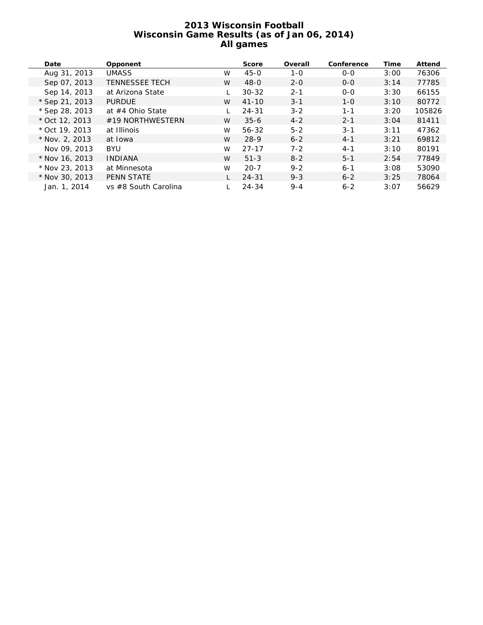# **2013 Wisconsin Football Wisconsin Game Results (as of Jan 06, 2014) All games**

| Date             | Opponent              |   | <b>Score</b> | Overall | Conference | <b>Time</b> | <b>Attend</b> |
|------------------|-----------------------|---|--------------|---------|------------|-------------|---------------|
| Aug 31, 2013     | <b>UMASS</b>          | W | $45 - 0$     | $1 - 0$ | $O - O$    | 3:00        | 76306         |
| Sep 07, 2013     | <b>TENNESSEE TECH</b> | W | $48 - 0$     | $2 - 0$ | $O - O$    | 3:14        | 77785         |
| Sep 14, 2013     | at Arizona State      |   | $30 - 32$    | $2 - 1$ | $0 - 0$    | 3:30        | 66155         |
| * Sep 21, 2013   | <b>PURDUE</b>         | W | $41 - 10$    | $3 - 1$ | $1 - 0$    | 3:10        | 80772         |
| $*$ Sep 28, 2013 | at #4 Ohio State      |   | $24 - 31$    | $3 - 2$ | $1 - 1$    | 3:20        | 105826        |
| * Oct 12, 2013   | #19 NORTHWESTERN      | W | $35 - 6$     | $4 - 2$ | $2 - 1$    | 3:04        | 81411         |
| $*$ Oct 19, 2013 | at Illinois           | W | 56-32        | $5 - 2$ | $3 - 1$    | 3:11        | 47362         |
| $*$ Nov. 2, 2013 | at Iowa               | W | $28-9$       | $6 - 2$ | $4 - 1$    | 3:21        | 69812         |
| Nov 09, 2013     | <b>BYU</b>            | W | $27 - 17$    | $7 - 2$ | $4 - 1$    | 3:10        | 80191         |
| * Nov 16, 2013   | <b>INDIANA</b>        | W | $51 - 3$     | $8 - 2$ | $5 - 1$    | 2:54        | 77849         |
| * Nov 23, 2013   | at Minnesota          | W | $20 - 7$     | $9 - 2$ | $6 - 1$    | 3:08        | 53090         |
| * Nov 30, 2013   | <b>PENN STATE</b>     |   | $24 - 31$    | $9 - 3$ | $6 - 2$    | 3:25        | 78064         |
| Jan. 1, 2014     | vs #8 South Carolina  |   | $24 - 34$    | $9 - 4$ | $6 - 2$    | 3:07        | 56629         |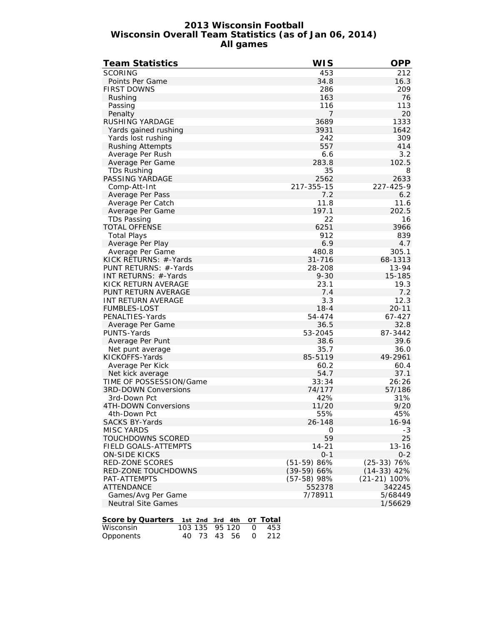# **2013 Wisconsin Football Wisconsin Overall Team Statistics (as of Jan 06, 2014) All games**

| Team Statistics             | <b>WIS</b>    | <b>OPP</b>     |
|-----------------------------|---------------|----------------|
| <b>SCORING</b>              | 453           | 212            |
| Points Per Game             | 34.8          | 16.3           |
| <b>FIRST DOWNS</b>          | 286           | 209            |
| Rushing                     | 163           | 76             |
| Passing                     | 116           | 113            |
| Penalty                     | 7             | 20             |
| RUSHING YARDAGE             | 3689          | 1333           |
| Yards gained rushing        | 3931          | 1642           |
| Yards lost rushing          | 242           | 309            |
| <b>Rushing Attempts</b>     | 557           | 414            |
| Average Per Rush            | 6.6           | 3.2            |
| Average Per Game            | 283.8         | 102.5          |
| <b>TDs Rushing</b>          | 35            | 8              |
| PASSING YARDAGE             | 2562          | 2633           |
| Comp-Att-Int                | 217-355-15    | 227-425-9      |
| Average Per Pass            | 7.2           | 6.2            |
| Average Per Catch           | 11.8          | 11.6           |
| Average Per Game            | 197.1         | 202.5          |
| <b>TDs Passing</b>          | 22            | 16             |
| <b>TOTAL OFFENSE</b>        | 6251          | 3966           |
| <b>Total Plays</b>          | 912           | 839            |
| Average Per Play            | 6.9           | 4.7            |
| Average Per Game            | 480.8         | 305.1          |
| KICK RETURNS: #-Yards       | 31-716        | 68-1313        |
| PUNT RETURNS: #-Yards       | 28-208        | 13-94          |
| INT RETURNS: #-Yards        | $9 - 30$      | 15-185         |
| KICK RETURN AVERAGE         | 23.1          | 19.3           |
| PUNT RETURN AVERAGE         | 7.4           | 7.2            |
| INT RETURN AVERAGE          | 3.3           | 12.3           |
| <b>FUMBLES-LOST</b>         | $18 - 4$      | $20 - 11$      |
| PENALTIES-Yards             | 54-474        | 67-427         |
| Average Per Game            | 36.5          | 32.8           |
| PUNTS-Yards                 | 53-2045       | 87-3442        |
| Average Per Punt            | 38.6          | 39.6           |
| Net punt average            | 35.7          | 36.0           |
| KICKOFFS-Yards              | 85-5119       | 49-2961        |
| Average Per Kick            | 60.2          | 60.4           |
| Net kick average            | 54.7          | 37.1           |
| TIME OF POSSESSION/Game     | 33:34         | 26:26          |
| <b>3RD-DOWN Conversions</b> | 74/177        | 57/186         |
| 3rd-Down Pct                | 42%           | 31%            |
| 4TH-DOWN Conversions        | 11/20         | 9/20           |
| 4th-Down Pct                | 55%           | 45%            |
| <b>SACKS BY-Yards</b>       | 26-148        | 16-94          |
| <b>MISC YARDS</b>           | 0             | $-3$           |
| TOUCHDOWNS SCORED           | 59            | 25             |
| <b>FIELD GOALS-ATTEMPTS</b> | $14 - 21$     | $13 - 16$      |
| <b>ON-SIDE KICKS</b>        | $0 - 1$       | $0 - 2$        |
| <b>RED-ZONE SCORES</b>      | $(51-59)$ 86% | $(25-33)$ 76%  |
| RED-ZONE TOUCHDOWNS         | $(39-59) 66%$ | $(14-33)$ 42%  |
| PAT-ATTEMPTS                | $(57-58)$ 98% | $(21-21)$ 100% |
| <b>ATTENDANCE</b>           | 552378        | 342245         |
| Games/Avg Per Game          | 7/78911       | 5/68449        |
| <b>Neutral Site Games</b>   |               | 1/56629        |

| Score by Quarters 1st 2nd 3rd 4th OT Total |  |  |                      |
|--------------------------------------------|--|--|----------------------|
| Wisconsin                                  |  |  | 103 135 95 120 0 453 |
| Opponents                                  |  |  | 40 73 43 56 0 212    |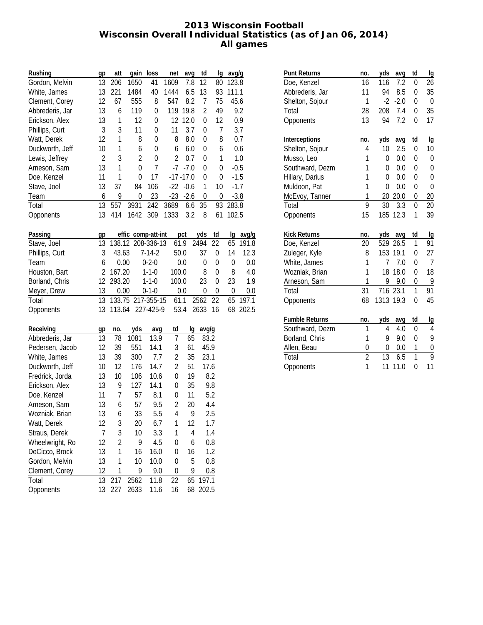# **2013 Wisconsin Football Wisconsin Overall Individual Statistics (as of Jan 06, 2014) All games**

| Rushing         | gp             | att            | gain               | loss         | net            | avg          | td             | lg          | avg/g |        |
|-----------------|----------------|----------------|--------------------|--------------|----------------|--------------|----------------|-------------|-------|--------|
| Gordon, Melvin  | 13             | 206            | 1650               | 41           | 1609           | 7.8          | 12             | 80          | 123.8 |        |
| White, James    | 13             | 221            | 1484               | 40           | 1444           | 6.5          | 13             | 93          | 111.1 |        |
| Clement, Corey  | 12             | 67             | 555                | 8            | 547            | 8.2          | 7              | 75          | 45.6  |        |
| Abbrederis, Jar | 13             | 6              | 119                | 0            |                | 119 19.8     | $\overline{2}$ | 49          |       | 9.2    |
| Erickson, Alex  | 13             | $\mathbf 1$    | 12                 | 0            |                | 12 12.0      | 0              | 12          |       | 0.9    |
| Phillips, Curt  | 3              | 3              | 11                 | 0            | 11             | 3.7          | $\mathbf 0$    | 7           |       | 3.7    |
| Watt, Derek     | 12             | $\mathbf 1$    | 8                  | 0            | 8              | 8.0          | 0              | 8           |       | 0.7    |
| Duckworth, Jeff | 10             | $\mathbf 1$    | 6                  | 0            | 6              | 6.0          | 0              | 6           |       | 0.6    |
| Lewis, Jeffrey  | $\overline{2}$ | 3              | $\overline{2}$     | 0            | $\overline{2}$ | 0.7          | 0              | 1           |       | 1.0    |
| Arneson, Sam    | 13             | 1              | 0                  | 7            | $-7$           | $-7.0$       | 0              | 0           |       | $-0.5$ |
| Doe, Kenzel     | 11             | 1              | 0                  | 17           |                | $-17 - 17.0$ | 0              | 0           |       | $-1.5$ |
| Stave, Joel     | 13             | 37             | 84                 | 106          | $-22$          | $-0.6$       | 1              | 10          |       | $-1.7$ |
| Team            | 6              | 9              | 0                  | 23           | $-23$          | $-2.6$       | 0              | 0           |       | $-3.8$ |
| Total           | 13             | 557            | 3931               | 242          | 3689           | 6.6          | 35             | 93          | 283.8 |        |
| Opponents       | 13             | 414            | 1642               | 309          | 1333           | 3.2          | 8              | 61          | 102.5 |        |
| Passing         | gp             |                | effic comp-att-int |              |                | pct          | yds            | td          | lg    | avg/g  |
| Stave, Joel     | 13             |                | 138.12 208-336-13  |              | 61.9           |              | 2494           | 22          | 65    | 191.8  |
| Phillips, Curt  | 3              | 43.63          |                    | $7 - 14 - 2$ | 50.0           |              | 37             | 0           | 14    | 12.3   |
| Team            | 6              | 0.00           |                    | $0 - 2 - 0$  |                | 0.0          | $\mathbf 0$    | $\mathbf 0$ | 0     | 0.0    |
| Houston, Bart   | $\overline{2}$ | 167.20         |                    | $1 - 1 - 0$  | 100.0          |              | 8              | $\mathbf 0$ | 8     | 4.0    |
| Borland, Chris  | 12             | 293.20         |                    | $1 - 1 - 0$  | 100.0          |              | 23             | $\mathbf 0$ | 23    | 1.9    |
| Meyer, Drew     | 13             | 0.00           |                    | $0 - 1 - 0$  |                | 0.0          | 0              | $\mathbf 0$ | 0     | 0.0    |
| Total           | 13             |                | 133.75 217-355-15  |              | 61.1           |              | 2562           | 22          | 65    | 197.1  |
| Opponents       | 13             | 113.64         |                    | 227-425-9    | 53.4           |              | 2633           | 16          | 68    | 202.5  |
| Receiving       | gp             | no.            | yds                | avg          | td             | lg           | avg/g          |             |       |        |
| Abbrederis, Jar | 13             | 78             | 1081               | 13.9         | 7              | 65           | 83.2           |             |       |        |
| Pedersen, Jacob | 12             | 39             | 551                | 14.1         | 3              | 61           | 45.9           |             |       |        |
| White, James    | 13             | 39             | 300                | 7.7          | $\overline{2}$ | 35           | 23.1           |             |       |        |
| Duckworth, Jeff | 10             | 12             | 176                | 14.7         | $\overline{2}$ | 51           | 17.6           |             |       |        |
| Fredrick, Jorda | 13             | 10             | 106                | 10.6         | 0              | 19           |                | 8.2         |       |        |
| Erickson, Alex  | 13             | 9              | 127                | 14.1         | 0              | 35           |                | 9.8         |       |        |
| Doe, Kenzel     | 11             | 7              | 57                 | 8.1          | 0              | 11           |                | 5.2         |       |        |
| Arneson, Sam    | 13             | 6              | 57                 | 9.5          | $\overline{2}$ | 20           |                | 4.4         |       |        |
| Wozniak, Brian  | 13             | 6              | 33                 | 5.5          | 4              | 9            |                | 2.5         |       |        |
| Watt, Derek     | 12             | 3              | 20                 | 6.7          | 1              | 12           |                | 1.7         |       |        |
| Straus, Derek   | 7              | 3              | 10                 | 3.3          | 1              | 4            |                | 1.4         |       |        |
| Wheelwright, Ro | 12             | $\overline{2}$ | 9                  | 4.5          | 0              | 6            |                | 0.8         |       |        |
| DeCicco, Brock  | 13             | 1              | 16                 | 16.0         | 0              | 16           |                | 1.2         |       |        |
| Gordon, Melvin  | 13             | 1              | 10                 | 10.0         | 0              | 5            |                | 0.8         |       |        |
| Clement, Corey  | 12             | 1              | 9                  | 9.0          | 0              | 9            |                | 0.8         |       |        |
| Total           | 13             | 217            | 2562               | 11.8         | 22             | 65           | 197.1          |             |       |        |
| Opponents       | 13             | 227            | 2633               | 11.6         | 16             | 68           | 202.5          |             |       |        |

| <b>Punt Returns</b>   | no.            | yds       | avg    | td       | Ig             |
|-----------------------|----------------|-----------|--------|----------|----------------|
| Doe, Kenzel           | 16             | 116       | 7.2    | 0        | 26             |
| Abbrederis, Jar       | 11             | 94        | 8.5    | 0        | 35             |
| Shelton, Sojour       | 1              | $-2$      | $-2.0$ | 0        | $\theta$       |
| Total                 | 28             | 208       | 7.4    | 0        | 35             |
| Opponents             | 13             | 94        | 7.2    | 0        | 17             |
| Interceptions         | no.            | yds       | avg    | td       | lg             |
| Shelton, Sojour       | 4              | 10        | 2.5    | 0        | 10             |
| Musso, Leo            | 1              | 0         | 0.0    | $\Omega$ | $\Omega$       |
| Southward, Dezm       | 1              | $\Omega$  | 0.0    | $\Omega$ | $\Omega$       |
| Hillary, Darius       | 1              | 0         | 0.0    | $\Omega$ | $\Omega$       |
| Muldoon, Pat          | 1              | 0         | 0.0    | 0        | 0              |
| McEvoy, Tanner        | 1              | 20        | 20.0   | 0        | 20             |
| Total                 | 9              | 30        | 3.3    | 0        | 20             |
| Opponents             | 15             | 185       | 12.3   | 1        | 39             |
| <b>Kick Returns</b>   | no.            | yds       | avq    | td       | lg             |
| Doe, Kenzel           | 20             | 529       | 26.5   | 1        | 91             |
| Zuleger, Kyle         | 8              | 153       | 19.1   | $\Omega$ | 27             |
| White, James          | 1              | 7         | 7.0    | 0        | $\overline{7}$ |
| Wozniak, Brian        | 1              | 18        | 18.0   | 0        | 18             |
| Arneson, Sam          | 1              | 9         | 9.0    | 0        | 9              |
| Total                 | 31             | 716       | 23.1   | 1        | 91             |
| Opponents             | 68             | 1313 19.3 |        | $\Omega$ | 45             |
| <b>Fumble Returns</b> | no.            | yds       | avg    | td       | Ig             |
| Southward, Dezm       | 1              | 4         | 4.0    | 0        | 4              |
| Borland, Chris        | 1              | 9         | 9.0    | $\Omega$ | 9              |
| Allen, Beau           | $\overline{0}$ | 0         | 0.0    | 1        | $\mathbf{0}$   |
| Total                 | $\overline{2}$ | 13        | 6.5    | 1        | $\overline{Q}$ |
| Opponents             | 1              | 11        | 11.0   | $\Omega$ | 11             |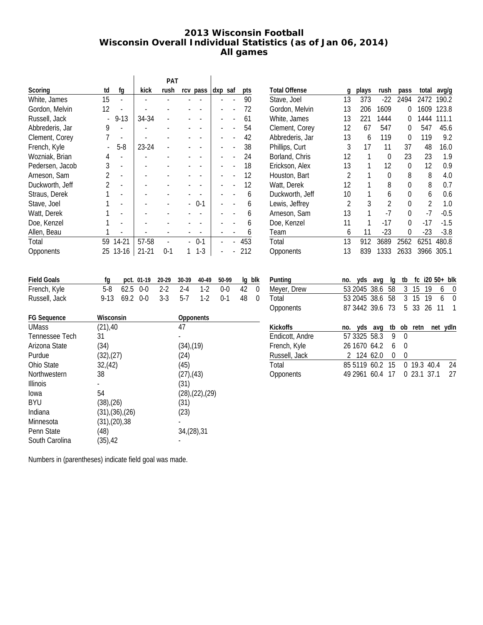# **2013 Wisconsin Football Wisconsin Overall Individual Statistics (as of Jan 06, 2014) All games**

|                  |                |        |           | <b>PAT</b> |          |         |     |
|------------------|----------------|--------|-----------|------------|----------|---------|-----|
| Scoring          | td             | fg     | kick      | rush       | rcv pass | dxp saf | pts |
| White, James     | 15             |        |           |            |          |         | 90  |
| Gordon, Melvin   | 12             |        |           |            |          |         | 72  |
| Russell, Jack    |                | $9-13$ | 34-34     |            |          |         | 61  |
| Abbrederis, Jar  | 9              |        |           |            |          |         | 54  |
| Clement, Corey   | 7              |        |           |            |          |         | 42  |
| French, Kyle     |                | $5-8$  | 23-24     |            |          |         | 38  |
| Wozniak, Brian   | 4              |        |           |            |          |         | 24  |
| Pedersen, Jacob  | 3              |        |           |            |          |         | 18  |
| Arneson, Sam     | 2              |        |           |            |          |         | 12  |
| Duckworth, Jeff  | $\mathfrak{p}$ |        |           |            |          |         | 12  |
| Straus, Derek    |                |        |           |            |          |         | 6   |
| Stave, Joel      |                |        |           |            | $0-1$    |         | 6   |
| Watt, Derek      |                |        |           |            |          |         | 6   |
| Doe, Kenzel      |                |        |           |            |          |         | 6   |
| Allen, Beau      |                |        |           |            |          |         | 6   |
| Total            | 59             | 14-21  | 57-58     |            | $0-1$    |         | 453 |
| <b>Opponents</b> | 25             | 13-16  | $21 - 21$ | $0-1$      | 1-3      |         | 212 |

| q  | plays | rush           | pass | total          | avg/g  |
|----|-------|----------------|------|----------------|--------|
| 13 | 373   | $-22$          | 2494 | 2472           | 190.2  |
| 13 | 206   | 1609           | 0    | 1609           | 123.8  |
| 13 | 221   | 1444           | 0    | 1444           | 111.1  |
| 12 | 67    | 547            | 0    | 547            | 45.6   |
| 13 | 6     | 119            | O    | 119            | 9.2    |
| 3  | 17    | 11             | 37   | 48             | 16.0   |
| 12 | 1     | 0              | 23   | 23             | 1.9    |
| 13 | 1     | 12             | O    | 12             | 0.9    |
| 2  | 1     | 0              | 8    | 8              | 4.0    |
| 12 | 1     | 8              | 0    | 8              | 0.7    |
| 10 | 1     | 6              | 0    | 6              | 0.6    |
| 2  | 3     | $\mathfrak{D}$ | 0    | $\mathfrak{D}$ | 1.0    |
| 13 | 1     | $-7$           | U    | $-7$           | $-0.5$ |
| 11 |       | $-17$          | 0    | $-17$          | $-1.5$ |
| 6  | 11    | $-23$          | 0    | $-23$          | $-3.8$ |
| 13 | 912   | 3689           | 2562 | 6251           | 480.8  |
| 13 | 839   | 1333           | 2633 | 3966           | 305.1  |
|    |       |                |      |                |        |

| <b>Field Goals</b> | fg pct. 01-19 20-29 30-39 40-49 50-99 lg blk |  |  |  |
|--------------------|----------------------------------------------|--|--|--|
| French, Kyle       | 5-8 62.5 0-0 2-2 2-4 1-2 0-0 42 0            |  |  |  |
| Russell, Jack      | 9-13 69.2 0-0 3-3 5-7 1-2 0-1 48 0           |  |  |  |

| <b>FG Sequence</b> | Wisconsin       | <b>Opponents</b>         |
|--------------------|-----------------|--------------------------|
| <b>UMass</b>       | $(21)$ ,40      | 47                       |
| Tennessee Tech     | 31              |                          |
| Arizona State      | (34)            | $(34)$ , $(19)$          |
| Purdue             | $(32)$ , $(27)$ | (24)                     |
| Ohio State         | 32,(42)         | (45)                     |
| Northwestern       | 38              | $(27)$ , $(43)$          |
| Illinois           |                 | (31)                     |
| lowa               | 54              | $(28)$ , $(22)$ , $(29)$ |
| BYU                | $(38)$ , $(26)$ | (31)                     |
| Indiana            | (31),(36),(26)  | (23)                     |
| Minnesota          | (31),(20),38    |                          |
| Penn State         | (48)            | 34, (28), 31             |
| South Carolina     | $(35)$ ,42      |                          |

| Punting         | no. | yds avg                     |                    | lq | tb       |               |     |   | fc $i20\,50+$ blk |
|-----------------|-----|-----------------------------|--------------------|----|----------|---------------|-----|---|-------------------|
| Meyer, Drew     |     | 53 2045 38.6 58             |                    |    |          | 3 15          | -19 | 6 | 0                 |
| Total           |     | 53 2045 38.6 58 3 15 19     |                    |    |          |               |     | 6 | 0                 |
| Opponents       |     | 87 3442 39.6 73             |                    |    |          | 5 33 26 11    |     |   |                   |
|                 |     |                             |                    |    |          |               |     |   |                   |
| <b>Kickoffs</b> | no. |                             | yds avg tb ob retn |    |          |               |     |   | net ydln          |
| Endicott, Andre |     | 57 3325 58.3 9              |                    |    | $\Omega$ |               |     |   |                   |
| French, Kyle    |     | 26 1670 64.2                |                    | 6  | 0        |               |     |   |                   |
| Russell, Jack   |     | 2 124 62.0                  |                    | 0  | 0        |               |     |   |                   |
| Total           |     | 85 5119 60.2 15 0 19.3 40.4 |                    |    |          |               |     |   | 24                |
| Opponents       |     | 49 2961 60.4 17             |                    |    |          | 0, 23.1, 37.1 |     |   | 27                |
|                 |     |                             |                    |    |          |               |     |   |                   |

Numbers in (parentheses) indicate field goal was made.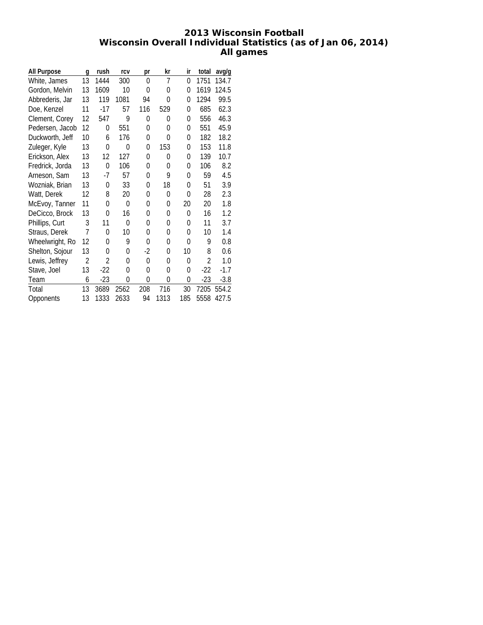# **2013 Wisconsin Football Wisconsin Overall Individual Statistics (as of Jan 06, 2014) All games**

| All Purpose     | q              | rush  | rcv  | рr       | kr       | ir       | total | avg/g  |
|-----------------|----------------|-------|------|----------|----------|----------|-------|--------|
| White, James    | 13             | 1444  | 300  | $\Omega$ | 7        | $\Omega$ | 1751  | 134.7  |
| Gordon, Melvin  | 13             | 1609  | 10   | 0        | 0        | 0        | 1619  | 124.5  |
| Abbrederis, Jar | 13             | 119   | 1081 | 94       | 0        | 0        | 1294  | 99.5   |
| Doe, Kenzel     | 11             | $-17$ | 57   | 116      | 529      | 0        | 685   | 62.3   |
| Clement, Corey  | 12             | 547   | 9    | 0        | 0        | 0        | 556   | 46.3   |
| Pedersen, Jacob | 12             | 0     | 551  | 0        | 0        | 0        | 551   | 45.9   |
| Duckworth, Jeff | 10             | 6     | 176  | 0        | 0        | 0        | 182   | 18.2   |
| Zuleger, Kyle   | 13             | 0     | 0    | 0        | 153      | 0        | 153   | 11.8   |
| Erickson, Alex  | 13             | 12    | 127  | 0        | 0        | $\Omega$ | 139   | 10.7   |
| Fredrick, Jorda | 13             | 0     | 106  | 0        | $\Omega$ | $\Omega$ | 106   | 8.2    |
| Arneson, Sam    | 13             | $-7$  | 57   | 0        | 9        | $\Omega$ | 59    | 4.5    |
| Wozniak, Brian  | 13             | 0     | 33   | 0        | 18       | 0        | 51    | 3.9    |
| Watt, Derek     | 12             | 8     | 20   | 0        | 0        | $\Omega$ | 28    | 2.3    |
| McEvoy, Tanner  | 11             | 0     | 0    | 0        | 0        | 20       | 20    | 1.8    |
| DeCicco, Brock  | 13             | 0     | 16   | 0        | 0        | $\Omega$ | 16    | 1.2    |
| Phillips, Curt  | 3              | 11    | 0    | 0        | 0        | 0        | 11    | 3.7    |
| Straus, Derek   | 7              | 0     | 10   | 0        | 0        | 0        | 10    | 1.4    |
| Wheelwright, Ro | 12             | 0     | 9    | 0        | 0        | 0        | 9     | 0.8    |
| Shelton, Sojour | 13             | 0     | 0    | $-2$     | 0        | 10       | 8     | 0.6    |
| Lewis, Jeffrey  | $\overline{2}$ | 2     | 0    | $\theta$ | 0        | 0        | 2     | 1.0    |
| Stave, Joel     | 13             | $-22$ | 0    | 0        | 0        | $\Omega$ | $-22$ | $-1.7$ |
| Team            | 6              | $-23$ | 0    | $\Omega$ | 0        | 0        | $-23$ | $-3.8$ |
| Total           | 13             | 3689  | 2562 | 208      | 716      | 30       | 7205  | 554.2  |
| Opponents       | 13             | 1333  | 2633 | 94       | 1313     | 185      | 5558  | 427.5  |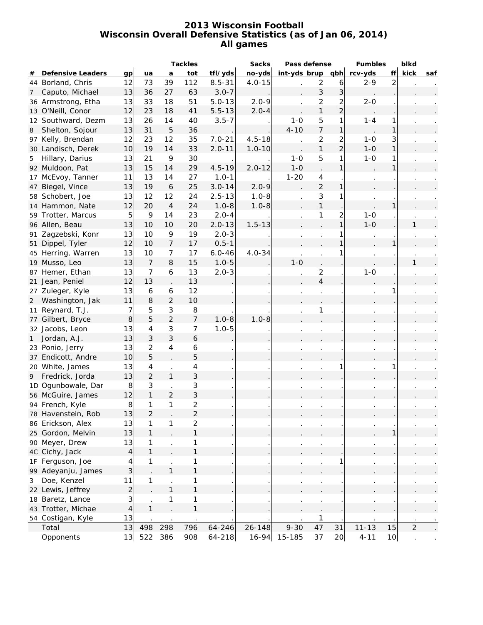# **2013 Wisconsin Football Wisconsin Overall Defensive Statistics (as of Jan 06, 2014) All games**

|                |                          |                         |                          |                                        | <b>Tackles</b>      |            | <b>Sacks</b> | Pass defense     |                |                | <b>Fumbles</b> |                | blkd           |     |
|----------------|--------------------------|-------------------------|--------------------------|----------------------------------------|---------------------|------------|--------------|------------------|----------------|----------------|----------------|----------------|----------------|-----|
| #              | <b>Defensive Leaders</b> | gp                      | ua                       | a                                      | tot                 | tfl/yds    | no-yds       | int-yds brup qbh |                |                | rcv-yds        | ff             | kick           | saf |
|                | 44 Borland, Chris        | 12                      | 73                       | 39                                     | 112                 | $8.5 - 31$ | $4.0 - 15$   |                  | $\overline{2}$ | 6              | $2 - 9$        | $\overline{2}$ |                |     |
| 7              | Caputo, Michael          | 13                      | 36                       | 27                                     | 63                  | $3.0 - 7$  |              |                  | $\mathfrak{Z}$ | $\mathbf{3}$   |                |                |                |     |
|                | 36 Armstrong, Etha       | 13                      | 33                       | 18                                     | 51                  | $5.0 - 13$ | $2.0 - 9$    |                  | 2              | $\overline{c}$ | $2 - 0$        |                |                |     |
|                | 13 O'Neill, Conor        | 12                      | 23                       | 18                                     | 41                  | $5.5 - 13$ | $2.0 - 4$    |                  | $\mathbf{1}$   | $\overline{2}$ |                |                |                |     |
|                | 12 Southward, Dezm       | 13                      | 26                       | 14                                     | 40                  | $3.5 - 7$  |              | $1 - 0$          | 5              | 1              | $1 - 4$        | 1              |                |     |
| 8              | Shelton, Sojour          | 13                      | 31                       | 5                                      | 36                  |            |              | $4 - 10$         | $\overline{7}$ | $\mathbf{1}$   |                | 1              |                |     |
|                | 97 Kelly, Brendan        | 12                      | 23                       | 12                                     | 35                  | $7.0 - 21$ | $4.5 - 18$   |                  | $\overline{c}$ | $\overline{c}$ | $1 - 0$        | 3              |                |     |
|                | 30 Landisch, Derek       | 10                      | 19                       | 14                                     | 33                  | $2.0 - 11$ | $1.0 - 10$   |                  | $\mathbf{1}$   | $\overline{2}$ | $1-0$          | 1              |                |     |
| 5              | Hillary, Darius          | 13                      | 21                       | 9                                      | 30                  |            |              | $1 - 0$          | 5              | 1              | $1 - 0$        | 1              |                |     |
|                | 92 Muldoon, Pat          | 13                      | 15                       | 14                                     | 29                  | $4.5 - 19$ | $2.0 - 12$   | $1 - 0$          |                | $\mathbf{1}$   |                | 1              |                |     |
| 17             | McEvoy, Tanner           | 11                      | 13                       | 14                                     | 27                  | $1.0 - 1$  |              | $1 - 20$         | $\overline{4}$ |                |                |                |                |     |
| 47             | Biegel, Vince            | 13                      | 19                       | $\boldsymbol{6}$                       | 25                  | $3.0 - 14$ | $2.0 - 9$    |                  | $\overline{2}$ | 1              |                |                |                |     |
|                | 58 Schobert, Joe         | 13                      | 12                       | 12                                     | 24                  | $2.5 - 13$ | $1.0 - 8$    |                  | 3              | 1              |                |                |                |     |
|                | 14 Hammon, Nate          | 12                      | 20                       | $\overline{4}$                         | 24                  | $1.0 - 8$  | $1.0 - 8$    |                  | $\mathbf{1}$   |                |                | 1              |                |     |
|                | 59 Trotter, Marcus       | 5                       | 9                        | 14                                     | 23                  | $2.0 - 4$  |              |                  | 1              | $\overline{2}$ | $1 - 0$        |                |                |     |
|                | 96 Allen, Beau           | 13                      | 10                       | 10                                     | 20                  | $2.0 - 13$ | $1.5 - 13$   |                  |                | $\mathbf{1}$   | $1 - 0$        |                | 1              |     |
| 91             | Zagzebski, Konr          | 13                      | 10                       | 9                                      | 19                  | $2.0 - 3$  |              |                  |                | 1              |                |                |                |     |
| 51             | Dippel, Tyler            | 12                      | 10                       | $\overline{7}$                         | 17                  | $0.5 - 1$  |              |                  |                | 1              |                |                |                |     |
|                | 45 Herring, Warren       | 13                      | 10                       | $\overline{7}$                         | 17                  | $6.0 - 46$ | $4.0 - 34$   |                  |                |                |                |                |                |     |
|                | 19 Musso, Leo            | 13                      | $\overline{7}$           | 8                                      | 15                  | $1.0 - 5$  |              | $1 - 0$          |                |                |                |                | 1              |     |
| 87             | Hemer, Ethan             | 13                      | $\overline{7}$           | 6                                      | 13                  | $2.0 - 3$  |              |                  | $\overline{c}$ |                | $1 - 0$        |                |                |     |
|                | 21 Jean, Peniel          | 12                      | 13                       |                                        | 13                  |            |              |                  | $\overline{4}$ |                |                |                |                |     |
|                | 27 Zuleger, Kyle         | 13                      | 6                        | 6                                      | 12                  |            |              |                  |                |                |                |                |                |     |
| $\overline{2}$ | Washington, Jak          | 11                      | 8                        | $\overline{2}$                         | 10                  |            |              |                  |                |                |                |                |                |     |
| 11             | Reynard, T.J.            | 7                       | 5                        | 3                                      | 8                   |            |              |                  | 1              |                |                |                |                |     |
|                | 77 Gilbert, Bryce        | $\bf{8}$                | 5                        | $\overline{a}$                         | $\overline{7}$      | $1.0 - 8$  | $1.0 - 8$    |                  |                |                |                |                |                |     |
|                | 32 Jacobs, Leon          | 13                      | $\overline{\mathcal{A}}$ | 3                                      | 7                   | $1.0 - 5$  |              |                  |                |                |                |                |                |     |
| 1              | Jordan, A.J.             | 13                      | $\sqrt{3}$               | 3                                      | $\ddot{\mathbf{6}}$ |            |              |                  |                |                |                |                |                |     |
|                | 23 Ponio, Jerry          | 13                      | $\overline{2}$           | 4                                      | 6                   |            |              |                  |                |                |                |                |                |     |
|                | 37 Endicott, Andre       | 10                      | 5                        |                                        | 5                   |            |              |                  |                |                |                |                |                |     |
|                | 20 White, James          | 13                      | $\overline{\mathcal{A}}$ |                                        | 4                   |            |              |                  |                |                |                |                |                |     |
|                | Fredrick, Jorda          | 13                      | $\overline{2}$           | $\ddot{\phantom{0}}$<br>$\mathbf{1}$   | 3                   |            |              |                  |                |                |                |                |                |     |
| 9              | 1D Ogunbowale, Dar       |                         | $\sqrt{3}$               |                                        | 3                   |            |              |                  |                |                |                |                |                |     |
|                | 56 McGuire, James        | 8<br>12                 | $\mathbf{1}$             | $\ddot{\phantom{0}}$<br>$\overline{2}$ | 3                   |            |              |                  |                |                |                |                |                |     |
|                |                          |                         | 1                        |                                        |                     |            |              |                  |                |                |                |                |                |     |
|                | 94 French, Kyle          | 8<br>13                 | $\overline{2}$           | 1                                      | 2<br>$\overline{2}$ |            |              |                  |                |                |                |                |                |     |
|                | 78 Havenstein, Rob       |                         |                          |                                        |                     |            |              |                  |                |                |                |                |                |     |
|                | 86 Erickson, Alex        | 13                      | 1                        | 1                                      | 2<br>1              |            |              |                  |                |                |                |                |                |     |
|                | 25 Gordon, Melvin        | 13                      | $\mathbf{1}$             |                                        |                     |            |              |                  |                |                |                |                |                |     |
|                | 90 Meyer, Drew           | 13                      | 1                        |                                        | 1                   |            |              |                  |                |                |                |                |                |     |
|                | 4C Cichy, Jack           | 4                       | 1                        |                                        | 1                   |            |              |                  |                |                |                |                |                |     |
|                | 1F Ferguson, Joe         | 4                       | 1                        |                                        | 1                   |            |              |                  |                |                |                |                |                |     |
|                | 99 Adeyanju, James       | 3                       |                          | 1                                      | $\mathbf{1}$        |            |              |                  |                |                |                |                |                |     |
| 3              | Doe, Kenzel              | 11                      | 1                        |                                        | 1                   |            |              |                  |                |                |                |                |                |     |
|                | 22 Lewis, Jeffrey        | $\overline{\mathbf{c}}$ |                          | 1                                      | $\mathbf{1}$        |            |              |                  |                |                |                |                |                |     |
|                | 18 Baretz, Lance         | 3                       |                          | 1                                      | 1                   |            |              |                  |                |                |                |                |                |     |
|                | 43 Trotter, Michae       | $\vert 4 \vert$         | $\mathbf{1}$             |                                        | $\mathbf{1}$        |            |              |                  |                |                |                |                |                |     |
|                | 54 Costigan, Kyle        | 13                      |                          |                                        |                     |            |              |                  |                |                |                |                |                |     |
|                | Total                    | 13                      | 498                      | 298                                    | 796                 | 64-246     | 26-148       | $9 - 30$         | 47             | 31             | $11 - 13$      | 15             | $\overline{2}$ |     |
|                | Opponents                | 13                      | 522                      | 386                                    | 908                 | $64 - 218$ | $16 - 94$    | 15-185           | 37             | 20             | $4 - 11$       | 10             |                |     |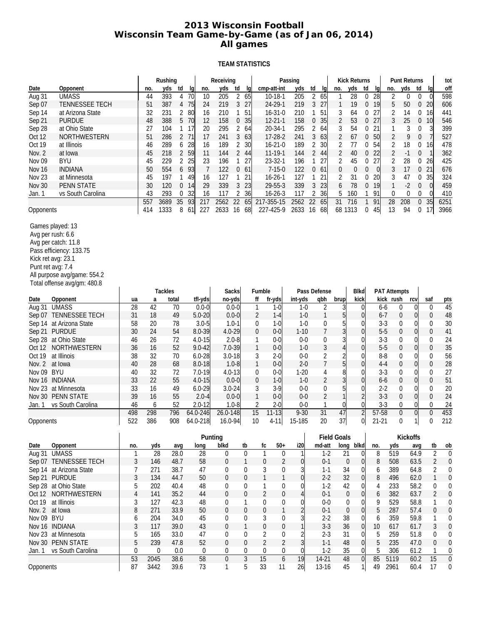# **2013 Wisconsin Football Wisconsin Team Game-by-Game (as of Jan 06, 2014) All games**

# **TEAM STATISTICS**

|                         |                             |     |      | Rushing               |                      | Receiving        |                  |                  |                | Passing        |                      |                          | <b>Kick Returns</b> |                  |                  |                     | <b>Punt Returns</b>                |                        |                  | tot              |
|-------------------------|-----------------------------|-----|------|-----------------------|----------------------|------------------|------------------|------------------|----------------|----------------|----------------------|--------------------------|---------------------|------------------|------------------|---------------------|------------------------------------|------------------------|------------------|------------------|
| Date                    | Opponent                    |     | no.  | yds<br>td             | lg<br>no.            | yds<br>td        | lq               |                  | cmp-att-int    | yds            | td<br>lg             | no.                      | yds                 | td               | lg               | no.                 | yds                                | td                     | lg               | off              |
| Aug 31                  | <b>UMASS</b>                |     | 44   | 393<br>4              | 70<br>10             | 2<br>205         | 65               |                  | 10-18-1        | 205            | $\overline{2}$<br>65 | 1                        | 28                  | 0                | 28               | 2                   | 0                                  | 0                      | $\overline{0}$   | 598              |
| Sep 07                  | <b>TENNESSEE TECH</b>       |     | 51   | 387<br>4              | 75<br>24             | 3<br>219         | 27               |                  | 24-29-1        | 219            | 3<br>27              | 1                        | 19                  | 0                | 19               | 5                   | 50                                 | 0 <sub>20</sub>        |                  | 606              |
| Sep 14                  | at Arizona State            |     | 32   | 231<br>2              | 80<br>16             | 210<br>1         | 51               |                  | $16 - 31 - 0$  | 210            | 1<br>51              | 3                        | 64                  | 0                | 27               | 2                   | 14                                 | 0                      | 16               | 441              |
| Sep 21                  | <b>PURDUE</b>               |     | 48   | 388<br>5              | 70<br>12             | 158              | 0 <sub>35</sub>  |                  | $12 - 21 - 1$  | 158            | 35<br>$\overline{0}$ | 2                        | 53                  | 0                | 27               | 3                   | 25                                 | 0                      | 10               | 546              |
| Sep 28                  | at Ohio State               |     | 27   | 104<br>1              | 17<br>20             | 295<br>2         | 64               |                  | 20-34-1        | 295            | 2<br>64              | 3                        | 54                  | 0                | 21               | 1                   | 3                                  | 0                      | 3                | 399              |
| Oct 12                  | NORTHWESTERN                |     | 51   | 286<br>$\overline{2}$ | 71<br>17             | 241<br>3         | 63               |                  | 17-28-2        | 241            | 3<br>63              | 2                        | 67                  | $\mathbf 0$      | 50               | 2                   | 9                                  | 0                      | 7                | 527              |
| Oct 19                  | at Illinois                 |     | 46   | 289<br>6              | 28<br>16             | 189<br>2         | 30               |                  | $16 - 21 - 0$  | 189            | 2<br>30              | 2                        | 77                  | 0                | 54               | 2                   | 18                                 | 0                      | 16               | 478              |
| Nov. 2                  | at Iowa                     |     | 45   | 2<br>218              | 59<br>11             | 2<br>144         | 44               |                  | $11 - 19 - 1$  | 144            | $\overline{2}$<br>44 | 2                        | 40                  | $\boldsymbol{0}$ | 22               | 2                   | $-1$                               | 0                      |                  | 362              |
| Nov 09                  | <b>BYU</b>                  |     | 45   | 229<br>2              | 25<br>23             | 196<br>1         | 27               |                  | 23-32-1        | 196            | 1<br>27              | 2                        | 45                  | 0                | 27               | 2                   | 28                                 | 0                      | 26               | 425              |
| Nov 16                  | <b>INDIANA</b>              |     | 50   | 554<br>6              | $\overline{7}$<br>93 | 122<br>0         | -61              |                  | $7 - 15 - 0$   | 122            | 061                  | 0                        | $\mathbf 0$         | $\boldsymbol{0}$ | $\boldsymbol{0}$ | 3                   | 17                                 | $\boldsymbol{0}$<br>21 |                  | 676              |
| Nov <sub>23</sub>       | at Minnesota                |     | 45   | 197<br>1              | 16<br>49             | 127<br>1         | 21               |                  | $16 - 26 - 1$  | 127            | 1<br>21              | 2                        | 31                  | 0                | 20               | 3                   | 47                                 | 0                      | 35               | 324              |
| <b>Nov 30</b>           | <b>PENN STATE</b>           |     | 30   | 120<br>0              | 29<br>14             | 339<br>3         | 23               |                  | 29-55-3        | 339            | 3<br>23              | 6                        | 78                  | $\boldsymbol{0}$ | 19               | $\mathbf{1}$        | $-2$                               | $\boldsymbol{0}$       | $\overline{0}$   | 459              |
| Jan. 1                  | vs South Carolina           |     | 43   | 293<br>0              | 32<br>16             | 117<br>2         | 36               |                  | $16 - 26 - 3$  | 117            | 2<br>36              | 5                        | 160                 | 1                | 91               | 0                   | 0                                  | 0                      | $\overline{0}$   | 410              |
|                         |                             |     | 557  | 3689<br>35            | 93<br>217            | 2562<br>22       | 65               |                  | 217-355-15     | 2562           | 22<br>65             | 31                       | 716                 | 1                | 91               | 28                  | 208                                | $\overline{0}$         | 35               | 6251             |
| Opponents               |                             |     | 414  | 1333<br>8             | 61<br>227            | 2633<br>16       | 68               |                  | 227-425-9      | 2633           | 16<br>68             | 68 1313                  |                     | 0                | 45               | 13                  | 94                                 | 0                      | 17               | 3966             |
| Games played: 13        |                             |     |      |                       |                      |                  |                  |                  |                |                |                      |                          |                     |                  |                  |                     |                                    |                        |                  |                  |
| Avg per rush: 6.6       |                             |     |      |                       |                      |                  |                  |                  |                |                |                      |                          |                     |                  |                  |                     |                                    |                        |                  |                  |
| Avg per catch: 11.8     |                             |     |      |                       |                      |                  |                  |                  |                |                |                      |                          |                     |                  |                  |                     |                                    |                        |                  |                  |
| Pass efficiency: 133.75 |                             |     |      |                       |                      |                  |                  |                  |                |                |                      |                          |                     |                  |                  |                     |                                    |                        |                  |                  |
| Kick ret avg: 23.1      |                             |     |      |                       |                      |                  |                  |                  |                |                |                      |                          |                     |                  |                  |                     |                                    |                        |                  |                  |
| Punt ret avg: 7.4       |                             |     |      |                       |                      |                  |                  |                  |                |                |                      |                          |                     |                  |                  |                     |                                    |                        |                  |                  |
|                         | All purpose avg/game: 554.2 |     |      |                       |                      |                  |                  |                  |                |                |                      |                          |                     |                  |                  |                     |                                    |                        |                  |                  |
|                         | Total offense avg/gm: 480.8 |     |      |                       |                      |                  |                  |                  |                |                |                      |                          |                     |                  |                  |                     |                                    |                        |                  |                  |
|                         |                             |     |      | <b>Tackles</b>        |                      | <b>Sacks</b>     |                  | Fumble           |                |                | Pass Defense         |                          | <b>Blkd</b>         |                  |                  | <b>PAT Attempts</b> |                                    |                        |                  |                  |
| Date                    | Opponent                    | ua  | a    | total                 | tfl-yds              | no-yds           |                  | ff               | fr-yds         | int-yds        | qbh                  | brup                     | kick                |                  |                  | kick rush           | rcv                                |                        | saf              | pts              |
| Aug 31                  | <b>UMASS</b>                | 28  | 42   | 70                    | $0.0 - 0$            | $0.0 - 0$        |                  | $\mathbf{1}$     | $1 - 0$        | $1 - 0$        | 2                    | 3                        |                     | $\overline{0}$   | $6-6$            |                     | $\overline{0}$<br>0                |                        | 0                | 45               |
| Sep 07                  | TENNESSEE TECH              | 31  | 18   | 49                    | $5.0 - 20$           | $0.0 - 0$        |                  | $\overline{2}$   | $1 - 4$        | $1 - 0$        | $\mathbf{1}$         | 5                        |                     | $\overline{0}$   | $6 - 7$          |                     | 0<br>0                             |                        | $\boldsymbol{0}$ | 48               |
|                         | Sep 14 at Arizona State     | 58  | 20   | 78                    | $3.0 - 5$            | $1.0 - 1$        |                  | 0                | 1-0            | $1-0$          | 0                    | 5                        |                     | 0                | $3 - 3$          | 0                   | 01                                 |                        | 0                | 30               |
| Sep 21                  | <b>PURDUE</b>               | 30  | 24   | 54                    | 8.0-39               | $4.0 - 29$       |                  | $\boldsymbol{0}$ | $0 - 0$        | $1 - 10$       | 7                    | 3                        |                     | $\overline{0}$   | $5-5$            |                     | $\overline{0}$<br>$\boldsymbol{0}$ |                        | $\boldsymbol{0}$ | 41               |
| Sep 28 at Ohio State    |                             | 46  | 26   | 72                    | $4.0 - 15$           | $2.0 - 8$        |                  | 1                | $0 - 0$        | $0-0$          | 0                    | 3                        |                     | 0                | $3 - 3$          | 0                   | 01                                 |                        | 0                | 24               |
| Oct 12                  | NORTHWESTERN                | 36  | 16   | 52                    | $9.0 - 42$           | 7.0-39           |                  | $\mathbf{1}$     | $0 - 0$        | $1 - 0$        | $\sqrt{3}$           | $\overline{\mathcal{L}}$ |                     | $\overline{0}$   | $5-5$            |                     | $\boldsymbol{0}$<br>이              |                        | 0                | 35               |
| Oct 19                  | at Illinois                 | 38  | 32   | 70                    | $6.0 - 28$           | $3.0 - 18$       |                  | 3                | $2 - 0$        | $0-0$          | 2                    | 2                        |                     | $\Omega$         | $8-8$            | 0                   | 01                                 |                        | 0                | 56               |
| <b>Nov. 2</b>           | at Iowa                     | 40  | 28   | 68                    | $8.0 - 18$           | $1.0 - 8$        |                  | $\mathbf{1}$     | $0-0$          | $2 - 0$        | $\overline{7}$       | 5                        |                     | $\overline{0}$   | $4 - 4$          | $\boldsymbol{0}$    | $\overline{0}$                     |                        | $\mathbf 0$      | 28               |
| <b>BYU</b><br>Nov 09    |                             | 40  | 32   | 72                    | $7.0 - 19$           | $4.0 - 13$       |                  | 0                | $0 - 0$        | $1 - 20$       | 4                    | 8                        |                     | $\Omega$         | $3-3$            | 0                   | 01                                 |                        | 0                | 27               |
| Nov 16 INDIANA          |                             | 33  | 22   | 55                    | $4.0 - 15$           | $0.0 - 0$        |                  | $\boldsymbol{0}$ | $1 - 0$        | $1 - 0$        | 2                    | 3                        |                     | 0                | 6-6              | 0                   | 이                                  |                        | 0                | 51               |
| Nov 23                  | at Minnesota                | 33  | 16   | 49                    | $6.0 - 29$           | $3.0 - 24$       |                  | 3                | $3-9$          | $0-0$          | 0                    | 5                        |                     | 0                | $2 - 2$          | 0                   | 01                                 |                        | 0                | 20               |
| Nov 30 PENN STATE       |                             | 39  | 16   | 55                    | $2.0 - 4$            | $0.0 - 0$        |                  | $\mathbf{1}$     | $0 - 0$        | $0-0$          | $\overline{2}$       |                          |                     |                  | $3 - 3$          |                     | 0<br>이                             |                        | $\mathbf 0$      | 24               |
| Jan. 1                  | vs South Carolina           | 46  | 6    | 52                    | $2.0 - 12$           | $1.0 - 8$        |                  | 2                | $2 - 0$        | $0-0$          | 1                    | 0                        |                     | 0                | $3-3$            |                     | 0<br>01                            |                        | 0                | 24               |
|                         |                             | 498 | 298  | 796                   | 64.0-246             | 26.0-148         |                  | 15               | $11 - 13$      | $9 - 30$       | 31                   | 47                       |                     | $\overline{2}$   | 57-58            |                     | 0 <br>$\boldsymbol{0}$             |                        | $\mathbf 0$      | 453              |
| Opponents               |                             | 522 | 386  | 908                   | 64.0-218             | $16.0 - 94$      |                  | 10               | 4-11           | 15-185         | 20                   | 37                       |                     | $\overline{0}$   | $21 - 21$        |                     | 0<br>11                            |                        | 0                | 212              |
|                         |                             |     |      |                       |                      | Punting          |                  |                  |                |                |                      | <b>Field Goals</b>       |                     |                  |                  |                     | <b>Kickoffs</b>                    |                        |                  |                  |
| Date                    | Opponent                    | no. | yds  | avg                   | long                 | blkd             | tb               | fc               | $50+$          | i20            | md-att               |                          | long blkd           |                  | no.              | yds                 | avg                                |                        | tb               | ob               |
| Aug 31                  | <b>UMASS</b>                |     | 28   | 28.0                  | 28                   | $\overline{0}$   | 0                | 1                | 0              | 1              | $1-2$                | 21                       |                     | $\overline{0}$   | 8                | 519                 | 64.9                               |                        | $\overline{2}$   | $\overline{0}$   |
|                         | Sep 07 TENNESSEE TECH       | 3   | 146  | 48.7                  | 58                   | 0                | 1                | $\boldsymbol{0}$ | 2              | $\overline{0}$ | $0 - 1$              |                          | $\boldsymbol{0}$    | $\overline{0}$   | $\, 8$           | 508                 | 63.5                               |                        | $\overline{2}$   | $\boldsymbol{0}$ |
|                         | Sep 14 at Arizona State     | 7   | 271  | 38.7                  | 47                   | 0                | 0                | 3                | 0              | 3              | $1 - 1$              | 34                       |                     | $\overline{0}$   | 6                | 389                 | 64.8                               |                        | 2                | 0                |
| Sep 21 PURDUE           |                             | 3   | 134  | 44.7                  | 50                   | $\boldsymbol{0}$ | $\boldsymbol{0}$ | $\mathbf{1}$     | $\mathbf{1}$   | $\overline{0}$ | $2-2$                |                          | 32                  | $\overline{0}$   | 8                | 496                 | 62.0                               |                        | $\mathbf{1}$     | $\theta$         |
| Sep 28 at Ohio State    |                             | 5   | 202  | 40.4                  | 48                   | 0                | 0                | 1                | 0              | $\Omega$       | $1-2$                |                          | 42                  | 0                | 4                | 233                 | 58.2                               |                        | 0                | 0                |
|                         | Oct 12 NORTHWESTERN         | 4   | 141  | 35.2                  | 44                   | 0                | $\boldsymbol{0}$ | $\overline{2}$   | 0              | 4              | $0 - 1$              |                          | $\theta$            | $\overline{0}$   | 6                | 382                 | 63.7                               |                        | $\overline{2}$   | $\theta$         |
| Oct 19                  | at Illinois                 | 3   | 127  | 42.3                  | 48                   | 0                | 1                | 0                | 0              | $\overline{0}$ | $0-0$                |                          | 0                   | $\overline{0}$   | 9                | 529                 | 58.8                               |                        | 1                | 0                |
| Nov. 2 at lowa          |                             | 8   | 271  | 33.9                  | 50                   | $\overline{0}$   | $\boldsymbol{0}$ | $\mathbf 0$      | 1              | $\overline{2}$ | $0 - 1$              |                          | $\boldsymbol{0}$    | $\overline{0}$   | 5                | 287                 | 57.4                               |                        | $\boldsymbol{0}$ | $\theta$         |
| Nov 09 BYU              |                             | 6   | 204  | 34.0                  | 45                   | 0                | 0                | 3                | 0              | 3              | $2 - 2$              | 38                       |                     | 0                | 6                | 359                 | 59.8                               |                        | 1                | 0                |
| Nov 16 INDIANA          |                             | 3   | 117  | 39.0                  | 43                   | 0                | $\mathbf{1}$     | $\boldsymbol{0}$ | 0              |                | $3-3$                | 36                       |                     | $\overline{0}$   | 10               | 617                 | 61.7                               |                        | 3                | $\boldsymbol{0}$ |
| Nov 23 at Minnesota     |                             | 5   | 165  | 33.0                  | 47                   | 0                | 0                | 2                | 0              | $\overline{2}$ | $2 - 3$              | 31                       |                     | $\overline{0}$   | 5                | 259                 | 51.8                               |                        | 0                | 0                |
| Nov 30 PENN STATE       |                             | 5   | 239  | 47.8                  | 52                   | 0                | $\boldsymbol{0}$ | $\overline{2}$   | 2              | $\overline{3}$ | $1 - 1$              | 48                       |                     | $\overline{0}$   | 5                | 235                 | 47.0                               |                        | $\boldsymbol{0}$ | $\boldsymbol{0}$ |
|                         | Jan. 1 vs South Carolina    | 0   | 0    | 0.0                   | $\overline{0}$       | 0                | 0                | 0                | 0              | $\overline{0}$ | $1-2$                |                          | 35                  | 0                | 5                | 306                 | 61.2                               |                        | 1                | $\boldsymbol{0}$ |
|                         |                             | 53  | 2045 | 38.6                  | 58                   | $\overline{0}$   | $\overline{3}$   | 15               | $\overline{6}$ | 19             | $14-21$              | 48                       |                     | $\overline{0}$   | 85               | 5119                | 60.2                               |                        | 15               | $\boldsymbol{0}$ |
| Opponents               |                             | 87  | 3442 | 39.6                  | 73                   | 1                | 5                | 33               | 11             | 26             | 13-16                |                          | 45                  |                  | 49               | 2961                | 60.4                               |                        | 17               | $\boldsymbol{0}$ |
|                         |                             |     |      |                       |                      |                  |                  |                  |                |                |                      |                          |                     |                  |                  |                     |                                    |                        |                  |                  |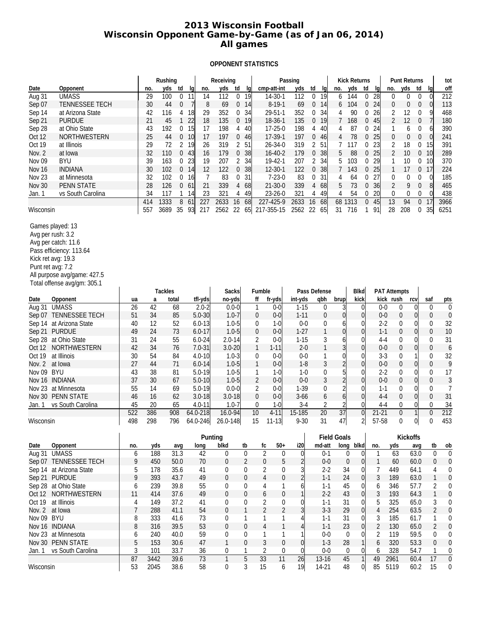# **2013 Wisconsin Football Wisconsin Opponent Game-by-Game (as of Jan 06, 2014) All games**

# **OPPONENT STATISTICS**

| Date                 |                             |     |            | Rushing<br>yds          |                        | Receiving               |                  |                 |                 | Passing         |                        |                      | <b>Kick Returns</b><br>yds<br>td |              |                     | <b>Punt Returns</b><br>yds |                  | tot<br>off       |
|----------------------|-----------------------------|-----|------------|-------------------------|------------------------|-------------------------|------------------|-----------------|-----------------|-----------------|------------------------|----------------------|----------------------------------|--------------|---------------------|----------------------------|------------------|------------------|
|                      | Opponent                    |     | no.        | td                      | no.<br>lg              | yds<br>td               | lq               |                 | cmp-att-int     | yds             | td<br>lq               | no.                  |                                  | lq           | no.                 | td                         | lq               |                  |
| Aug 31               | <b>UMASS</b>                |     | 29         | 100<br>$\mathbf 0$      | 11<br>14               | 112<br>0                | 19               |                 | 14-30-1         | 112             | 0<br>19                | 144<br>6             | 0                                | 28           | $\theta$            | 0<br>0                     | $\boldsymbol{0}$ | 212              |
| Sep 07               | <b>TENNESSEE TECH</b>       |     | 30         | 0<br>44                 | 8<br>7                 | 69<br>0                 | 14               |                 | $8 - 19 - 1$    | 69              | 0<br>14                | 6                    | 104<br>0                         | 24           | 0                   | 0<br>$\boldsymbol{0}$      | $\overline{0}$   | 113              |
| Sep 14               | at Arizona State            |     | 42         | 116<br>4                | 18<br>29               | 352<br>0                | 34               |                 | 29-51-1         | 352             | 0<br>34                | 4                    | 90<br>$\bf{0}$                   | 26           | 2                   | 12<br>0                    | 9                | 468              |
| Sep 21               | <b>PURDUE</b>               |     | 21         | 45<br>$\mathbf{1}$      | 22<br>18               | 135<br>0                | 19               |                 | 18-36-1         | 135             | 0<br>19                | $\overline{7}$       | 168<br>0                         | 45           | $\overline{2}$      | 12<br>$\boldsymbol{0}$     | $\overline{7}$   | 180              |
| Sep 28               | at Ohio State               |     | 43         | 192                     | 0 <sub>15</sub><br>17  | 198<br>4                | 40               |                 | $17 - 25 - 0$   | 198             | 4<br>40                | 4                    | 87<br>0                          | 24           | 1                   | 6<br>0                     | 6                | 390              |
| Oct 12               | NORTHWESTERN                |     | 25         | 44<br>0                 | 10<br>17               | 197<br>0                | 46               |                 | 17-39-1         | 197             | 0<br>46                | 4                    | 78<br>0                          | 25           | 0                   | 0<br>0                     | $\overline{0}$   | 241              |
| Oct 19               | at Illinois                 |     | 29         | 72<br>2                 | 19<br>26               | 2<br>319                | -51              |                 | 26-34-0         | 319             | 2<br>51                | 7                    | 117<br>0                         | 23           | 2                   | 18<br>0                    | 15               | 391              |
| Nov. 2               | at lowa                     |     | 32         | 110                     | 043<br>16              | 179<br>0                | 38               |                 | $16 - 40 - 2$   | 179             | 0<br>38                | 5                    | 88<br>0                          | 25           | $\overline{2}$      | 10<br>0                    | -10              | 289              |
| Nov <sub>09</sub>    | <b>BYU</b>                  |     | 39         | 163<br>0                | -23<br>19              | 207<br>2                | 34               |                 | 19-42-1         | 207             | 2<br>34                | 5<br>103             | 0                                | 29           | $\mathbf{1}$        | 10<br>0                    | 10               | 370              |
|                      | <b>INDIANA</b>              |     |            |                         |                        |                         |                  |                 |                 |                 |                        |                      |                                  |              |                     |                            |                  |                  |
| Nov 16               |                             |     | 30         | $\overline{0}$<br>102   | -14<br>12              | $\boldsymbol{0}$<br>122 | 38               |                 | 12-30-1         | 122             | $\boldsymbol{0}$<br>38 | 7                    | 143<br>0                         | 25           | 1                   | 17<br>$\pmb{0}$            | 17               | 224              |
| Nov <sub>23</sub>    | at Minnesota                |     | 32         | 102<br>$\overline{0}$   | 7<br>-16               | 83<br>0                 | 31               |                 | $7 - 23 - 0$    | 83              | 31<br>0                | 4                    | 64<br>0                          | 27           | 0                   | 0<br>0                     | $\overline{0}$   | 185              |
| <b>Nov 30</b>        | <b>PENN STATE</b>           |     | 28         | 126                     | 0 <sub>61</sub><br>21  | 339                     | 4 68             |                 | $21 - 30 - 0$   | 339             | 4<br>68                | 5                    | 73<br>$\overline{0}$             | 36           | $\overline{2}$      | 9<br>0                     | 8                | 465              |
| Jan. 1               | vs South Carolina           |     | 34         | 117<br>1                | 23<br>14               | 321<br>4                | 49               |                 | 23-26-0         | 321             | 49<br>4                | 4                    | 54<br>0                          | 20           | 0                   | 0<br>0                     | 0                | 438              |
| Wisconsin            |                             |     | 414<br>557 | 8<br>1333<br>3689<br>35 | 61<br>227<br>93<br>217 | 2633<br>16<br>2562 22   | 68<br>65         | 217-355-15      | 227-425-9       | 2633<br>2562    | 16<br>68<br>22<br>65   | 68 1313<br>31<br>716 | $\overline{0}$<br>1              | 45<br>91     | 13<br>28            | 94<br>0<br>208<br>0        | 17<br>35         | 3966<br>6251     |
| Games played: 13     |                             |     |            |                         |                        |                         |                  |                 |                 |                 |                        |                      |                                  |              |                     |                            |                  |                  |
| Avg per rush: 3.2    |                             |     |            |                         |                        |                         |                  |                 |                 |                 |                        |                      |                                  |              |                     |                            |                  |                  |
| Avg per catch: 11.6  |                             |     |            |                         |                        |                         |                  |                 |                 |                 |                        |                      |                                  |              |                     |                            |                  |                  |
|                      | Pass efficiency: 113.64     |     |            |                         |                        |                         |                  |                 |                 |                 |                        |                      |                                  |              |                     |                            |                  |                  |
| Kick ret avg: 19.3   |                             |     |            |                         |                        |                         |                  |                 |                 |                 |                        |                      |                                  |              |                     |                            |                  |                  |
| Punt ret avg: 7.2    |                             |     |            |                         |                        |                         |                  |                 |                 |                 |                        |                      |                                  |              |                     |                            |                  |                  |
|                      | All purpose avg/game: 427.5 |     |            |                         |                        |                         |                  |                 |                 |                 |                        |                      |                                  |              |                     |                            |                  |                  |
|                      | Total offense avg/gm: 305.1 |     |            |                         |                        |                         |                  |                 |                 |                 |                        |                      |                                  |              |                     |                            |                  |                  |
|                      |                             |     |            | <b>Tackles</b>          |                        | <b>Sacks</b>            |                  | Fumble          |                 |                 | Pass Defense           |                      | <b>Blkd</b>                      |              | <b>PAT Attempts</b> |                            |                  |                  |
| Date                 | Opponent                    | ua  | a          | total                   | tfl-yds                | no-yds                  |                  | ff              | fr-yds          | int-yds         | qbh                    | brup                 | kick                             |              | kick rush           | rcv                        | saf              | pts              |
| Aug 31               | <b>UMASS</b>                | 26  | 42         | 68                      | $2.0 - 2$              | $0.0 - 0$               |                  | 1               | $0-0$           | $1 - 15$        | $\overline{0}$         | 3                    | $\mathbf 0$                      | $0-0$        | 0                   | $\overline{0}$             | 0                | 0                |
|                      | Sep 07 TENNESSEE TECH       | 51  | 34         | 85                      | $5.0 - 30$             | $1.0 - 7$               |                  | $\theta$        | $0-0$           | $1 - 11$        | $\mathbf 0$            | $\Omega$             | $\mathbf{0}$                     | $0-0$        | $\boldsymbol{0}$    | $\overline{0}$             | 0                | $\boldsymbol{0}$ |
|                      | Sep 14 at Arizona State     | 40  | 12         | 52                      | $6.0 - 13$             | $1.0 - 5$               |                  | 0               | $1-0$           | $0-0$           | 0                      | 6                    | 0                                | $2 - 2$      | 0                   | 0                          | 0                | 32               |
| Sep 21 PURDUE        |                             | 49  | 24         | 73                      | $6.0 - 17$             | $1.0 - 5$               |                  | $\theta$        | $0-0$           | $1 - 27$        | 1                      |                      | 0                                | $1 - 1$      | 0                   | $\overline{0}$             | $\mathbf 0$      | 10               |
| Sep 28               | at Ohio State               | 31  | 24         | 55                      | $6.0 - 24$             | $2.0 - 14$              |                  | 2               | $0-0$           | $1 - 15$        | 3                      | h                    | $\mathbf 0$                      | 4-4          | 0                   | $\overline{0}$             | 0                | 31               |
|                      | NORTHWESTERN                | 42  | 34         | 76                      | $7.0 - 31$             | $3.0 - 20$              |                  | $\mathbf{1}$    | $1 - 11$        | $2 - 0$         | $\mathbf{1}$           |                      | $\theta$                         | $0 - 0$      | $\mathbf 0$         | $\overline{0}$             | $\boldsymbol{0}$ |                  |
| Oct 12               |                             |     |            |                         |                        |                         |                  |                 |                 |                 |                        |                      |                                  |              |                     |                            |                  | 6                |
| Oct 19               | at Illinois                 | 30  | 54         | 84                      | 4.0-10                 | $1.0 - 3$               |                  | 0               | $0-0$           | $0 - 0$         | 1                      |                      | $\mathbf 0$                      | $3-3$        | 0                   |                            | 0                | 32               |
| Nov. 2               | at Iowa                     | 27  | 44         | 71                      | $6.0 - 14$             | $1.0 - 5$               |                  | $\mathbf{1}$    | $0-0$           | $1 - 8$         | 3                      |                      | $\mathbf 0$                      | $0-0$        | $\mathbf 0$         | $\overline{0}$             | $\mathbf 0$      | 9                |
| <b>Nov 09</b><br>BYU |                             | 43  | 38         | 81                      | $5.0 - 19$             | $1.0 - 5$               |                  | 1               | $1 - 0$         | $1 - 0$         | 0                      |                      | 0                                | $2 - 2$      | 0                   | $\overline{0}$             | 0                | 17               |
| Nov 16 INDIANA       |                             | 37  | 30         | 67                      | $5.0 - 10$             | $1.0 - 5$               |                  | 2               | $0-0$           | $0 - 0$         | 3                      |                      | $\mathbf 0$                      | $0-0$        | $\mathbf 0$         | $\overline{0}$             | $\mathbf 0$      | 3                |
| Nov 23               | at Minnesota                | 55  | 14         | 69                      | $5.0 - 19$             | $0.0 - 0$               |                  | 2               | $0-0$           | $1 - 39$        | $\mathbf 0$            |                      | $\Omega$                         | $1 - 1$      | 0                   | $\Omega$                   | 0                | 7                |
|                      | Nov 30 PENN STATE           | 46  | 16         | 62                      | $3.0 - 18$             | $3.0 - 18$              |                  | $\theta$        | $0-0$           | $3 - 66$        | 6                      | 6                    | $\mathbf 0$                      | $4 - 4$      | $\boldsymbol{0}$    | $\overline{0}$             | $\boldsymbol{0}$ | 31               |
| Jan. 1               | vs South Carolina           | 45  | 20         | 65                      | $4.0 - 11$             | $1.0 - 7$               |                  | 0               | $1-0$           | $3-4$           | 2                      |                      | $\overline{0}$                   | 4-4          | $\mathbf 0$         | 0                          | 0                | 34               |
|                      |                             | 522 | 386        | 908                     | 64.0-218               | 16.0-94                 |                  | 10              | $4 - 11$        | 15-185          | $\overline{20}$        | $\overline{37}$      | 0                                | $21 - 21$    | $\boldsymbol{0}$    |                            | $\overline{0}$   | $\overline{212}$ |
| Wisconsin            |                             | 498 | 298        | 796                     | 64.0-246               | 26.0-148                |                  | 15              | $11 - 13$       | $9 - 30$        | 31                     | 47                   | $\overline{2}$                   | 57-58        | 0                   | $\Omega$                   | 0                | 453              |
|                      |                             |     |            |                         | Punting                |                         |                  |                 |                 |                 |                        | <b>Field Goals</b>   |                                  |              |                     | <b>Kickoffs</b>            |                  |                  |
| Date                 | Opponent                    | no. | yds        | avq                     | long                   | blkd                    | tb               | fc              | $50+$           | i20             | md-att                 | long blkd            |                                  | no.          | yds                 | avg                        | tb               | ob               |
| Aug 31               | <b>UMASS</b>                | 6   | 188        | 31.3                    | 42                     | 0                       | $\overline{0}$   | $\overline{2}$  | 0               | $\overline{0}$  | $0 - 1$                | 0                    | 0                                | 1            | 63                  | 63.0                       | $\boldsymbol{0}$ | $\mathbf 0$      |
|                      | Sep 07 TENNESSEE TECH       | 9   | 450        | 50.0                    | 70                     | $\boldsymbol{0}$        | $\overline{2}$   | 0               | 5               | $\overline{c}$  | $0-0$                  | $\boldsymbol{0}$     | $\mathbf 0$                      | $\mathbf{1}$ | 60                  | 60.0                       | $\boldsymbol{0}$ | 0                |
|                      | Sep 14 at Arizona State     | 5   | 178        | 35.6                    | 41                     | 0                       | 0                | 2               | 0               | 3               | $2 - 2$                | 34                   | 0                                |              | 449                 | 64.1                       | 4                | 0                |
| Sep 21 PURDUE        |                             | 9   | 393        | 43.7                    | 49                     | $\boldsymbol{0}$        | $\boldsymbol{0}$ | 4               | 0               | $\overline{a}$  | $1 - 1$                | 24                   | $\overline{0}$                   | 3            | 189                 | 63.0                       | $\mathbf{1}$     | 0                |
|                      | Sep 28 at Ohio State        | 6   | 239        | 39.8                    | 55                     | 0                       | 0                | 4               | 1               | 6               | $1 - 1$                | 45                   | $\overline{0}$                   | 6            | 346                 | 57.7                       | $\overline{2}$   | 0                |
|                      | Oct 12 NORTHWESTERN         | 11  | 414        | 37.6                    | 49                     | $\boldsymbol{0}$        | $\mathbf 0$      | 6               | 0               | $\mathbf{1}$    | $2-2$                  | 43                   | $\overline{0}$                   | 3            | 193                 | 64.3                       | $\mathbf{1}$     | 0                |
|                      |                             |     |            |                         |                        |                         |                  |                 |                 |                 |                        |                      |                                  |              |                     |                            |                  |                  |
| Oct 19               | at Illinois                 | 4   | 149        | 37.2                    | 41                     | 0                       | 0                | 2               | 0               | 0               | $1 - 1$                | 31                   | $\mathbf 0$                      | 5            | 325                 | 65.0                       | 3                | 0                |
| Nov. 2 at lowa       |                             | 7   | 288        | 41.1                    | 54                     | $\boldsymbol{0}$        | 1                | $\overline{2}$  | $\overline{2}$  | 3               | $3 - 3$                | 29                   | $\boldsymbol{0}$                 | 4            | 254                 | 63.5                       | $\overline{2}$   | 0                |
| Nov 09 BYU           |                             | 8   | 333        | 41.6                    | 73                     | 0                       | 1                | 1               | 1               | 4               | $1 - 1$                | 31                   | $\overline{0}$                   | 3            | 185                 | 61.7                       | 1                | 0                |
| Nov 16 INDIANA       |                             | 8   | 316        | 39.5                    | 53                     | $\boldsymbol{0}$        | $\boldsymbol{0}$ | 4               | 1               | 4               | $1 - 1$                | 23                   | $\boldsymbol{0}$                 | 2            | 130                 | 65.0                       | 2                | 0                |
|                      | Nov 23 at Minnesota         | 6   | 240        | 40.0                    | 59                     | 0                       | 0                | 1               | 1               | 1               | $0-0$                  | 0                    | $\overline{0}$                   | 2            | 119                 | 59.5                       | 0                | 0                |
|                      | Nov 30 PENN STATE           | 5   | 153        | 30.6                    | 47                     | $\mathbf{1}$            | $\mathbf 0$      | 3               | 0               | $\overline{0}$  | $1 - 3$                | 28                   | $\mathbf{1}$                     | 6            | 320                 | 53.3                       | 0                | 0                |
|                      | Jan. 1 vs South Carolina    | 3   | 101        | 33.7                    | 36                     | 0                       | 1                | 2               | 0               | 0               | $0-0$                  | 0                    | $\overline{0}$                   | 6            | 328                 | 54.7                       | 1                | 0                |
|                      |                             | 87  | 3442       | 39.6                    | 73                     | $\mathbf{1}$            | $\overline{5}$   | $\overline{33}$ | $\overline{11}$ | $\overline{26}$ | $13 - 16$              | 45                   | $\frac{1}{2}$                    | 49           | 2961                | 60.4                       | $\overline{17}$  | $\boldsymbol{0}$ |
| Wisconsin            |                             | 53  | 2045       | 38.6                    | 58                     | 0                       | 3                | 15              | 6               | 19              | 14-21                  | 48                   | $\overline{0}$                   | 85           | 5119                | 60.2                       | 15               | 0                |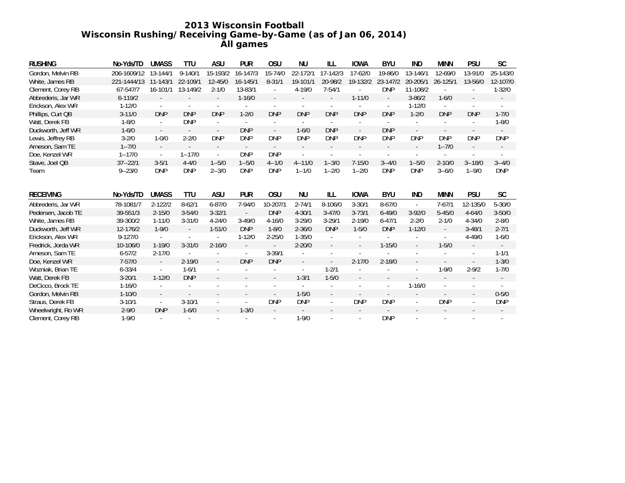# **2013 Wisconsin Football Wisconsin Rushing/Receiving Game-by-Game (as of Jan 06, 2014) All games**

| <b>RUSHING</b>     | No-Yds/TD   | <b>UMASS</b>                | <b>TTU</b>               | ASU           | <b>PUR</b> | <b>OSU</b> | NU                       | ILL         | <b>IOWA</b> | <b>BYU</b>    | IND                      | <b>MINN</b>              | PSU                      | <b>SC</b>  |
|--------------------|-------------|-----------------------------|--------------------------|---------------|------------|------------|--------------------------|-------------|-------------|---------------|--------------------------|--------------------------|--------------------------|------------|
| Gordon, Melvin RB  | 206-1609/12 | 13-144/1                    | $9 - 140/1$              | 15-193/2      | 16-147/3   | 15-74/0    | 22-172/1                 | 17-142/3    | 17-62/0     | 19-86/0       | 13-146/1                 | 12-69/0                  | 13-91/0                  | 25-143/0   |
| White, James RB    | 221-1444/13 | 11-143/1                    | 22-109/1                 | $12 - 45/0$   | 16-145/1   | $8 - 31/1$ | 19-101/1                 | 20-98/2     | 19-132/2    | 23-147/2      | 20-205/1                 | 26-125/1                 | 13-56/0                  | 12-107/0   |
| Clement, Corey RB  | 67-547/7    | 16-101/1                    | 13-149/2                 | $2 - 1/0$     | 13-83/1    |            | 4-19/0                   | $7 - 54/1$  |             | <b>DNP</b>    | 11-108/2                 | ÷                        |                          | $1 - 32/0$ |
| Abbrederis, Jar WR | $6 - 119/2$ |                             |                          |               | $1 - 16/0$ |            |                          |             | $1 - 11/0$  |               | $3 - 86/2$               | $1 - 6/0$                |                          |            |
| Erickson, Alex WR  | $1 - 12/0$  | $\sim$                      |                          |               |            |            | ٠                        |             |             |               | $1 - 12/0$               | ×.                       |                          |            |
| Phillips, Curt QB  | $3 - 11/0$  | <b>DNP</b>                  | <b>DNP</b>               | <b>DNP</b>    | $1 - 2/0$  | <b>DNP</b> | <b>DNP</b>               | <b>DNP</b>  | <b>DNP</b>  | <b>DNP</b>    | $1 - 2/0$                | <b>DNP</b>               | <b>DNP</b>               | $1 - 7/0$  |
| Watt, Derek FB     | $1 - 8/0$   | $\overline{\phantom{a}}$    | <b>DNP</b>               |               |            |            |                          |             | $\sim$      |               |                          |                          |                          | $1 - 8/0$  |
| Duckworth, Jeff WR | $1 - 6/0$   | $\overline{\phantom{a}}$    | $\sim$                   | $\sim$        | <b>DNP</b> | $\sim$     | $1 - 6/0$                | <b>DNP</b>  | $\sim$      | <b>DNP</b>    | $\overline{\phantom{a}}$ | $\overline{\phantom{a}}$ | $\sim$                   | $\sim$     |
| Lewis, Jeffrey RB  | $3 - 2/0$   | $1 - 0/0$                   | $2 - 2/0$                | <b>DNP</b>    | <b>DNP</b> | <b>DNP</b> | <b>DNP</b>               | <b>DNP</b>  | <b>DNP</b>  | <b>DNP</b>    | <b>DNP</b>               | <b>DNP</b>               | <b>DNP</b>               | <b>DNP</b> |
| Arneson, Sam TE    | $1 - 7/0$   | $\sim$                      |                          |               |            |            | $\overline{\phantom{a}}$ |             |             | $\sim$        | .,                       | $1 - 7/0$                | $\sim$                   |            |
| Doe, Kenzel WR     | $1 - 17/0$  | $\mathcal{L}_{\mathcal{A}}$ | $1 - 17/0$               | ×.            | <b>DNP</b> | <b>DNP</b> |                          |             |             |               |                          |                          |                          |            |
| Stave, Joel QB     | $37 - 22/1$ | $3 - 5/1$                   | $4 - 4/0$                | $1 - 5/0$     | $1 - 5/0$  | $4 - 1/0$  | $4 - 11/0$               | $1 - 3/0$   | $7 - 15/0$  | $3 - 4/0$     | $1 - 5/0$                | $2 - 10/0$               | $3 - 18/0$               | $3 - 4/0$  |
| Team               | $9 - 23/0$  | <b>DNP</b>                  | <b>DNP</b>               | $2 - 3/0$     | <b>DNP</b> | <b>DNP</b> | $1 - 1/0$                | $1 - 2/0$   | $1 - 2/0$   | <b>DNP</b>    | <b>DNP</b>               | $3 - 6/0$                | $1 - 9/0$                | <b>DNP</b> |
|                    |             |                             |                          |               |            |            |                          |             |             |               |                          |                          |                          |            |
| <b>RECEIVING</b>   | No-Yds/TD   | <b>UMASS</b>                | <b>TTU</b>               | ASU           | <b>PUR</b> | <b>OSU</b> | <b>NU</b>                | ILL.        | <b>IOWA</b> | <b>BYU</b>    | IND                      | <b>MINN</b>              | <b>PSU</b>               | <b>SC</b>  |
| Abbrederis, Jar WR | 78-1081/7   | $2 - 122/2$                 | $8-62/1$                 | $6 - 87/0$    | 7-94/0     | 10-207/1   | $2 - 74/1$               | $8 - 106/0$ | $3 - 30/1$  | $8 - 67/0$    | $\sim$                   | $7 - 67/1$               | 12-135/0                 | $5 - 30/0$ |
| Pedersen, Jacob TE | 39-551/3    | $2 - 15/0$                  | $3 - 54/0$               | $3 - 32/1$    | $\omega$   | <b>DNP</b> | $4 - 30/1$               | $3 - 47/0$  | $3 - 73/1$  | $6 - 49/0$    | $3 - 92/0$               | $5 - 45/0$               | $4 - 64/0$               | $3 - 50/0$ |
| White, James RB    | 39-300/2    | $1 - 11/0$                  | $3 - 31/0$               | $4 - 24/0$    | $3 - 49/0$ | $4 - 16/0$ | $3 - 29/0$               | $3 - 29/1$  | $2 - 19/0$  | $6 - 47/1$    | $2 - 2/0$                | $2 - 1/0$                | $4 - 34/0$               | $2 - 8/0$  |
| Duckworth, Jeff WR | 12-176/2    | $1 - 9/0$                   | $\overline{\phantom{a}}$ | $1 - 51/0$    | <b>DNP</b> | $1 - 8/0$  | $2 - 36/0$               | <b>DNP</b>  | $1 - 5/0$   | <b>DNP</b>    | $1 - 12/0$               | $\overline{\phantom{a}}$ | $3 - 48/1$               | $2 - 7/1$  |
| Erickson, Alex WR  | $9 - 127/0$ | ÷.                          |                          | $\bar{a}$     | $1 - 12/0$ | $2 - 25/0$ | $1 - 35/0$               | $\bar{a}$   | $\omega$    | $\omega$      |                          |                          | $4 - 49/0$               | $1 - 6/0$  |
| Fredrick, Jorda WR | 10-106/0    | $1 - 19/0$                  | $3 - 31/0$               | $2 - 16/0$    |            |            | $2 - 20/0$               |             |             | $1 - 15/0$    |                          | $1 - 5/0$                |                          |            |
| Arneson, Sam TE    | $6 - 57/2$  | $2 - 17/0$                  |                          |               | ÷,         | $3 - 39/1$ |                          | $\sim$      |             |               |                          |                          | $\sim$                   | $1 - 1/1$  |
| Doe, Kenzel WR     | $7 - 57/0$  | $\mathcal{L}_{\mathcal{A}}$ | $2 - 19/0$               | $\mathcal{L}$ | <b>DNP</b> | <b>DNP</b> | ÷,                       |             | $2 - 17/0$  | $2 - 18/0$    |                          |                          | $\overline{\phantom{a}}$ | $1 - 3/0$  |
| Wozniak, Brian TE  | $6 - 33/4$  |                             | $1 - 6/1$                |               |            |            | ٠                        | $1 - 2/1$   |             |               |                          | $1 - 9/0$                | $2 - 9/2$                | $1 - 7/0$  |
| Watt, Derek FB     | $3 - 20/1$  | $1 - 12/0$                  | <b>DNP</b>               |               |            |            | $1 - 3/1$                | $1 - 5/0$   |             |               |                          |                          |                          |            |
| DeCicco, Brock TE  | $1 - 16/0$  | ٠                           |                          |               |            |            | ٠                        |             |             | $\sim$        | $1 - 16/0$               | ٠                        | $\sim$                   |            |
| Gordon, Melvin RB  | $1 - 10/0$  | $\sim$                      |                          |               |            |            | $1 - 5/0$                |             | $\sim$      | $\mathbf{r}$  |                          |                          | $\omega$                 | $0 - 5/0$  |
| Straus, Derek FB   | $3-10/1$    | $\overline{\phantom{a}}$    | $3 - 10/1$               |               |            | <b>DNP</b> | <b>DNP</b>               |             | <b>DNP</b>  | <b>DNP</b>    |                          | <b>DNP</b>               | $\overline{\phantom{a}}$ | <b>DNP</b> |
| Wheelwright, Ro WR | $2 - 9/0$   | <b>DNP</b>                  | $1 - 6/0$                | $\sim$        | $1 - 3/0$  |            | $\overline{\phantom{a}}$ |             | ÷           | $\mathcal{L}$ |                          | $\sim$                   |                          |            |
| Clement, Corey RB  | $1 - 9/0$   | ÷.                          |                          |               |            |            | $1 - 9/0$                |             |             | <b>DNP</b>    |                          | ٠                        |                          |            |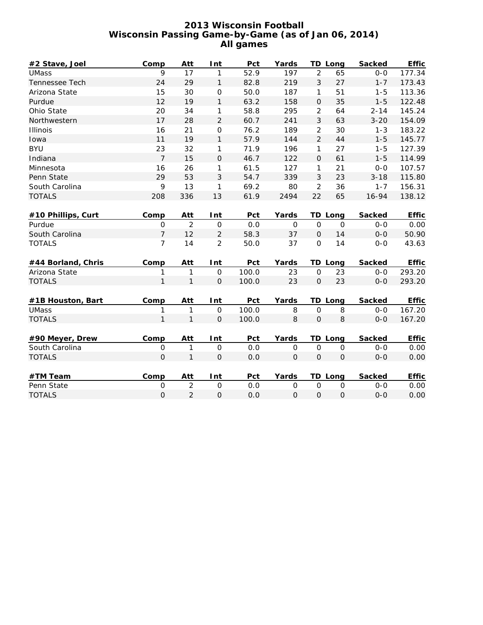# **2013 Wisconsin Football Wisconsin Passing Game-by-Game (as of Jan 06, 2014) All games**

| #2 Stave, Joel     | Comp           | Att            | Int                 | Pct   | Yards               |                | <b>TD Long</b> | <b>Sacked</b> | <b>Effic</b> |
|--------------------|----------------|----------------|---------------------|-------|---------------------|----------------|----------------|---------------|--------------|
| <b>UMass</b>       | 9              | 17             | 1                   | 52.9  | 197                 | $\overline{2}$ | 65             | $0-0$         | 177.34       |
| Tennessee Tech     | 24             | 29             | $\mathbf{1}$        | 82.8  | 219                 | 3              | 27             | $1 - 7$       | 173.43       |
| Arizona State      | 15             | 30             | $\mathbf 0$         | 50.0  | 187                 | 1              | 51             | $1 - 5$       | 113.36       |
| Purdue             | 12             | 19             | $\mathbf{1}$        | 63.2  | 158                 | $\Omega$       | 35             | $1 - 5$       | 122.48       |
| Ohio State         | 20             | 34             | 1                   | 58.8  | 295                 | $\overline{2}$ | 64             | $2 - 14$      | 145.24       |
| Northwestern       | 17             | 28             | 2                   | 60.7  | 241                 | 3              | 63             | $3 - 20$      | 154.09       |
| Illinois           | 16             | 21             | $\mathbf 0$         | 76.2  | 189                 | $\overline{2}$ | 30             | $1 - 3$       | 183.22       |
| Iowa               | 11             | 19             | $\mathbf{1}$        | 57.9  | 144                 | $\overline{2}$ | 44             | $1 - 5$       | 145.77       |
| <b>BYU</b>         | 23             | 32             | 1                   | 71.9  | 196                 | 1              | 27             | $1 - 5$       | 127.39       |
| Indiana            | $\overline{7}$ | 15             | $\mathsf{O}$        | 46.7  | 122                 | $\mathbf 0$    | 61             | $1 - 5$       | 114.99       |
| Minnesota          | 16             | 26             | 1                   | 61.5  | 127                 | 1              | 21             | $0-0$         | 107.57       |
| Penn State         | 29             | 53             | 3                   | 54.7  | 339                 | 3              | 23             | $3 - 18$      | 115.80       |
| South Carolina     | 9              | 13             | 1                   | 69.2  | 80                  | $\overline{c}$ | 36             | $1 - 7$       | 156.31       |
| <b>TOTALS</b>      | 208            | 336            | 13                  | 61.9  | 2494                | 22             | 65             | 16-94         | 138.12       |
|                    |                |                |                     |       |                     |                |                |               |              |
| #10 Phillips, Curt | Comp           | Att            | Int                 | Pct   | Yards               |                | TD Long        | <b>Sacked</b> | <b>Effic</b> |
| Purdue             | $\mathbf 0$    | $\overline{2}$ | $\mathsf O$         | 0.0   | $\mathbf 0$         | $\mathbf 0$    | $\mathbf 0$    | $0-0$         | 0.00         |
| South Carolina     | $\overline{7}$ | 12             | $\overline{c}$      | 58.3  | 37                  | $\mathbf 0$    | 14             | $0-0$         | 50.90        |
| <b>TOTALS</b>      | $\overline{7}$ | 14             | $\overline{c}$      | 50.0  | 37                  | $\mathbf 0$    | 14             | $0 - 0$       | 43.63        |
|                    |                |                |                     |       |                     |                |                |               |              |
| #44 Borland, Chris | Comp           | Att            | Int                 | Pct   | Yards               |                | TD Long        | <b>Sacked</b> | <b>Effic</b> |
| Arizona State      | 1              | 1              | $\overline{O}$      | 100.0 | 23                  | $\mathbf 0$    | 23             | $0 - 0$       | 293.20       |
| <b>TOTALS</b>      | $\mathbf{1}$   | $\mathbf{1}$   | $\mathbf 0$         | 100.0 | 23                  | $\mathbf 0$    | 23             | $0 - 0$       | 293.20       |
|                    |                |                |                     |       |                     |                |                |               |              |
| #1B Houston, Bart  | Comp           | Att            | Int                 | Pct   | Yards               |                | TD Long        | <b>Sacked</b> | <b>Effic</b> |
| <b>UMass</b>       | 1              | 1              | $\mathsf{O}\xspace$ | 100.0 | 8                   | $\mathbf 0$    | 8              | $0-0$         | 167.20       |
| <b>TOTALS</b>      | $\mathbf{1}$   | $\mathbf{1}$   | $\mathbf 0$         | 100.0 | 8                   | $\mathbf 0$    | 8              | $0-0$         | 167.20       |
|                    |                |                |                     |       |                     |                |                |               |              |
| #90 Meyer, Drew    | Comp           | Att            | Int                 | Pct   | Yards               |                | <b>TD Long</b> | <b>Sacked</b> | <b>Effic</b> |
| South Carolina     | $\mathbf 0$    | $\mathbf{1}$   | $\mathbf 0$         | 0.0   | $\mathsf{O}\xspace$ | $\mathbf 0$    | $\mathsf{O}$   | $O-O$         | 0.00         |
| <b>TOTALS</b>      | $\mathbf 0$    | $\mathbf{1}$   | $\mathbf 0$         | 0.0   | $\mathbf 0$         | $\overline{O}$ | $\mathbf{O}$   | $0 - 0$       | 0.00         |
|                    |                |                |                     |       |                     |                |                |               |              |
| #TM Team           | Comp           | Att            | Int                 | Pct   | Yards               |                | <b>TD Long</b> | <b>Sacked</b> | <b>Effic</b> |
| Penn State         | $\mathbf 0$    | $\overline{2}$ | $\mathbf 0$         | 0.0   | $\mathbf 0$         | $\mathbf 0$    | $\mathbf 0$    | $0 - 0$       | 0.00         |
| <b>TOTALS</b>      | $\mathsf O$    | $\overline{2}$ | $\mathbf 0$         | 0.0   | $\mathbf 0$         | $\mathsf O$    | $\mathsf O$    | $0 - 0$       | 0.00         |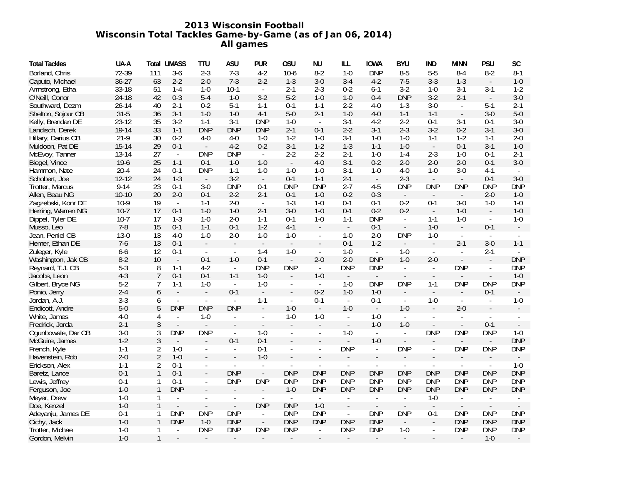# **2013 Wisconsin Football Wisconsin Total Tackles Game-by-Game (as of Jan 06, 2014) All games**

| <b>Total Tackles</b> | UA-A      | Total          | <b>UMASS</b>             | <b>TTU</b>               | ASU                      | <b>PUR</b>                  | 0SU                      | ΝU                       | ILL                      | <b>IOWA</b>                 | <b>BYU</b>                  | IND                         | MINN                        | <b>PSU</b>                  | SC                       |
|----------------------|-----------|----------------|--------------------------|--------------------------|--------------------------|-----------------------------|--------------------------|--------------------------|--------------------------|-----------------------------|-----------------------------|-----------------------------|-----------------------------|-----------------------------|--------------------------|
| Borland, Chris       | 72-39     | 111            | $3-6$                    | $2 - 3$                  | $7-3$                    | $4-2$                       | $10-6$                   | $8-2$                    | $1 - 0$                  | <b>DNP</b>                  | $8-5$                       | $5-5$                       | $8 - 4$                     | $8-2$                       | $8 - 1$                  |
| Caputo, Michael      | $36 - 27$ | 63             | $2 - 2$                  | $2 - 0$                  | $7-3$                    | $2 - 2$                     | $1 - 3$                  | $3 - 0$                  | $3 - 4$                  | $4-2$                       | $7 - 5$                     | $3 - 3$                     | $1 - 3$                     | $\overline{\phantom{a}}$    | $1 - 0$                  |
| Armstrong, Etha      | 33-18     | 51             | $1 - 4$                  | $1 - 0$                  | $10-1$                   | $\mathbb{L}$                | $2 - 1$                  | $2 - 3$                  | $0 - 2$                  | $6 - 1$                     | $3-2$                       | $1 - 0$                     | $3-1$                       | $3-1$                       | $1 - 2$                  |
| O'Neill, Conor       | 24-18     | 42             | $0 - 3$                  | $5 - 4$                  | $1 - 0$                  | $3-2$                       | $5-2$                    | $1 - 0$                  | $1 - 0$                  | $0 - 4$                     | <b>DNP</b>                  | $3-2$                       | $2 - 1$                     | $\overline{\phantom{a}}$    | $3-0$                    |
| Southward, Dezm      | $26 - 14$ | 40             | $2 - 1$                  | $0 - 2$                  | $5-1$                    | $1 - 1$                     | $0 - 1$                  | $1 - 1$                  | $2 - 2$                  | $4 - 0$                     | $1 - 3$                     | $3-0$                       | $\mathcal{L}_{\mathcal{A}}$ | $5-1$                       | $2 - 1$                  |
| Shelton, Sojour CB   | $31 - 5$  | 36             | $3-1$                    | $1 - 0$                  | $1 - 0$                  | $4-1$                       | $5-0$                    | $2 - 1$                  | $1 - 0$                  | $4 - 0$                     | $1 - 1$                     | $1 - 1$                     | $\overline{\phantom{a}}$    | $3-0$                       | $5-0$                    |
| Kelly, Brendan DE    | $23 - 12$ | 35             | $3-2$                    | $1 - 1$                  | $3-1$                    | <b>DNP</b>                  | $1 - 0$                  | $\mathcal{L}$            | $3-1$                    | $4 - 2$                     | $2 - 2$                     | $0 - 1$                     | $3-1$                       | $0 - 1$                     | $3-0$                    |
| Landisch, Derek      | 19-14     | 33             | $1 - 1$                  | <b>DNP</b>               | <b>DNP</b>               | <b>DNP</b>                  | $2 - 1$                  | $0 - 1$                  | $2 - 2$                  | $3-1$                       | $2 - 3$                     | $3-2$                       | $0 - 2$                     | $3-1$                       | $3 - 0$                  |
| Hillary, Darius CB   | $21-9$    | 30             | $0 - 2$                  | $4 - 0$                  | $4 - 0$                  | $1 - 0$                     | $1 - 2$                  | $1 - 0$                  | $3-1$                    | $1 - 0$                     | $1 - 0$                     | $1 - 1$                     | $1 - 2$                     | $1 - 1$                     | $2 - 0$                  |
| Muldoon, Pat DE      | $15 - 14$ | 29             | $0 - 1$                  | $\mathbb{Z}^2$           | $4-2$                    | $0 - 2$                     | $3-1$                    | $1 - 2$                  | $1 - 3$                  | $1 - 1$                     | $1 - 0$                     | $\sim$                      | $0-1$                       | $3-1$                       | $1 - 0$                  |
| McEvoy, Tanner       | 13-14     | 27             | $\overline{\phantom{a}}$ | <b>DNP</b>               | <b>DNP</b>               | $\blacksquare$              | $2 - 2$                  | $2 - 2$                  | $2 - 1$                  | $1 - 0$                     | $1 - 4$                     | $2 - 3$                     | $1-0$                       | $0 - 1$                     | $2 - 1$                  |
| Biegel, Vince        | $19-6$    | 25             | $1 - 1$                  | $0 - 1$                  | $1 - 0$                  | $1 - 0$                     | $\mathbb{L}$             | $4 - 0$                  | $3-1$                    | $0 - 2$                     | $2 - 0$                     | $2 - 0$                     | $2 - 0$                     | $0 - 1$                     | $3 - 0$                  |
| Hammon, Nate         | $20 - 4$  | 24             | $0 - 1$                  | <b>DNP</b>               | $1 - 1$                  | $1 - 0$                     | $1 - 0$                  | $1 - 0$                  | $3-1$                    | $1 - 0$                     | $4 - 0$                     | $1-0$                       | $3-0$                       | $4-1$                       |                          |
| Schobert, Joe        | $12 - 12$ | 24             | $1 - 3$                  | $\sim$                   | $3-2$                    | $\mathbb{L}$                | $0 - 1$                  | $1 - 1$                  | $2 - 1$                  | $\overline{\phantom{a}}$    | $2 - 3$                     |                             |                             | $0 - 1$                     | $3-0$                    |
| Trotter, Marcus      | $9 - 14$  | 23             | $0 - 1$                  | $3-0$                    | <b>DNP</b>               | $0 - 1$                     | <b>DNP</b>               | <b>DNP</b>               | $2 - 7$                  | $4 - 5$                     | <b>DNP</b>                  | <b>DNP</b>                  | <b>DNP</b>                  | <b>DNP</b>                  | <b>DNP</b>               |
| Allen, Beau NG       | $10 - 10$ | 20             | $2 - 0$                  | $0 - 1$                  | $2 - 2$                  | $2 - 1$                     | $0 - 1$                  | $1 - 0$                  | $0 - 2$                  | $0 - 3$                     | $\overline{\phantom{a}}$    |                             | $\overline{\phantom{a}}$    | $2 - 0$                     | $1 - 0$                  |
| Zagzebski, Konr DE   | $10-9$    | 19             | $\mathbb{Z}^2$           | $1 - 1$                  | $2 - 0$                  | $\mathcal{L}_{\mathcal{A}}$ | $1 - 3$                  | $1 - 0$                  | $0 - 1$                  | $0 - 1$                     | $0 - 2$                     | $0 - 1$                     | $3-0$                       | $1 - 0$                     | $1 - 0$                  |
| Herring, Warren NG   | $10-7$    | 17             | $0 - 1$                  | $1 - 0$                  | $1 - 0$                  | $2 - 1$                     | $3-0$                    | $1 - 0$                  | $0 - 1$                  | $0 - 2$                     | $0 - 2$                     | $\mathcal{L}_{\mathcal{A}}$ | $1-0$                       | $\overline{\phantom{a}}$    | $1 - 0$                  |
| Dippel, Tyler DE     | $10-7$    | 17             | $1 - 3$                  | $1 - 0$                  | $2 - 0$                  | $1 - 1$                     | $0 - 1$                  | $1 - 0$                  | $1 - 1$                  | <b>DNP</b>                  | $\overline{\phantom{a}}$    | $1 - 1$                     | $1 - 0$                     | $\sim$                      | $1 - 0$                  |
| Musso, Leo           | $7-8$     | 15             | $0 - 1$                  | $1 - 1$                  | $0 - 1$                  | $1-2$                       | $4-1$                    |                          | $\sim$                   | $0 - 1$                     | $\mathbb{L}^+$              | $1 - 0$                     | $\omega$                    | $0 - 1$                     |                          |
| Jean, Peniel CB      | $13-0$    | 13             | $4-0$                    | $1-0$                    | $2 - 0$                  | $1 - 0$                     | $1 - 0$                  | $\overline{\phantom{a}}$ | $1 - 0$                  | $2 - 0$                     | <b>DNP</b>                  | $1-0$                       | $\blacksquare$              | $\overline{\phantom{a}}$    |                          |
| Hemer, Ethan DE      | $7-6$     | 13             | $0 - 1$                  |                          |                          |                             |                          |                          | $0 - 1$                  | $1 - 2$                     |                             | $\overline{\phantom{a}}$    | $2 - 1$                     | $3-0$                       | $1 - 1$                  |
| Zuleger, Kyle        | $6-6$     | 12             | $0 - 1$                  | $\overline{\phantom{a}}$ | $\overline{\phantom{a}}$ | $1 - 4$                     | $1 - 0$                  | $\overline{\phantom{a}}$ | $1 - 0$                  | $\sim$                      | $1 - 0$                     | $\overline{\phantom{a}}$    | $\sim$                      | $2 - 1$                     |                          |
| Washington, Jak CB   | $8 - 2$   | 10             | $\mathbb{Z}$             | $0-1$                    | $1 - 0$                  | $0 - 1$                     | $\mathcal{L}$            | $2 - 0$                  | $2 - 0$                  | <b>DNP</b>                  | $1 - 0$                     | $2 - 0$                     |                             |                             | <b>DNP</b>               |
| Reynard, T.J. CB     | $5 - 3$   | 8              | $1 - 1$                  | $4-2$                    | $\mathbb{Z}^2$           | <b>DNP</b>                  | <b>DNP</b>               | $\sim$                   | <b>DNP</b>               | <b>DNP</b>                  | $\mathbb{Z}^+$              | $\mathbb{Z}^2$              | <b>DNP</b>                  |                             | <b>DNP</b>               |
| Jacobs, Leon         | $4 - 3$   | $\overline{7}$ | $0 - 1$                  | $0 - 1$                  | $1 - 1$                  | $1 - 0$                     | $\overline{\phantom{a}}$ | $1 - 0$                  |                          | $\blacksquare$              |                             | $\overline{\phantom{a}}$    |                             |                             | $1 - 0$                  |
| Gilbert, Bryce NG    | $5 - 2$   | 7              | $1 - 1$                  | $1-0$                    | $\sim$                   | $1 - 0$                     | $\blacksquare$           | $\mathbb{L}$             | $1 - 0$                  | <b>DNP</b>                  | <b>DNP</b>                  | $1 - 1$                     | <b>DNP</b>                  | <b>DNP</b>                  | <b>DNP</b>               |
| Ponio, Jerry         | $2 - 4$   | 6              | $\overline{\phantom{a}}$ | $\Box$                   | $0 - 1$                  | $\mathbb{L}$                | $\overline{\phantom{a}}$ | $0 - 2$                  | $1 - 0$                  | $1 - 0$                     |                             | $\overline{\phantom{a}}$    | $\overline{\phantom{a}}$    | $0 - 1$                     | $\overline{\phantom{a}}$ |
| Jordan, A.J.         | $3 - 3$   | 6              | $\overline{\phantom{a}}$ | $\overline{\phantom{a}}$ | $\sim$                   | $1 - 1$                     | $\overline{\phantom{a}}$ | $0 - 1$                  | $\sim$                   | $0 - 1$                     | $\blacksquare$              | $1 - 0$                     | $\sim$                      | $\overline{\phantom{a}}$    | $1 - 0$                  |
| Endicott, Andre      | $5-0$     | 5              | <b>DNP</b>               | <b>DNP</b>               | <b>DNP</b>               | $\blacksquare$              | $1 - 0$                  | $\sim$                   | $1 - 0$                  | $\mathcal{L}_{\mathcal{A}}$ | $1 - 0$                     | $\overline{\phantom{a}}$    | $2 - 0$                     |                             |                          |
| White, James         | $4-0$     | 4              | $\overline{\phantom{a}}$ | $1 - 0$                  | $\overline{\phantom{a}}$ | $\overline{\phantom{a}}$    | $1 - 0$                  | $1 - 0$                  | $\blacksquare$           | $1 - 0$                     | $\mathcal{L}_{\mathcal{A}}$ | $\overline{\phantom{a}}$    | $\blacksquare$              |                             |                          |
| Fredrick, Jorda      | $2 - 1$   | $\mathfrak{Z}$ | $\Box$                   |                          |                          |                             |                          |                          | $\blacksquare$           | $1 - 0$                     | $1 - 0$                     |                             | $\blacksquare$              | $0 - 1$                     |                          |
| Ogunbowale, Dar CB   | $3-0$     | 3              | <b>DNP</b>               | <b>DNP</b>               | $\overline{\phantom{a}}$ | $1 - 0$                     | $\overline{\phantom{a}}$ | $\overline{\phantom{a}}$ | $1 - 0$                  | $\blacksquare$              | $\overline{\phantom{a}}$    | <b>DNP</b>                  | <b>DNP</b>                  | <b>DNP</b>                  | $1 - 0$                  |
| McGuire, James       | $1 - 2$   | $\sqrt{3}$     | $\overline{a}$           | $\overline{a}$           | $0 - 1$                  | $0 - 1$                     |                          |                          |                          | $1 - 0$                     | $\overline{\phantom{a}}$    |                             |                             | $\mathcal{L}_{\mathcal{A}}$ | <b>DNP</b>               |
| French, Kyle         | $1 - 1$   | $\overline{2}$ | $1 - 0$                  | $\overline{\phantom{a}}$ | $\blacksquare$           | $0 - 1$                     | $\overline{\phantom{a}}$ | $\sim$                   | <b>DNP</b>               | $\Box$                      | <b>DNP</b>                  | $\overline{\phantom{a}}$    | <b>DNP</b>                  | <b>DNP</b>                  | <b>DNP</b>               |
| Havenstein, Rob      | $2 - 0$   | $\overline{2}$ | $1 - 0$                  |                          |                          | $1 - 0$                     |                          |                          |                          |                             |                             |                             |                             |                             |                          |
| Erickson, Alex       | $1 - 1$   | $\overline{2}$ | $0 - 1$                  | $\overline{\phantom{a}}$ | $\blacksquare$           |                             |                          |                          |                          |                             |                             |                             |                             |                             | $1 - 0$                  |
| Baretz, Lance        | $0 - 1$   | $\mathbf{1}$   | $0 - 1$                  | $\overline{\phantom{a}}$ | <b>DNP</b>               | $\mathbb{L}^+$              | <b>DNP</b>               | <b>DNP</b>               | <b>DNP</b>               | <b>DNP</b>                  | <b>DNP</b>                  | <b>DNP</b>                  | <b>DNP</b>                  | <b>DNP</b>                  | <b>DNP</b>               |
| Lewis, Jeffrey       | $0 - 1$   | 1              | $0 - 1$                  | $\overline{\phantom{a}}$ | <b>DNP</b>               | <b>DNP</b>                  | <b>DNP</b>               | <b>DNP</b>               | <b>DNP</b>               | <b>DNP</b>                  | <b>DNP</b>                  | <b>DNP</b>                  | <b>DNP</b>                  | <b>DNP</b>                  | <b>DNP</b>               |
| Ferguson, Joe        | $1 - 0$   | $\mathbf{1}$   | <b>DNP</b>               | $\overline{\phantom{a}}$ |                          |                             | $1 - 0$                  | <b>DNP</b>               | <b>DNP</b>               | <b>DNP</b>                  | <b>DNP</b>                  | <b>DNP</b>                  | <b>DNP</b>                  | <b>DNP</b>                  | <b>DNP</b>               |
| Meyer, Drew          | $1 - 0$   |                | $\overline{\phantom{a}}$ |                          | $\overline{\phantom{a}}$ | $\sim$                      | $\overline{\phantom{a}}$ | $\overline{\phantom{a}}$ | $\overline{\phantom{a}}$ | $\overline{\phantom{a}}$    | $\overline{\phantom{a}}$    | $1 - 0$                     | $\overline{\phantom{a}}$    | $\overline{\phantom{a}}$    |                          |
| Doe, Kenzel          | $1 - 0$   | $\mathbf{1}$   | $\overline{\phantom{a}}$ |                          | $\blacksquare$           | <b>DNP</b>                  | <b>DNP</b>               | $1 - 0$                  |                          |                             |                             |                             |                             |                             |                          |
| Adeyanju, James DE   | $0 - 1$   | 1              | <b>DNP</b>               | <b>DNP</b>               | <b>DNP</b>               | $\blacksquare$              | <b>DNP</b>               | <b>DNP</b>               | $\sim$                   | <b>DNP</b>                  | <b>DNP</b>                  | $0 - 1$                     | <b>DNP</b>                  | <b>DNP</b>                  | <b>DNP</b>               |
| Cichy, Jack          | $1 - 0$   | $\mathbf{1}$   | <b>DNP</b>               | $1 - 0$                  | <b>DNP</b>               | $\mathbb{Z}^{\mathbb{Z}}$   | <b>DNP</b>               | <b>DNP</b>               | <b>DNP</b>               | <b>DNP</b>                  | $\overline{a}$              |                             | <b>DNP</b>                  | <b>DNP</b>                  | <b>DNP</b>               |
| Trotter, Michae      | $1 - 0$   |                | $\blacksquare$           | <b>DNP</b>               | <b>DNP</b>               | <b>DNP</b>                  | <b>DNP</b>               | $\blacksquare$           | <b>DNP</b>               | <b>DNP</b>                  | $1 - 0$                     |                             | <b>DNP</b>                  | <b>DNP</b>                  | <b>DNP</b>               |
| Gordon, Melvin       | $1 - 0$   | $\mathbf{1}$   |                          |                          |                          |                             |                          |                          |                          |                             |                             |                             |                             | $1 - 0$                     |                          |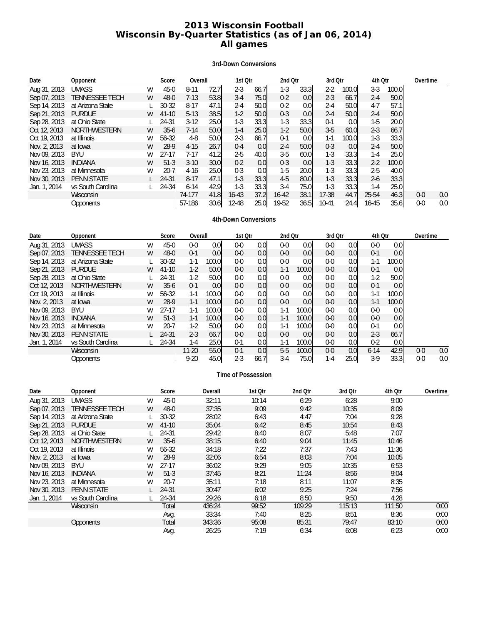# **2013 Wisconsin Football Wisconsin By-Quarter Statistics (as of Jan 06, 2014) All games**

# **3rd-Down Conversions**

| Date         | Opponent              |   | Score     |          | Overall |           | 1st Otr |         | 2nd Qtr          |           | 3rd Otr |         | 4th Qtr |         | Overtime |
|--------------|-----------------------|---|-----------|----------|---------|-----------|---------|---------|------------------|-----------|---------|---------|---------|---------|----------|
| Aug 31, 2013 | <b>UMASS</b>          | W | $45 - 0$  | $8 - 11$ | 72.7    | $2 - 3$   | 66.7    | $1-3$   | 33.3             | $2 - 2$   | 100.0   | $3-3$   | 100.0   |         |          |
| Sep 07, 2013 | <b>TENNESSEE TECH</b> | W | $48 - 0$  | $7-13$   | 53.8    | $3-4$     | 75.0I   | $0 - 2$ | 0.0              | $2 - 3$   | 66.7    | $2 - 4$ | 50.0    |         |          |
| Sep 14, 2013 | at Arizona State      |   | $30 - 32$ | $8 - 17$ | 47.1    | $2 - 4$   | 50.0    | $0 - 2$ | 0.0 <sub>l</sub> | $2 - 4$   | 50.0    | $4 - 7$ | 57.1    |         |          |
| Sep 21, 2013 | <b>PURDUE</b>         | W | $41 - 10$ | $5-13$   | 38.5    | $1-2$     | 50.0    | $0 - 3$ | 0.0              | $2 - 4$   | 50.0    | $2 - 4$ | 50.0    |         |          |
| Sep 28, 2013 | at Ohio State         |   | 24-31     | $3-12$   | 25.0    | $1-3$     | 33.3    | $1-3$   | 33.3             | $0 - 1$   | 0.0     | $1-5$   | 20.0    |         |          |
| Oct 12, 2013 | <b>NORTHWESTERN</b>   | W | $35 - 6$  | $7 - 14$ | 50.0    | $1 - 4$   | 25.0    | $1-2$   | 50.0             | $3-5$     | 60.0    | $2 - 3$ | 66.7    |         |          |
| Oct 19, 2013 | at Illinois           | W | 56-32     | 4-8      | 50.0    | $2 - 3$   | 66.7    | $0 - 1$ | 0.0 <sub>l</sub> | $1 - 1$   | 100.0   | $1-3$   | 33.3    |         |          |
| Nov. 2, 2013 | at Iowa               | W | $28-9$    | $4 - 15$ | 26.7    | $0 - 4$   | 0.0     | $2 - 4$ | 50.0             | $0 - 3$   | 0.0     | $2 - 4$ | 50.0    |         |          |
| Nov 09, 2013 | <b>BYU</b>            | W | $27-17$   | $7-17$   | 41.2    | $2 - 5$   | 40.0    | $3 - 5$ | 60.0             | $1-3$     | 33.3    | $1 - 4$ | 25.0    |         |          |
| Nov 16, 2013 | <b>INDIANA</b>        | W | $51-3$    | $3-10$   | 30.0    | $0 - 2$   | 0.0     | $0 - 3$ | 0.0              | $1 - 3$   | 33.3    | $2 - 2$ | 100.0   |         |          |
| Nov 23, 2013 | at Minnesota          | W | $20 - 7$  | $4-16$   | 25.0    | $0 - 3$   | 0.0     | $1-5$   | 20.0             | $1-3$     | 33.3    | $2 - 5$ | 40.0    |         |          |
| Nov 30, 2013 | <b>PENN STATE</b>     |   | $24 - 31$ | $8 - 17$ | 47.1    | $1 - 3$   | 33.3    | $4 - 5$ | 80.0             | $1 - 3$   | 33.3    | $2 - 6$ | 33.3    |         |          |
| Jan. 1, 2014 | vs South Carolina     |   | 24-34     | $6 - 14$ | 42.9    | 1-3       | 33.3    | $3-4$   | 75.0             | $1-3$     | 33.3    | $1-4$   | 25.0    |         |          |
|              | Wisconsin             |   |           | 74-177   | 41.8    | $16 - 43$ | 37.2    | 16-42   | 38.1             | 17-38     | 44.7    | 25-54   | 46.3    | $0 - 0$ | 0.0      |
|              | <b>Opponents</b>      |   |           | 57-186   | 30.6    | $12 - 48$ | 25.0    | 19-52   | 36.5             | $10 - 41$ | 24.4    | 16-45   | 35.6    | $0 - 0$ | 0.0      |

# **4th-Down Conversions**

| Date         | Opponent              |   | Score     | Overall  |                  |         | 1st Otr          |         | 2nd Qtr          |         | 3rd Otr          | 4th Otr  |                  | Overtime |     |
|--------------|-----------------------|---|-----------|----------|------------------|---------|------------------|---------|------------------|---------|------------------|----------|------------------|----------|-----|
| Aug 31, 2013 | <b>UMASS</b>          | W | $45 - 0$  | $0-0$    | 0.0 <sub>l</sub> | $0-0$   | 0.0 <sub>l</sub> | $0 - 0$ | 0.0 <sub>l</sub> | $0 - 0$ | 0.0 <sub>l</sub> | $0 - 0$  | 0.0 <sub>l</sub> |          |     |
| Sep 07, 2013 | <b>TENNESSEE TECH</b> | W | $48 - 0$  | $0 - 1$  | 0.0 <sub>l</sub> | $0-0$   | 0.0 <sub>l</sub> | $0 - 0$ | 0.0              | $0 - 0$ | 0.0 <sub>l</sub> | $0 - 1$  | 0.0              |          |     |
| Sep 14, 2013 | at Arizona State      |   | $30 - 32$ | $1-1$    | 100.0            | $0-0$   | 0.01             | $0-0$   | 0.0              | $0 - 0$ | 0.0 <sub>l</sub> | $1 - 1$  | 100.0            |          |     |
| Sep 21, 2013 | <b>PURDUE</b>         | W | $41 - 10$ | $1-2$    | 50.0             | $0-0$   | 0.0              | $1-1$   | 100.0            | $0 - 0$ | 0.0 <sub>l</sub> | $0 - 1$  | 0.0              |          |     |
| Sep 28, 2013 | at Ohio State         |   | 24-31     | $1-2$    | 50.0             | $0-0$   | 0.0 <sub>l</sub> | $0-0$   | 0.0 <sub>l</sub> | $0-0$   | 0.0              | $1-2$    | 50.0             |          |     |
| Oct 12, 2013 | <b>NORTHWESTERN</b>   | W | $35 - 6$  | $0-1$    | 0.0              | $0-0$   | 0.0              | $0 - 0$ | 0.0              | $0 - 0$ | 0.0              | $0 - 1$  | 0.0              |          |     |
| Oct 19, 2013 | at Illinois           | W | $56 - 32$ | $1-1$    | 100.01           | $0-0$   | 0.0              | $0-0$   | 0.0              | $0-0$   | 0.0              | $1 - 1$  | 100.0            |          |     |
| Nov. 2, 2013 | at Iowa               | W | $28-9$    | $1 - 1$  | 100.01           | $0-0$   | 0.0 <sub>l</sub> | $0-0$   | 0.0              | $0 - 0$ | 0.0 <sub>l</sub> | $1 - 1$  | 100.0            |          |     |
| Nov 09, 2013 | <b>BYU</b>            | W | $27 - 17$ | $1 - 1$  | 100.0            | $0-0$   | 0.0              | $1-1$   | 100.0            | $0-0$   | 0.0              | $0-0$    | 0.0              |          |     |
| Nov 16, 2013 | <b>INDIANA</b>        | W | $51-3$    | $1 - 1$  | 100.0            | $0-0$   | 0.0 <sub>l</sub> | $1 - 1$ | 100.0            | $0 - 0$ | 0.0 <sub>l</sub> | $0-0$    | 0.0              |          |     |
| Nov 23, 2013 | at Minnesota          | W | $20 - 7$  | $1-2$    | 50.0             | $0-0$   | 0.0              | $1 - 1$ | 100.0            | $0-0$   | 0.0              | $0-1$    | 0.0              |          |     |
| Nov 30, 2013 | <b>PENN STATE</b>     |   | $24 - 31$ | $2 - 3$  | 66.7             | $0-0$   | 0.0              | $0-0$   | 0.0 <sub>l</sub> | $0 - 0$ | 0.0              | $2 - 3$  | 66.7             |          |     |
| Jan. 1, 2014 | vs South Carolina     |   | $24 - 34$ | 1-4      | 25.0I            | $0-1$   | 0.0 <sub>l</sub> | $1 - 1$ | 100.0            | $0 - 0$ | 0.0 <sub>l</sub> | $0 - 2$  | 0.0 <sub>l</sub> |          |     |
|              | Wisconsin             |   |           | $11-20$  | 55.0             | $0 - 1$ | 0.0 <sub>l</sub> | $5-5$   | 100.0            | $0-0$   | 0.0 <sub>l</sub> | $6 - 14$ | 42.9             | $0 - 0$  | 0.0 |
|              | Opponents             |   |           | $9 - 20$ | 45.0             | $2 - 3$ | 66.7             | $3-4$   | 75.0             | $1 - 4$ | 25.0             | $3-9$    | 33.3             | $0-0$    | 0.0 |

# **Time of Possession**

| Date         | Opponent            |   | Score     | Overall | 1st Qtr | 2nd Otr | 3rd Otr | 4th Otr | Overtime |
|--------------|---------------------|---|-----------|---------|---------|---------|---------|---------|----------|
| Aug 31, 2013 | <b>UMASS</b>        | W | $45-0$    | 32:11   | 10:14   | 6:29    | 6:28    | 9:00    |          |
| Sep 07, 2013 | TENNESSEE TECH      | W | $48-0$    | 37:35   | 9:09    | 9:42    | 10:35   | 8:09    |          |
| Sep 14, 2013 | at Arizona State    |   | $30 - 32$ | 28:02   | 6:43    | 4:47    | 7:04    | 9:28    |          |
| Sep 21, 2013 | <b>PURDUE</b>       | W | $41 - 10$ | 35:04   | 6:42    | 8:45    | 10:54   | 8:43    |          |
| Sep 28, 2013 | at Ohio State       |   | 24-31     | 29:42   | 8:40    | 8:07    | 5:48    | 7:07    |          |
| Oct 12, 2013 | <b>NORTHWESTERN</b> | W | $35-6$    | 38:15   | 6:40    | 9:04    | 11:45   | 10:46   |          |
| Oct 19, 2013 | at Illinois         | W | 56-32     | 34:18   | 7:22    | 7:37    | 7:43    | 11:36   |          |
| Nov. 2, 2013 | at Iowa             | W | 28-9      | 32:06   | 6:54    | 8:03    | 7:04    | 10:05   |          |
| Nov 09, 2013 | BYU                 | W | $27-17$   | 36:02   | 9:29    | 9:05    | 10:35   | 6:53    |          |
| Nov 16, 2013 | <b>INDIANA</b>      | W | $51-3$    | 37:45   | 8:21    | 11:24   | 8:56    | 9:04    |          |
| Nov 23, 2013 | at Minnesota        | W | $20 - 7$  | 35:11   | 7:18    | 8:11    | 11:07   | 8:35    |          |
| Nov 30, 2013 | <b>PENN STATE</b>   |   | 24-31     | 30:47   | 6:02    | 9:25    | 7:24    | 7:56    |          |
| Jan. 1, 2014 | vs South Carolina   |   | 24-34     | 29:26   | 6:18    | 8:50    | 9:50    | 4:28    |          |
|              | Wisconsin           |   | Total     | 436:24  | 99:52   | 109:29  | 115:13  | 111:50  | 0:00     |
|              |                     |   | Avg.      | 33:34   | 7:40    | 8:25    | 8:51    | 8:36    | 0:00     |
|              | <b>Opponents</b>    |   | Total     | 343:36  | 95:08   | 85:31   | 79:47   | 83:10   | 0:00     |
|              |                     |   | Avg.      | 26:25   | 7:19    | 6:34    | 6:08    | 6:23    | 0:00     |